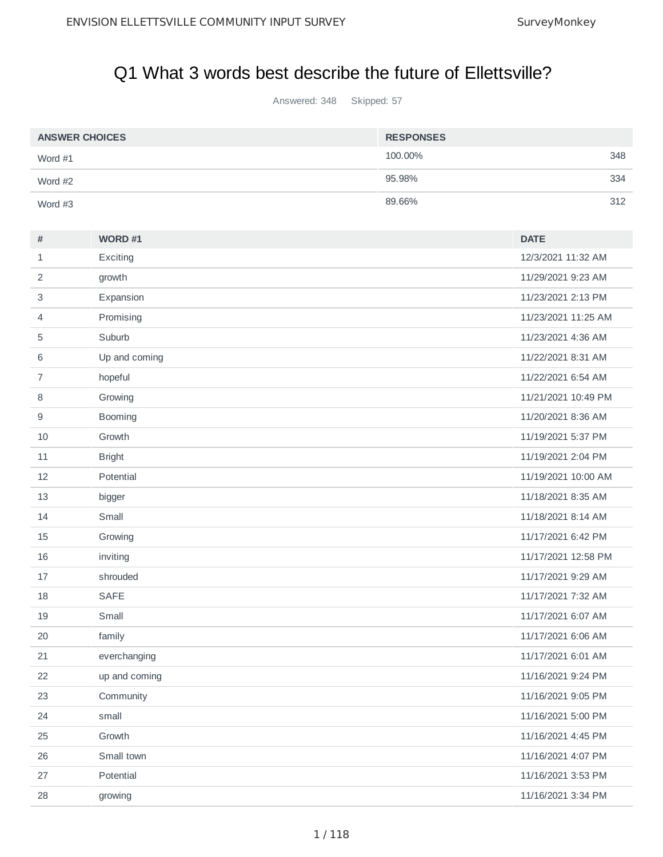## Q1 What 3 words best describe the future of Ellettsville?

Answered: 348 Skipped: 57

| <b>ANSWER CHOICES</b> | <b>RESPONSES</b> |     |
|-----------------------|------------------|-----|
| Word $#1$             | 100,00%          | 348 |
| Word $#2$             | 95.98%           | 334 |
| Word $#3$             | 89.66%           | 312 |

| #              | WORD #1       | <b>DATE</b>         |
|----------------|---------------|---------------------|
| 1              | Exciting      | 12/3/2021 11:32 AM  |
| 2              | growth        | 11/29/2021 9:23 AM  |
| 3              | Expansion     | 11/23/2021 2:13 PM  |
| 4              | Promising     | 11/23/2021 11:25 AM |
| 5              | Suburb        | 11/23/2021 4:36 AM  |
| 6              | Up and coming | 11/22/2021 8:31 AM  |
| $\overline{7}$ | hopeful       | 11/22/2021 6:54 AM  |
| 8              | Growing       | 11/21/2021 10:49 PM |
| 9              | Booming       | 11/20/2021 8:36 AM  |
| 10             | Growth        | 11/19/2021 5:37 PM  |
| 11             | <b>Bright</b> | 11/19/2021 2:04 PM  |
| 12             | Potential     | 11/19/2021 10:00 AM |
| 13             | bigger        | 11/18/2021 8:35 AM  |
| 14             | Small         | 11/18/2021 8:14 AM  |
| 15             | Growing       | 11/17/2021 6:42 PM  |
| 16             | inviting      | 11/17/2021 12:58 PM |
| 17             | shrouded      | 11/17/2021 9:29 AM  |
| 18             | <b>SAFE</b>   | 11/17/2021 7:32 AM  |
| 19             | Small         | 11/17/2021 6:07 AM  |
| 20             | family        | 11/17/2021 6:06 AM  |
| 21             | everchanging  | 11/17/2021 6:01 AM  |
| 22             | up and coming | 11/16/2021 9:24 PM  |
| 23             | Community     | 11/16/2021 9:05 PM  |
| 24             | small         | 11/16/2021 5:00 PM  |
| 25             | Growth        | 11/16/2021 4:45 PM  |
| 26             | Small town    | 11/16/2021 4:07 PM  |
| 27             | Potential     | 11/16/2021 3:53 PM  |
| 28             | growing       | 11/16/2021 3:34 PM  |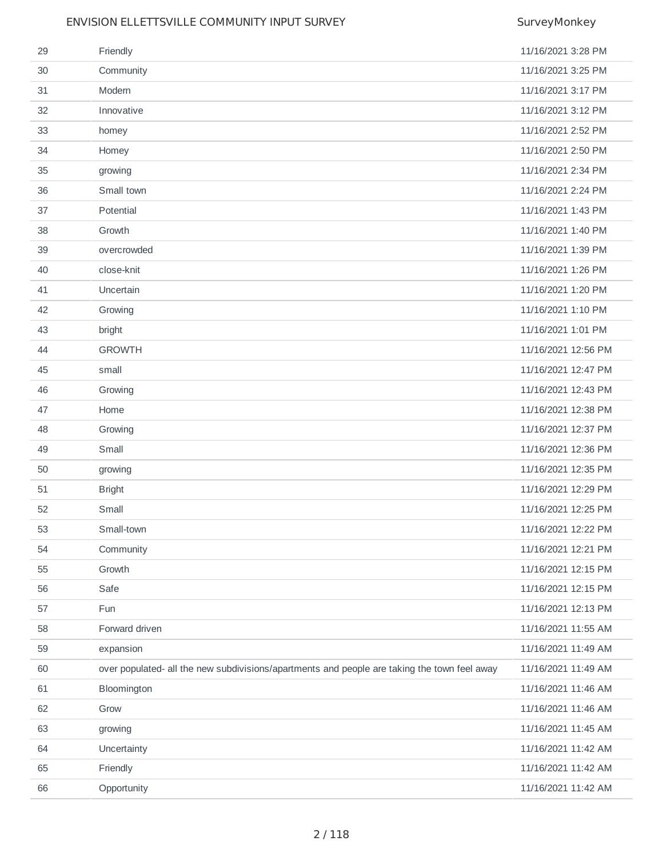| 29 | Friendly                                                                                     | 11/16/2021 3:28 PM  |
|----|----------------------------------------------------------------------------------------------|---------------------|
| 30 | Community                                                                                    | 11/16/2021 3:25 PM  |
| 31 | Modern                                                                                       | 11/16/2021 3:17 PM  |
| 32 | Innovative                                                                                   | 11/16/2021 3:12 PM  |
| 33 | homey                                                                                        | 11/16/2021 2:52 PM  |
| 34 | Homey                                                                                        | 11/16/2021 2:50 PM  |
| 35 | growing                                                                                      | 11/16/2021 2:34 PM  |
| 36 | Small town                                                                                   | 11/16/2021 2:24 PM  |
| 37 | Potential                                                                                    | 11/16/2021 1:43 PM  |
| 38 | Growth                                                                                       | 11/16/2021 1:40 PM  |
| 39 | overcrowded                                                                                  | 11/16/2021 1:39 PM  |
| 40 | close-knit                                                                                   | 11/16/2021 1:26 PM  |
| 41 | Uncertain                                                                                    | 11/16/2021 1:20 PM  |
| 42 | Growing                                                                                      | 11/16/2021 1:10 PM  |
| 43 | bright                                                                                       | 11/16/2021 1:01 PM  |
| 44 | <b>GROWTH</b>                                                                                | 11/16/2021 12:56 PM |
| 45 | small                                                                                        | 11/16/2021 12:47 PM |
| 46 | Growing                                                                                      | 11/16/2021 12:43 PM |
| 47 | Home                                                                                         | 11/16/2021 12:38 PM |
| 48 | Growing                                                                                      | 11/16/2021 12:37 PM |
| 49 | Small                                                                                        | 11/16/2021 12:36 PM |
| 50 | growing                                                                                      | 11/16/2021 12:35 PM |
| 51 | <b>Bright</b>                                                                                | 11/16/2021 12:29 PM |
| 52 | Small                                                                                        | 11/16/2021 12:25 PM |
| 53 | Small-town                                                                                   | 11/16/2021 12:22 PM |
| 54 | Community                                                                                    | 11/16/2021 12:21 PM |
| 55 | Growth                                                                                       | 11/16/2021 12:15 PM |
| 56 | Safe                                                                                         | 11/16/2021 12:15 PM |
| 57 | Fun                                                                                          | 11/16/2021 12:13 PM |
| 58 | Forward driven                                                                               | 11/16/2021 11:55 AM |
| 59 | expansion                                                                                    | 11/16/2021 11:49 AM |
| 60 | over populated- all the new subdivisions/apartments and people are taking the town feel away | 11/16/2021 11:49 AM |
| 61 | Bloomington                                                                                  | 11/16/2021 11:46 AM |
| 62 | Grow                                                                                         | 11/16/2021 11:46 AM |
| 63 | growing                                                                                      | 11/16/2021 11:45 AM |
| 64 | Uncertainty                                                                                  | 11/16/2021 11:42 AM |
| 65 | Friendly                                                                                     | 11/16/2021 11:42 AM |
| 66 | Opportunity                                                                                  | 11/16/2021 11:42 AM |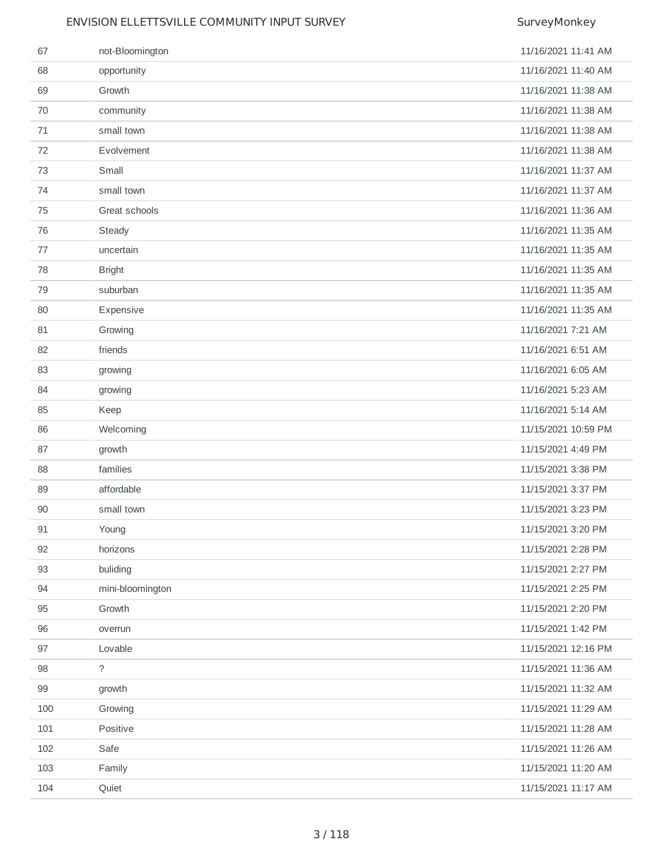| 67  | not-Bloomington  | 11/16/2021 11:41 AM |
|-----|------------------|---------------------|
| 68  | opportunity      | 11/16/2021 11:40 AM |
| 69  | Growth           | 11/16/2021 11:38 AM |
| 70  | community        | 11/16/2021 11:38 AM |
| 71  | small town       | 11/16/2021 11:38 AM |
| 72  | Evolvement       | 11/16/2021 11:38 AM |
| 73  | Small            | 11/16/2021 11:37 AM |
| 74  | small town       | 11/16/2021 11:37 AM |
| 75  | Great schools    | 11/16/2021 11:36 AM |
| 76  | Steady           | 11/16/2021 11:35 AM |
| 77  | uncertain        | 11/16/2021 11:35 AM |
| 78  | <b>Bright</b>    | 11/16/2021 11:35 AM |
| 79  | suburban         | 11/16/2021 11:35 AM |
| 80  | Expensive        | 11/16/2021 11:35 AM |
| 81  | Growing          | 11/16/2021 7:21 AM  |
| 82  | friends          | 11/16/2021 6:51 AM  |
| 83  | growing          | 11/16/2021 6:05 AM  |
| 84  | growing          | 11/16/2021 5:23 AM  |
| 85  | Keep             | 11/16/2021 5:14 AM  |
| 86  | Welcoming        | 11/15/2021 10:59 PM |
| 87  | growth           | 11/15/2021 4:49 PM  |
| 88  | families         | 11/15/2021 3:38 PM  |
| 89  | affordable       | 11/15/2021 3:37 PM  |
| 90  | small town       | 11/15/2021 3:23 PM  |
| 91  | Young            | 11/15/2021 3:20 PM  |
| 92  | horizons         | 11/15/2021 2:28 PM  |
| 93  | buliding         | 11/15/2021 2:27 PM  |
| 94  | mini-bloomington | 11/15/2021 2:25 PM  |
| 95  | Growth           | 11/15/2021 2:20 PM  |
| 96  | overrun          | 11/15/2021 1:42 PM  |
| 97  | Lovable          | 11/15/2021 12:16 PM |
| 98  | $\tilde{?}$      | 11/15/2021 11:36 AM |
| 99  | growth           | 11/15/2021 11:32 AM |
| 100 | Growing          | 11/15/2021 11:29 AM |
| 101 | Positive         | 11/15/2021 11:28 AM |
| 102 | Safe             | 11/15/2021 11:26 AM |
| 103 | Family           | 11/15/2021 11:20 AM |
| 104 | Quiet            | 11/15/2021 11:17 AM |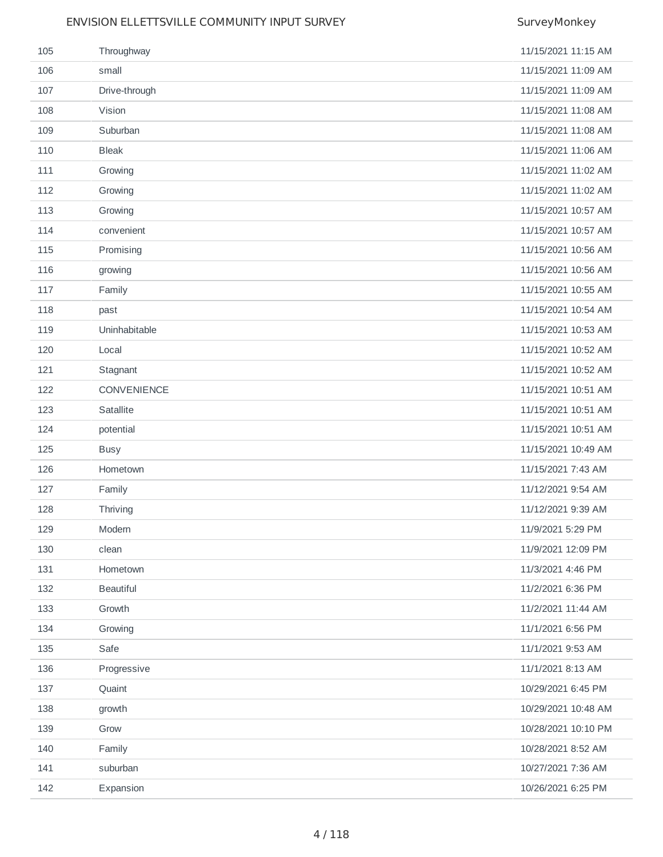| 105 | Throughway       | 11/15/2021 11:15 AM |
|-----|------------------|---------------------|
| 106 | small            | 11/15/2021 11:09 AM |
| 107 | Drive-through    | 11/15/2021 11:09 AM |
| 108 | Vision           | 11/15/2021 11:08 AM |
| 109 | Suburban         | 11/15/2021 11:08 AM |
| 110 | <b>Bleak</b>     | 11/15/2021 11:06 AM |
| 111 | Growing          | 11/15/2021 11:02 AM |
| 112 | Growing          | 11/15/2021 11:02 AM |
| 113 | Growing          | 11/15/2021 10:57 AM |
| 114 | convenient       | 11/15/2021 10:57 AM |
| 115 | Promising        | 11/15/2021 10:56 AM |
| 116 | growing          | 11/15/2021 10:56 AM |
| 117 | Family           | 11/15/2021 10:55 AM |
| 118 | past             | 11/15/2021 10:54 AM |
| 119 | Uninhabitable    | 11/15/2021 10:53 AM |
| 120 | Local            | 11/15/2021 10:52 AM |
| 121 | Stagnant         | 11/15/2021 10:52 AM |
| 122 | CONVENIENCE      | 11/15/2021 10:51 AM |
| 123 | Satallite        | 11/15/2021 10:51 AM |
| 124 | potential        | 11/15/2021 10:51 AM |
| 125 | <b>Busy</b>      | 11/15/2021 10:49 AM |
| 126 | Hometown         | 11/15/2021 7:43 AM  |
| 127 | Family           | 11/12/2021 9:54 AM  |
| 128 | Thriving         | 11/12/2021 9:39 AM  |
| 129 | Modern           | 11/9/2021 5:29 PM   |
| 130 | clean            | 11/9/2021 12:09 PM  |
| 131 | Hometown         | 11/3/2021 4:46 PM   |
| 132 | <b>Beautiful</b> | 11/2/2021 6:36 PM   |
| 133 | Growth           | 11/2/2021 11:44 AM  |
| 134 | Growing          | 11/1/2021 6:56 PM   |
| 135 | Safe             | 11/1/2021 9:53 AM   |
| 136 | Progressive      | 11/1/2021 8:13 AM   |
| 137 | Quaint           | 10/29/2021 6:45 PM  |
| 138 | growth           | 10/29/2021 10:48 AM |
| 139 | Grow             | 10/28/2021 10:10 PM |
| 140 | Family           | 10/28/2021 8:52 AM  |
| 141 | suburban         | 10/27/2021 7:36 AM  |
| 142 | Expansion        | 10/26/2021 6:25 PM  |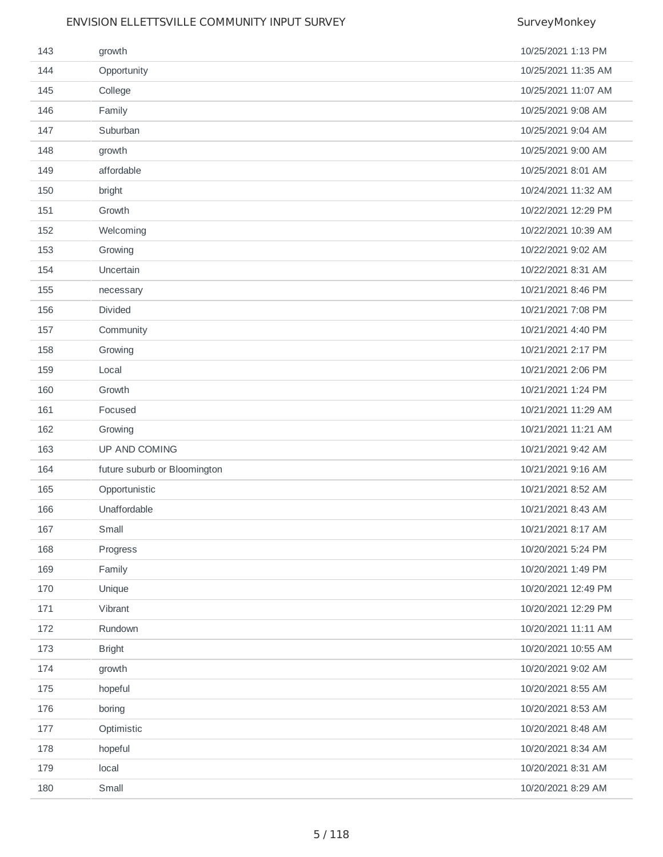| 143 | growth                       | 10/25/2021 1:13 PM  |
|-----|------------------------------|---------------------|
| 144 | Opportunity                  | 10/25/2021 11:35 AM |
| 145 | College                      | 10/25/2021 11:07 AM |
| 146 | Family                       | 10/25/2021 9:08 AM  |
| 147 | Suburban                     | 10/25/2021 9:04 AM  |
| 148 | growth                       | 10/25/2021 9:00 AM  |
| 149 | affordable                   | 10/25/2021 8:01 AM  |
| 150 | bright                       | 10/24/2021 11:32 AM |
| 151 | Growth                       | 10/22/2021 12:29 PM |
| 152 | Welcoming                    | 10/22/2021 10:39 AM |
| 153 | Growing                      | 10/22/2021 9:02 AM  |
| 154 | Uncertain                    | 10/22/2021 8:31 AM  |
| 155 | necessary                    | 10/21/2021 8:46 PM  |
| 156 | Divided                      | 10/21/2021 7:08 PM  |
| 157 | Community                    | 10/21/2021 4:40 PM  |
| 158 | Growing                      | 10/21/2021 2:17 PM  |
| 159 | Local                        | 10/21/2021 2:06 PM  |
| 160 | Growth                       | 10/21/2021 1:24 PM  |
| 161 | Focused                      | 10/21/2021 11:29 AM |
| 162 | Growing                      | 10/21/2021 11:21 AM |
| 163 | UP AND COMING                | 10/21/2021 9:42 AM  |
| 164 | future suburb or Bloomington | 10/21/2021 9:16 AM  |
| 165 | Opportunistic                | 10/21/2021 8:52 AM  |
| 166 | Unaffordable                 | 10/21/2021 8:43 AM  |
| 167 | Small                        | 10/21/2021 8:17 AM  |
| 168 | Progress                     | 10/20/2021 5:24 PM  |
| 169 | Family                       | 10/20/2021 1:49 PM  |
| 170 | Unique                       | 10/20/2021 12:49 PM |
| 171 | Vibrant                      | 10/20/2021 12:29 PM |
| 172 | Rundown                      | 10/20/2021 11:11 AM |
| 173 | <b>Bright</b>                | 10/20/2021 10:55 AM |
| 174 | growth                       | 10/20/2021 9:02 AM  |
| 175 | hopeful                      | 10/20/2021 8:55 AM  |
| 176 | boring                       | 10/20/2021 8:53 AM  |
| 177 | Optimistic                   | 10/20/2021 8:48 AM  |
| 178 | hopeful                      | 10/20/2021 8:34 AM  |
| 179 | local                        | 10/20/2021 8:31 AM  |
| 180 | Small                        | 10/20/2021 8:29 AM  |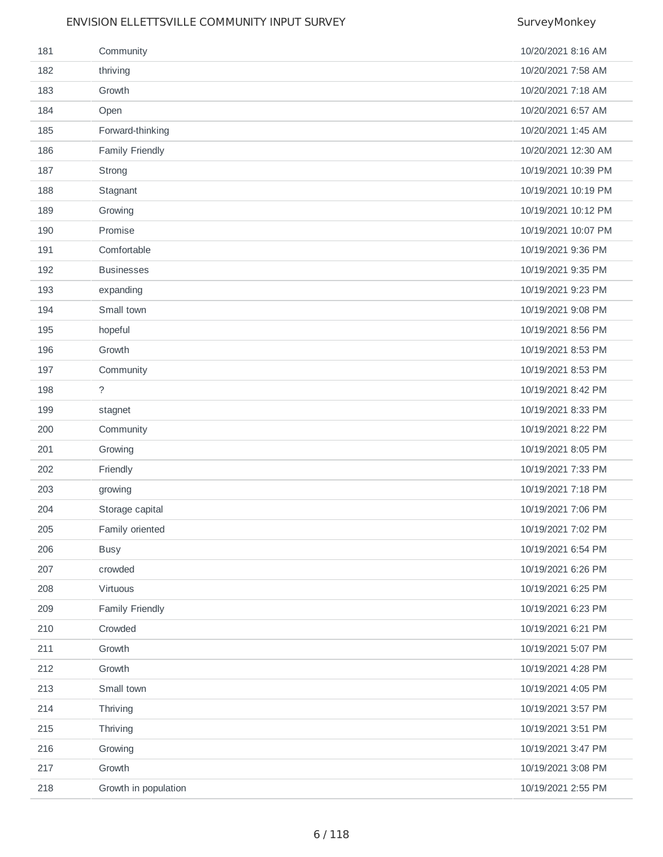| 181 | Community            | 10/20/2021 8:16 AM  |
|-----|----------------------|---------------------|
| 182 | thriving             | 10/20/2021 7:58 AM  |
| 183 | Growth               | 10/20/2021 7:18 AM  |
| 184 | Open                 | 10/20/2021 6:57 AM  |
| 185 | Forward-thinking     | 10/20/2021 1:45 AM  |
| 186 | Family Friendly      | 10/20/2021 12:30 AM |
| 187 | Strong               | 10/19/2021 10:39 PM |
| 188 | Stagnant             | 10/19/2021 10:19 PM |
| 189 | Growing              | 10/19/2021 10:12 PM |
| 190 | Promise              | 10/19/2021 10:07 PM |
| 191 | Comfortable          | 10/19/2021 9:36 PM  |
| 192 | <b>Businesses</b>    | 10/19/2021 9:35 PM  |
| 193 | expanding            | 10/19/2021 9:23 PM  |
| 194 | Small town           | 10/19/2021 9:08 PM  |
| 195 | hopeful              | 10/19/2021 8:56 PM  |
| 196 | Growth               | 10/19/2021 8:53 PM  |
| 197 | Community            | 10/19/2021 8:53 PM  |
| 198 | $\tilde{?}$          | 10/19/2021 8:42 PM  |
| 199 | stagnet              | 10/19/2021 8:33 PM  |
| 200 | Community            | 10/19/2021 8:22 PM  |
| 201 | Growing              | 10/19/2021 8:05 PM  |
| 202 | Friendly             | 10/19/2021 7:33 PM  |
| 203 | growing              | 10/19/2021 7:18 PM  |
| 204 | Storage capital      | 10/19/2021 7:06 PM  |
| 205 | Family oriented      | 10/19/2021 7:02 PM  |
| 206 | <b>Busy</b>          | 10/19/2021 6:54 PM  |
| 207 | crowded              | 10/19/2021 6:26 PM  |
| 208 | Virtuous             | 10/19/2021 6:25 PM  |
| 209 | Family Friendly      | 10/19/2021 6:23 PM  |
| 210 | Crowded              | 10/19/2021 6:21 PM  |
| 211 | Growth               | 10/19/2021 5:07 PM  |
| 212 | Growth               | 10/19/2021 4:28 PM  |
| 213 | Small town           | 10/19/2021 4:05 PM  |
| 214 | Thriving             | 10/19/2021 3:57 PM  |
| 215 | Thriving             | 10/19/2021 3:51 PM  |
| 216 | Growing              | 10/19/2021 3:47 PM  |
| 217 | Growth               | 10/19/2021 3:08 PM  |
| 218 | Growth in population | 10/19/2021 2:55 PM  |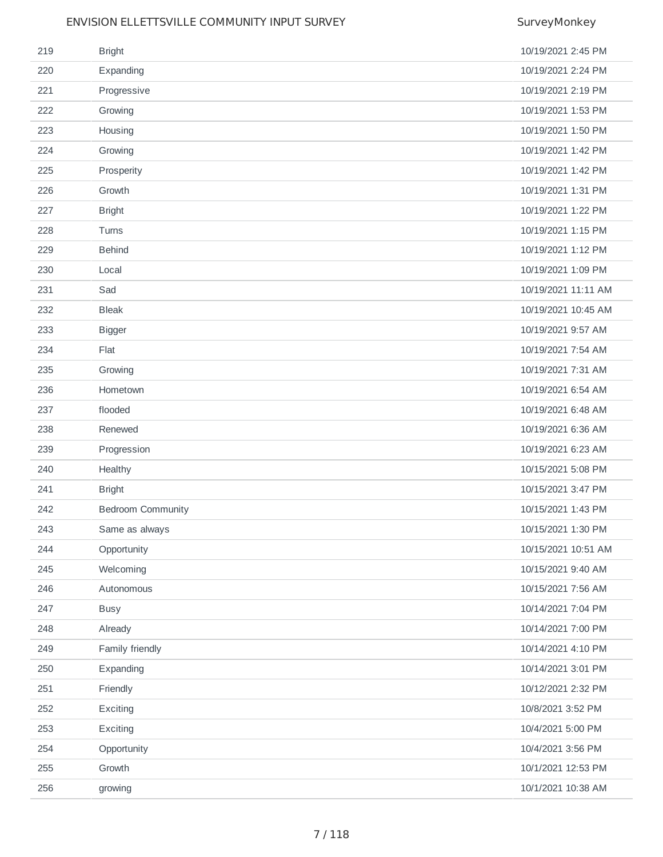| 219 | <b>Bright</b>            | 10/19/2021 2:45 PM  |
|-----|--------------------------|---------------------|
| 220 | Expanding                | 10/19/2021 2:24 PM  |
| 221 | Progressive              | 10/19/2021 2:19 PM  |
| 222 | Growing                  | 10/19/2021 1:53 PM  |
| 223 | Housing                  | 10/19/2021 1:50 PM  |
| 224 | Growing                  | 10/19/2021 1:42 PM  |
| 225 | Prosperity               | 10/19/2021 1:42 PM  |
| 226 | Growth                   | 10/19/2021 1:31 PM  |
| 227 | <b>Bright</b>            | 10/19/2021 1:22 PM  |
| 228 | Turns                    | 10/19/2021 1:15 PM  |
| 229 | <b>Behind</b>            | 10/19/2021 1:12 PM  |
| 230 | Local                    | 10/19/2021 1:09 PM  |
| 231 | Sad                      | 10/19/2021 11:11 AM |
| 232 | <b>Bleak</b>             | 10/19/2021 10:45 AM |
| 233 | <b>Bigger</b>            | 10/19/2021 9:57 AM  |
| 234 | Flat                     | 10/19/2021 7:54 AM  |
| 235 | Growing                  | 10/19/2021 7:31 AM  |
| 236 | Hometown                 | 10/19/2021 6:54 AM  |
| 237 | flooded                  | 10/19/2021 6:48 AM  |
| 238 | Renewed                  | 10/19/2021 6:36 AM  |
| 239 | Progression              | 10/19/2021 6:23 AM  |
| 240 | Healthy                  | 10/15/2021 5:08 PM  |
| 241 | <b>Bright</b>            | 10/15/2021 3:47 PM  |
| 242 | <b>Bedroom Community</b> | 10/15/2021 1:43 PM  |
| 243 | Same as always           | 10/15/2021 1:30 PM  |
| 244 | Opportunity              | 10/15/2021 10:51 AM |
| 245 | Welcoming                | 10/15/2021 9:40 AM  |
| 246 | Autonomous               | 10/15/2021 7:56 AM  |
| 247 | <b>Busy</b>              | 10/14/2021 7:04 PM  |
| 248 | Already                  | 10/14/2021 7:00 PM  |
| 249 | Family friendly          | 10/14/2021 4:10 PM  |
| 250 | Expanding                | 10/14/2021 3:01 PM  |
| 251 | Friendly                 | 10/12/2021 2:32 PM  |
| 252 | Exciting                 | 10/8/2021 3:52 PM   |
| 253 | Exciting                 | 10/4/2021 5:00 PM   |
| 254 | Opportunity              | 10/4/2021 3:56 PM   |
| 255 | Growth                   | 10/1/2021 12:53 PM  |
| 256 | growing                  | 10/1/2021 10:38 AM  |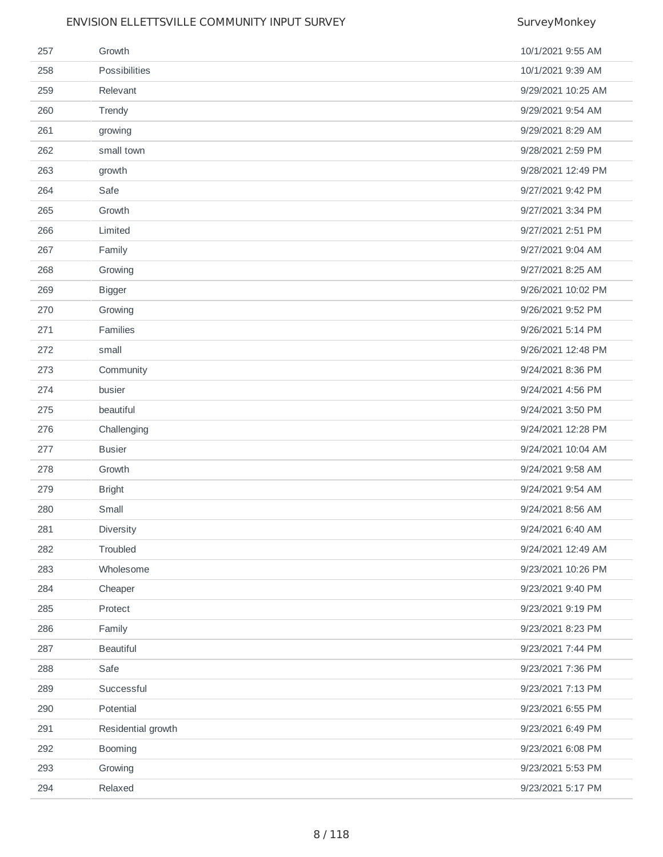| 257 | Growth             | 10/1/2021 9:55 AM  |
|-----|--------------------|--------------------|
| 258 | Possibilities      | 10/1/2021 9:39 AM  |
| 259 | Relevant           | 9/29/2021 10:25 AM |
| 260 | Trendy             | 9/29/2021 9:54 AM  |
| 261 | growing            | 9/29/2021 8:29 AM  |
| 262 | small town         | 9/28/2021 2:59 PM  |
| 263 | growth             | 9/28/2021 12:49 PM |
| 264 | Safe               | 9/27/2021 9:42 PM  |
| 265 | Growth             | 9/27/2021 3:34 PM  |
| 266 | Limited            | 9/27/2021 2:51 PM  |
| 267 | Family             | 9/27/2021 9:04 AM  |
| 268 | Growing            | 9/27/2021 8:25 AM  |
| 269 | <b>Bigger</b>      | 9/26/2021 10:02 PM |
| 270 | Growing            | 9/26/2021 9:52 PM  |
| 271 | Families           | 9/26/2021 5:14 PM  |
| 272 | small              | 9/26/2021 12:48 PM |
| 273 | Community          | 9/24/2021 8:36 PM  |
| 274 | busier             | 9/24/2021 4:56 PM  |
| 275 | beautiful          | 9/24/2021 3:50 PM  |
| 276 | Challenging        | 9/24/2021 12:28 PM |
| 277 | <b>Busier</b>      | 9/24/2021 10:04 AM |
| 278 | Growth             | 9/24/2021 9:58 AM  |
| 279 | <b>Bright</b>      | 9/24/2021 9:54 AM  |
| 280 | Small              | 9/24/2021 8:56 AM  |
| 281 | Diversity          | 9/24/2021 6:40 AM  |
| 282 | Troubled           | 9/24/2021 12:49 AM |
| 283 | Wholesome          | 9/23/2021 10:26 PM |
| 284 | Cheaper            | 9/23/2021 9:40 PM  |
| 285 | Protect            | 9/23/2021 9:19 PM  |
| 286 | Family             | 9/23/2021 8:23 PM  |
| 287 | <b>Beautiful</b>   | 9/23/2021 7:44 PM  |
| 288 | Safe               | 9/23/2021 7:36 PM  |
| 289 | Successful         | 9/23/2021 7:13 PM  |
| 290 | Potential          | 9/23/2021 6:55 PM  |
| 291 | Residential growth | 9/23/2021 6:49 PM  |
| 292 | Booming            | 9/23/2021 6:08 PM  |
| 293 | Growing            | 9/23/2021 5:53 PM  |
| 294 | Relaxed            | 9/23/2021 5:17 PM  |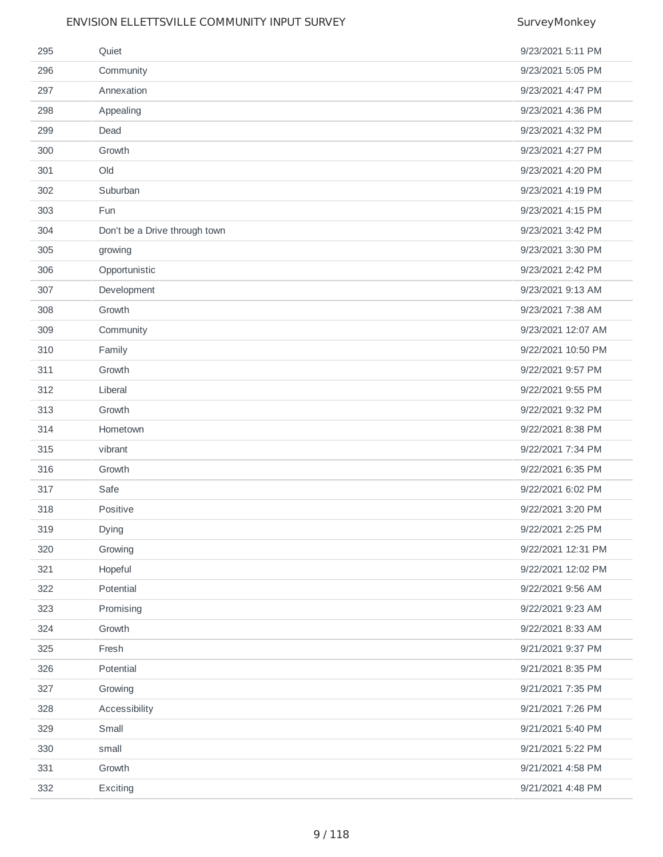| 295 | Quiet                         | 9/23/2021 5:11 PM  |
|-----|-------------------------------|--------------------|
| 296 | Community                     | 9/23/2021 5:05 PM  |
| 297 | Annexation                    | 9/23/2021 4:47 PM  |
| 298 | Appealing                     | 9/23/2021 4:36 PM  |
| 299 | Dead                          | 9/23/2021 4:32 PM  |
| 300 | Growth                        | 9/23/2021 4:27 PM  |
| 301 | Old                           | 9/23/2021 4:20 PM  |
| 302 | Suburban                      | 9/23/2021 4:19 PM  |
| 303 | Fun                           | 9/23/2021 4:15 PM  |
| 304 | Don't be a Drive through town | 9/23/2021 3:42 PM  |
| 305 | growing                       | 9/23/2021 3:30 PM  |
| 306 | Opportunistic                 | 9/23/2021 2:42 PM  |
| 307 | Development                   | 9/23/2021 9:13 AM  |
| 308 | Growth                        | 9/23/2021 7:38 AM  |
| 309 | Community                     | 9/23/2021 12:07 AM |
| 310 | Family                        | 9/22/2021 10:50 PM |
| 311 | Growth                        | 9/22/2021 9:57 PM  |
| 312 | Liberal                       | 9/22/2021 9:55 PM  |
| 313 | Growth                        | 9/22/2021 9:32 PM  |
| 314 | Hometown                      | 9/22/2021 8:38 PM  |
| 315 | vibrant                       | 9/22/2021 7:34 PM  |
| 316 | Growth                        | 9/22/2021 6:35 PM  |
| 317 | Safe                          | 9/22/2021 6:02 PM  |
| 318 | Positive                      | 9/22/2021 3:20 PM  |
| 319 | Dying                         | 9/22/2021 2:25 PM  |
| 320 | Growing                       | 9/22/2021 12:31 PM |
| 321 | Hopeful                       | 9/22/2021 12:02 PM |
| 322 | Potential                     | 9/22/2021 9:56 AM  |
| 323 | Promising                     | 9/22/2021 9:23 AM  |
| 324 | Growth                        | 9/22/2021 8:33 AM  |
| 325 | Fresh                         | 9/21/2021 9:37 PM  |
| 326 | Potential                     | 9/21/2021 8:35 PM  |
| 327 | Growing                       | 9/21/2021 7:35 PM  |
| 328 | Accessibility                 | 9/21/2021 7:26 PM  |
| 329 | Small                         | 9/21/2021 5:40 PM  |
| 330 | small                         | 9/21/2021 5:22 PM  |
| 331 | Growth                        | 9/21/2021 4:58 PM  |
| 332 | Exciting                      | 9/21/2021 4:48 PM  |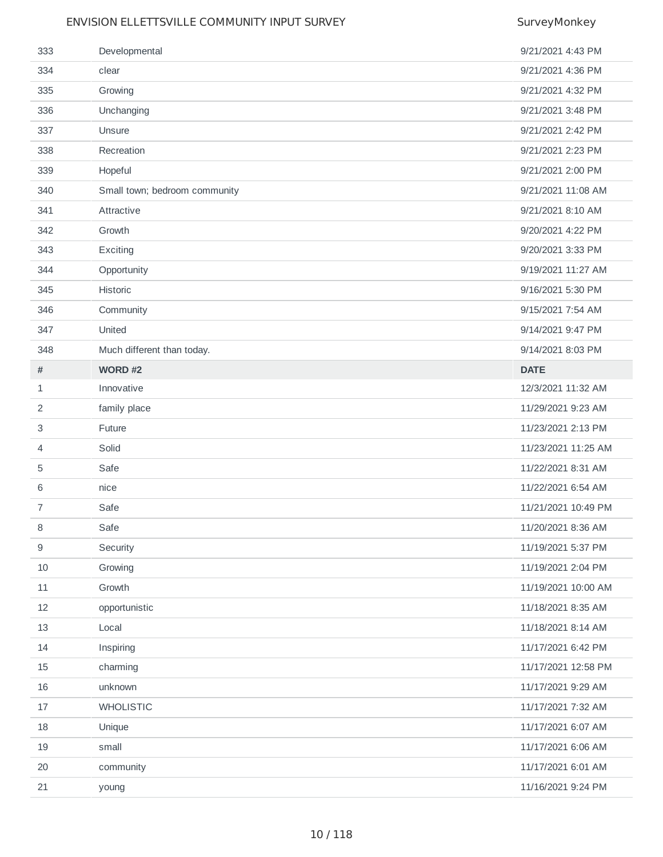| 333          | Developmental                 | 9/21/2021 4:43 PM   |
|--------------|-------------------------------|---------------------|
| 334          | clear                         | 9/21/2021 4:36 PM   |
| 335          | Growing                       | 9/21/2021 4:32 PM   |
| 336          | Unchanging                    | 9/21/2021 3:48 PM   |
| 337          | Unsure                        | 9/21/2021 2:42 PM   |
| 338          | Recreation                    | 9/21/2021 2:23 PM   |
| 339          | Hopeful                       | 9/21/2021 2:00 PM   |
| 340          | Small town; bedroom community | 9/21/2021 11:08 AM  |
| 341          | Attractive                    | 9/21/2021 8:10 AM   |
| 342          | Growth                        | 9/20/2021 4:22 PM   |
| 343          | Exciting                      | 9/20/2021 3:33 PM   |
| 344          | Opportunity                   | 9/19/2021 11:27 AM  |
| 345          | Historic                      | 9/16/2021 5:30 PM   |
| 346          | Community                     | 9/15/2021 7:54 AM   |
| 347          | United                        | 9/14/2021 9:47 PM   |
| 348          | Much different than today.    | 9/14/2021 8:03 PM   |
| $\#$         | WORD #2                       | <b>DATE</b>         |
| $\mathbf{1}$ | Innovative                    | 12/3/2021 11:32 AM  |
| 2            | family place                  | 11/29/2021 9:23 AM  |
| 3            | Future                        | 11/23/2021 2:13 PM  |
| 4            | Solid                         | 11/23/2021 11:25 AM |
| 5            | Safe                          | 11/22/2021 8:31 AM  |
| 6            | nice                          | 11/22/2021 6:54 AM  |
| 7            | Safe                          | 11/21/2021 10:49 PM |
| 8            | Safe                          | 11/20/2021 8:36 AM  |
| 9            | Security                      | 11/19/2021 5:37 PM  |
| 10           | Growing                       | 11/19/2021 2:04 PM  |
| 11           | Growth                        | 11/19/2021 10:00 AM |
| 12           | opportunistic                 | 11/18/2021 8:35 AM  |
| 13           | Local                         | 11/18/2021 8:14 AM  |
| 14           | Inspiring                     | 11/17/2021 6:42 PM  |
| 15           | charming                      | 11/17/2021 12:58 PM |
| 16           | unknown                       | 11/17/2021 9:29 AM  |
| 17           | <b>WHOLISTIC</b>              | 11/17/2021 7:32 AM  |
| 18           | Unique                        | 11/17/2021 6:07 AM  |
| 19           | small                         | 11/17/2021 6:06 AM  |
| 20           | community                     | 11/17/2021 6:01 AM  |
| 21           | young                         | 11/16/2021 9:24 PM  |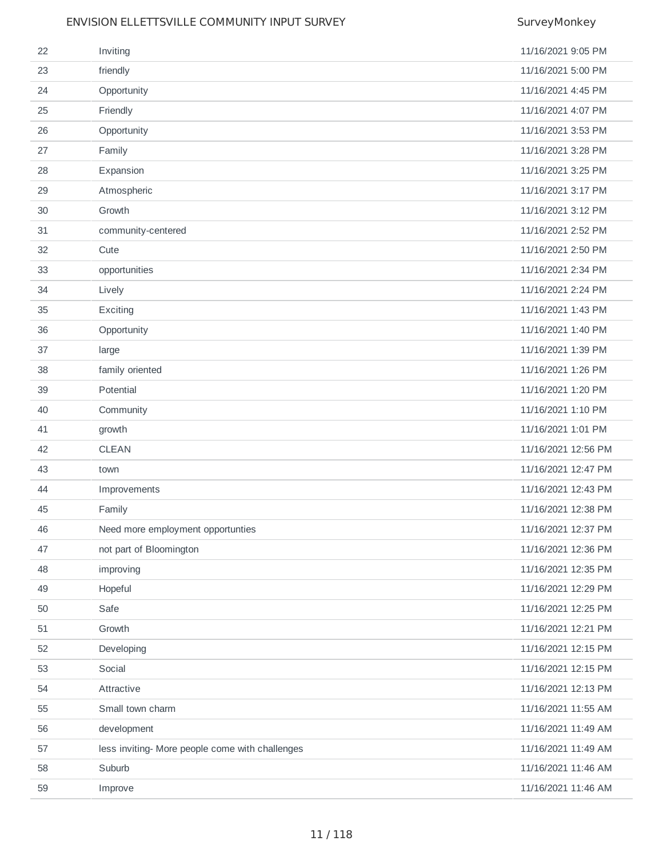| 22 | Inviting                                        | 11/16/2021 9:05 PM  |
|----|-------------------------------------------------|---------------------|
| 23 | friendly                                        | 11/16/2021 5:00 PM  |
| 24 | Opportunity                                     | 11/16/2021 4:45 PM  |
| 25 | Friendly                                        | 11/16/2021 4:07 PM  |
| 26 | Opportunity                                     | 11/16/2021 3:53 PM  |
| 27 | Family                                          | 11/16/2021 3:28 PM  |
| 28 | Expansion                                       | 11/16/2021 3:25 PM  |
| 29 | Atmospheric                                     | 11/16/2021 3:17 PM  |
| 30 | Growth                                          | 11/16/2021 3:12 PM  |
| 31 | community-centered                              | 11/16/2021 2:52 PM  |
| 32 | Cute                                            | 11/16/2021 2:50 PM  |
| 33 | opportunities                                   | 11/16/2021 2:34 PM  |
| 34 | Lively                                          | 11/16/2021 2:24 PM  |
| 35 | Exciting                                        | 11/16/2021 1:43 PM  |
| 36 | Opportunity                                     | 11/16/2021 1:40 PM  |
| 37 | large                                           | 11/16/2021 1:39 PM  |
| 38 | family oriented                                 | 11/16/2021 1:26 PM  |
| 39 | Potential                                       | 11/16/2021 1:20 PM  |
| 40 | Community                                       | 11/16/2021 1:10 PM  |
| 41 | growth                                          | 11/16/2021 1:01 PM  |
| 42 | <b>CLEAN</b>                                    | 11/16/2021 12:56 PM |
| 43 | town                                            | 11/16/2021 12:47 PM |
| 44 | Improvements                                    | 11/16/2021 12:43 PM |
| 45 | Family                                          | 11/16/2021 12:38 PM |
| 46 | Need more employment opportunties               | 11/16/2021 12:37 PM |
| 47 | not part of Bloomington                         | 11/16/2021 12:36 PM |
| 48 | improving                                       | 11/16/2021 12:35 PM |
| 49 | Hopeful                                         | 11/16/2021 12:29 PM |
| 50 | Safe                                            | 11/16/2021 12:25 PM |
| 51 | Growth                                          | 11/16/2021 12:21 PM |
| 52 | Developing                                      | 11/16/2021 12:15 PM |
| 53 | Social                                          | 11/16/2021 12:15 PM |
| 54 | Attractive                                      | 11/16/2021 12:13 PM |
| 55 | Small town charm                                | 11/16/2021 11:55 AM |
| 56 | development                                     | 11/16/2021 11:49 AM |
| 57 | less inviting- More people come with challenges | 11/16/2021 11:49 AM |
| 58 | Suburb                                          | 11/16/2021 11:46 AM |
| 59 | Improve                                         | 11/16/2021 11:46 AM |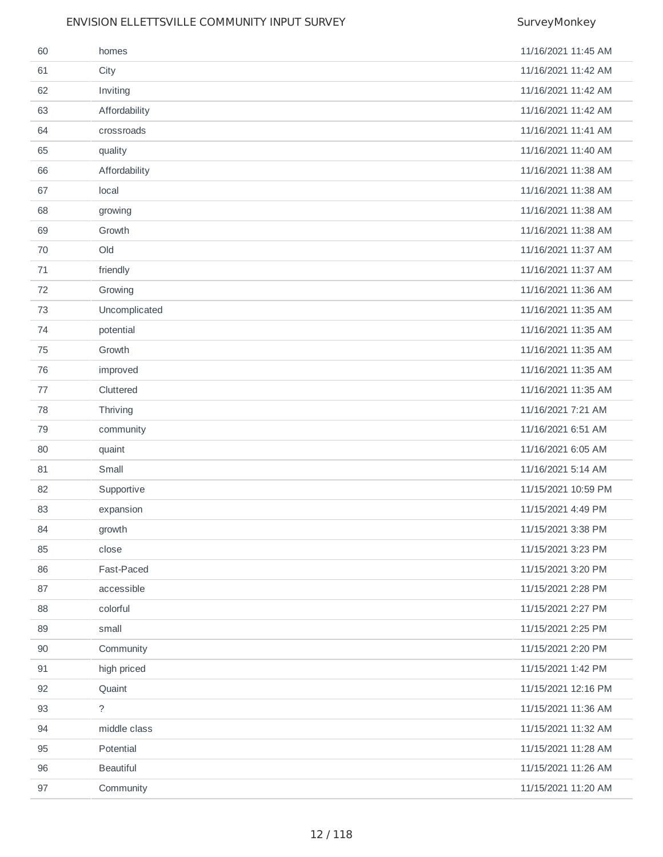| 60 | homes            | 11/16/2021 11:45 AM |
|----|------------------|---------------------|
| 61 | City             | 11/16/2021 11:42 AM |
| 62 | Inviting         | 11/16/2021 11:42 AM |
| 63 | Affordability    | 11/16/2021 11:42 AM |
| 64 | crossroads       | 11/16/2021 11:41 AM |
| 65 | quality          | 11/16/2021 11:40 AM |
| 66 | Affordability    | 11/16/2021 11:38 AM |
| 67 | local            | 11/16/2021 11:38 AM |
| 68 | growing          | 11/16/2021 11:38 AM |
| 69 | Growth           | 11/16/2021 11:38 AM |
| 70 | Old              | 11/16/2021 11:37 AM |
| 71 | friendly         | 11/16/2021 11:37 AM |
| 72 | Growing          | 11/16/2021 11:36 AM |
| 73 | Uncomplicated    | 11/16/2021 11:35 AM |
| 74 | potential        | 11/16/2021 11:35 AM |
| 75 | Growth           | 11/16/2021 11:35 AM |
| 76 | improved         | 11/16/2021 11:35 AM |
| 77 | Cluttered        | 11/16/2021 11:35 AM |
| 78 | Thriving         | 11/16/2021 7:21 AM  |
| 79 | community        | 11/16/2021 6:51 AM  |
| 80 | quaint           | 11/16/2021 6:05 AM  |
| 81 | Small            | 11/16/2021 5:14 AM  |
| 82 | Supportive       | 11/15/2021 10:59 PM |
| 83 | expansion        | 11/15/2021 4:49 PM  |
| 84 | growth           | 11/15/2021 3:38 PM  |
| 85 | close            | 11/15/2021 3:23 PM  |
| 86 | Fast-Paced       | 11/15/2021 3:20 PM  |
| 87 | accessible       | 11/15/2021 2:28 PM  |
| 88 | colorful         | 11/15/2021 2:27 PM  |
| 89 | small            | 11/15/2021 2:25 PM  |
| 90 | Community        | 11/15/2021 2:20 PM  |
| 91 | high priced      | 11/15/2021 1:42 PM  |
| 92 | Quaint           | 11/15/2021 12:16 PM |
| 93 | $\tilde{?}$      | 11/15/2021 11:36 AM |
| 94 | middle class     | 11/15/2021 11:32 AM |
| 95 | Potential        | 11/15/2021 11:28 AM |
| 96 | <b>Beautiful</b> | 11/15/2021 11:26 AM |
| 97 | Community        | 11/15/2021 11:20 AM |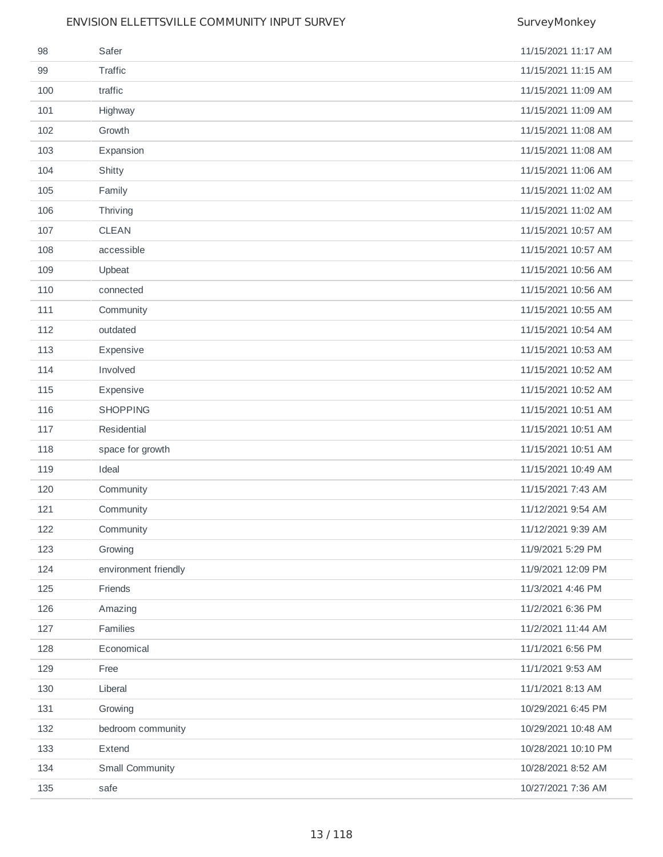| 98  | Safer                | 11/15/2021 11:17 AM |
|-----|----------------------|---------------------|
| 99  | Traffic              | 11/15/2021 11:15 AM |
| 100 | traffic              | 11/15/2021 11:09 AM |
| 101 | Highway              | 11/15/2021 11:09 AM |
| 102 | Growth               | 11/15/2021 11:08 AM |
| 103 | Expansion            | 11/15/2021 11:08 AM |
| 104 | Shitty               | 11/15/2021 11:06 AM |
| 105 | Family               | 11/15/2021 11:02 AM |
| 106 | Thriving             | 11/15/2021 11:02 AM |
| 107 | <b>CLEAN</b>         | 11/15/2021 10:57 AM |
| 108 | accessible           | 11/15/2021 10:57 AM |
| 109 | Upbeat               | 11/15/2021 10:56 AM |
| 110 | connected            | 11/15/2021 10:56 AM |
| 111 | Community            | 11/15/2021 10:55 AM |
| 112 | outdated             | 11/15/2021 10:54 AM |
| 113 | Expensive            | 11/15/2021 10:53 AM |
| 114 | Involved             | 11/15/2021 10:52 AM |
| 115 | Expensive            | 11/15/2021 10:52 AM |
| 116 | <b>SHOPPING</b>      | 11/15/2021 10:51 AM |
| 117 | Residential          | 11/15/2021 10:51 AM |
| 118 | space for growth     | 11/15/2021 10:51 AM |
| 119 | Ideal                | 11/15/2021 10:49 AM |
| 120 | Community            | 11/15/2021 7:43 AM  |
| 121 | Community            | 11/12/2021 9:54 AM  |
| 122 | Community            | 11/12/2021 9:39 AM  |
| 123 | Growing              | 11/9/2021 5:29 PM   |
| 124 | environment friendly | 11/9/2021 12:09 PM  |
| 125 | Friends              | 11/3/2021 4:46 PM   |
| 126 | Amazing              | 11/2/2021 6:36 PM   |
| 127 | Families             | 11/2/2021 11:44 AM  |
| 128 | Economical           | 11/1/2021 6:56 PM   |
| 129 | Free                 | 11/1/2021 9:53 AM   |
| 130 | Liberal              | 11/1/2021 8:13 AM   |
| 131 | Growing              | 10/29/2021 6:45 PM  |
| 132 | bedroom community    | 10/29/2021 10:48 AM |
| 133 | Extend               | 10/28/2021 10:10 PM |
| 134 | Small Community      | 10/28/2021 8:52 AM  |
| 135 | safe                 | 10/27/2021 7:36 AM  |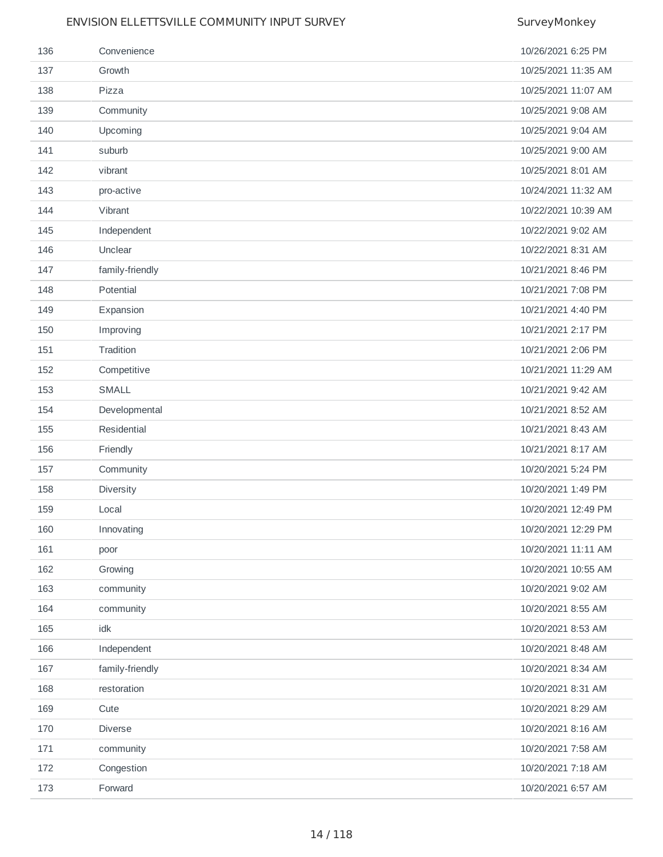| 136 | Convenience     | 10/26/2021 6:25 PM  |
|-----|-----------------|---------------------|
| 137 | Growth          | 10/25/2021 11:35 AM |
| 138 | Pizza           | 10/25/2021 11:07 AM |
| 139 | Community       | 10/25/2021 9:08 AM  |
| 140 | Upcoming        | 10/25/2021 9:04 AM  |
| 141 | suburb          | 10/25/2021 9:00 AM  |
| 142 | vibrant         | 10/25/2021 8:01 AM  |
| 143 | pro-active      | 10/24/2021 11:32 AM |
| 144 | Vibrant         | 10/22/2021 10:39 AM |
| 145 | Independent     | 10/22/2021 9:02 AM  |
| 146 | Unclear         | 10/22/2021 8:31 AM  |
| 147 | family-friendly | 10/21/2021 8:46 PM  |
| 148 | Potential       | 10/21/2021 7:08 PM  |
| 149 | Expansion       | 10/21/2021 4:40 PM  |
| 150 | Improving       | 10/21/2021 2:17 PM  |
| 151 | Tradition       | 10/21/2021 2:06 PM  |
| 152 | Competitive     | 10/21/2021 11:29 AM |
| 153 | SMALL           | 10/21/2021 9:42 AM  |
| 154 | Developmental   | 10/21/2021 8:52 AM  |
| 155 | Residential     | 10/21/2021 8:43 AM  |
| 156 | Friendly        | 10/21/2021 8:17 AM  |
| 157 | Community       | 10/20/2021 5:24 PM  |
| 158 | Diversity       | 10/20/2021 1:49 PM  |
| 159 | Local           | 10/20/2021 12:49 PM |
| 160 | Innovating      | 10/20/2021 12:29 PM |
| 161 | poor            | 10/20/2021 11:11 AM |
| 162 | Growing         | 10/20/2021 10:55 AM |
| 163 | community       | 10/20/2021 9:02 AM  |
| 164 | community       | 10/20/2021 8:55 AM  |
| 165 | idk             | 10/20/2021 8:53 AM  |
| 166 | Independent     | 10/20/2021 8:48 AM  |
| 167 | family-friendly | 10/20/2021 8:34 AM  |
| 168 | restoration     | 10/20/2021 8:31 AM  |
| 169 | Cute            | 10/20/2021 8:29 AM  |
| 170 | Diverse         | 10/20/2021 8:16 AM  |
| 171 | community       | 10/20/2021 7:58 AM  |
| 172 | Congestion      | 10/20/2021 7:18 AM  |
| 173 | Forward         | 10/20/2021 6:57 AM  |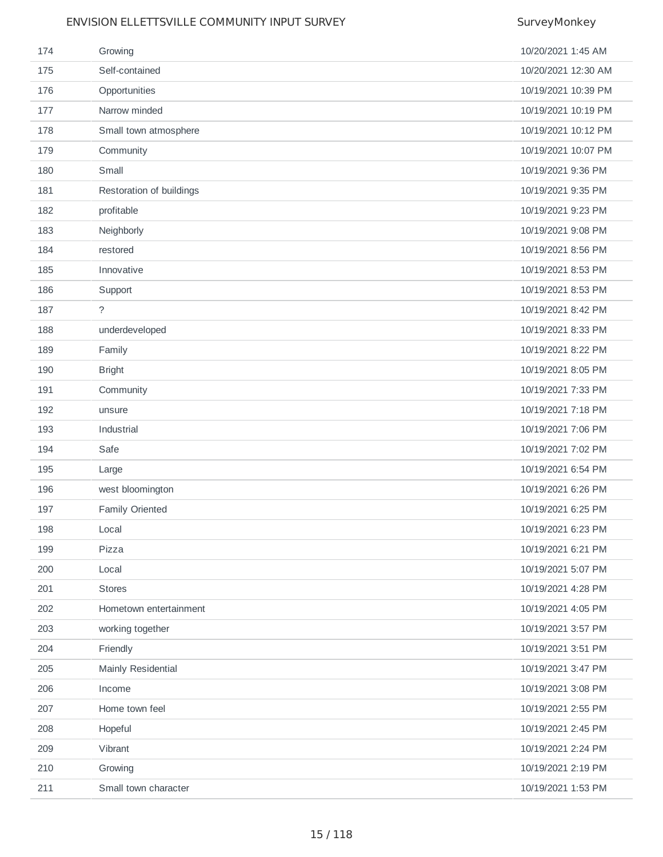| 174 | Growing                  | 10/20/2021 1:45 AM  |
|-----|--------------------------|---------------------|
| 175 | Self-contained           | 10/20/2021 12:30 AM |
| 176 | Opportunities            | 10/19/2021 10:39 PM |
| 177 | Narrow minded            | 10/19/2021 10:19 PM |
| 178 | Small town atmosphere    | 10/19/2021 10:12 PM |
| 179 | Community                | 10/19/2021 10:07 PM |
| 180 | Small                    | 10/19/2021 9:36 PM  |
| 181 | Restoration of buildings | 10/19/2021 9:35 PM  |
| 182 | profitable               | 10/19/2021 9:23 PM  |
| 183 | Neighborly               | 10/19/2021 9:08 PM  |
| 184 | restored                 | 10/19/2021 8:56 PM  |
| 185 | Innovative               | 10/19/2021 8:53 PM  |
| 186 | Support                  | 10/19/2021 8:53 PM  |
| 187 | $\tilde{?}$              | 10/19/2021 8:42 PM  |
| 188 | underdeveloped           | 10/19/2021 8:33 PM  |
| 189 | Family                   | 10/19/2021 8:22 PM  |
| 190 | <b>Bright</b>            | 10/19/2021 8:05 PM  |
| 191 | Community                | 10/19/2021 7:33 PM  |
| 192 | unsure                   | 10/19/2021 7:18 PM  |
| 193 | Industrial               | 10/19/2021 7:06 PM  |
| 194 | Safe                     | 10/19/2021 7:02 PM  |
| 195 | Large                    | 10/19/2021 6:54 PM  |
| 196 | west bloomington         | 10/19/2021 6:26 PM  |
| 197 | Family Oriented          | 10/19/2021 6:25 PM  |
| 198 | Local                    | 10/19/2021 6:23 PM  |
| 199 | Pizza                    | 10/19/2021 6:21 PM  |
| 200 | Local                    | 10/19/2021 5:07 PM  |
| 201 | <b>Stores</b>            | 10/19/2021 4:28 PM  |
| 202 | Hometown entertainment   | 10/19/2021 4:05 PM  |
| 203 | working together         | 10/19/2021 3:57 PM  |
| 204 | Friendly                 | 10/19/2021 3:51 PM  |
| 205 | Mainly Residential       | 10/19/2021 3:47 PM  |
| 206 | Income                   | 10/19/2021 3:08 PM  |
| 207 | Home town feel           | 10/19/2021 2:55 PM  |
| 208 | Hopeful                  | 10/19/2021 2:45 PM  |
| 209 | Vibrant                  | 10/19/2021 2:24 PM  |
| 210 | Growing                  | 10/19/2021 2:19 PM  |
| 211 | Small town character     | 10/19/2021 1:53 PM  |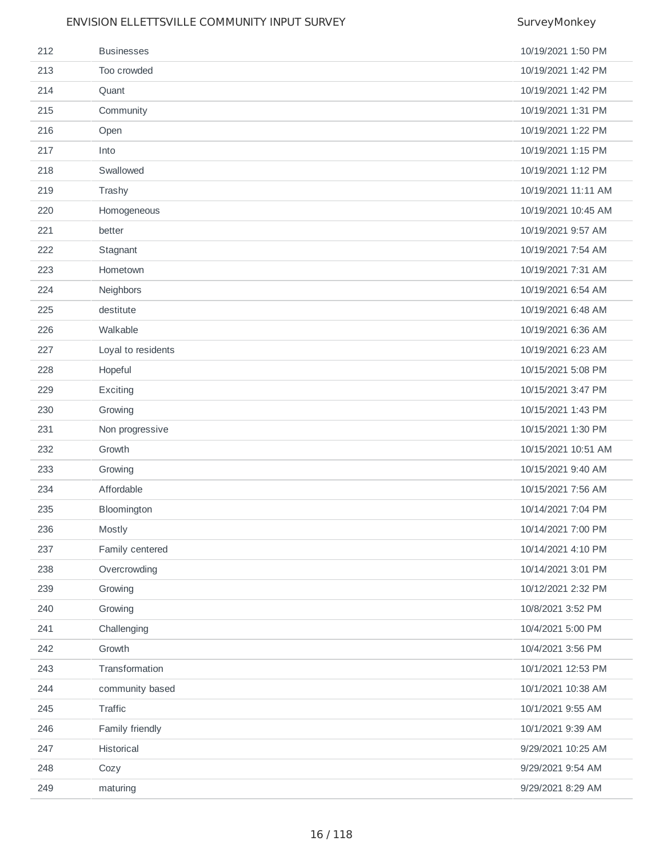| 212 | <b>Businesses</b>  | 10/19/2021 1:50 PM  |
|-----|--------------------|---------------------|
| 213 | Too crowded        | 10/19/2021 1:42 PM  |
| 214 | Quant              | 10/19/2021 1:42 PM  |
| 215 | Community          | 10/19/2021 1:31 PM  |
| 216 | Open               | 10/19/2021 1:22 PM  |
| 217 | Into               | 10/19/2021 1:15 PM  |
| 218 | Swallowed          | 10/19/2021 1:12 PM  |
| 219 | Trashy             | 10/19/2021 11:11 AM |
| 220 | Homogeneous        | 10/19/2021 10:45 AM |
| 221 | better             | 10/19/2021 9:57 AM  |
| 222 | Stagnant           | 10/19/2021 7:54 AM  |
| 223 | Hometown           | 10/19/2021 7:31 AM  |
| 224 | Neighbors          | 10/19/2021 6:54 AM  |
| 225 | destitute          | 10/19/2021 6:48 AM  |
| 226 | Walkable           | 10/19/2021 6:36 AM  |
| 227 | Loyal to residents | 10/19/2021 6:23 AM  |
| 228 | Hopeful            | 10/15/2021 5:08 PM  |
| 229 | Exciting           | 10/15/2021 3:47 PM  |
| 230 | Growing            | 10/15/2021 1:43 PM  |
| 231 | Non progressive    | 10/15/2021 1:30 PM  |
| 232 | Growth             | 10/15/2021 10:51 AM |
| 233 | Growing            | 10/15/2021 9:40 AM  |
| 234 | Affordable         | 10/15/2021 7:56 AM  |
| 235 | Bloomington        | 10/14/2021 7:04 PM  |
| 236 | Mostly             | 10/14/2021 7:00 PM  |
| 237 | Family centered    | 10/14/2021 4:10 PM  |
| 238 | Overcrowding       | 10/14/2021 3:01 PM  |
| 239 | Growing            | 10/12/2021 2:32 PM  |
| 240 | Growing            | 10/8/2021 3:52 PM   |
| 241 | Challenging        | 10/4/2021 5:00 PM   |
| 242 | Growth             | 10/4/2021 3:56 PM   |
| 243 | Transformation     | 10/1/2021 12:53 PM  |
| 244 | community based    | 10/1/2021 10:38 AM  |
| 245 | Traffic            | 10/1/2021 9:55 AM   |
| 246 | Family friendly    | 10/1/2021 9:39 AM   |
| 247 | Historical         | 9/29/2021 10:25 AM  |
| 248 | Cozy               | 9/29/2021 9:54 AM   |
| 249 | maturing           | 9/29/2021 8:29 AM   |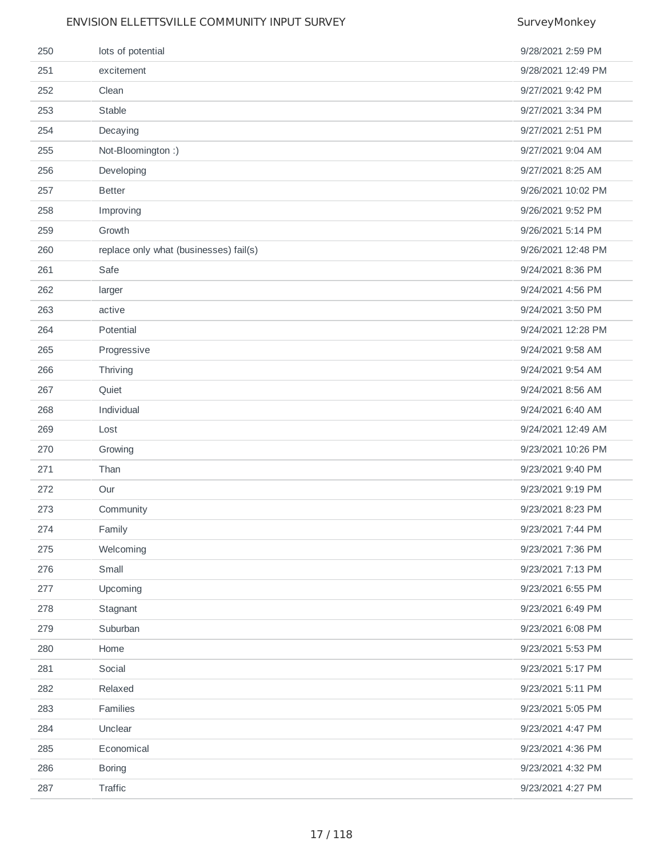| 250 | lots of potential                      | 9/28/2021 2:59 PM  |
|-----|----------------------------------------|--------------------|
| 251 | excitement                             | 9/28/2021 12:49 PM |
| 252 | Clean                                  | 9/27/2021 9:42 PM  |
| 253 | Stable                                 | 9/27/2021 3:34 PM  |
| 254 | Decaying                               | 9/27/2021 2:51 PM  |
| 255 | Not-Bloomington:)                      | 9/27/2021 9:04 AM  |
| 256 | Developing                             | 9/27/2021 8:25 AM  |
| 257 | <b>Better</b>                          | 9/26/2021 10:02 PM |
| 258 | Improving                              | 9/26/2021 9:52 PM  |
| 259 | Growth                                 | 9/26/2021 5:14 PM  |
| 260 | replace only what (businesses) fail(s) | 9/26/2021 12:48 PM |
| 261 | Safe                                   | 9/24/2021 8:36 PM  |
| 262 | larger                                 | 9/24/2021 4:56 PM  |
| 263 | active                                 | 9/24/2021 3:50 PM  |
| 264 | Potential                              | 9/24/2021 12:28 PM |
| 265 | Progressive                            | 9/24/2021 9:58 AM  |
| 266 | Thriving                               | 9/24/2021 9:54 AM  |
| 267 | Quiet                                  | 9/24/2021 8:56 AM  |
| 268 | Individual                             | 9/24/2021 6:40 AM  |
| 269 | Lost                                   | 9/24/2021 12:49 AM |
| 270 | Growing                                | 9/23/2021 10:26 PM |
| 271 | Than                                   | 9/23/2021 9:40 PM  |
| 272 | Our                                    | 9/23/2021 9:19 PM  |
| 273 | Community                              | 9/23/2021 8:23 PM  |
| 274 | Family                                 | 9/23/2021 7:44 PM  |
| 275 | Welcoming                              | 9/23/2021 7:36 PM  |
| 276 | Small                                  | 9/23/2021 7:13 PM  |
| 277 | Upcoming                               | 9/23/2021 6:55 PM  |
| 278 | Stagnant                               | 9/23/2021 6:49 PM  |
| 279 | Suburban                               | 9/23/2021 6:08 PM  |
| 280 | Home                                   | 9/23/2021 5:53 PM  |
| 281 | Social                                 | 9/23/2021 5:17 PM  |
| 282 | Relaxed                                | 9/23/2021 5:11 PM  |
| 283 | Families                               | 9/23/2021 5:05 PM  |
| 284 | Unclear                                | 9/23/2021 4:47 PM  |
| 285 | Economical                             | 9/23/2021 4:36 PM  |
| 286 | <b>Boring</b>                          | 9/23/2021 4:32 PM  |
| 287 | Traffic                                | 9/23/2021 4:27 PM  |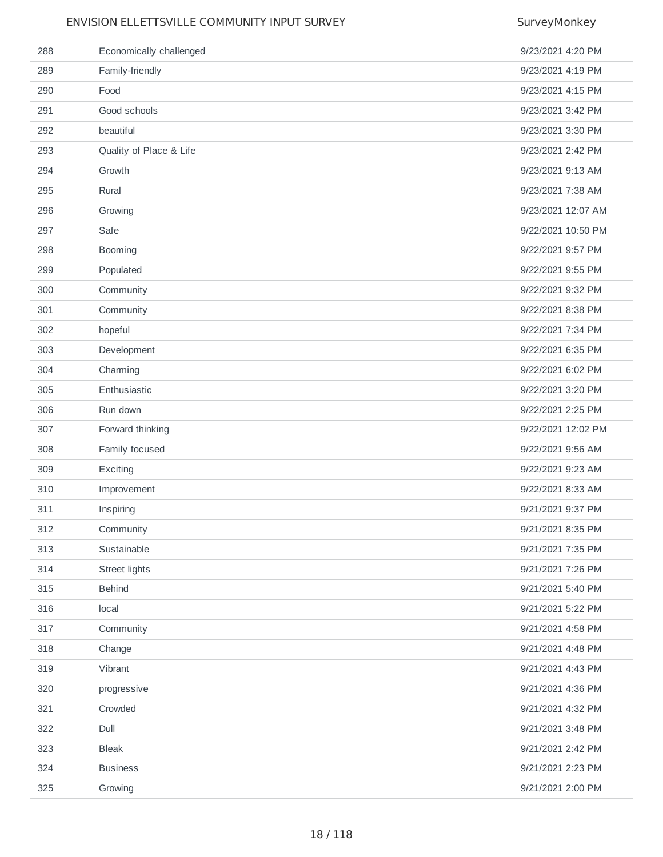## ENVISION ELLETTSVILLE COMMUNITY INPUT SURVEY SURVEY SurveyMonkey Economically challenged 9/23/2021 4:20 PM Family-friendly 9/23/2021 4:19 PM Food 9/23/2021 4:15 PM Good schools 9/23/2021 3:42 PM beautiful 9/23/2021 3:30 PM Quality of Place & Life 9/23/2021 2:42 PM Growth 9/23/2021 9:13 AM Rural 9/23/2021 7:38 AM Growing 9/23/2021 12:07 AM Safe 9/22/2021 10:50 PM Booming 9/22/2021 9:57 PM Populated 9/22/2021 9:55 PM Community 9/22/2021 9:32 PM Community 9/22/2021 8:38 PM hopeful 9/22/2021 7:34 PM Development 9/22/2021 6:35 PM Charming 9/22/2021 6:02 PM Enthusiastic 9/22/2021 3:20 PM Run down 9/22/2021 2:25 PM Forward thinking 9/22/2021 12:02 PM Family focused 9/22/2021 9:56 AM Exciting 9/22/2021 9:23 AM Improvement 9/22/2021 8:33 AM Inspiring 9/21/2021 9:37 PM Community 9/21/2021 8:35 PM Sustainable 9/21/2021 7:35 PM Street lights 9/21/2021 7:26 PM Behind 9/21/2021 5:40 PM local 9/21/2021 5:22 PM Community 9/21/2021 4:58 PM Change 9/21/2021 4:48 PM Vibrant 9/21/2021 4:43 PM progressive 9/21/2021 4:36 PM Crowded 9/21/2021 4:32 PM Dull 9/21/2021 3:48 PM Bleak 9/21/2021 2:42 PM Business 9/21/2021 2:23 PM Growing 9/21/2021 2:00 PM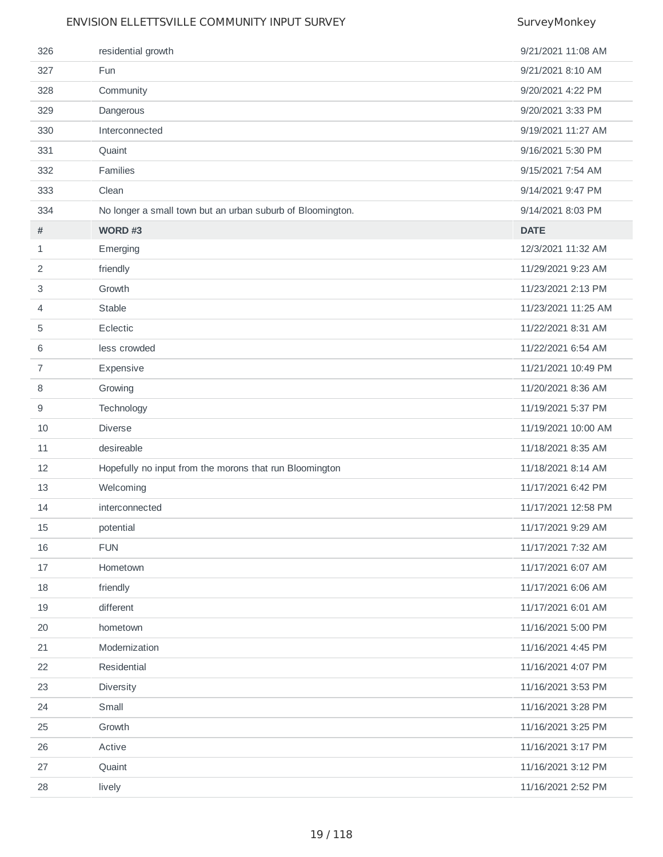| 326            | residential growth                                         | 9/21/2021 11:08 AM  |
|----------------|------------------------------------------------------------|---------------------|
| 327            | <b>Fun</b>                                                 | 9/21/2021 8:10 AM   |
| 328            | Community                                                  | 9/20/2021 4:22 PM   |
| 329            | Dangerous                                                  | 9/20/2021 3:33 PM   |
| 330            | Interconnected                                             | 9/19/2021 11:27 AM  |
| 331            | Quaint                                                     | 9/16/2021 5:30 PM   |
| 332            | Families                                                   | 9/15/2021 7:54 AM   |
| 333            | Clean                                                      | 9/14/2021 9:47 PM   |
| 334            | No longer a small town but an urban suburb of Bloomington. | 9/14/2021 8:03 PM   |
| #              | WORD $#3$                                                  | <b>DATE</b>         |
| 1              | Emerging                                                   | 12/3/2021 11:32 AM  |
| 2              | friendly                                                   | 11/29/2021 9:23 AM  |
| 3              | Growth                                                     | 11/23/2021 2:13 PM  |
| 4              | Stable                                                     | 11/23/2021 11:25 AM |
| 5              | Eclectic                                                   | 11/22/2021 8:31 AM  |
| 6              | less crowded                                               | 11/22/2021 6:54 AM  |
| $\overline{7}$ | Expensive                                                  | 11/21/2021 10:49 PM |
| 8              | Growing                                                    | 11/20/2021 8:36 AM  |
| 9              | Technology                                                 | 11/19/2021 5:37 PM  |
| 10             | <b>Diverse</b>                                             | 11/19/2021 10:00 AM |
| 11             | desireable                                                 | 11/18/2021 8:35 AM  |
| 12             | Hopefully no input from the morons that run Bloomington    | 11/18/2021 8:14 AM  |
| 13             | Welcoming                                                  | 11/17/2021 6:42 PM  |
| 14             | interconnected                                             | 11/17/2021 12:58 PM |
| 15             | potential                                                  | 11/17/2021 9:29 AM  |
| 16             | <b>FUN</b>                                                 | 11/17/2021 7:32 AM  |
| 17             | Hometown                                                   | 11/17/2021 6:07 AM  |
| 18             | friendly                                                   | 11/17/2021 6:06 AM  |
| 19             | different                                                  | 11/17/2021 6:01 AM  |
| 20             | hometown                                                   | 11/16/2021 5:00 PM  |
| 21             | Modernization                                              | 11/16/2021 4:45 PM  |
| 22             | Residential                                                | 11/16/2021 4:07 PM  |
| 23             | Diversity                                                  | 11/16/2021 3:53 PM  |
| 24             | Small                                                      | 11/16/2021 3:28 PM  |
| 25             | Growth                                                     | 11/16/2021 3:25 PM  |
| 26             | Active                                                     | 11/16/2021 3:17 PM  |
| 27             | Quaint                                                     | 11/16/2021 3:12 PM  |
| 28             | lively                                                     | 11/16/2021 2:52 PM  |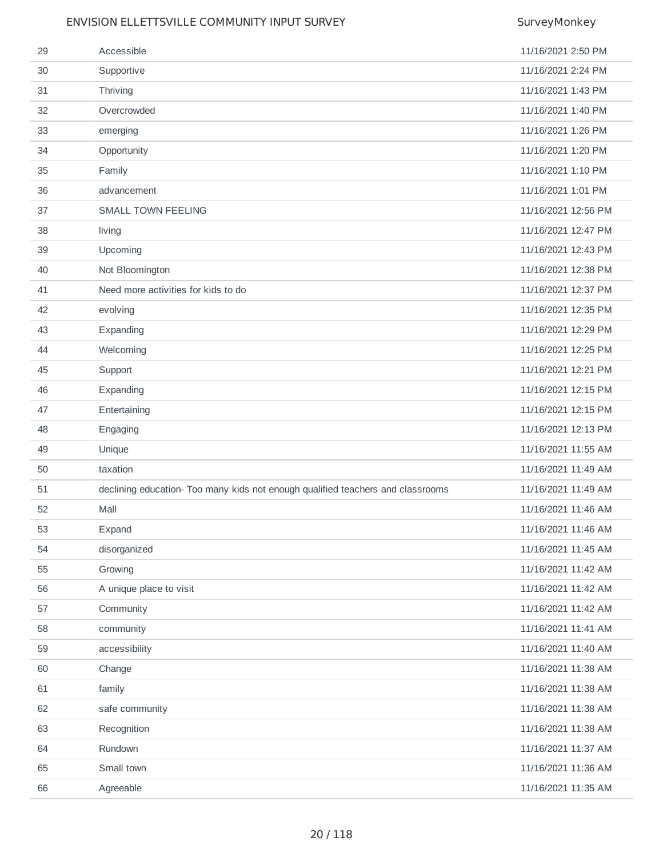| 29 | Accessible                                                                      | 11/16/2021 2:50 PM  |
|----|---------------------------------------------------------------------------------|---------------------|
| 30 | Supportive                                                                      | 11/16/2021 2:24 PM  |
| 31 | Thriving                                                                        | 11/16/2021 1:43 PM  |
| 32 | Overcrowded                                                                     | 11/16/2021 1:40 PM  |
| 33 | emerging                                                                        | 11/16/2021 1:26 PM  |
| 34 | Opportunity                                                                     | 11/16/2021 1:20 PM  |
| 35 | Family                                                                          | 11/16/2021 1:10 PM  |
| 36 | advancement                                                                     | 11/16/2021 1:01 PM  |
| 37 | <b>SMALL TOWN FEELING</b>                                                       | 11/16/2021 12:56 PM |
| 38 | living                                                                          | 11/16/2021 12:47 PM |
| 39 | Upcoming                                                                        | 11/16/2021 12:43 PM |
| 40 | Not Bloomington                                                                 | 11/16/2021 12:38 PM |
| 41 | Need more activities for kids to do                                             | 11/16/2021 12:37 PM |
| 42 | evolving                                                                        | 11/16/2021 12:35 PM |
| 43 | Expanding                                                                       | 11/16/2021 12:29 PM |
| 44 | Welcoming                                                                       | 11/16/2021 12:25 PM |
| 45 | Support                                                                         | 11/16/2021 12:21 PM |
| 46 | Expanding                                                                       | 11/16/2021 12:15 PM |
| 47 | Entertaining                                                                    | 11/16/2021 12:15 PM |
| 48 | Engaging                                                                        | 11/16/2021 12:13 PM |
| 49 | Unique                                                                          | 11/16/2021 11:55 AM |
| 50 | taxation                                                                        | 11/16/2021 11:49 AM |
| 51 | declining education- Too many kids not enough qualified teachers and classrooms | 11/16/2021 11:49 AM |
| 52 | Mall                                                                            | 11/16/2021 11:46 AM |
| 53 | Expand                                                                          | 11/16/2021 11:46 AM |
| 54 | disorganized                                                                    | 11/16/2021 11:45 AM |
| 55 | Growing                                                                         | 11/16/2021 11:42 AM |
| 56 | A unique place to visit                                                         | 11/16/2021 11:42 AM |
| 57 | Community                                                                       | 11/16/2021 11:42 AM |
| 58 | community                                                                       | 11/16/2021 11:41 AM |
| 59 | accessibility                                                                   | 11/16/2021 11:40 AM |
| 60 | Change                                                                          | 11/16/2021 11:38 AM |
| 61 | family                                                                          | 11/16/2021 11:38 AM |
| 62 | safe community                                                                  | 11/16/2021 11:38 AM |
| 63 | Recognition                                                                     | 11/16/2021 11:38 AM |
| 64 | Rundown                                                                         | 11/16/2021 11:37 AM |
| 65 | Small town                                                                      | 11/16/2021 11:36 AM |
| 66 | Agreeable                                                                       | 11/16/2021 11:35 AM |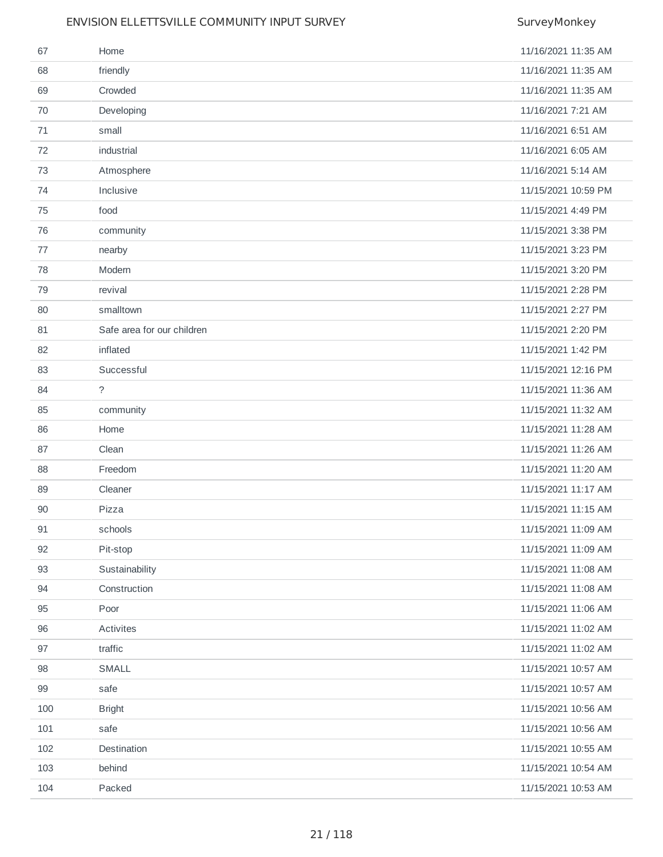| 67  | Home                       | 11/16/2021 11:35 AM |
|-----|----------------------------|---------------------|
| 68  | friendly                   | 11/16/2021 11:35 AM |
| 69  | Crowded                    | 11/16/2021 11:35 AM |
| 70  | Developing                 | 11/16/2021 7:21 AM  |
| 71  | small                      | 11/16/2021 6:51 AM  |
| 72  | industrial                 | 11/16/2021 6:05 AM  |
| 73  | Atmosphere                 | 11/16/2021 5:14 AM  |
| 74  | Inclusive                  | 11/15/2021 10:59 PM |
| 75  | food                       | 11/15/2021 4:49 PM  |
| 76  | community                  | 11/15/2021 3:38 PM  |
| 77  | nearby                     | 11/15/2021 3:23 PM  |
| 78  | Modern                     | 11/15/2021 3:20 PM  |
| 79  | revival                    | 11/15/2021 2:28 PM  |
| 80  | smalltown                  | 11/15/2021 2:27 PM  |
| 81  | Safe area for our children | 11/15/2021 2:20 PM  |
| 82  | inflated                   | 11/15/2021 1:42 PM  |
| 83  | Successful                 | 11/15/2021 12:16 PM |
| 84  | $\tilde{?}$                | 11/15/2021 11:36 AM |
| 85  | community                  | 11/15/2021 11:32 AM |
| 86  | Home                       | 11/15/2021 11:28 AM |
| 87  | Clean                      | 11/15/2021 11:26 AM |
| 88  | Freedom                    | 11/15/2021 11:20 AM |
| 89  | Cleaner                    | 11/15/2021 11:17 AM |
| 90  | Pizza                      | 11/15/2021 11:15 AM |
| 91  | schools                    | 11/15/2021 11:09 AM |
| 92  | Pit-stop                   | 11/15/2021 11:09 AM |
| 93  | Sustainability             | 11/15/2021 11:08 AM |
| 94  | Construction               | 11/15/2021 11:08 AM |
| 95  | Poor                       | 11/15/2021 11:06 AM |
| 96  | Activites                  | 11/15/2021 11:02 AM |
| 97  | traffic                    | 11/15/2021 11:02 AM |
| 98  | SMALL                      | 11/15/2021 10:57 AM |
| 99  | safe                       | 11/15/2021 10:57 AM |
| 100 | <b>Bright</b>              | 11/15/2021 10:56 AM |
| 101 | safe                       | 11/15/2021 10:56 AM |
| 102 | Destination                | 11/15/2021 10:55 AM |
| 103 | behind                     | 11/15/2021 10:54 AM |
| 104 | Packed                     | 11/15/2021 10:53 AM |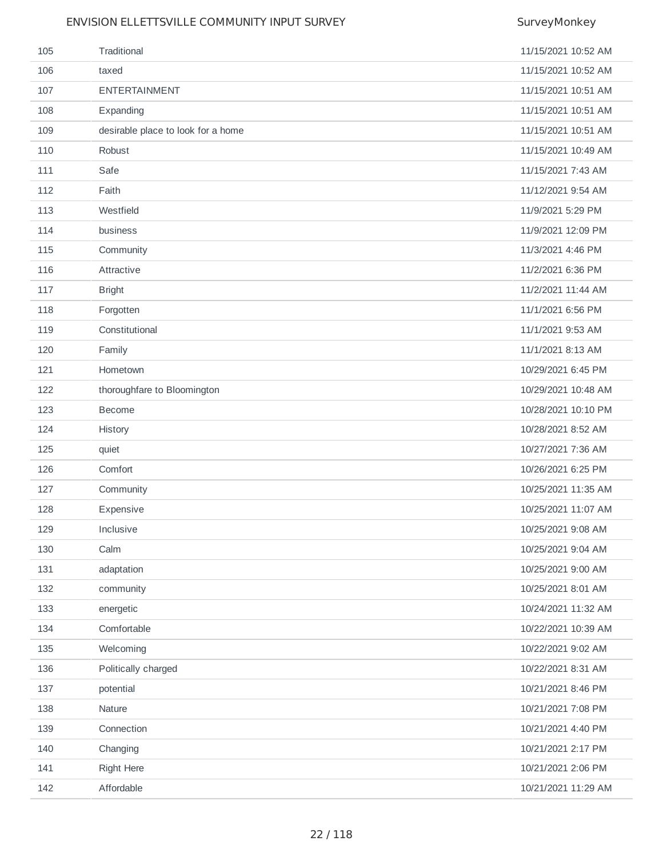| 105 | Traditional                        | 11/15/2021 10:52 AM |
|-----|------------------------------------|---------------------|
| 106 | taxed                              | 11/15/2021 10:52 AM |
| 107 | <b>ENTERTAINMENT</b>               | 11/15/2021 10:51 AM |
| 108 | Expanding                          | 11/15/2021 10:51 AM |
| 109 | desirable place to look for a home | 11/15/2021 10:51 AM |
| 110 | Robust                             | 11/15/2021 10:49 AM |
| 111 | Safe                               | 11/15/2021 7:43 AM  |
| 112 | Faith                              | 11/12/2021 9:54 AM  |
| 113 | Westfield                          | 11/9/2021 5:29 PM   |
| 114 | business                           | 11/9/2021 12:09 PM  |
| 115 | Community                          | 11/3/2021 4:46 PM   |
| 116 | Attractive                         | 11/2/2021 6:36 PM   |
| 117 | <b>Bright</b>                      | 11/2/2021 11:44 AM  |
| 118 | Forgotten                          | 11/1/2021 6:56 PM   |
| 119 | Constitutional                     | 11/1/2021 9:53 AM   |
| 120 | Family                             | 11/1/2021 8:13 AM   |
| 121 | Hometown                           | 10/29/2021 6:45 PM  |
| 122 | thoroughfare to Bloomington        | 10/29/2021 10:48 AM |
| 123 | Become                             | 10/28/2021 10:10 PM |
| 124 | History                            | 10/28/2021 8:52 AM  |
| 125 | quiet                              | 10/27/2021 7:36 AM  |
| 126 | Comfort                            | 10/26/2021 6:25 PM  |
| 127 | Community                          | 10/25/2021 11:35 AM |
| 128 | Expensive                          | 10/25/2021 11:07 AM |
| 129 | Inclusive                          | 10/25/2021 9:08 AM  |
| 130 | Calm                               | 10/25/2021 9:04 AM  |
| 131 | adaptation                         | 10/25/2021 9:00 AM  |
| 132 | community                          | 10/25/2021 8:01 AM  |
| 133 | energetic                          | 10/24/2021 11:32 AM |
| 134 | Comfortable                        | 10/22/2021 10:39 AM |
| 135 | Welcoming                          | 10/22/2021 9:02 AM  |
| 136 | Politically charged                | 10/22/2021 8:31 AM  |
| 137 | potential                          | 10/21/2021 8:46 PM  |
| 138 | Nature                             | 10/21/2021 7:08 PM  |
| 139 | Connection                         | 10/21/2021 4:40 PM  |
| 140 | Changing                           | 10/21/2021 2:17 PM  |
| 141 | Right Here                         | 10/21/2021 2:06 PM  |
| 142 | Affordable                         | 10/21/2021 11:29 AM |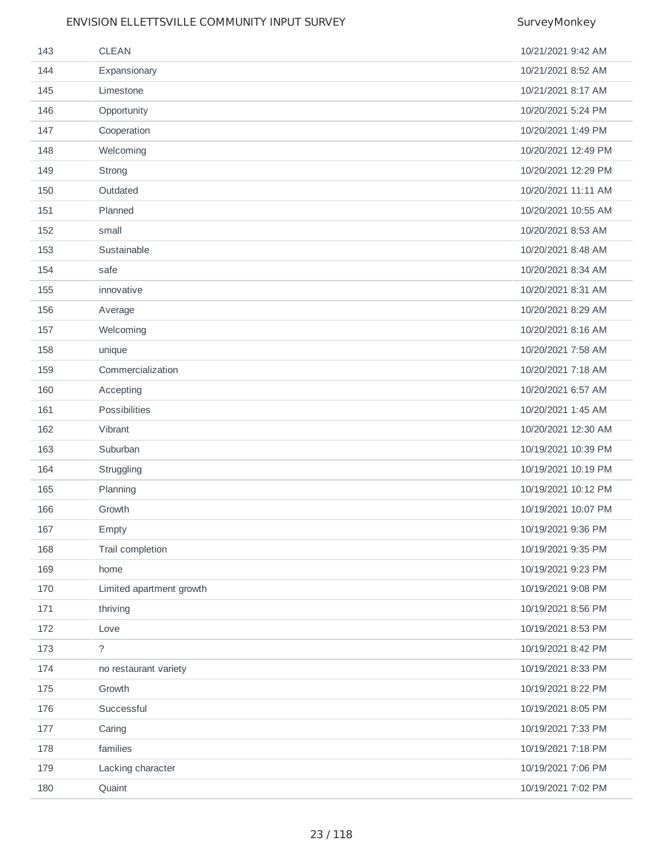| 143 | <b>CLEAN</b>             | 10/21/2021 9:42 AM  |
|-----|--------------------------|---------------------|
| 144 | Expansionary             | 10/21/2021 8:52 AM  |
| 145 | Limestone                | 10/21/2021 8:17 AM  |
| 146 | Opportunity              | 10/20/2021 5:24 PM  |
| 147 | Cooperation              | 10/20/2021 1:49 PM  |
| 148 | Welcoming                | 10/20/2021 12:49 PM |
| 149 | Strong                   | 10/20/2021 12:29 PM |
| 150 | Outdated                 | 10/20/2021 11:11 AM |
| 151 | Planned                  | 10/20/2021 10:55 AM |
| 152 | small                    | 10/20/2021 8:53 AM  |
| 153 | Sustainable              | 10/20/2021 8:48 AM  |
| 154 | safe                     | 10/20/2021 8:34 AM  |
| 155 | innovative               | 10/20/2021 8:31 AM  |
| 156 | Average                  | 10/20/2021 8:29 AM  |
| 157 | Welcoming                | 10/20/2021 8:16 AM  |
| 158 | unique                   | 10/20/2021 7:58 AM  |
| 159 | Commercialization        | 10/20/2021 7:18 AM  |
| 160 | Accepting                | 10/20/2021 6:57 AM  |
| 161 | Possibilities            | 10/20/2021 1:45 AM  |
| 162 | Vibrant                  | 10/20/2021 12:30 AM |
| 163 | Suburban                 | 10/19/2021 10:39 PM |
| 164 | Struggling               | 10/19/2021 10:19 PM |
| 165 | Planning                 | 10/19/2021 10:12 PM |
| 166 | Growth                   | 10/19/2021 10:07 PM |
| 167 | Empty                    | 10/19/2021 9:36 PM  |
| 168 | Trail completion         | 10/19/2021 9:35 PM  |
| 169 | home                     | 10/19/2021 9:23 PM  |
| 170 | Limited apartment growth | 10/19/2021 9:08 PM  |
| 171 | thriving                 | 10/19/2021 8:56 PM  |
| 172 | Love                     | 10/19/2021 8:53 PM  |
| 173 | $\overline{?}$           | 10/19/2021 8:42 PM  |
| 174 | no restaurant variety    | 10/19/2021 8:33 PM  |
| 175 | Growth                   | 10/19/2021 8:22 PM  |
| 176 | Successful               | 10/19/2021 8:05 PM  |
| 177 | Caring                   | 10/19/2021 7:33 PM  |
| 178 | families                 | 10/19/2021 7:18 PM  |
| 179 | Lacking character        | 10/19/2021 7:06 PM  |
| 180 | Quaint                   | 10/19/2021 7:02 PM  |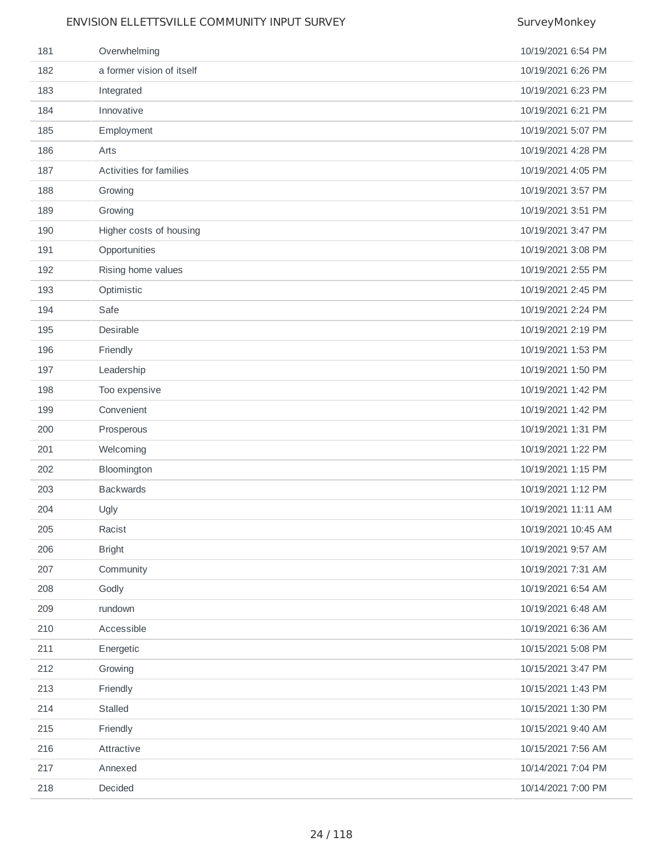| 181 | Overwhelming              | 10/19/2021 6:54 PM  |
|-----|---------------------------|---------------------|
| 182 | a former vision of itself | 10/19/2021 6:26 PM  |
| 183 | Integrated                | 10/19/2021 6:23 PM  |
| 184 | Innovative                | 10/19/2021 6:21 PM  |
| 185 | Employment                | 10/19/2021 5:07 PM  |
| 186 | Arts                      | 10/19/2021 4:28 PM  |
| 187 | Activities for families   | 10/19/2021 4:05 PM  |
| 188 | Growing                   | 10/19/2021 3:57 PM  |
| 189 | Growing                   | 10/19/2021 3:51 PM  |
| 190 | Higher costs of housing   | 10/19/2021 3:47 PM  |
| 191 | Opportunities             | 10/19/2021 3:08 PM  |
| 192 | Rising home values        | 10/19/2021 2:55 PM  |
| 193 | Optimistic                | 10/19/2021 2:45 PM  |
| 194 | Safe                      | 10/19/2021 2:24 PM  |
| 195 | Desirable                 | 10/19/2021 2:19 PM  |
| 196 | Friendly                  | 10/19/2021 1:53 PM  |
| 197 | Leadership                | 10/19/2021 1:50 PM  |
| 198 | Too expensive             | 10/19/2021 1:42 PM  |
| 199 | Convenient                | 10/19/2021 1:42 PM  |
| 200 | Prosperous                | 10/19/2021 1:31 PM  |
| 201 | Welcoming                 | 10/19/2021 1:22 PM  |
| 202 | Bloomington               | 10/19/2021 1:15 PM  |
| 203 | <b>Backwards</b>          | 10/19/2021 1:12 PM  |
| 204 | Ugly                      | 10/19/2021 11:11 AM |
| 205 | Racist                    | 10/19/2021 10:45 AM |
| 206 | <b>Bright</b>             | 10/19/2021 9:57 AM  |
| 207 | Community                 | 10/19/2021 7:31 AM  |
| 208 | Godly                     | 10/19/2021 6:54 AM  |
| 209 | rundown                   | 10/19/2021 6:48 AM  |
| 210 | Accessible                | 10/19/2021 6:36 AM  |
| 211 | Energetic                 | 10/15/2021 5:08 PM  |
| 212 | Growing                   | 10/15/2021 3:47 PM  |
| 213 | Friendly                  | 10/15/2021 1:43 PM  |
| 214 | Stalled                   | 10/15/2021 1:30 PM  |
| 215 | Friendly                  | 10/15/2021 9:40 AM  |
| 216 | Attractive                | 10/15/2021 7:56 AM  |
| 217 | Annexed                   | 10/14/2021 7:04 PM  |
| 218 | Decided                   | 10/14/2021 7:00 PM  |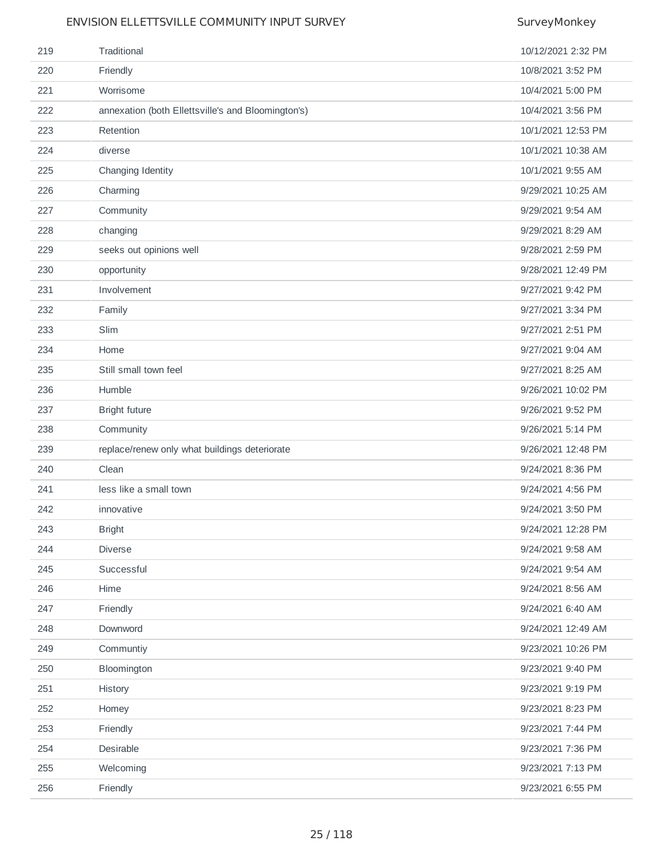| 219 | Traditional                                        | 10/12/2021 2:32 PM |
|-----|----------------------------------------------------|--------------------|
| 220 | Friendly                                           | 10/8/2021 3:52 PM  |
| 221 | Worrisome                                          | 10/4/2021 5:00 PM  |
| 222 | annexation (both Ellettsville's and Bloomington's) | 10/4/2021 3:56 PM  |
| 223 | Retention                                          | 10/1/2021 12:53 PM |
| 224 | diverse                                            | 10/1/2021 10:38 AM |
| 225 | Changing Identity                                  | 10/1/2021 9:55 AM  |
| 226 | Charming                                           | 9/29/2021 10:25 AM |
| 227 | Community                                          | 9/29/2021 9:54 AM  |
| 228 | changing                                           | 9/29/2021 8:29 AM  |
| 229 | seeks out opinions well                            | 9/28/2021 2:59 PM  |
| 230 | opportunity                                        | 9/28/2021 12:49 PM |
| 231 | Involvement                                        | 9/27/2021 9:42 PM  |
| 232 | Family                                             | 9/27/2021 3:34 PM  |
| 233 | Slim                                               | 9/27/2021 2:51 PM  |
| 234 | Home                                               | 9/27/2021 9:04 AM  |
| 235 | Still small town feel                              | 9/27/2021 8:25 AM  |
| 236 | Humble                                             | 9/26/2021 10:02 PM |
| 237 | <b>Bright future</b>                               | 9/26/2021 9:52 PM  |
| 238 | Community                                          | 9/26/2021 5:14 PM  |
| 239 | replace/renew only what buildings deteriorate      | 9/26/2021 12:48 PM |
| 240 | Clean                                              | 9/24/2021 8:36 PM  |
| 241 | less like a small town                             | 9/24/2021 4:56 PM  |
| 242 | innovative                                         | 9/24/2021 3:50 PM  |
| 243 | <b>Bright</b>                                      | 9/24/2021 12:28 PM |
| 244 | Diverse                                            | 9/24/2021 9:58 AM  |
| 245 | Successful                                         | 9/24/2021 9:54 AM  |
| 246 | Hime                                               | 9/24/2021 8:56 AM  |
| 247 | Friendly                                           | 9/24/2021 6:40 AM  |
| 248 | Downword                                           | 9/24/2021 12:49 AM |
| 249 | Communtiy                                          | 9/23/2021 10:26 PM |
| 250 | Bloomington                                        | 9/23/2021 9:40 PM  |
| 251 | History                                            | 9/23/2021 9:19 PM  |
| 252 | Homey                                              | 9/23/2021 8:23 PM  |
| 253 | Friendly                                           | 9/23/2021 7:44 PM  |
| 254 | Desirable                                          | 9/23/2021 7:36 PM  |
| 255 | Welcoming                                          | 9/23/2021 7:13 PM  |
| 256 | Friendly                                           | 9/23/2021 6:55 PM  |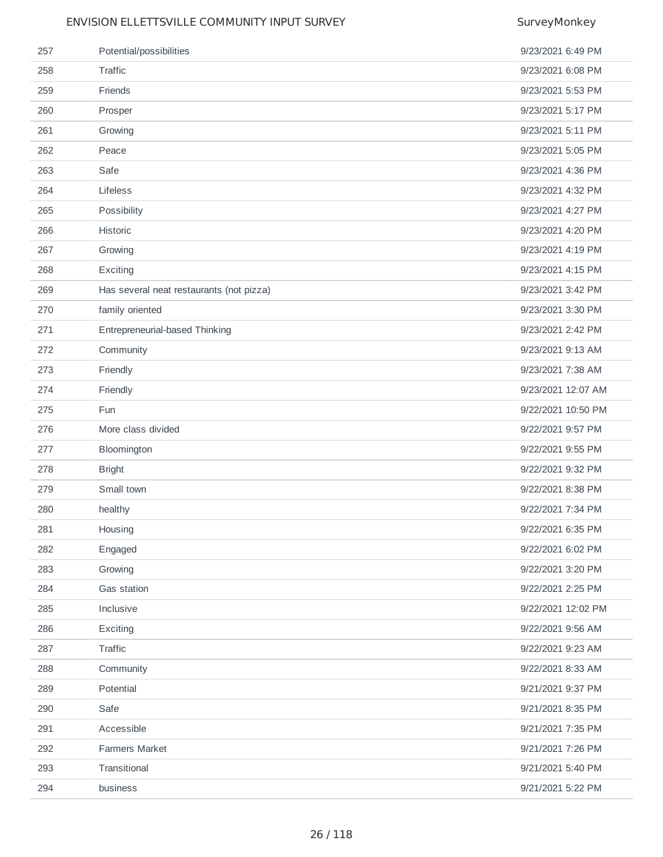| 257 | Potential/possibilities                  | 9/23/2021 6:49 PM  |
|-----|------------------------------------------|--------------------|
| 258 | Traffic                                  | 9/23/2021 6:08 PM  |
| 259 | Friends                                  | 9/23/2021 5:53 PM  |
| 260 | Prosper                                  | 9/23/2021 5:17 PM  |
| 261 | Growing                                  | 9/23/2021 5:11 PM  |
| 262 | Peace                                    | 9/23/2021 5:05 PM  |
| 263 | Safe                                     | 9/23/2021 4:36 PM  |
| 264 | Lifeless                                 | 9/23/2021 4:32 PM  |
| 265 | Possibility                              | 9/23/2021 4:27 PM  |
| 266 | Historic                                 | 9/23/2021 4:20 PM  |
| 267 | Growing                                  | 9/23/2021 4:19 PM  |
| 268 | Exciting                                 | 9/23/2021 4:15 PM  |
| 269 | Has several neat restaurants (not pizza) | 9/23/2021 3:42 PM  |
| 270 | family oriented                          | 9/23/2021 3:30 PM  |
| 271 | Entrepreneurial-based Thinking           | 9/23/2021 2:42 PM  |
| 272 | Community                                | 9/23/2021 9:13 AM  |
| 273 | Friendly                                 | 9/23/2021 7:38 AM  |
| 274 | Friendly                                 | 9/23/2021 12:07 AM |
| 275 | Fun                                      | 9/22/2021 10:50 PM |
| 276 | More class divided                       | 9/22/2021 9:57 PM  |
| 277 | Bloomington                              | 9/22/2021 9:55 PM  |
| 278 | <b>Bright</b>                            | 9/22/2021 9:32 PM  |
| 279 | Small town                               | 9/22/2021 8:38 PM  |
| 280 | healthy                                  | 9/22/2021 7:34 PM  |
| 281 | Housing                                  | 9/22/2021 6:35 PM  |
| 282 | Engaged                                  | 9/22/2021 6:02 PM  |
| 283 | Growing                                  | 9/22/2021 3:20 PM  |
| 284 | Gas station                              | 9/22/2021 2:25 PM  |
| 285 | Inclusive                                | 9/22/2021 12:02 PM |
| 286 | Exciting                                 | 9/22/2021 9:56 AM  |
| 287 | Traffic                                  | 9/22/2021 9:23 AM  |
| 288 | Community                                | 9/22/2021 8:33 AM  |
| 289 | Potential                                | 9/21/2021 9:37 PM  |
| 290 | Safe                                     | 9/21/2021 8:35 PM  |
| 291 | Accessible                               | 9/21/2021 7:35 PM  |
| 292 | Farmers Market                           | 9/21/2021 7:26 PM  |
| 293 | Transitional                             | 9/21/2021 5:40 PM  |
| 294 | business                                 | 9/21/2021 5:22 PM  |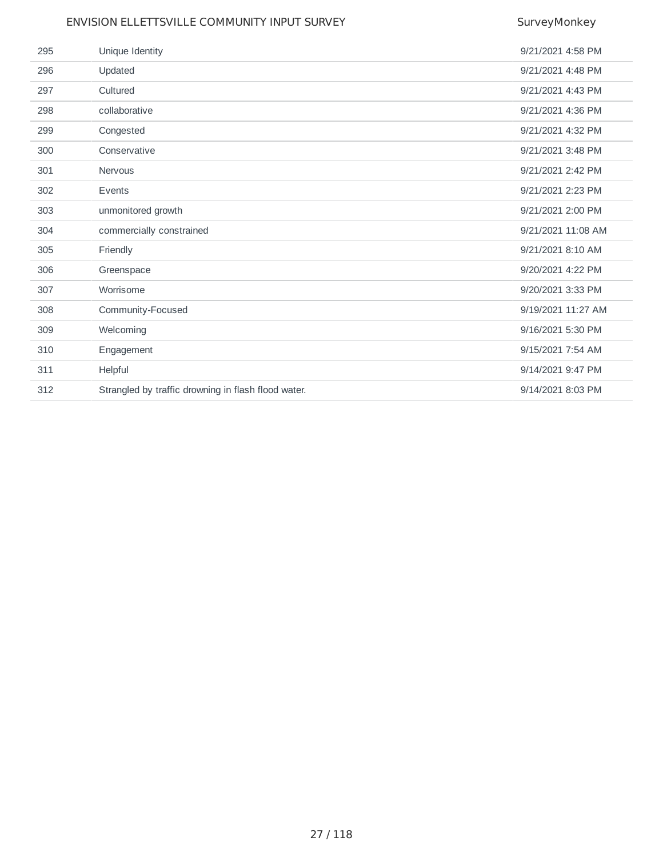|     | ENVISION ELLETTSVILLE COMMUNITY INPUT SURVEY        | SurveyMonkey       |
|-----|-----------------------------------------------------|--------------------|
| 295 | Unique Identity                                     | 9/21/2021 4:58 PM  |
| 296 | Updated                                             | 9/21/2021 4:48 PM  |
| 297 | Cultured                                            | 9/21/2021 4:43 PM  |
| 298 | collaborative                                       | 9/21/2021 4:36 PM  |
| 299 | Congested                                           | 9/21/2021 4:32 PM  |
| 300 | Conservative                                        | 9/21/2021 3:48 PM  |
| 301 | <b>Nervous</b>                                      | 9/21/2021 2:42 PM  |
| 302 | Events                                              | 9/21/2021 2:23 PM  |
| 303 | unmonitored growth                                  | 9/21/2021 2:00 PM  |
| 304 | commercially constrained                            | 9/21/2021 11:08 AM |
| 305 | Friendly                                            | 9/21/2021 8:10 AM  |
| 306 | Greenspace                                          | 9/20/2021 4:22 PM  |
| 307 | Worrisome                                           | 9/20/2021 3:33 PM  |
| 308 | Community-Focused                                   | 9/19/2021 11:27 AM |
| 309 | Welcoming                                           | 9/16/2021 5:30 PM  |
| 310 | Engagement                                          | 9/15/2021 7:54 AM  |
| 311 | Helpful                                             | 9/14/2021 9:47 PM  |
| 312 | Strangled by traffic drowning in flash flood water. | 9/14/2021 8:03 PM  |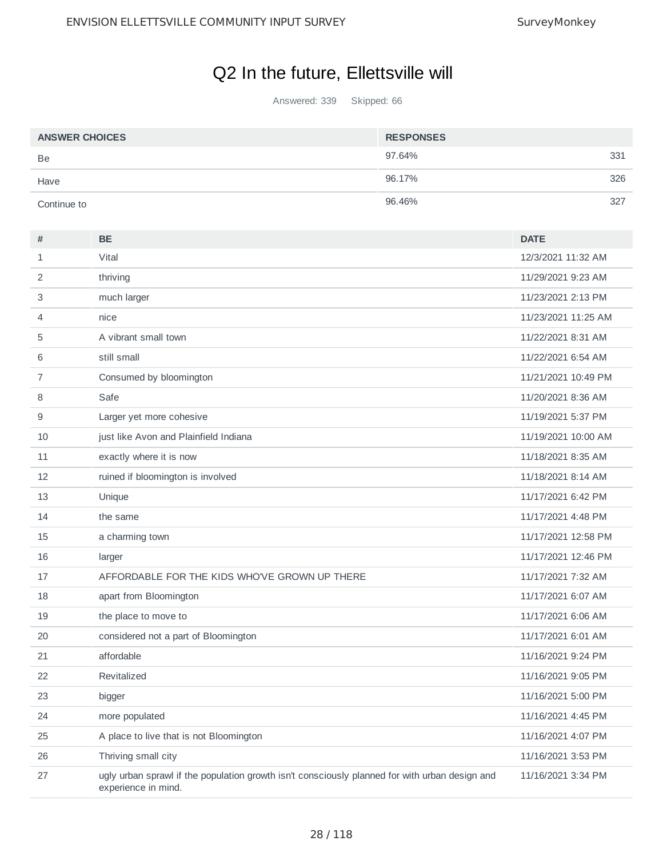# Q2 In the future, Ellettsville will

Answered: 339 Skipped: 66

| <b>ANSWER CHOICES</b> | <b>RESPONSES</b> |     |
|-----------------------|------------------|-----|
| Be                    | 97.64%           | 331 |
| Have                  | 96.17%           | 326 |
| Continue to           | 96.46%           | 327 |

| #  | <b>BE</b>                                                                                                             | <b>DATE</b>         |
|----|-----------------------------------------------------------------------------------------------------------------------|---------------------|
| 1  | Vital                                                                                                                 | 12/3/2021 11:32 AM  |
| 2  | thriving                                                                                                              | 11/29/2021 9:23 AM  |
| 3  | much larger                                                                                                           | 11/23/2021 2:13 PM  |
| 4  | nice                                                                                                                  | 11/23/2021 11:25 AM |
| 5  | A vibrant small town                                                                                                  | 11/22/2021 8:31 AM  |
| 6  | still small                                                                                                           | 11/22/2021 6:54 AM  |
| 7  | Consumed by bloomington                                                                                               | 11/21/2021 10:49 PM |
| 8  | Safe                                                                                                                  | 11/20/2021 8:36 AM  |
| 9  | Larger yet more cohesive                                                                                              | 11/19/2021 5:37 PM  |
| 10 | just like Avon and Plainfield Indiana                                                                                 | 11/19/2021 10:00 AM |
| 11 | exactly where it is now                                                                                               | 11/18/2021 8:35 AM  |
| 12 | ruined if bloomington is involved                                                                                     | 11/18/2021 8:14 AM  |
| 13 | Unique                                                                                                                | 11/17/2021 6:42 PM  |
| 14 | the same                                                                                                              | 11/17/2021 4:48 PM  |
| 15 | a charming town                                                                                                       | 11/17/2021 12:58 PM |
| 16 | larger                                                                                                                | 11/17/2021 12:46 PM |
| 17 | AFFORDABLE FOR THE KIDS WHO'VE GROWN UP THERE                                                                         | 11/17/2021 7:32 AM  |
| 18 | apart from Bloomington                                                                                                | 11/17/2021 6:07 AM  |
| 19 | the place to move to                                                                                                  | 11/17/2021 6:06 AM  |
| 20 | considered not a part of Bloomington                                                                                  | 11/17/2021 6:01 AM  |
| 21 | affordable                                                                                                            | 11/16/2021 9:24 PM  |
| 22 | Revitalized                                                                                                           | 11/16/2021 9:05 PM  |
| 23 | bigger                                                                                                                | 11/16/2021 5:00 PM  |
| 24 | more populated                                                                                                        | 11/16/2021 4:45 PM  |
| 25 | A place to live that is not Bloomington                                                                               | 11/16/2021 4:07 PM  |
| 26 | Thriving small city                                                                                                   | 11/16/2021 3:53 PM  |
| 27 | ugly urban sprawl if the population growth isn't consciously planned for with urban design and<br>experience in mind. | 11/16/2021 3:34 PM  |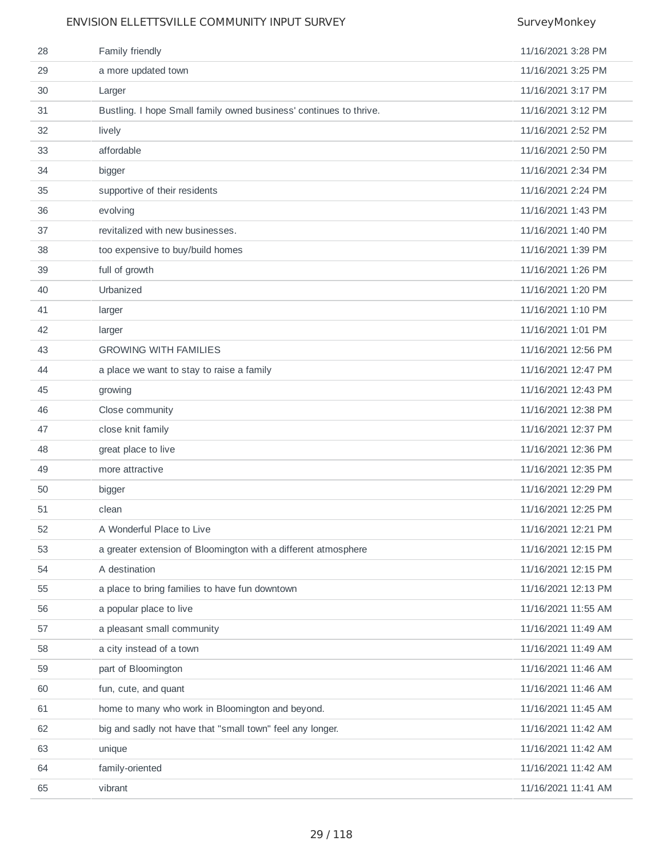| 28 | Family friendly                                                    | 11/16/2021 3:28 PM  |
|----|--------------------------------------------------------------------|---------------------|
| 29 | a more updated town                                                | 11/16/2021 3:25 PM  |
| 30 | Larger                                                             | 11/16/2021 3:17 PM  |
| 31 | Bustling. I hope Small family owned business' continues to thrive. | 11/16/2021 3:12 PM  |
| 32 | lively                                                             | 11/16/2021 2:52 PM  |
| 33 | affordable                                                         | 11/16/2021 2:50 PM  |
| 34 | bigger                                                             | 11/16/2021 2:34 PM  |
| 35 | supportive of their residents                                      | 11/16/2021 2:24 PM  |
| 36 | evolving                                                           | 11/16/2021 1:43 PM  |
| 37 | revitalized with new businesses.                                   | 11/16/2021 1:40 PM  |
| 38 | too expensive to buy/build homes                                   | 11/16/2021 1:39 PM  |
| 39 | full of growth                                                     | 11/16/2021 1:26 PM  |
| 40 | Urbanized                                                          | 11/16/2021 1:20 PM  |
| 41 | larger                                                             | 11/16/2021 1:10 PM  |
| 42 | larger                                                             | 11/16/2021 1:01 PM  |
| 43 | <b>GROWING WITH FAMILIES</b>                                       | 11/16/2021 12:56 PM |
| 44 | a place we want to stay to raise a family                          | 11/16/2021 12:47 PM |
| 45 | growing                                                            | 11/16/2021 12:43 PM |
| 46 | Close community                                                    | 11/16/2021 12:38 PM |
| 47 | close knit family                                                  | 11/16/2021 12:37 PM |
| 48 | great place to live                                                | 11/16/2021 12:36 PM |
| 49 | more attractive                                                    | 11/16/2021 12:35 PM |
| 50 | bigger                                                             | 11/16/2021 12:29 PM |
| 51 | clean                                                              | 11/16/2021 12:25 PM |
| 52 | A Wonderful Place to Live                                          | 11/16/2021 12:21 PM |
| 53 | a greater extension of Bloomington with a different atmosphere     | 11/16/2021 12:15 PM |
| 54 | A destination                                                      | 11/16/2021 12:15 PM |
| 55 | a place to bring families to have fun downtown                     | 11/16/2021 12:13 PM |
| 56 | a popular place to live                                            | 11/16/2021 11:55 AM |
| 57 | a pleasant small community                                         | 11/16/2021 11:49 AM |
| 58 | a city instead of a town                                           | 11/16/2021 11:49 AM |
| 59 | part of Bloomington                                                | 11/16/2021 11:46 AM |
| 60 | fun, cute, and quant                                               | 11/16/2021 11:46 AM |
| 61 | home to many who work in Bloomington and beyond.                   | 11/16/2021 11:45 AM |
| 62 | big and sadly not have that "small town" feel any longer.          | 11/16/2021 11:42 AM |
| 63 | unique                                                             | 11/16/2021 11:42 AM |
| 64 | family-oriented                                                    | 11/16/2021 11:42 AM |
| 65 | vibrant                                                            | 11/16/2021 11:41 AM |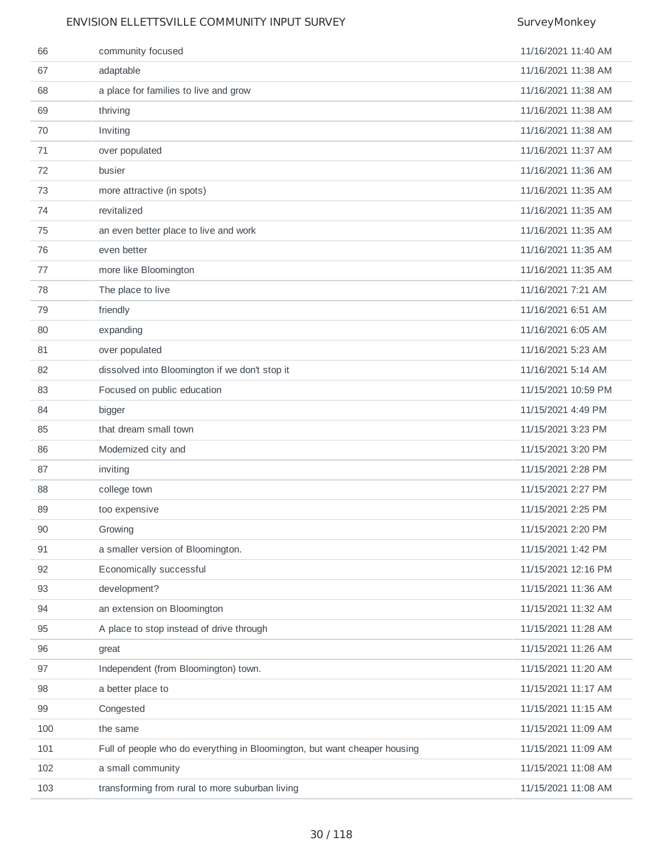| 66  | community focused                                                         | 11/16/2021 11:40 AM |
|-----|---------------------------------------------------------------------------|---------------------|
| 67  | adaptable                                                                 | 11/16/2021 11:38 AM |
| 68  | a place for families to live and grow                                     | 11/16/2021 11:38 AM |
| 69  | thriving                                                                  | 11/16/2021 11:38 AM |
| 70  | Inviting                                                                  | 11/16/2021 11:38 AM |
| 71  | over populated                                                            | 11/16/2021 11:37 AM |
| 72  | busier                                                                    | 11/16/2021 11:36 AM |
| 73  | more attractive (in spots)                                                | 11/16/2021 11:35 AM |
| 74  | revitalized                                                               | 11/16/2021 11:35 AM |
| 75  | an even better place to live and work                                     | 11/16/2021 11:35 AM |
| 76  | even better                                                               | 11/16/2021 11:35 AM |
| 77  | more like Bloomington                                                     | 11/16/2021 11:35 AM |
| 78  | The place to live                                                         | 11/16/2021 7:21 AM  |
| 79  | friendly                                                                  | 11/16/2021 6:51 AM  |
| 80  | expanding                                                                 | 11/16/2021 6:05 AM  |
| 81  | over populated                                                            | 11/16/2021 5:23 AM  |
| 82  | dissolved into Bloomington if we don't stop it                            | 11/16/2021 5:14 AM  |
| 83  | Focused on public education                                               | 11/15/2021 10:59 PM |
| 84  | bigger                                                                    | 11/15/2021 4:49 PM  |
| 85  | that dream small town                                                     | 11/15/2021 3:23 PM  |
| 86  | Modernized city and                                                       | 11/15/2021 3:20 PM  |
| 87  | inviting                                                                  | 11/15/2021 2:28 PM  |
| 88  | college town                                                              | 11/15/2021 2:27 PM  |
| 89  | too expensive                                                             | 11/15/2021 2:25 PM  |
| 90  | Growing                                                                   | 11/15/2021 2:20 PM  |
| 91  | a smaller version of Bloomington.                                         | 11/15/2021 1:42 PM  |
| 92  | Economically successful                                                   | 11/15/2021 12:16 PM |
| 93  | development?                                                              | 11/15/2021 11:36 AM |
| 94  | an extension on Bloomington                                               | 11/15/2021 11:32 AM |
| 95  | A place to stop instead of drive through                                  | 11/15/2021 11:28 AM |
| 96  | great                                                                     | 11/15/2021 11:26 AM |
| 97  | Independent (from Bloomington) town.                                      | 11/15/2021 11:20 AM |
| 98  | a better place to                                                         | 11/15/2021 11:17 AM |
| 99  | Congested                                                                 | 11/15/2021 11:15 AM |
| 100 | the same                                                                  | 11/15/2021 11:09 AM |
| 101 | Full of people who do everything in Bloomington, but want cheaper housing | 11/15/2021 11:09 AM |
| 102 | a small community                                                         | 11/15/2021 11:08 AM |
| 103 | transforming from rural to more suburban living                           | 11/15/2021 11:08 AM |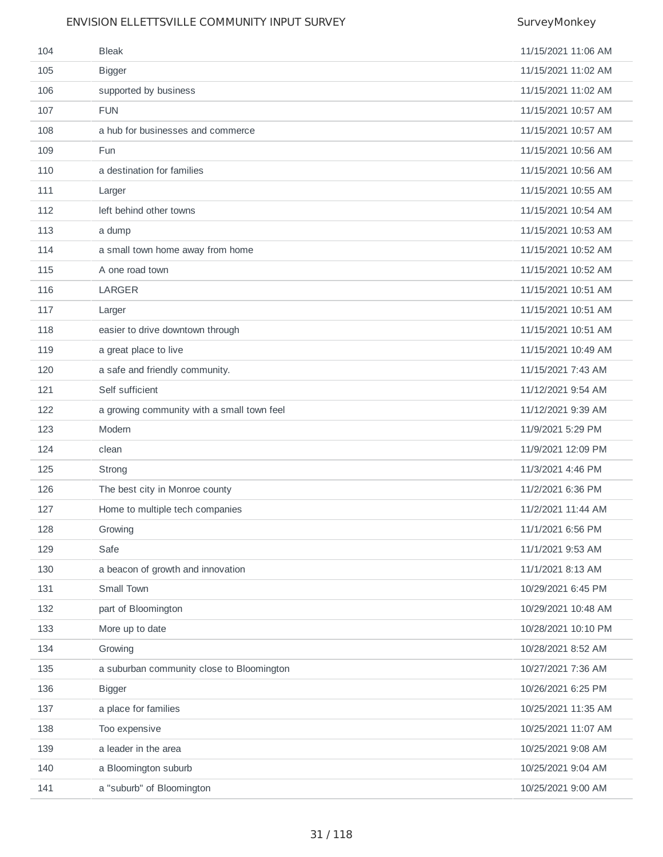| 104 | <b>Bleak</b>                               | 11/15/2021 11:06 AM |
|-----|--------------------------------------------|---------------------|
| 105 | <b>Bigger</b>                              | 11/15/2021 11:02 AM |
| 106 | supported by business                      | 11/15/2021 11:02 AM |
| 107 | <b>FUN</b>                                 | 11/15/2021 10:57 AM |
| 108 | a hub for businesses and commerce          | 11/15/2021 10:57 AM |
| 109 | Fun                                        | 11/15/2021 10:56 AM |
| 110 | a destination for families                 | 11/15/2021 10:56 AM |
| 111 | Larger                                     | 11/15/2021 10:55 AM |
| 112 | left behind other towns                    | 11/15/2021 10:54 AM |
| 113 | a dump                                     | 11/15/2021 10:53 AM |
| 114 | a small town home away from home           | 11/15/2021 10:52 AM |
| 115 | A one road town                            | 11/15/2021 10:52 AM |
| 116 | <b>LARGER</b>                              | 11/15/2021 10:51 AM |
| 117 | Larger                                     | 11/15/2021 10:51 AM |
| 118 | easier to drive downtown through           | 11/15/2021 10:51 AM |
| 119 | a great place to live                      | 11/15/2021 10:49 AM |
| 120 | a safe and friendly community.             | 11/15/2021 7:43 AM  |
| 121 | Self sufficient                            | 11/12/2021 9:54 AM  |
| 122 | a growing community with a small town feel | 11/12/2021 9:39 AM  |
| 123 | Modern                                     | 11/9/2021 5:29 PM   |
| 124 | clean                                      | 11/9/2021 12:09 PM  |
| 125 | Strong                                     | 11/3/2021 4:46 PM   |
| 126 | The best city in Monroe county             | 11/2/2021 6:36 PM   |
| 127 | Home to multiple tech companies            | 11/2/2021 11:44 AM  |
| 128 | Growing                                    | 11/1/2021 6:56 PM   |
| 129 | Safe                                       | 11/1/2021 9:53 AM   |
| 130 | a beacon of growth and innovation          | 11/1/2021 8:13 AM   |
| 131 | Small Town                                 | 10/29/2021 6:45 PM  |
| 132 | part of Bloomington                        | 10/29/2021 10:48 AM |
| 133 | More up to date                            | 10/28/2021 10:10 PM |
| 134 | Growing                                    | 10/28/2021 8:52 AM  |
| 135 | a suburban community close to Bloomington  | 10/27/2021 7:36 AM  |
| 136 | <b>Bigger</b>                              | 10/26/2021 6:25 PM  |
| 137 | a place for families                       | 10/25/2021 11:35 AM |
| 138 | Too expensive                              | 10/25/2021 11:07 AM |
| 139 | a leader in the area                       | 10/25/2021 9:08 AM  |
| 140 | a Bloomington suburb                       | 10/25/2021 9:04 AM  |
| 141 | a "suburb" of Bloomington                  | 10/25/2021 9:00 AM  |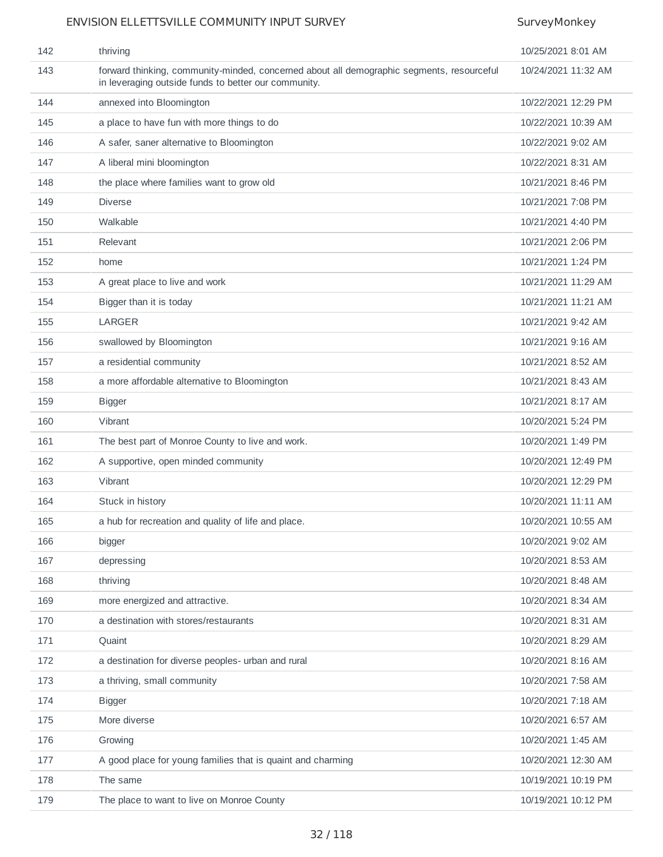| 142 | thriving                                                                                                                                          | 10/25/2021 8:01 AM  |
|-----|---------------------------------------------------------------------------------------------------------------------------------------------------|---------------------|
| 143 | forward thinking, community-minded, concerned about all demographic segments, resourceful<br>in leveraging outside funds to better our community. | 10/24/2021 11:32 AM |
| 144 | annexed into Bloomington                                                                                                                          | 10/22/2021 12:29 PM |
| 145 | a place to have fun with more things to do                                                                                                        | 10/22/2021 10:39 AM |
| 146 | A safer, saner alternative to Bloomington                                                                                                         | 10/22/2021 9:02 AM  |
| 147 | A liberal mini bloomington                                                                                                                        | 10/22/2021 8:31 AM  |
| 148 | the place where families want to grow old                                                                                                         | 10/21/2021 8:46 PM  |
| 149 | <b>Diverse</b>                                                                                                                                    | 10/21/2021 7:08 PM  |
| 150 | Walkable                                                                                                                                          | 10/21/2021 4:40 PM  |
| 151 | Relevant                                                                                                                                          | 10/21/2021 2:06 PM  |
| 152 | home                                                                                                                                              | 10/21/2021 1:24 PM  |
| 153 | A great place to live and work                                                                                                                    | 10/21/2021 11:29 AM |
| 154 | Bigger than it is today                                                                                                                           | 10/21/2021 11:21 AM |
| 155 | <b>LARGER</b>                                                                                                                                     | 10/21/2021 9:42 AM  |
| 156 | swallowed by Bloomington                                                                                                                          | 10/21/2021 9:16 AM  |
| 157 | a residential community                                                                                                                           | 10/21/2021 8:52 AM  |
| 158 | a more affordable alternative to Bloomington                                                                                                      | 10/21/2021 8:43 AM  |
| 159 | <b>Bigger</b>                                                                                                                                     | 10/21/2021 8:17 AM  |
| 160 | Vibrant                                                                                                                                           | 10/20/2021 5:24 PM  |
| 161 | The best part of Monroe County to live and work.                                                                                                  | 10/20/2021 1:49 PM  |
| 162 | A supportive, open minded community                                                                                                               | 10/20/2021 12:49 PM |
| 163 | Vibrant                                                                                                                                           | 10/20/2021 12:29 PM |
| 164 | Stuck in history                                                                                                                                  | 10/20/2021 11:11 AM |
| 165 | a hub for recreation and quality of life and place.                                                                                               | 10/20/2021 10:55 AM |
| 166 | bigger                                                                                                                                            | 10/20/2021 9:02 AM  |
| 167 | depressing                                                                                                                                        | 10/20/2021 8:53 AM  |
| 168 | thriving                                                                                                                                          | 10/20/2021 8:48 AM  |
| 169 | more energized and attractive.                                                                                                                    | 10/20/2021 8:34 AM  |
| 170 | a destination with stores/restaurants                                                                                                             | 10/20/2021 8:31 AM  |
| 171 | Quaint                                                                                                                                            | 10/20/2021 8:29 AM  |
| 172 | a destination for diverse peoples- urban and rural                                                                                                | 10/20/2021 8:16 AM  |
| 173 | a thriving, small community                                                                                                                       | 10/20/2021 7:58 AM  |
| 174 | <b>Bigger</b>                                                                                                                                     | 10/20/2021 7:18 AM  |
| 175 | More diverse                                                                                                                                      | 10/20/2021 6:57 AM  |
| 176 | Growing                                                                                                                                           | 10/20/2021 1:45 AM  |
| 177 | A good place for young families that is quaint and charming                                                                                       | 10/20/2021 12:30 AM |
| 178 | The same                                                                                                                                          | 10/19/2021 10:19 PM |
| 179 | The place to want to live on Monroe County                                                                                                        | 10/19/2021 10:12 PM |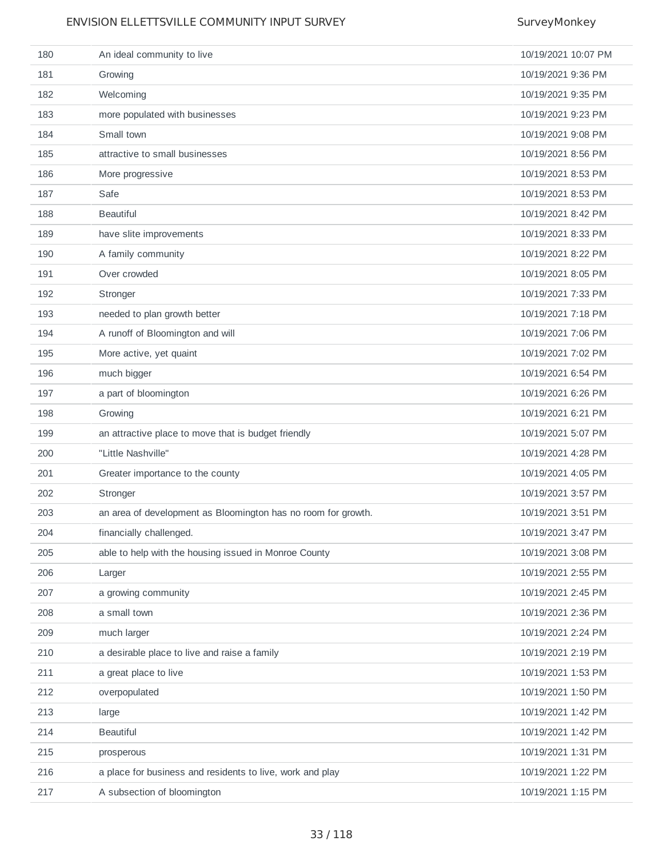| 180 | An ideal community to live                                    | 10/19/2021 10:07 PM |
|-----|---------------------------------------------------------------|---------------------|
| 181 | Growing                                                       | 10/19/2021 9:36 PM  |
| 182 | Welcoming                                                     | 10/19/2021 9:35 PM  |
| 183 | more populated with businesses                                | 10/19/2021 9:23 PM  |
| 184 | Small town                                                    | 10/19/2021 9:08 PM  |
| 185 | attractive to small businesses                                | 10/19/2021 8:56 PM  |
| 186 | More progressive                                              | 10/19/2021 8:53 PM  |
| 187 | Safe                                                          | 10/19/2021 8:53 PM  |
| 188 | <b>Beautiful</b>                                              | 10/19/2021 8:42 PM  |
| 189 | have slite improvements                                       | 10/19/2021 8:33 PM  |
| 190 | A family community                                            | 10/19/2021 8:22 PM  |
| 191 | Over crowded                                                  | 10/19/2021 8:05 PM  |
| 192 | Stronger                                                      | 10/19/2021 7:33 PM  |
| 193 | needed to plan growth better                                  | 10/19/2021 7:18 PM  |
| 194 | A runoff of Bloomington and will                              | 10/19/2021 7:06 PM  |
| 195 | More active, yet quaint                                       | 10/19/2021 7:02 PM  |
| 196 | much bigger                                                   | 10/19/2021 6:54 PM  |
| 197 | a part of bloomington                                         | 10/19/2021 6:26 PM  |
| 198 | Growing                                                       | 10/19/2021 6:21 PM  |
| 199 | an attractive place to move that is budget friendly           | 10/19/2021 5:07 PM  |
| 200 | "Little Nashville"                                            | 10/19/2021 4:28 PM  |
| 201 | Greater importance to the county                              | 10/19/2021 4:05 PM  |
| 202 | Stronger                                                      | 10/19/2021 3:57 PM  |
| 203 | an area of development as Bloomington has no room for growth. | 10/19/2021 3:51 PM  |
| 204 | financially challenged.                                       | 10/19/2021 3:47 PM  |
| 205 | able to help with the housing issued in Monroe County         | 10/19/2021 3:08 PM  |
| 206 | Larger                                                        | 10/19/2021 2:55 PM  |
| 207 | a growing community                                           | 10/19/2021 2:45 PM  |
| 208 | a small town                                                  | 10/19/2021 2:36 PM  |
| 209 | much larger                                                   | 10/19/2021 2:24 PM  |
| 210 | a desirable place to live and raise a family                  | 10/19/2021 2:19 PM  |
| 211 | a great place to live                                         | 10/19/2021 1:53 PM  |
| 212 | overpopulated                                                 | 10/19/2021 1:50 PM  |
| 213 | large                                                         | 10/19/2021 1:42 PM  |
| 214 | <b>Beautiful</b>                                              | 10/19/2021 1:42 PM  |
| 215 | prosperous                                                    | 10/19/2021 1:31 PM  |
| 216 | a place for business and residents to live, work and play     | 10/19/2021 1:22 PM  |
| 217 | A subsection of bloomington                                   | 10/19/2021 1:15 PM  |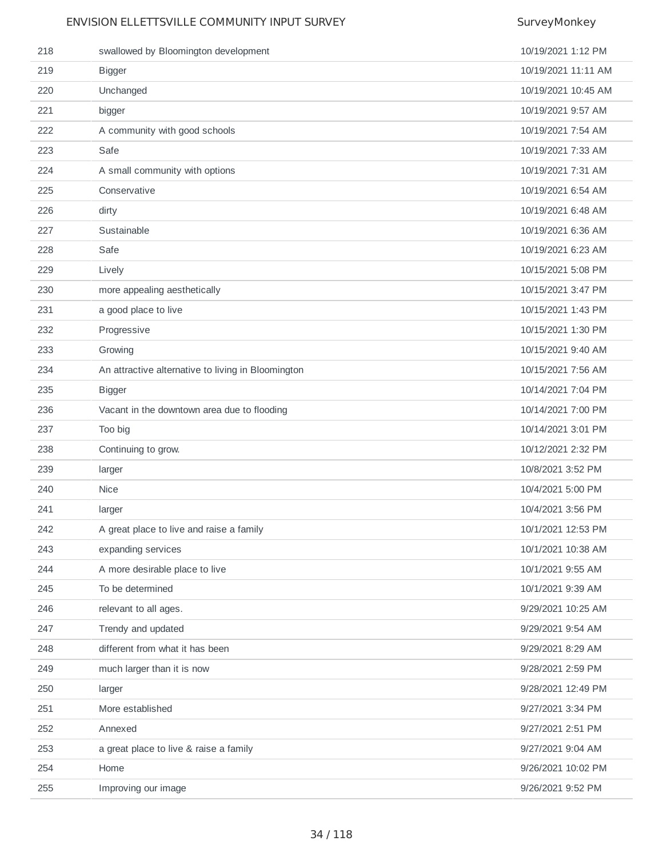| 218 | swallowed by Bloomington development               | 10/19/2021 1:12 PM  |
|-----|----------------------------------------------------|---------------------|
| 219 | <b>Bigger</b>                                      | 10/19/2021 11:11 AM |
| 220 | Unchanged                                          | 10/19/2021 10:45 AM |
| 221 | bigger                                             | 10/19/2021 9:57 AM  |
| 222 | A community with good schools                      | 10/19/2021 7:54 AM  |
| 223 | Safe                                               | 10/19/2021 7:33 AM  |
| 224 | A small community with options                     | 10/19/2021 7:31 AM  |
| 225 | Conservative                                       | 10/19/2021 6:54 AM  |
| 226 | dirty                                              | 10/19/2021 6:48 AM  |
| 227 | Sustainable                                        | 10/19/2021 6:36 AM  |
| 228 | Safe                                               | 10/19/2021 6:23 AM  |
| 229 | Lively                                             | 10/15/2021 5:08 PM  |
| 230 | more appealing aesthetically                       | 10/15/2021 3:47 PM  |
| 231 | a good place to live                               | 10/15/2021 1:43 PM  |
| 232 | Progressive                                        | 10/15/2021 1:30 PM  |
| 233 | Growing                                            | 10/15/2021 9:40 AM  |
| 234 | An attractive alternative to living in Bloomington | 10/15/2021 7:56 AM  |
| 235 | <b>Bigger</b>                                      | 10/14/2021 7:04 PM  |
| 236 | Vacant in the downtown area due to flooding        | 10/14/2021 7:00 PM  |
|     |                                                    |                     |
| 237 | Too big                                            | 10/14/2021 3:01 PM  |
| 238 | Continuing to grow.                                | 10/12/2021 2:32 PM  |
| 239 | larger                                             | 10/8/2021 3:52 PM   |
| 240 | <b>Nice</b>                                        | 10/4/2021 5:00 PM   |
| 241 | larger                                             | 10/4/2021 3:56 PM   |
| 242 | A great place to live and raise a family           | 10/1/2021 12:53 PM  |
| 243 | expanding services                                 | 10/1/2021 10:38 AM  |
| 244 | A more desirable place to live                     | 10/1/2021 9:55 AM   |
| 245 | To be determined                                   | 10/1/2021 9:39 AM   |
| 246 | relevant to all ages.                              | 9/29/2021 10:25 AM  |
| 247 | Trendy and updated                                 | 9/29/2021 9:54 AM   |
| 248 | different from what it has been                    | 9/29/2021 8:29 AM   |
| 249 | much larger than it is now                         | 9/28/2021 2:59 PM   |
| 250 | larger                                             | 9/28/2021 12:49 PM  |
| 251 | More established                                   | 9/27/2021 3:34 PM   |
| 252 | Annexed                                            | 9/27/2021 2:51 PM   |
| 253 | a great place to live & raise a family             | 9/27/2021 9:04 AM   |
| 254 | Home                                               | 9/26/2021 10:02 PM  |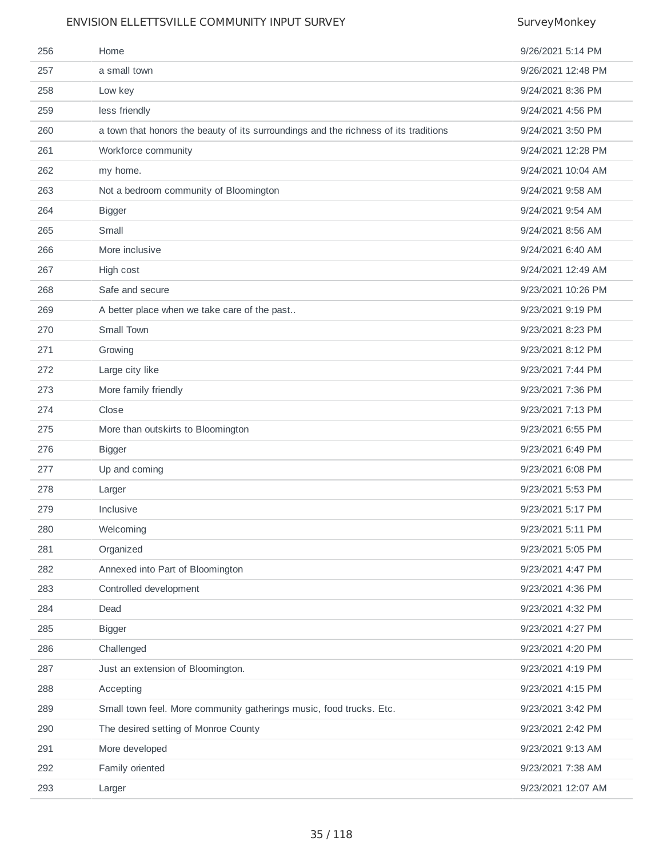| 256 | Home                                                                                 | 9/26/2021 5:14 PM  |
|-----|--------------------------------------------------------------------------------------|--------------------|
| 257 | a small town                                                                         | 9/26/2021 12:48 PM |
| 258 | Low key                                                                              | 9/24/2021 8:36 PM  |
| 259 | less friendly                                                                        | 9/24/2021 4:56 PM  |
| 260 | a town that honors the beauty of its surroundings and the richness of its traditions | 9/24/2021 3:50 PM  |
| 261 | Workforce community                                                                  | 9/24/2021 12:28 PM |
| 262 | my home.                                                                             | 9/24/2021 10:04 AM |
| 263 | Not a bedroom community of Bloomington                                               | 9/24/2021 9:58 AM  |
| 264 | <b>Bigger</b>                                                                        | 9/24/2021 9:54 AM  |
| 265 | Small                                                                                | 9/24/2021 8:56 AM  |
| 266 | More inclusive                                                                       | 9/24/2021 6:40 AM  |
| 267 | High cost                                                                            | 9/24/2021 12:49 AM |
| 268 | Safe and secure                                                                      | 9/23/2021 10:26 PM |
| 269 | A better place when we take care of the past                                         | 9/23/2021 9:19 PM  |
| 270 | Small Town                                                                           | 9/23/2021 8:23 PM  |
| 271 | Growing                                                                              | 9/23/2021 8:12 PM  |
| 272 | Large city like                                                                      | 9/23/2021 7:44 PM  |
| 273 | More family friendly                                                                 | 9/23/2021 7:36 PM  |
| 274 | Close                                                                                | 9/23/2021 7:13 PM  |
| 275 | More than outskirts to Bloomington                                                   | 9/23/2021 6:55 PM  |
| 276 | <b>Bigger</b>                                                                        | 9/23/2021 6:49 PM  |
| 277 | Up and coming                                                                        | 9/23/2021 6:08 PM  |
| 278 | Larger                                                                               | 9/23/2021 5:53 PM  |
| 279 | Inclusive                                                                            | 9/23/2021 5:17 PM  |
| 280 | Welcoming                                                                            | 9/23/2021 5:11 PM  |
| 281 | Organized                                                                            | 9/23/2021 5:05 PM  |
| 282 | Annexed into Part of Bloomington                                                     | 9/23/2021 4:47 PM  |
| 283 | Controlled development                                                               | 9/23/2021 4:36 PM  |
| 284 | Dead                                                                                 | 9/23/2021 4:32 PM  |
| 285 | <b>Bigger</b>                                                                        | 9/23/2021 4:27 PM  |
| 286 | Challenged                                                                           | 9/23/2021 4:20 PM  |
| 287 | Just an extension of Bloomington.                                                    | 9/23/2021 4:19 PM  |
| 288 | Accepting                                                                            | 9/23/2021 4:15 PM  |
| 289 | Small town feel. More community gatherings music, food trucks. Etc.                  | 9/23/2021 3:42 PM  |
| 290 | The desired setting of Monroe County                                                 | 9/23/2021 2:42 PM  |
| 291 | More developed                                                                       | 9/23/2021 9:13 AM  |
| 292 | Family oriented                                                                      | 9/23/2021 7:38 AM  |
| 293 | Larger                                                                               | 9/23/2021 12:07 AM |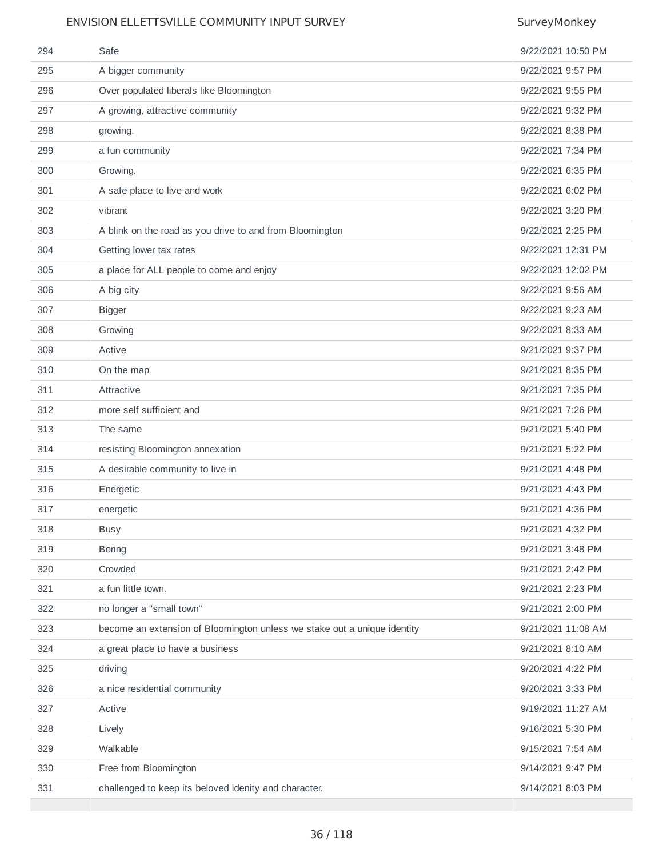| 294 | Safe                                                                     | 9/22/2021 10:50 PM |
|-----|--------------------------------------------------------------------------|--------------------|
| 295 | A bigger community                                                       | 9/22/2021 9:57 PM  |
| 296 | Over populated liberals like Bloomington                                 | 9/22/2021 9:55 PM  |
| 297 | A growing, attractive community                                          | 9/22/2021 9:32 PM  |
| 298 | growing.                                                                 | 9/22/2021 8:38 PM  |
| 299 | a fun community                                                          | 9/22/2021 7:34 PM  |
| 300 | Growing.                                                                 | 9/22/2021 6:35 PM  |
| 301 | A safe place to live and work                                            | 9/22/2021 6:02 PM  |
| 302 | vibrant                                                                  | 9/22/2021 3:20 PM  |
| 303 | A blink on the road as you drive to and from Bloomington                 | 9/22/2021 2:25 PM  |
| 304 | Getting lower tax rates                                                  | 9/22/2021 12:31 PM |
| 305 | a place for ALL people to come and enjoy                                 | 9/22/2021 12:02 PM |
| 306 | A big city                                                               | 9/22/2021 9:56 AM  |
| 307 | <b>Bigger</b>                                                            | 9/22/2021 9:23 AM  |
| 308 | Growing                                                                  | 9/22/2021 8:33 AM  |
| 309 | Active                                                                   | 9/21/2021 9:37 PM  |
| 310 | On the map                                                               | 9/21/2021 8:35 PM  |
| 311 | Attractive                                                               | 9/21/2021 7:35 PM  |
| 312 | more self sufficient and                                                 | 9/21/2021 7:26 PM  |
| 313 | The same                                                                 | 9/21/2021 5:40 PM  |
| 314 | resisting Bloomington annexation                                         | 9/21/2021 5:22 PM  |
| 315 | A desirable community to live in                                         | 9/21/2021 4:48 PM  |
| 316 | Energetic                                                                | 9/21/2021 4:43 PM  |
| 317 | energetic                                                                | 9/21/2021 4:36 PM  |
| 318 | <b>Busy</b>                                                              | 9/21/2021 4:32 PM  |
| 319 | <b>Boring</b>                                                            | 9/21/2021 3:48 PM  |
| 320 | Crowded                                                                  | 9/21/2021 2:42 PM  |
| 321 | a fun little town.                                                       | 9/21/2021 2:23 PM  |
| 322 | no longer a "small town"                                                 | 9/21/2021 2:00 PM  |
| 323 | become an extension of Bloomington unless we stake out a unique identity | 9/21/2021 11:08 AM |
| 324 | a great place to have a business                                         | 9/21/2021 8:10 AM  |
| 325 | driving                                                                  | 9/20/2021 4:22 PM  |
| 326 | a nice residential community                                             | 9/20/2021 3:33 PM  |
| 327 | Active                                                                   | 9/19/2021 11:27 AM |
| 328 | Lively                                                                   | 9/16/2021 5:30 PM  |
| 329 | Walkable                                                                 | 9/15/2021 7:54 AM  |
| 330 | Free from Bloomington                                                    | 9/14/2021 9:47 PM  |
| 331 | challenged to keep its beloved idenity and character.                    | 9/14/2021 8:03 PM  |
|     |                                                                          |                    |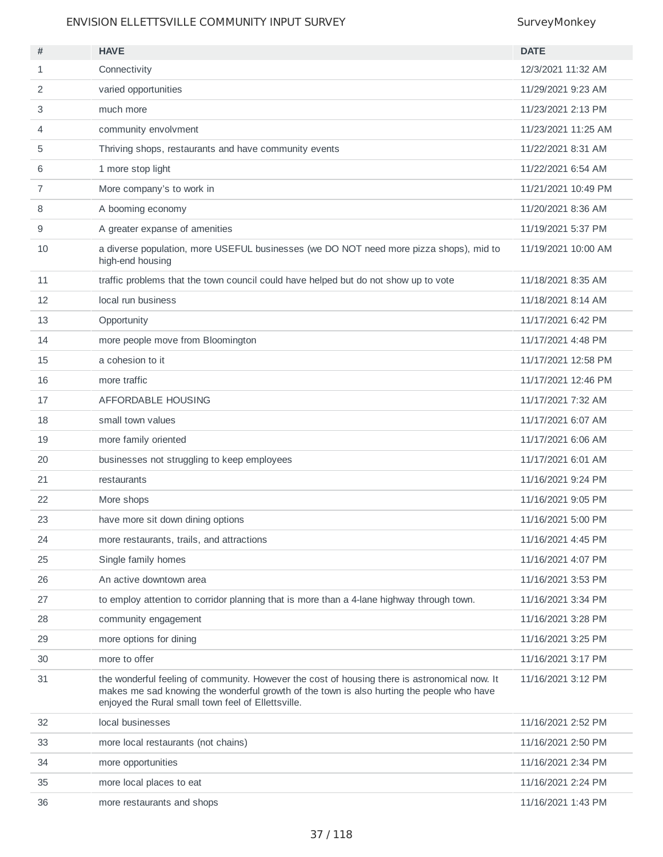| #  | <b>HAVE</b>                                                                                                                                                                                                                                      | <b>DATE</b>         |
|----|--------------------------------------------------------------------------------------------------------------------------------------------------------------------------------------------------------------------------------------------------|---------------------|
| 1  | Connectivity                                                                                                                                                                                                                                     | 12/3/2021 11:32 AM  |
| 2  | varied opportunities                                                                                                                                                                                                                             | 11/29/2021 9:23 AM  |
| 3  | much more                                                                                                                                                                                                                                        | 11/23/2021 2:13 PM  |
| 4  | community envolvment                                                                                                                                                                                                                             | 11/23/2021 11:25 AM |
| 5  | Thriving shops, restaurants and have community events                                                                                                                                                                                            | 11/22/2021 8:31 AM  |
| 6  | 1 more stop light                                                                                                                                                                                                                                | 11/22/2021 6:54 AM  |
| 7  | More company's to work in                                                                                                                                                                                                                        | 11/21/2021 10:49 PM |
| 8  | A booming economy                                                                                                                                                                                                                                | 11/20/2021 8:36 AM  |
| 9  | A greater expanse of amenities                                                                                                                                                                                                                   | 11/19/2021 5:37 PM  |
| 10 | a diverse population, more USEFUL businesses (we DO NOT need more pizza shops), mid to<br>high-end housing                                                                                                                                       | 11/19/2021 10:00 AM |
| 11 | traffic problems that the town council could have helped but do not show up to vote                                                                                                                                                              | 11/18/2021 8:35 AM  |
| 12 | local run business                                                                                                                                                                                                                               | 11/18/2021 8:14 AM  |
| 13 | Opportunity                                                                                                                                                                                                                                      | 11/17/2021 6:42 PM  |
| 14 | more people move from Bloomington                                                                                                                                                                                                                | 11/17/2021 4:48 PM  |
| 15 | a cohesion to it                                                                                                                                                                                                                                 | 11/17/2021 12:58 PM |
| 16 | more traffic                                                                                                                                                                                                                                     | 11/17/2021 12:46 PM |
| 17 | AFFORDABLE HOUSING                                                                                                                                                                                                                               | 11/17/2021 7:32 AM  |
| 18 | small town values                                                                                                                                                                                                                                | 11/17/2021 6:07 AM  |
| 19 | more family oriented                                                                                                                                                                                                                             | 11/17/2021 6:06 AM  |
| 20 | businesses not struggling to keep employees                                                                                                                                                                                                      | 11/17/2021 6:01 AM  |
| 21 | restaurants                                                                                                                                                                                                                                      | 11/16/2021 9:24 PM  |
| 22 | More shops                                                                                                                                                                                                                                       | 11/16/2021 9:05 PM  |
| 23 | have more sit down dining options                                                                                                                                                                                                                | 11/16/2021 5:00 PM  |
| 24 | more restaurants, trails, and attractions                                                                                                                                                                                                        | 11/16/2021 4:45 PM  |
| 25 | Single family homes                                                                                                                                                                                                                              | 11/16/2021 4:07 PM  |
| 26 | An active downtown area                                                                                                                                                                                                                          | 11/16/2021 3:53 PM  |
| 27 | to employ attention to corridor planning that is more than a 4-lane highway through town.                                                                                                                                                        | 11/16/2021 3:34 PM  |
| 28 | community engagement                                                                                                                                                                                                                             | 11/16/2021 3:28 PM  |
| 29 | more options for dining                                                                                                                                                                                                                          | 11/16/2021 3:25 PM  |
| 30 | more to offer                                                                                                                                                                                                                                    | 11/16/2021 3:17 PM  |
| 31 | the wonderful feeling of community. However the cost of housing there is astronomical now. It<br>makes me sad knowing the wonderful growth of the town is also hurting the people who have<br>enjoyed the Rural small town feel of Ellettsville. | 11/16/2021 3:12 PM  |
| 32 | local businesses                                                                                                                                                                                                                                 | 11/16/2021 2:52 PM  |
| 33 | more local restaurants (not chains)                                                                                                                                                                                                              | 11/16/2021 2:50 PM  |
| 34 | more opportunities                                                                                                                                                                                                                               | 11/16/2021 2:34 PM  |
| 35 | more local places to eat                                                                                                                                                                                                                         | 11/16/2021 2:24 PM  |
| 36 | more restaurants and shops                                                                                                                                                                                                                       | 11/16/2021 1:43 PM  |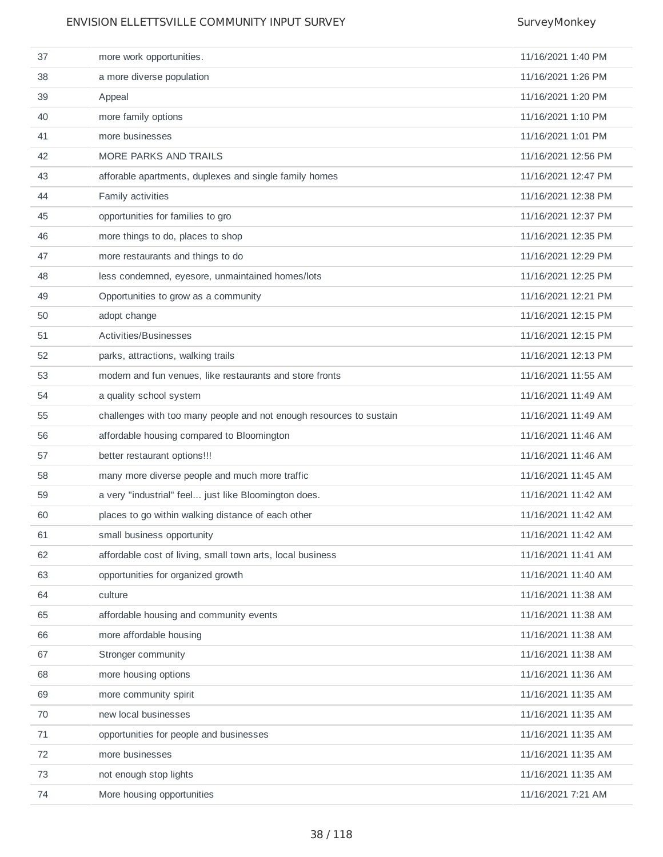| 37 | more work opportunities.                                            | 11/16/2021 1:40 PM  |
|----|---------------------------------------------------------------------|---------------------|
| 38 | a more diverse population                                           | 11/16/2021 1:26 PM  |
| 39 | Appeal                                                              | 11/16/2021 1:20 PM  |
| 40 | more family options                                                 | 11/16/2021 1:10 PM  |
| 41 | more businesses                                                     | 11/16/2021 1:01 PM  |
| 42 | MORE PARKS AND TRAILS                                               | 11/16/2021 12:56 PM |
| 43 | afforable apartments, duplexes and single family homes              | 11/16/2021 12:47 PM |
| 44 | Family activities                                                   | 11/16/2021 12:38 PM |
| 45 | opportunities for families to gro                                   | 11/16/2021 12:37 PM |
| 46 | more things to do, places to shop                                   | 11/16/2021 12:35 PM |
| 47 | more restaurants and things to do                                   | 11/16/2021 12:29 PM |
| 48 | less condemned, eyesore, unmaintained homes/lots                    | 11/16/2021 12:25 PM |
| 49 | Opportunities to grow as a community                                | 11/16/2021 12:21 PM |
| 50 | adopt change                                                        | 11/16/2021 12:15 PM |
| 51 | Activities/Businesses                                               | 11/16/2021 12:15 PM |
| 52 | parks, attractions, walking trails                                  | 11/16/2021 12:13 PM |
| 53 | modern and fun venues, like restaurants and store fronts            | 11/16/2021 11:55 AM |
| 54 | a quality school system                                             | 11/16/2021 11:49 AM |
| 55 | challenges with too many people and not enough resources to sustain | 11/16/2021 11:49 AM |
| 56 | affordable housing compared to Bloomington                          | 11/16/2021 11:46 AM |
| 57 | better restaurant options!!!                                        | 11/16/2021 11:46 AM |
| 58 | many more diverse people and much more traffic                      | 11/16/2021 11:45 AM |
| 59 | a very "industrial" feel just like Bloomington does.                | 11/16/2021 11:42 AM |
| 60 | places to go within walking distance of each other                  | 11/16/2021 11:42 AM |
| 61 | small business opportunity                                          | 11/16/2021 11:42 AM |
| 62 | affordable cost of living, small town arts, local business          | 11/16/2021 11:41 AM |
| 63 | opportunities for organized growth                                  | 11/16/2021 11:40 AM |
| 64 | culture                                                             | 11/16/2021 11:38 AM |
| 65 | affordable housing and community events                             | 11/16/2021 11:38 AM |
| 66 | more affordable housing                                             | 11/16/2021 11:38 AM |
| 67 | Stronger community                                                  | 11/16/2021 11:38 AM |
| 68 | more housing options                                                | 11/16/2021 11:36 AM |
| 69 | more community spirit                                               | 11/16/2021 11:35 AM |
| 70 | new local businesses                                                | 11/16/2021 11:35 AM |
| 71 | opportunities for people and businesses                             | 11/16/2021 11:35 AM |
| 72 | more businesses                                                     | 11/16/2021 11:35 AM |
| 73 | not enough stop lights                                              | 11/16/2021 11:35 AM |
| 74 | More housing opportunities                                          | 11/16/2021 7:21 AM  |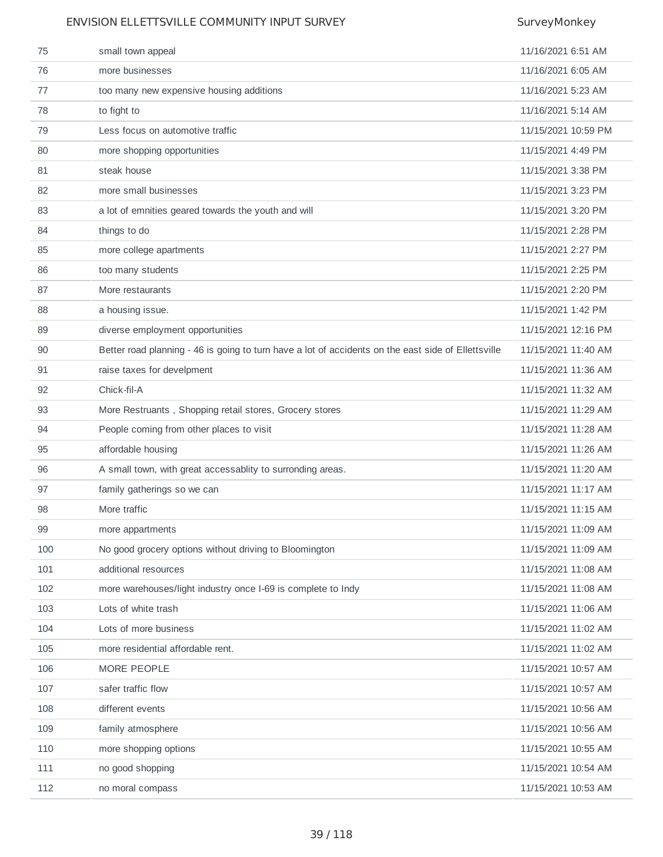| 75  | small town appeal                                                                                   | 11/16/2021 6:51 AM  |
|-----|-----------------------------------------------------------------------------------------------------|---------------------|
| 76  | more businesses                                                                                     | 11/16/2021 6:05 AM  |
| 77  | too many new expensive housing additions                                                            | 11/16/2021 5:23 AM  |
| 78  | to fight to                                                                                         | 11/16/2021 5:14 AM  |
| 79  | Less focus on automotive traffic                                                                    | 11/15/2021 10:59 PM |
| 80  | more shopping opportunities                                                                         | 11/15/2021 4:49 PM  |
| 81  | steak house                                                                                         | 11/15/2021 3:38 PM  |
| 82  | more small businesses                                                                               | 11/15/2021 3:23 PM  |
| 83  | a lot of emnities geared towards the youth and will                                                 | 11/15/2021 3:20 PM  |
| 84  | things to do                                                                                        | 11/15/2021 2:28 PM  |
| 85  | more college apartments                                                                             | 11/15/2021 2:27 PM  |
| 86  | too many students                                                                                   | 11/15/2021 2:25 PM  |
| 87  | More restaurants                                                                                    | 11/15/2021 2:20 PM  |
| 88  | a housing issue.                                                                                    | 11/15/2021 1:42 PM  |
| 89  | diverse employment opportunities                                                                    | 11/15/2021 12:16 PM |
| 90  | Better road planning - 46 is going to turn have a lot of accidents on the east side of Ellettsville | 11/15/2021 11:40 AM |
| 91  | raise taxes for develpment                                                                          | 11/15/2021 11:36 AM |
| 92  | Chick-fil-A                                                                                         | 11/15/2021 11:32 AM |
| 93  | More Restruants, Shopping retail stores, Grocery stores                                             | 11/15/2021 11:29 AM |
| 94  | People coming from other places to visit                                                            | 11/15/2021 11:28 AM |
| 95  | affordable housing                                                                                  | 11/15/2021 11:26 AM |
| 96  | A small town, with great accessablity to surronding areas.                                          | 11/15/2021 11:20 AM |
| 97  | family gatherings so we can                                                                         | 11/15/2021 11:17 AM |
| 98  | More traffic                                                                                        | 11/15/2021 11:15 AM |
| 99  | more appartments                                                                                    | 11/15/2021 11:09 AM |
| 100 | No good grocery options without driving to Bloomington                                              | 11/15/2021 11:09 AM |
| 101 | additional resources                                                                                | 11/15/2021 11:08 AM |
| 102 | more warehouses/light industry once I-69 is complete to Indy                                        | 11/15/2021 11:08 AM |
| 103 | Lots of white trash                                                                                 | 11/15/2021 11:06 AM |
| 104 | Lots of more business                                                                               | 11/15/2021 11:02 AM |
| 105 | more residential affordable rent.                                                                   | 11/15/2021 11:02 AM |
| 106 | MORE PEOPLE                                                                                         | 11/15/2021 10:57 AM |
| 107 | safer traffic flow                                                                                  | 11/15/2021 10:57 AM |
| 108 | different events                                                                                    | 11/15/2021 10:56 AM |
| 109 | family atmosphere                                                                                   | 11/15/2021 10:56 AM |
| 110 | more shopping options                                                                               | 11/15/2021 10:55 AM |
| 111 | no good shopping                                                                                    | 11/15/2021 10:54 AM |
| 112 | no moral compass                                                                                    | 11/15/2021 10:53 AM |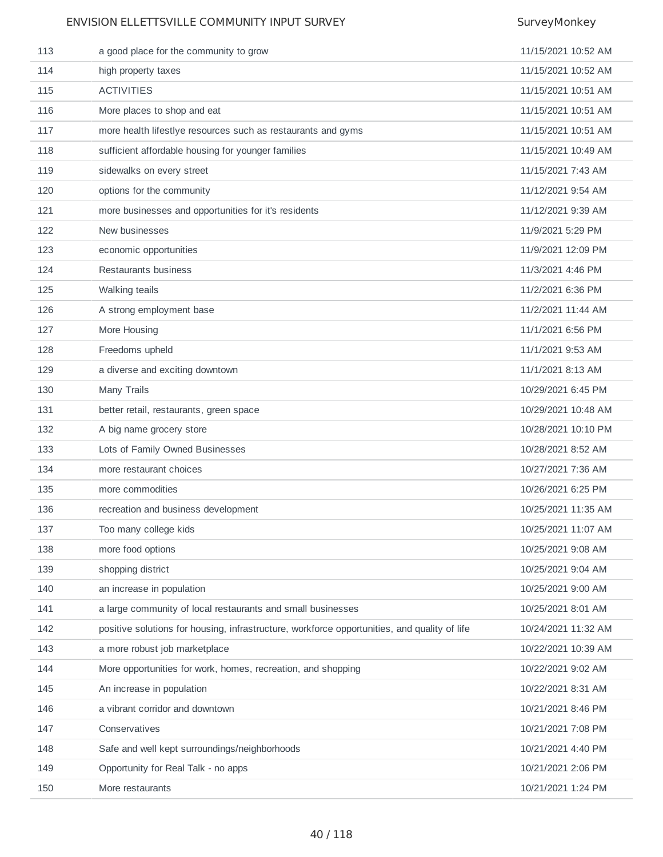| 113 | a good place for the community to grow                                                       | 11/15/2021 10:52 AM |
|-----|----------------------------------------------------------------------------------------------|---------------------|
| 114 | high property taxes                                                                          | 11/15/2021 10:52 AM |
| 115 | <b>ACTIVITIES</b>                                                                            | 11/15/2021 10:51 AM |
| 116 | More places to shop and eat                                                                  | 11/15/2021 10:51 AM |
| 117 | more health lifestlye resources such as restaurants and gyms                                 | 11/15/2021 10:51 AM |
| 118 | sufficient affordable housing for younger families                                           | 11/15/2021 10:49 AM |
| 119 | sidewalks on every street                                                                    | 11/15/2021 7:43 AM  |
| 120 | options for the community                                                                    | 11/12/2021 9:54 AM  |
| 121 | more businesses and opportunities for it's residents                                         | 11/12/2021 9:39 AM  |
| 122 | New businesses                                                                               | 11/9/2021 5:29 PM   |
| 123 | economic opportunities                                                                       | 11/9/2021 12:09 PM  |
| 124 | Restaurants business                                                                         | 11/3/2021 4:46 PM   |
| 125 | Walking teails                                                                               | 11/2/2021 6:36 PM   |
| 126 | A strong employment base                                                                     | 11/2/2021 11:44 AM  |
| 127 | More Housing                                                                                 | 11/1/2021 6:56 PM   |
| 128 | Freedoms upheld                                                                              | 11/1/2021 9:53 AM   |
| 129 | a diverse and exciting downtown                                                              | 11/1/2021 8:13 AM   |
| 130 | Many Trails                                                                                  | 10/29/2021 6:45 PM  |
| 131 | better retail, restaurants, green space                                                      | 10/29/2021 10:48 AM |
| 132 | A big name grocery store                                                                     | 10/28/2021 10:10 PM |
| 133 | Lots of Family Owned Businesses                                                              | 10/28/2021 8:52 AM  |
| 134 | more restaurant choices                                                                      | 10/27/2021 7:36 AM  |
| 135 | more commodities                                                                             | 10/26/2021 6:25 PM  |
| 136 | recreation and business development                                                          | 10/25/2021 11:35 AM |
| 137 | Too many college kids                                                                        | 10/25/2021 11:07 AM |
| 138 | more food options                                                                            | 10/25/2021 9:08 AM  |
| 139 | shopping district                                                                            | 10/25/2021 9:04 AM  |
| 140 | an increase in population                                                                    | 10/25/2021 9:00 AM  |
| 141 | a large community of local restaurants and small businesses                                  | 10/25/2021 8:01 AM  |
| 142 | positive solutions for housing, infrastructure, workforce opportunities, and quality of life | 10/24/2021 11:32 AM |
| 143 | a more robust job marketplace                                                                | 10/22/2021 10:39 AM |
| 144 | More opportunities for work, homes, recreation, and shopping                                 | 10/22/2021 9:02 AM  |
| 145 | An increase in population                                                                    | 10/22/2021 8:31 AM  |
| 146 | a vibrant corridor and downtown                                                              | 10/21/2021 8:46 PM  |
| 147 | Conservatives                                                                                | 10/21/2021 7:08 PM  |
| 148 | Safe and well kept surroundings/neighborhoods                                                | 10/21/2021 4:40 PM  |
| 149 | Opportunity for Real Talk - no apps                                                          | 10/21/2021 2:06 PM  |
| 150 | More restaurants                                                                             | 10/21/2021 1:24 PM  |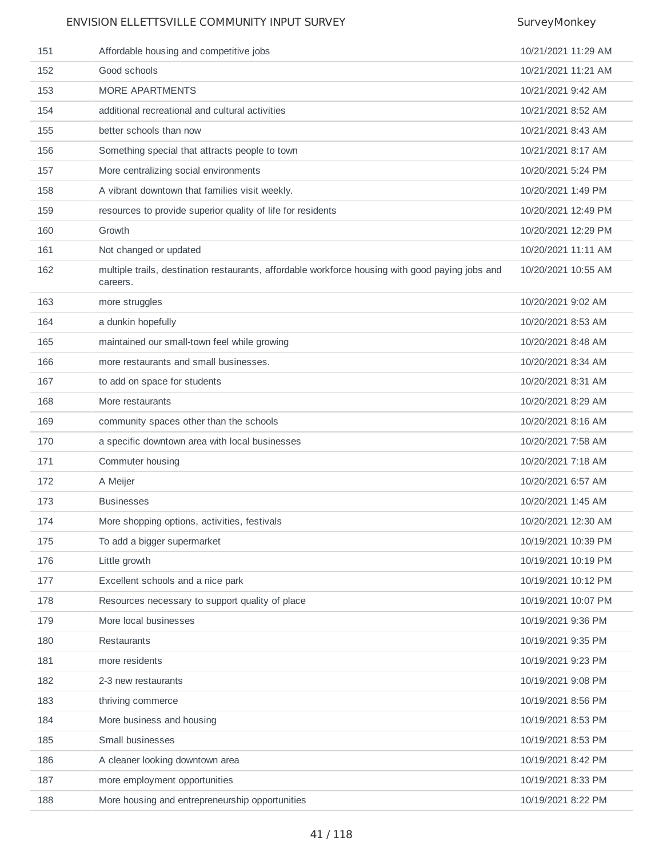| 151 | Affordable housing and competitive jobs                                                                      | 10/21/2021 11:29 AM |
|-----|--------------------------------------------------------------------------------------------------------------|---------------------|
| 152 | Good schools                                                                                                 | 10/21/2021 11:21 AM |
| 153 | <b>MORE APARTMENTS</b>                                                                                       | 10/21/2021 9:42 AM  |
| 154 | additional recreational and cultural activities                                                              | 10/21/2021 8:52 AM  |
| 155 | better schools than now                                                                                      | 10/21/2021 8:43 AM  |
| 156 | Something special that attracts people to town                                                               | 10/21/2021 8:17 AM  |
| 157 | More centralizing social environments                                                                        | 10/20/2021 5:24 PM  |
| 158 | A vibrant downtown that families visit weekly.                                                               | 10/20/2021 1:49 PM  |
| 159 | resources to provide superior quality of life for residents                                                  | 10/20/2021 12:49 PM |
| 160 | Growth                                                                                                       | 10/20/2021 12:29 PM |
| 161 | Not changed or updated                                                                                       | 10/20/2021 11:11 AM |
| 162 | multiple trails, destination restaurants, affordable workforce housing with good paying jobs and<br>careers. | 10/20/2021 10:55 AM |
| 163 | more struggles                                                                                               | 10/20/2021 9:02 AM  |
| 164 | a dunkin hopefully                                                                                           | 10/20/2021 8:53 AM  |
| 165 | maintained our small-town feel while growing                                                                 | 10/20/2021 8:48 AM  |
| 166 | more restaurants and small businesses.                                                                       | 10/20/2021 8:34 AM  |
| 167 | to add on space for students                                                                                 | 10/20/2021 8:31 AM  |
| 168 | More restaurants                                                                                             | 10/20/2021 8:29 AM  |
| 169 | community spaces other than the schools                                                                      | 10/20/2021 8:16 AM  |
| 170 | a specific downtown area with local businesses                                                               | 10/20/2021 7:58 AM  |
| 171 | Commuter housing                                                                                             | 10/20/2021 7:18 AM  |
| 172 | A Meijer                                                                                                     | 10/20/2021 6:57 AM  |
| 173 | <b>Businesses</b>                                                                                            | 10/20/2021 1:45 AM  |
| 174 | More shopping options, activities, festivals                                                                 | 10/20/2021 12:30 AM |
| 175 | To add a bigger supermarket                                                                                  | 10/19/2021 10:39 PM |
| 176 | Little growth                                                                                                | 10/19/2021 10:19 PM |
| 177 | Excellent schools and a nice park                                                                            | 10/19/2021 10:12 PM |
| 178 | Resources necessary to support quality of place                                                              | 10/19/2021 10:07 PM |
| 179 | More local businesses                                                                                        | 10/19/2021 9:36 PM  |
| 180 | Restaurants                                                                                                  | 10/19/2021 9:35 PM  |
| 181 | more residents                                                                                               | 10/19/2021 9:23 PM  |
| 182 | 2-3 new restaurants                                                                                          | 10/19/2021 9:08 PM  |
| 183 | thriving commerce                                                                                            | 10/19/2021 8:56 PM  |
| 184 | More business and housing                                                                                    | 10/19/2021 8:53 PM  |
| 185 | Small businesses                                                                                             | 10/19/2021 8:53 PM  |
| 186 | A cleaner looking downtown area                                                                              | 10/19/2021 8:42 PM  |
| 187 | more employment opportunities                                                                                | 10/19/2021 8:33 PM  |
| 188 | More housing and entrepreneurship opportunities                                                              | 10/19/2021 8:22 PM  |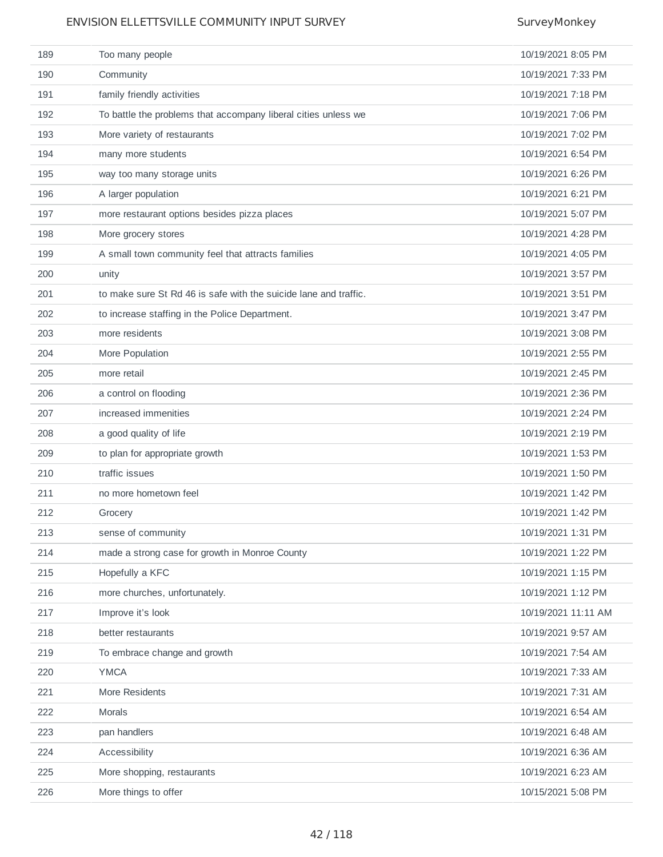| 189 | Too many people                                                  | 10/19/2021 8:05 PM  |
|-----|------------------------------------------------------------------|---------------------|
| 190 | Community                                                        | 10/19/2021 7:33 PM  |
| 191 | family friendly activities                                       | 10/19/2021 7:18 PM  |
| 192 | To battle the problems that accompany liberal cities unless we   | 10/19/2021 7:06 PM  |
| 193 | More variety of restaurants                                      | 10/19/2021 7:02 PM  |
| 194 | many more students                                               | 10/19/2021 6:54 PM  |
| 195 | way too many storage units                                       | 10/19/2021 6:26 PM  |
| 196 | A larger population                                              | 10/19/2021 6:21 PM  |
| 197 | more restaurant options besides pizza places                     | 10/19/2021 5:07 PM  |
| 198 | More grocery stores                                              | 10/19/2021 4:28 PM  |
| 199 | A small town community feel that attracts families               | 10/19/2021 4:05 PM  |
| 200 | unity                                                            | 10/19/2021 3:57 PM  |
| 201 | to make sure St Rd 46 is safe with the suicide lane and traffic. | 10/19/2021 3:51 PM  |
| 202 | to increase staffing in the Police Department.                   | 10/19/2021 3:47 PM  |
| 203 | more residents                                                   | 10/19/2021 3:08 PM  |
| 204 | More Population                                                  | 10/19/2021 2:55 PM  |
| 205 | more retail                                                      | 10/19/2021 2:45 PM  |
| 206 | a control on flooding                                            | 10/19/2021 2:36 PM  |
| 207 | increased immenities                                             | 10/19/2021 2:24 PM  |
| 208 | a good quality of life                                           | 10/19/2021 2:19 PM  |
| 209 | to plan for appropriate growth                                   | 10/19/2021 1:53 PM  |
| 210 | traffic issues                                                   | 10/19/2021 1:50 PM  |
| 211 | no more hometown feel                                            | 10/19/2021 1:42 PM  |
| 212 | Grocery                                                          | 10/19/2021 1:42 PM  |
| 213 | sense of community                                               | 10/19/2021 1:31 PM  |
| 214 | made a strong case for growth in Monroe County                   | 10/19/2021 1:22 PM  |
| 215 | Hopefully a KFC                                                  | 10/19/2021 1:15 PM  |
| 216 | more churches, unfortunately.                                    | 10/19/2021 1:12 PM  |
| 217 | Improve it's look                                                | 10/19/2021 11:11 AM |
| 218 | better restaurants                                               | 10/19/2021 9:57 AM  |
| 219 | To embrace change and growth                                     | 10/19/2021 7:54 AM  |
| 220 | <b>YMCA</b>                                                      | 10/19/2021 7:33 AM  |
| 221 | More Residents                                                   | 10/19/2021 7:31 AM  |
| 222 | Morals                                                           | 10/19/2021 6:54 AM  |
| 223 | pan handlers                                                     | 10/19/2021 6:48 AM  |
| 224 | Accessibility                                                    | 10/19/2021 6:36 AM  |
| 225 | More shopping, restaurants                                       | 10/19/2021 6:23 AM  |
| 226 | More things to offer                                             | 10/15/2021 5:08 PM  |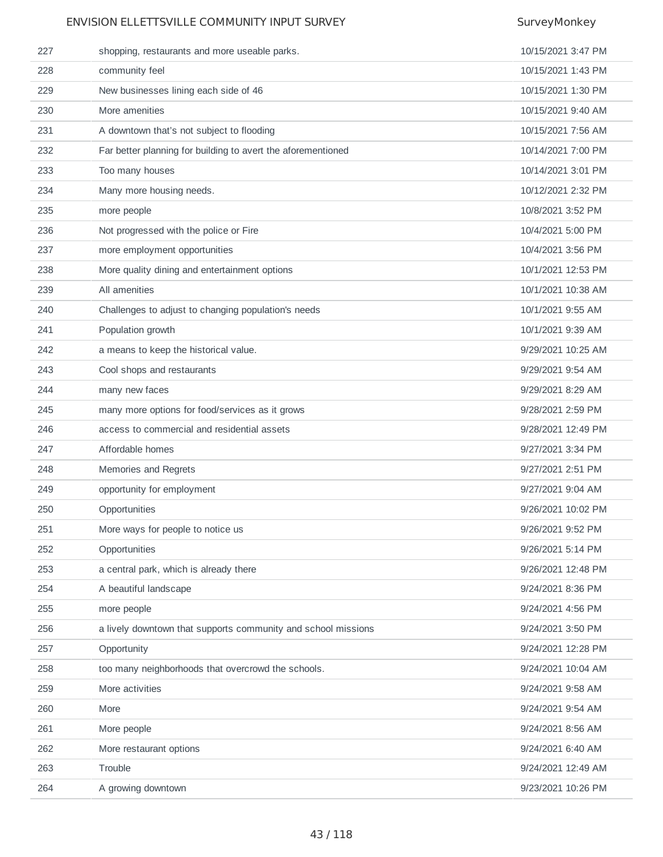| 227 | shopping, restaurants and more useable parks.                 | 10/15/2021 3:47 PM |
|-----|---------------------------------------------------------------|--------------------|
| 228 | community feel                                                | 10/15/2021 1:43 PM |
| 229 | New businesses lining each side of 46                         | 10/15/2021 1:30 PM |
| 230 | More amenities                                                | 10/15/2021 9:40 AM |
| 231 | A downtown that's not subject to flooding                     | 10/15/2021 7:56 AM |
| 232 | Far better planning for building to avert the aforementioned  | 10/14/2021 7:00 PM |
| 233 | Too many houses                                               | 10/14/2021 3:01 PM |
| 234 | Many more housing needs.                                      | 10/12/2021 2:32 PM |
| 235 | more people                                                   | 10/8/2021 3:52 PM  |
| 236 | Not progressed with the police or Fire                        | 10/4/2021 5:00 PM  |
| 237 | more employment opportunities                                 | 10/4/2021 3:56 PM  |
| 238 | More quality dining and entertainment options                 | 10/1/2021 12:53 PM |
| 239 | All amenities                                                 | 10/1/2021 10:38 AM |
| 240 | Challenges to adjust to changing population's needs           | 10/1/2021 9:55 AM  |
| 241 | Population growth                                             | 10/1/2021 9:39 AM  |
| 242 | a means to keep the historical value.                         | 9/29/2021 10:25 AM |
| 243 | Cool shops and restaurants                                    | 9/29/2021 9:54 AM  |
| 244 | many new faces                                                | 9/29/2021 8:29 AM  |
| 245 | many more options for food/services as it grows               | 9/28/2021 2:59 PM  |
| 246 | access to commercial and residential assets                   | 9/28/2021 12:49 PM |
| 247 | Affordable homes                                              | 9/27/2021 3:34 PM  |
| 248 | Memories and Regrets                                          | 9/27/2021 2:51 PM  |
| 249 | opportunity for employment                                    | 9/27/2021 9:04 AM  |
| 250 | Opportunities                                                 | 9/26/2021 10:02 PM |
| 251 | More ways for people to notice us                             | 9/26/2021 9:52 PM  |
| 252 | Opportunities                                                 | 9/26/2021 5:14 PM  |
| 253 | a central park, which is already there                        | 9/26/2021 12:48 PM |
| 254 | A beautiful landscape                                         | 9/24/2021 8:36 PM  |
| 255 | more people                                                   | 9/24/2021 4:56 PM  |
| 256 | a lively downtown that supports community and school missions | 9/24/2021 3:50 PM  |
| 257 | Opportunity                                                   | 9/24/2021 12:28 PM |
| 258 | too many neighborhoods that overcrowd the schools.            | 9/24/2021 10:04 AM |
| 259 | More activities                                               | 9/24/2021 9:58 AM  |
| 260 | More                                                          | 9/24/2021 9:54 AM  |
| 261 | More people                                                   | 9/24/2021 8:56 AM  |
| 262 | More restaurant options                                       | 9/24/2021 6:40 AM  |
| 263 | Trouble                                                       | 9/24/2021 12:49 AM |
| 264 | A growing downtown                                            | 9/23/2021 10:26 PM |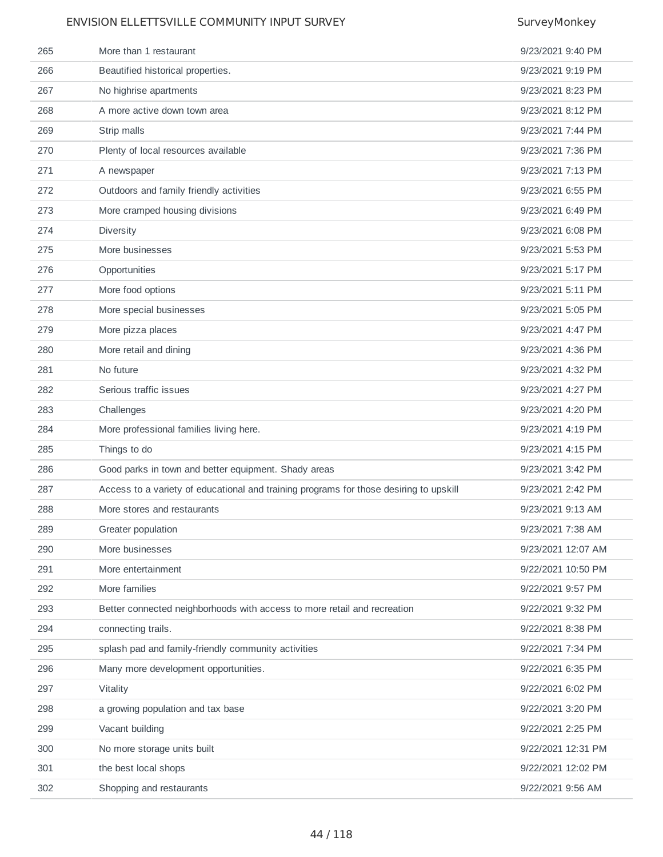| 265 | More than 1 restaurant                                                                 | 9/23/2021 9:40 PM  |
|-----|----------------------------------------------------------------------------------------|--------------------|
| 266 | Beautified historical properties.                                                      | 9/23/2021 9:19 PM  |
| 267 | No highrise apartments                                                                 | 9/23/2021 8:23 PM  |
| 268 | A more active down town area                                                           | 9/23/2021 8:12 PM  |
| 269 | Strip malls                                                                            | 9/23/2021 7:44 PM  |
| 270 | Plenty of local resources available                                                    | 9/23/2021 7:36 PM  |
| 271 | A newspaper                                                                            | 9/23/2021 7:13 PM  |
| 272 | Outdoors and family friendly activities                                                | 9/23/2021 6:55 PM  |
| 273 | More cramped housing divisions                                                         | 9/23/2021 6:49 PM  |
| 274 | Diversity                                                                              | 9/23/2021 6:08 PM  |
| 275 | More businesses                                                                        | 9/23/2021 5:53 PM  |
| 276 | Opportunities                                                                          | 9/23/2021 5:17 PM  |
| 277 | More food options                                                                      | 9/23/2021 5:11 PM  |
| 278 | More special businesses                                                                | 9/23/2021 5:05 PM  |
| 279 | More pizza places                                                                      | 9/23/2021 4:47 PM  |
| 280 | More retail and dining                                                                 | 9/23/2021 4:36 PM  |
| 281 | No future                                                                              | 9/23/2021 4:32 PM  |
| 282 | Serious traffic issues                                                                 | 9/23/2021 4:27 PM  |
| 283 | Challenges                                                                             | 9/23/2021 4:20 PM  |
| 284 | More professional families living here.                                                | 9/23/2021 4:19 PM  |
| 285 | Things to do                                                                           | 9/23/2021 4:15 PM  |
| 286 | Good parks in town and better equipment. Shady areas                                   | 9/23/2021 3:42 PM  |
| 287 | Access to a variety of educational and training programs for those desiring to upskill | 9/23/2021 2:42 PM  |
| 288 | More stores and restaurants                                                            | 9/23/2021 9:13 AM  |
| 289 | Greater population                                                                     | 9/23/2021 7:38 AM  |
| 290 | More businesses                                                                        | 9/23/2021 12:07 AM |
| 291 | More entertainment                                                                     | 9/22/2021 10:50 PM |
| 292 | More families                                                                          | 9/22/2021 9:57 PM  |
| 293 | Better connected neighborhoods with access to more retail and recreation               | 9/22/2021 9:32 PM  |
| 294 | connecting trails.                                                                     | 9/22/2021 8:38 PM  |
| 295 | splash pad and family-friendly community activities                                    | 9/22/2021 7:34 PM  |
| 296 | Many more development opportunities.                                                   | 9/22/2021 6:35 PM  |
| 297 | Vitality                                                                               | 9/22/2021 6:02 PM  |
| 298 | a growing population and tax base                                                      | 9/22/2021 3:20 PM  |
| 299 | Vacant building                                                                        | 9/22/2021 2:25 PM  |
| 300 | No more storage units built                                                            | 9/22/2021 12:31 PM |
| 301 | the best local shops                                                                   | 9/22/2021 12:02 PM |
| 302 | Shopping and restaurants                                                               | 9/22/2021 9:56 AM  |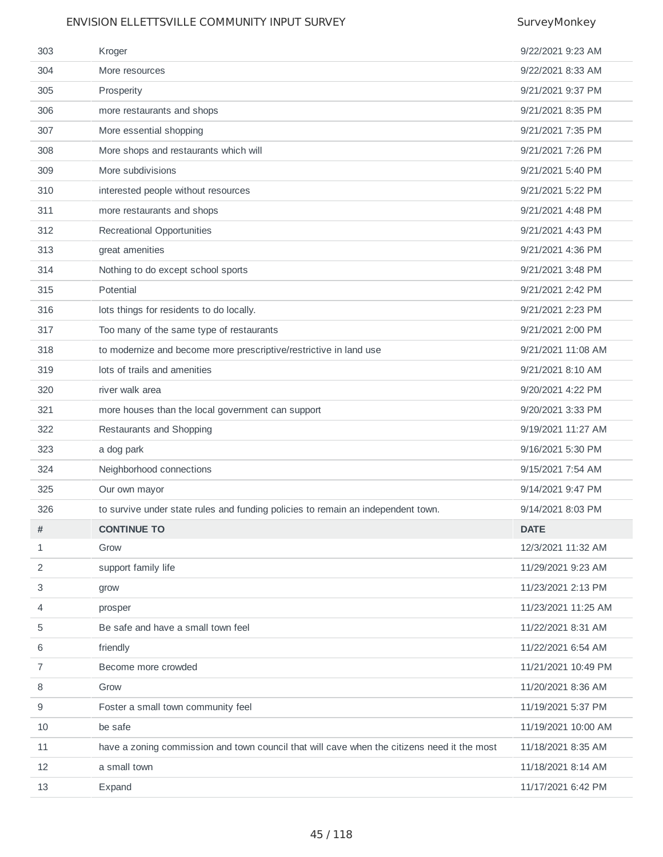| 303 | Kroger                                                                                      | 9/22/2021 9:23 AM   |
|-----|---------------------------------------------------------------------------------------------|---------------------|
| 304 | More resources                                                                              | 9/22/2021 8:33 AM   |
| 305 | Prosperity                                                                                  | 9/21/2021 9:37 PM   |
| 306 | more restaurants and shops                                                                  | 9/21/2021 8:35 PM   |
| 307 | More essential shopping                                                                     | 9/21/2021 7:35 PM   |
| 308 | More shops and restaurants which will                                                       | 9/21/2021 7:26 PM   |
| 309 | More subdivisions                                                                           | 9/21/2021 5:40 PM   |
| 310 | interested people without resources                                                         | 9/21/2021 5:22 PM   |
| 311 | more restaurants and shops                                                                  | 9/21/2021 4:48 PM   |
| 312 | Recreational Opportunities                                                                  | 9/21/2021 4:43 PM   |
| 313 | great amenities                                                                             | 9/21/2021 4:36 PM   |
| 314 | Nothing to do except school sports                                                          | 9/21/2021 3:48 PM   |
| 315 | Potential                                                                                   | 9/21/2021 2:42 PM   |
| 316 | lots things for residents to do locally.                                                    | 9/21/2021 2:23 PM   |
| 317 | Too many of the same type of restaurants                                                    | 9/21/2021 2:00 PM   |
| 318 | to modernize and become more prescriptive/restrictive in land use                           | 9/21/2021 11:08 AM  |
| 319 | lots of trails and amenities                                                                | 9/21/2021 8:10 AM   |
| 320 | river walk area                                                                             | 9/20/2021 4:22 PM   |
| 321 | more houses than the local government can support                                           | 9/20/2021 3:33 PM   |
| 322 | Restaurants and Shopping                                                                    | 9/19/2021 11:27 AM  |
| 323 | a dog park                                                                                  | 9/16/2021 5:30 PM   |
| 324 | Neighborhood connections                                                                    | 9/15/2021 7:54 AM   |
| 325 | Our own mayor                                                                               | 9/14/2021 9:47 PM   |
| 326 | to survive under state rules and funding policies to remain an independent town.            | 9/14/2021 8:03 PM   |
| #   | <b>CONTINUE TO</b>                                                                          | <b>DATE</b>         |
| 1   | Grow                                                                                        | 12/3/2021 11:32 AM  |
| 2   | support family life                                                                         | 11/29/2021 9:23 AM  |
| 3   | grow                                                                                        | 11/23/2021 2:13 PM  |
| 4   | prosper                                                                                     | 11/23/2021 11:25 AM |
| 5   | Be safe and have a small town feel                                                          | 11/22/2021 8:31 AM  |
| 6   | friendly                                                                                    | 11/22/2021 6:54 AM  |
| 7   | Become more crowded                                                                         | 11/21/2021 10:49 PM |
| 8   | Grow                                                                                        | 11/20/2021 8:36 AM  |
| 9   | Foster a small town community feel                                                          | 11/19/2021 5:37 PM  |
| 10  |                                                                                             | 11/19/2021 10:00 AM |
|     | be safe                                                                                     |                     |
| 11  | have a zoning commission and town council that will cave when the citizens need it the most | 11/18/2021 8:35 AM  |
| 12  | a small town                                                                                | 11/18/2021 8:14 AM  |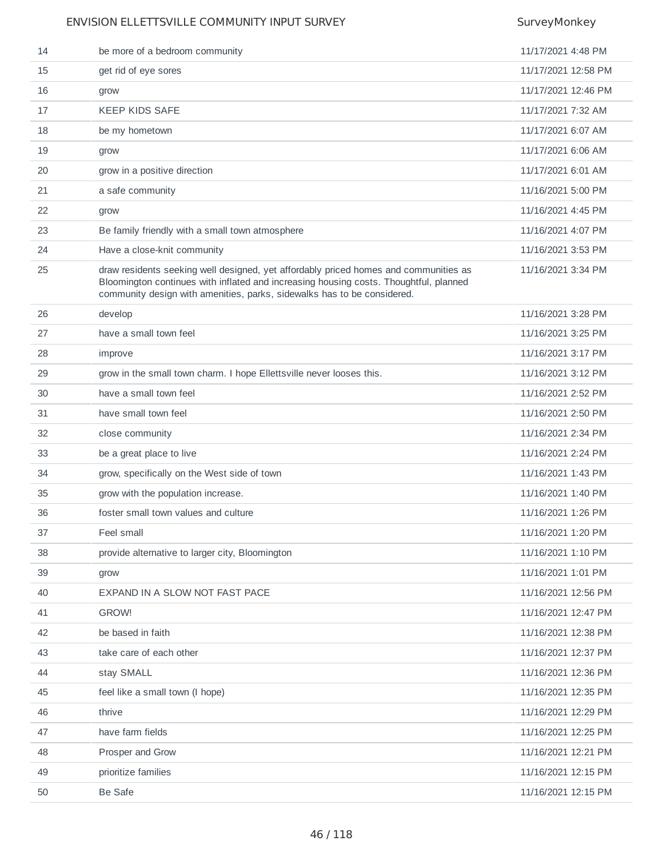| 14 | be more of a bedroom community                                                                                                                                                                                                                           | 11/17/2021 4:48 PM  |
|----|----------------------------------------------------------------------------------------------------------------------------------------------------------------------------------------------------------------------------------------------------------|---------------------|
| 15 | get rid of eye sores                                                                                                                                                                                                                                     | 11/17/2021 12:58 PM |
| 16 | grow                                                                                                                                                                                                                                                     | 11/17/2021 12:46 PM |
| 17 | <b>KEEP KIDS SAFE</b>                                                                                                                                                                                                                                    | 11/17/2021 7:32 AM  |
| 18 | be my hometown                                                                                                                                                                                                                                           | 11/17/2021 6:07 AM  |
| 19 | grow                                                                                                                                                                                                                                                     | 11/17/2021 6:06 AM  |
| 20 | grow in a positive direction                                                                                                                                                                                                                             | 11/17/2021 6:01 AM  |
| 21 | a safe community                                                                                                                                                                                                                                         | 11/16/2021 5:00 PM  |
| 22 | grow                                                                                                                                                                                                                                                     | 11/16/2021 4:45 PM  |
| 23 | Be family friendly with a small town atmosphere                                                                                                                                                                                                          | 11/16/2021 4:07 PM  |
| 24 | Have a close-knit community                                                                                                                                                                                                                              | 11/16/2021 3:53 PM  |
| 25 | draw residents seeking well designed, yet affordably priced homes and communities as<br>Bloomington continues with inflated and increasing housing costs. Thoughtful, planned<br>community design with amenities, parks, sidewalks has to be considered. | 11/16/2021 3:34 PM  |
| 26 | develop                                                                                                                                                                                                                                                  | 11/16/2021 3:28 PM  |
| 27 | have a small town feel                                                                                                                                                                                                                                   | 11/16/2021 3:25 PM  |
| 28 | improve                                                                                                                                                                                                                                                  | 11/16/2021 3:17 PM  |
| 29 | grow in the small town charm. I hope Ellettsville never looses this.                                                                                                                                                                                     | 11/16/2021 3:12 PM  |
| 30 | have a small town feel                                                                                                                                                                                                                                   | 11/16/2021 2:52 PM  |
| 31 | have small town feel                                                                                                                                                                                                                                     | 11/16/2021 2:50 PM  |
| 32 | close community                                                                                                                                                                                                                                          | 11/16/2021 2:34 PM  |
| 33 | be a great place to live                                                                                                                                                                                                                                 | 11/16/2021 2:24 PM  |
| 34 | grow, specifically on the West side of town                                                                                                                                                                                                              | 11/16/2021 1:43 PM  |
| 35 | grow with the population increase.                                                                                                                                                                                                                       | 11/16/2021 1:40 PM  |
| 36 | foster small town values and culture                                                                                                                                                                                                                     | 11/16/2021 1:26 PM  |
| 37 | Feel small                                                                                                                                                                                                                                               | 11/16/2021 1:20 PM  |
| 38 | provide alternative to larger city, Bloomington                                                                                                                                                                                                          | 11/16/2021 1:10 PM  |
| 39 | grow                                                                                                                                                                                                                                                     | 11/16/2021 1:01 PM  |
| 40 | EXPAND IN A SLOW NOT FAST PACE                                                                                                                                                                                                                           | 11/16/2021 12:56 PM |
| 41 | GROW!                                                                                                                                                                                                                                                    | 11/16/2021 12:47 PM |
| 42 | be based in faith                                                                                                                                                                                                                                        | 11/16/2021 12:38 PM |
| 43 | take care of each other                                                                                                                                                                                                                                  | 11/16/2021 12:37 PM |
| 44 | stay SMALL                                                                                                                                                                                                                                               | 11/16/2021 12:36 PM |
| 45 | feel like a small town (I hope)                                                                                                                                                                                                                          | 11/16/2021 12:35 PM |
| 46 | thrive                                                                                                                                                                                                                                                   | 11/16/2021 12:29 PM |
| 47 | have farm fields                                                                                                                                                                                                                                         | 11/16/2021 12:25 PM |
| 48 | Prosper and Grow                                                                                                                                                                                                                                         | 11/16/2021 12:21 PM |
| 49 | prioritize families                                                                                                                                                                                                                                      | 11/16/2021 12:15 PM |
| 50 | Be Safe                                                                                                                                                                                                                                                  | 11/16/2021 12:15 PM |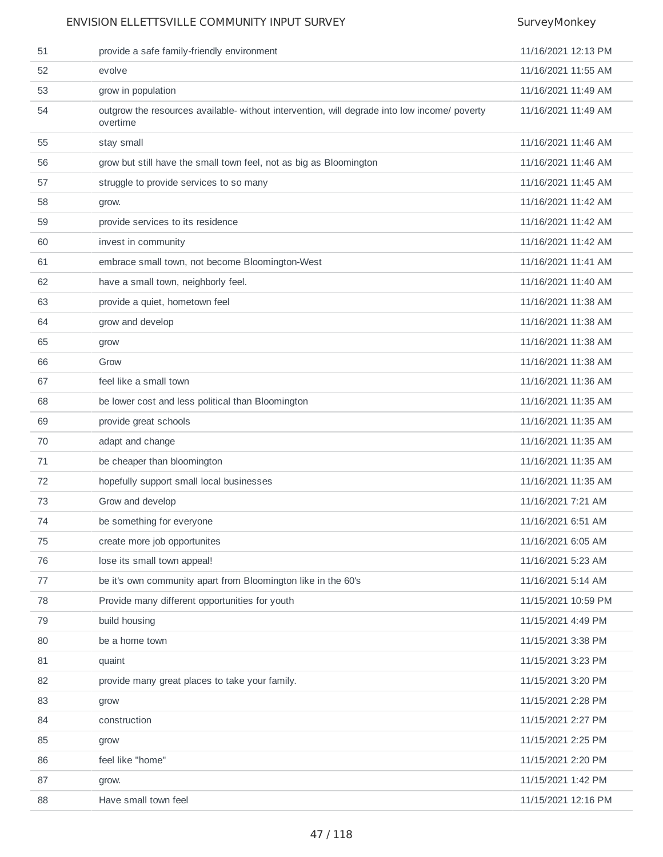| 51     | provide a safe family-friendly environment                                                               | 11/16/2021 12:13 PM |
|--------|----------------------------------------------------------------------------------------------------------|---------------------|
| 52     | evolve                                                                                                   | 11/16/2021 11:55 AM |
| 53     | grow in population                                                                                       | 11/16/2021 11:49 AM |
| 54     | outgrow the resources available- without intervention, will degrade into low income/ poverty<br>overtime | 11/16/2021 11:49 AM |
| 55     | stay small                                                                                               | 11/16/2021 11:46 AM |
| 56     | grow but still have the small town feel, not as big as Bloomington                                       | 11/16/2021 11:46 AM |
| 57     | struggle to provide services to so many                                                                  | 11/16/2021 11:45 AM |
| 58     | grow.                                                                                                    | 11/16/2021 11:42 AM |
| 59     | provide services to its residence                                                                        | 11/16/2021 11:42 AM |
| 60     | invest in community                                                                                      | 11/16/2021 11:42 AM |
| 61     | embrace small town, not become Bloomington-West                                                          | 11/16/2021 11:41 AM |
| 62     | have a small town, neighborly feel.                                                                      | 11/16/2021 11:40 AM |
| 63     | provide a quiet, hometown feel                                                                           | 11/16/2021 11:38 AM |
| 64     | grow and develop                                                                                         | 11/16/2021 11:38 AM |
| 65     | grow                                                                                                     | 11/16/2021 11:38 AM |
| 66     | Grow                                                                                                     | 11/16/2021 11:38 AM |
| 67     | feel like a small town                                                                                   | 11/16/2021 11:36 AM |
| 68     | be lower cost and less political than Bloomington                                                        | 11/16/2021 11:35 AM |
| 69     | provide great schools                                                                                    | 11/16/2021 11:35 AM |
| 70     | adapt and change                                                                                         | 11/16/2021 11:35 AM |
| 71     | be cheaper than bloomington                                                                              | 11/16/2021 11:35 AM |
| 72     | hopefully support small local businesses                                                                 | 11/16/2021 11:35 AM |
| 73     | Grow and develop                                                                                         | 11/16/2021 7:21 AM  |
| 74     | be something for everyone                                                                                | 11/16/2021 6:51 AM  |
| 75     | create more job opportunites                                                                             | 11/16/2021 6:05 AM  |
| 76     | lose its small town appeal!                                                                              | 11/16/2021 5:23 AM  |
| $77\,$ | be it's own community apart from Bloomington like in the 60's                                            | 11/16/2021 5:14 AM  |
| 78     | Provide many different opportunities for youth                                                           | 11/15/2021 10:59 PM |
| 79     | build housing                                                                                            | 11/15/2021 4:49 PM  |
| 80     | be a home town                                                                                           | 11/15/2021 3:38 PM  |
| 81     | quaint                                                                                                   | 11/15/2021 3:23 PM  |
| 82     | provide many great places to take your family.                                                           | 11/15/2021 3:20 PM  |
| 83     | grow                                                                                                     | 11/15/2021 2:28 PM  |
| 84     | construction                                                                                             | 11/15/2021 2:27 PM  |
| 85     | grow                                                                                                     | 11/15/2021 2:25 PM  |
| 86     | feel like "home"                                                                                         | 11/15/2021 2:20 PM  |
| 87     | grow.                                                                                                    | 11/15/2021 1:42 PM  |
| 88     | Have small town feel                                                                                     | 11/15/2021 12:16 PM |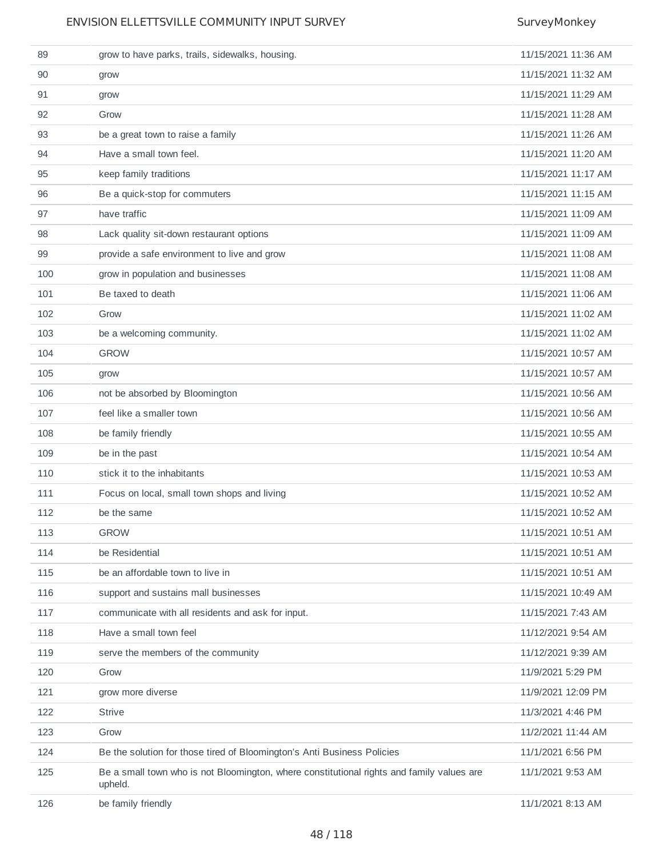| 89  | grow to have parks, trails, sidewalks, housing.                                                      | 11/15/2021 11:36 AM |
|-----|------------------------------------------------------------------------------------------------------|---------------------|
| 90  | grow                                                                                                 | 11/15/2021 11:32 AM |
| 91  | grow                                                                                                 | 11/15/2021 11:29 AM |
| 92  | Grow                                                                                                 | 11/15/2021 11:28 AM |
| 93  | be a great town to raise a family                                                                    | 11/15/2021 11:26 AM |
| 94  | Have a small town feel.                                                                              | 11/15/2021 11:20 AM |
| 95  | keep family traditions                                                                               | 11/15/2021 11:17 AM |
| 96  | Be a quick-stop for commuters                                                                        | 11/15/2021 11:15 AM |
| 97  | have traffic                                                                                         | 11/15/2021 11:09 AM |
| 98  | Lack quality sit-down restaurant options                                                             | 11/15/2021 11:09 AM |
| 99  | provide a safe environment to live and grow                                                          | 11/15/2021 11:08 AM |
| 100 | grow in population and businesses                                                                    | 11/15/2021 11:08 AM |
| 101 | Be taxed to death                                                                                    | 11/15/2021 11:06 AM |
| 102 | Grow                                                                                                 | 11/15/2021 11:02 AM |
| 103 | be a welcoming community.                                                                            | 11/15/2021 11:02 AM |
| 104 | <b>GROW</b>                                                                                          | 11/15/2021 10:57 AM |
| 105 | grow                                                                                                 | 11/15/2021 10:57 AM |
| 106 | not be absorbed by Bloomington                                                                       | 11/15/2021 10:56 AM |
| 107 | feel like a smaller town                                                                             | 11/15/2021 10:56 AM |
| 108 | be family friendly                                                                                   | 11/15/2021 10:55 AM |
| 109 | be in the past                                                                                       | 11/15/2021 10:54 AM |
| 110 | stick it to the inhabitants                                                                          | 11/15/2021 10:53 AM |
| 111 | Focus on local, small town shops and living                                                          | 11/15/2021 10:52 AM |
| 112 | be the same                                                                                          | 11/15/2021 10:52 AM |
| 113 | <b>GROW</b>                                                                                          | 11/15/2021 10:51 AM |
| 114 | be Residential                                                                                       | 11/15/2021 10:51 AM |
| 115 | be an affordable town to live in                                                                     | 11/15/2021 10:51 AM |
| 116 | support and sustains mall businesses                                                                 | 11/15/2021 10:49 AM |
| 117 | communicate with all residents and ask for input.                                                    | 11/15/2021 7:43 AM  |
| 118 | Have a small town feel                                                                               | 11/12/2021 9:54 AM  |
| 119 | serve the members of the community                                                                   | 11/12/2021 9:39 AM  |
| 120 | Grow                                                                                                 | 11/9/2021 5:29 PM   |
| 121 | grow more diverse                                                                                    | 11/9/2021 12:09 PM  |
| 122 | <b>Strive</b>                                                                                        | 11/3/2021 4:46 PM   |
| 123 | Grow                                                                                                 | 11/2/2021 11:44 AM  |
| 124 | Be the solution for those tired of Bloomington's Anti Business Policies                              | 11/1/2021 6:56 PM   |
| 125 | Be a small town who is not Bloomington, where constitutional rights and family values are<br>upheld. | 11/1/2021 9:53 AM   |
| 126 | be family friendly                                                                                   | 11/1/2021 8:13 AM   |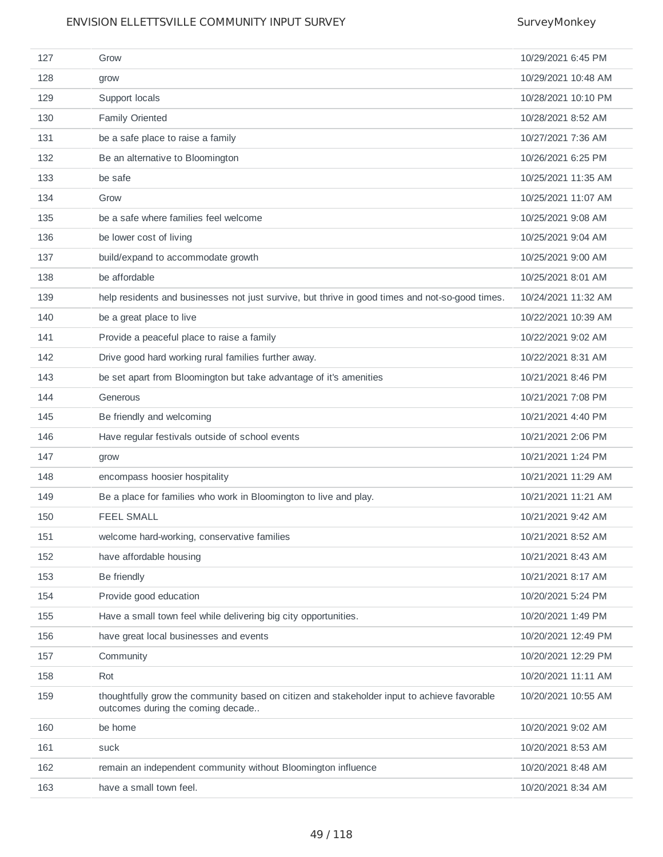| 127 | Grow                                                                                                                             | 10/29/2021 6:45 PM  |
|-----|----------------------------------------------------------------------------------------------------------------------------------|---------------------|
| 128 | grow                                                                                                                             | 10/29/2021 10:48 AM |
| 129 | Support locals                                                                                                                   | 10/28/2021 10:10 PM |
| 130 | <b>Family Oriented</b>                                                                                                           | 10/28/2021 8:52 AM  |
| 131 | be a safe place to raise a family                                                                                                | 10/27/2021 7:36 AM  |
| 132 | Be an alternative to Bloomington                                                                                                 | 10/26/2021 6:25 PM  |
| 133 | be safe                                                                                                                          | 10/25/2021 11:35 AM |
| 134 | Grow                                                                                                                             | 10/25/2021 11:07 AM |
| 135 | be a safe where families feel welcome                                                                                            | 10/25/2021 9:08 AM  |
| 136 | be lower cost of living                                                                                                          | 10/25/2021 9:04 AM  |
| 137 | build/expand to accommodate growth                                                                                               | 10/25/2021 9:00 AM  |
| 138 | be affordable                                                                                                                    | 10/25/2021 8:01 AM  |
| 139 | help residents and businesses not just survive, but thrive in good times and not-so-good times.                                  | 10/24/2021 11:32 AM |
| 140 | be a great place to live                                                                                                         | 10/22/2021 10:39 AM |
| 141 | Provide a peaceful place to raise a family                                                                                       | 10/22/2021 9:02 AM  |
| 142 | Drive good hard working rural families further away.                                                                             | 10/22/2021 8:31 AM  |
| 143 | be set apart from Bloomington but take advantage of it's amenities                                                               | 10/21/2021 8:46 PM  |
| 144 | Generous                                                                                                                         | 10/21/2021 7:08 PM  |
| 145 | Be friendly and welcoming                                                                                                        | 10/21/2021 4:40 PM  |
| 146 | Have regular festivals outside of school events                                                                                  | 10/21/2021 2:06 PM  |
| 147 | grow                                                                                                                             | 10/21/2021 1:24 PM  |
| 148 | encompass hoosier hospitality                                                                                                    | 10/21/2021 11:29 AM |
| 149 | Be a place for families who work in Bloomington to live and play.                                                                | 10/21/2021 11:21 AM |
| 150 | <b>FEEL SMALL</b>                                                                                                                | 10/21/2021 9:42 AM  |
| 151 | welcome hard-working, conservative families                                                                                      | 10/21/2021 8:52 AM  |
| 152 | have affordable housing                                                                                                          | 10/21/2021 8:43 AM  |
| 153 | Be friendly                                                                                                                      | 10/21/2021 8:17 AM  |
| 154 | Provide good education                                                                                                           | 10/20/2021 5:24 PM  |
| 155 | Have a small town feel while delivering big city opportunities.                                                                  | 10/20/2021 1:49 PM  |
| 156 | have great local businesses and events                                                                                           | 10/20/2021 12:49 PM |
| 157 | Community                                                                                                                        | 10/20/2021 12:29 PM |
| 158 | Rot                                                                                                                              | 10/20/2021 11:11 AM |
| 159 | thoughtfully grow the community based on citizen and stakeholder input to achieve favorable<br>outcomes during the coming decade | 10/20/2021 10:55 AM |
| 160 | be home                                                                                                                          | 10/20/2021 9:02 AM  |
| 161 | suck                                                                                                                             | 10/20/2021 8:53 AM  |
| 162 | remain an independent community without Bloomington influence                                                                    | 10/20/2021 8:48 AM  |
| 163 | have a small town feel.                                                                                                          | 10/20/2021 8:34 AM  |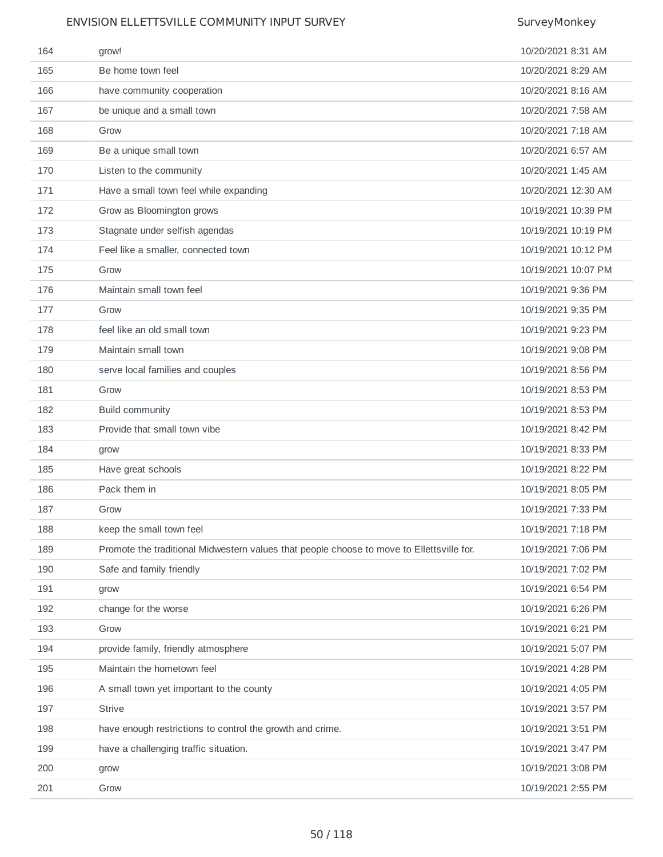| 164 | grow!                                                                                     | 10/20/2021 8:31 AM  |
|-----|-------------------------------------------------------------------------------------------|---------------------|
| 165 | Be home town feel                                                                         | 10/20/2021 8:29 AM  |
| 166 | have community cooperation                                                                | 10/20/2021 8:16 AM  |
| 167 | be unique and a small town                                                                | 10/20/2021 7:58 AM  |
| 168 | Grow                                                                                      | 10/20/2021 7:18 AM  |
| 169 | Be a unique small town                                                                    | 10/20/2021 6:57 AM  |
| 170 | Listen to the community                                                                   | 10/20/2021 1:45 AM  |
| 171 | Have a small town feel while expanding                                                    | 10/20/2021 12:30 AM |
| 172 | Grow as Bloomington grows                                                                 | 10/19/2021 10:39 PM |
| 173 | Stagnate under selfish agendas                                                            | 10/19/2021 10:19 PM |
| 174 | Feel like a smaller, connected town                                                       | 10/19/2021 10:12 PM |
| 175 | Grow                                                                                      | 10/19/2021 10:07 PM |
| 176 | Maintain small town feel                                                                  | 10/19/2021 9:36 PM  |
| 177 | Grow                                                                                      | 10/19/2021 9:35 PM  |
| 178 | feel like an old small town                                                               | 10/19/2021 9:23 PM  |
| 179 | Maintain small town                                                                       | 10/19/2021 9:08 PM  |
| 180 | serve local families and couples                                                          | 10/19/2021 8:56 PM  |
| 181 | Grow                                                                                      | 10/19/2021 8:53 PM  |
| 182 | <b>Build community</b>                                                                    | 10/19/2021 8:53 PM  |
| 183 | Provide that small town vibe                                                              | 10/19/2021 8:42 PM  |
| 184 | grow                                                                                      | 10/19/2021 8:33 PM  |
| 185 | Have great schools                                                                        | 10/19/2021 8:22 PM  |
| 186 | Pack them in                                                                              | 10/19/2021 8:05 PM  |
| 187 | Grow                                                                                      | 10/19/2021 7:33 PM  |
| 188 | keep the small town feel                                                                  | 10/19/2021 7:18 PM  |
| 189 | Promote the traditional Midwestern values that people choose to move to Ellettsville for. | 10/19/2021 7:06 PM  |
| 190 | Safe and family friendly                                                                  | 10/19/2021 7:02 PM  |
| 191 | grow                                                                                      | 10/19/2021 6:54 PM  |
| 192 | change for the worse                                                                      | 10/19/2021 6:26 PM  |
| 193 | Grow                                                                                      | 10/19/2021 6:21 PM  |
| 194 | provide family, friendly atmosphere                                                       | 10/19/2021 5:07 PM  |
| 195 | Maintain the hometown feel                                                                | 10/19/2021 4:28 PM  |
| 196 | A small town yet important to the county                                                  | 10/19/2021 4:05 PM  |
| 197 | <b>Strive</b>                                                                             | 10/19/2021 3:57 PM  |
| 198 | have enough restrictions to control the growth and crime.                                 | 10/19/2021 3:51 PM  |
| 199 | have a challenging traffic situation.                                                     | 10/19/2021 3:47 PM  |
| 200 | grow                                                                                      | 10/19/2021 3:08 PM  |
| 201 | Grow                                                                                      | 10/19/2021 2:55 PM  |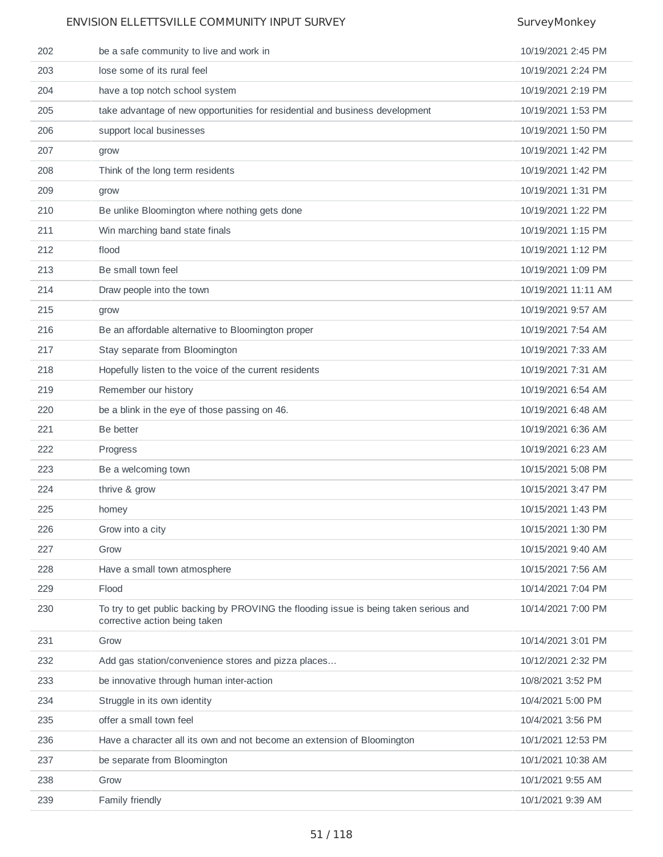| 202 | be a safe community to live and work in                                                                                | 10/19/2021 2:45 PM  |
|-----|------------------------------------------------------------------------------------------------------------------------|---------------------|
| 203 | lose some of its rural feel                                                                                            | 10/19/2021 2:24 PM  |
| 204 | have a top notch school system                                                                                         | 10/19/2021 2:19 PM  |
| 205 | take advantage of new opportunities for residential and business development                                           | 10/19/2021 1:53 PM  |
| 206 | support local businesses                                                                                               | 10/19/2021 1:50 PM  |
| 207 | grow                                                                                                                   | 10/19/2021 1:42 PM  |
| 208 | Think of the long term residents                                                                                       | 10/19/2021 1:42 PM  |
| 209 | grow                                                                                                                   | 10/19/2021 1:31 PM  |
| 210 | Be unlike Bloomington where nothing gets done                                                                          | 10/19/2021 1:22 PM  |
| 211 | Win marching band state finals                                                                                         | 10/19/2021 1:15 PM  |
| 212 | flood                                                                                                                  | 10/19/2021 1:12 PM  |
| 213 | Be small town feel                                                                                                     | 10/19/2021 1:09 PM  |
| 214 | Draw people into the town                                                                                              | 10/19/2021 11:11 AM |
| 215 | grow                                                                                                                   | 10/19/2021 9:57 AM  |
| 216 | Be an affordable alternative to Bloomington proper                                                                     | 10/19/2021 7:54 AM  |
| 217 | Stay separate from Bloomington                                                                                         | 10/19/2021 7:33 AM  |
| 218 | Hopefully listen to the voice of the current residents                                                                 | 10/19/2021 7:31 AM  |
| 219 | Remember our history                                                                                                   | 10/19/2021 6:54 AM  |
| 220 | be a blink in the eye of those passing on 46.                                                                          | 10/19/2021 6:48 AM  |
| 221 | Be better                                                                                                              | 10/19/2021 6:36 AM  |
| 222 | Progress                                                                                                               | 10/19/2021 6:23 AM  |
| 223 | Be a welcoming town                                                                                                    | 10/15/2021 5:08 PM  |
| 224 | thrive & grow                                                                                                          | 10/15/2021 3:47 PM  |
| 225 | homey                                                                                                                  | 10/15/2021 1:43 PM  |
| 226 | Grow into a city                                                                                                       | 10/15/2021 1:30 PM  |
| 227 | Grow                                                                                                                   | 10/15/2021 9:40 AM  |
| 228 | Have a small town atmosphere                                                                                           | 10/15/2021 7:56 AM  |
| 229 | Flood                                                                                                                  | 10/14/2021 7:04 PM  |
| 230 | To try to get public backing by PROVING the flooding issue is being taken serious and<br>corrective action being taken | 10/14/2021 7:00 PM  |
| 231 | Grow                                                                                                                   | 10/14/2021 3:01 PM  |
| 232 | Add gas station/convenience stores and pizza places                                                                    | 10/12/2021 2:32 PM  |
| 233 | be innovative through human inter-action                                                                               | 10/8/2021 3:52 PM   |
| 234 | Struggle in its own identity                                                                                           | 10/4/2021 5:00 PM   |
| 235 | offer a small town feel                                                                                                | 10/4/2021 3:56 PM   |
| 236 | Have a character all its own and not become an extension of Bloomington                                                | 10/1/2021 12:53 PM  |
| 237 | be separate from Bloomington                                                                                           | 10/1/2021 10:38 AM  |
| 238 | Grow                                                                                                                   | 10/1/2021 9:55 AM   |
| 239 | Family friendly                                                                                                        | 10/1/2021 9:39 AM   |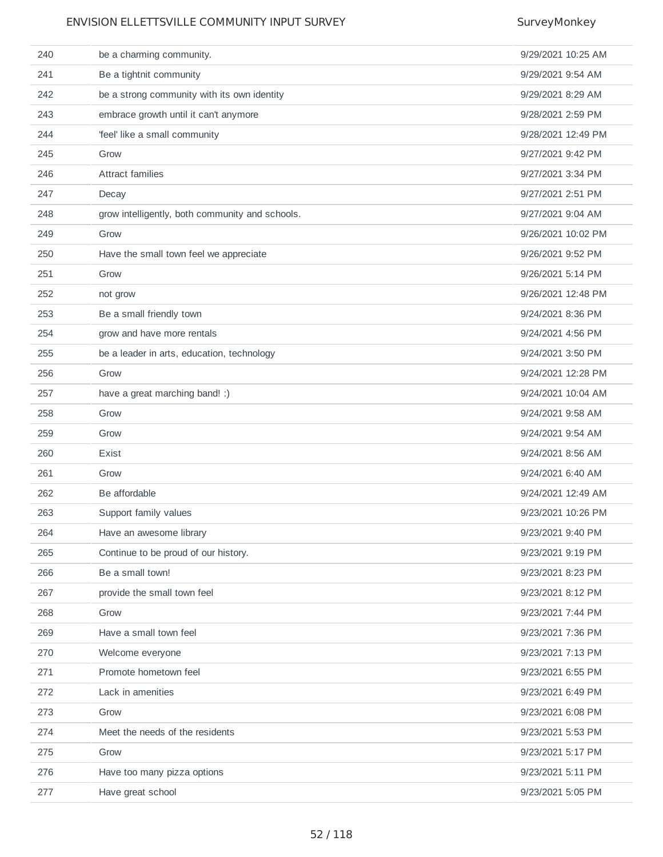| 240 | be a charming community.                        | 9/29/2021 10:25 AM |
|-----|-------------------------------------------------|--------------------|
| 241 | Be a tightnit community                         | 9/29/2021 9:54 AM  |
| 242 | be a strong community with its own identity     | 9/29/2021 8:29 AM  |
| 243 | embrace growth until it can't anymore           | 9/28/2021 2:59 PM  |
| 244 | 'feel' like a small community                   | 9/28/2021 12:49 PM |
| 245 | Grow                                            | 9/27/2021 9:42 PM  |
| 246 | <b>Attract families</b>                         | 9/27/2021 3:34 PM  |
| 247 | Decay                                           | 9/27/2021 2:51 PM  |
| 248 | grow intelligently, both community and schools. | 9/27/2021 9:04 AM  |
| 249 | Grow                                            | 9/26/2021 10:02 PM |
| 250 | Have the small town feel we appreciate          | 9/26/2021 9:52 PM  |
| 251 | Grow                                            | 9/26/2021 5:14 PM  |
| 252 | not grow                                        | 9/26/2021 12:48 PM |
| 253 | Be a small friendly town                        | 9/24/2021 8:36 PM  |
| 254 | grow and have more rentals                      | 9/24/2021 4:56 PM  |
| 255 | be a leader in arts, education, technology      | 9/24/2021 3:50 PM  |
| 256 | Grow                                            | 9/24/2021 12:28 PM |
| 257 | have a great marching band! :)                  | 9/24/2021 10:04 AM |
| 258 | Grow                                            | 9/24/2021 9:58 AM  |
| 259 | Grow                                            | 9/24/2021 9:54 AM  |
| 260 | Exist                                           | 9/24/2021 8:56 AM  |
| 261 | Grow                                            | 9/24/2021 6:40 AM  |
| 262 | Be affordable                                   | 9/24/2021 12:49 AM |
| 263 | Support family values                           | 9/23/2021 10:26 PM |
| 264 | Have an awesome library                         | 9/23/2021 9:40 PM  |
| 265 | Continue to be proud of our history.            | 9/23/2021 9:19 PM  |
| 266 | Be a small town!                                | 9/23/2021 8:23 PM  |
| 267 | provide the small town feel                     | 9/23/2021 8:12 PM  |
| 268 | Grow                                            | 9/23/2021 7:44 PM  |
| 269 | Have a small town feel                          | 9/23/2021 7:36 PM  |
| 270 | Welcome everyone                                | 9/23/2021 7:13 PM  |
| 271 | Promote hometown feel                           | 9/23/2021 6:55 PM  |
| 272 | Lack in amenities                               | 9/23/2021 6:49 PM  |
| 273 | Grow                                            | 9/23/2021 6:08 PM  |
| 274 | Meet the needs of the residents                 | 9/23/2021 5:53 PM  |
| 275 | Grow                                            | 9/23/2021 5:17 PM  |
| 276 | Have too many pizza options                     | 9/23/2021 5:11 PM  |
| 277 | Have great school                               | 9/23/2021 5:05 PM  |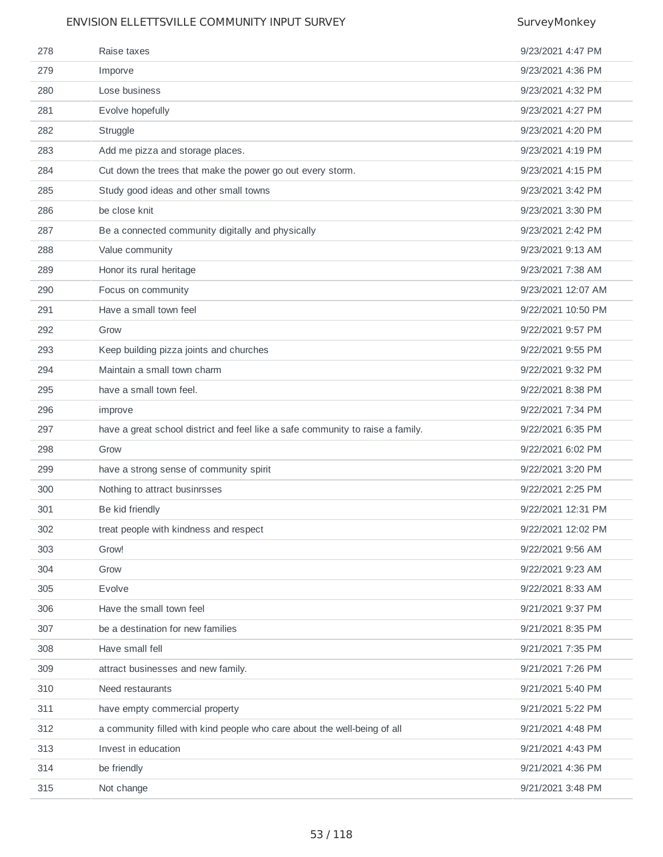| 278 | Raise taxes                                                                    | 9/23/2021 4:47 PM  |
|-----|--------------------------------------------------------------------------------|--------------------|
| 279 | Imporve                                                                        | 9/23/2021 4:36 PM  |
| 280 | Lose business                                                                  | 9/23/2021 4:32 PM  |
| 281 | Evolve hopefully                                                               | 9/23/2021 4:27 PM  |
| 282 | Struggle                                                                       | 9/23/2021 4:20 PM  |
| 283 | Add me pizza and storage places.                                               | 9/23/2021 4:19 PM  |
| 284 | Cut down the trees that make the power go out every storm.                     | 9/23/2021 4:15 PM  |
| 285 | Study good ideas and other small towns                                         | 9/23/2021 3:42 PM  |
| 286 | be close knit                                                                  | 9/23/2021 3:30 PM  |
| 287 | Be a connected community digitally and physically                              | 9/23/2021 2:42 PM  |
| 288 | Value community                                                                | 9/23/2021 9:13 AM  |
| 289 | Honor its rural heritage                                                       | 9/23/2021 7:38 AM  |
| 290 | Focus on community                                                             | 9/23/2021 12:07 AM |
| 291 | Have a small town feel                                                         | 9/22/2021 10:50 PM |
| 292 | Grow                                                                           | 9/22/2021 9:57 PM  |
| 293 | Keep building pizza joints and churches                                        | 9/22/2021 9:55 PM  |
| 294 | Maintain a small town charm                                                    | 9/22/2021 9:32 PM  |
| 295 | have a small town feel.                                                        | 9/22/2021 8:38 PM  |
| 296 | improve                                                                        | 9/22/2021 7:34 PM  |
|     |                                                                                |                    |
| 297 | have a great school district and feel like a safe community to raise a family. | 9/22/2021 6:35 PM  |
| 298 | Grow                                                                           | 9/22/2021 6:02 PM  |
| 299 | have a strong sense of community spirit                                        | 9/22/2021 3:20 PM  |
| 300 | Nothing to attract businrsses                                                  | 9/22/2021 2:25 PM  |
| 301 | Be kid friendly                                                                | 9/22/2021 12:31 PM |
| 302 | treat people with kindness and respect                                         | 9/22/2021 12:02 PM |
| 303 | Grow!                                                                          | 9/22/2021 9:56 AM  |
| 304 | Grow                                                                           | 9/22/2021 9:23 AM  |
| 305 | Evolve                                                                         | 9/22/2021 8:33 AM  |
| 306 | Have the small town feel                                                       | 9/21/2021 9:37 PM  |
| 307 | be a destination for new families                                              | 9/21/2021 8:35 PM  |
| 308 | Have small fell                                                                | 9/21/2021 7:35 PM  |
| 309 | attract businesses and new family.                                             | 9/21/2021 7:26 PM  |
| 310 | Need restaurants                                                               | 9/21/2021 5:40 PM  |
| 311 | have empty commercial property                                                 | 9/21/2021 5:22 PM  |
| 312 | a community filled with kind people who care about the well-being of all       | 9/21/2021 4:48 PM  |
| 313 | Invest in education                                                            | 9/21/2021 4:43 PM  |
| 314 | be friendly                                                                    | 9/21/2021 4:36 PM  |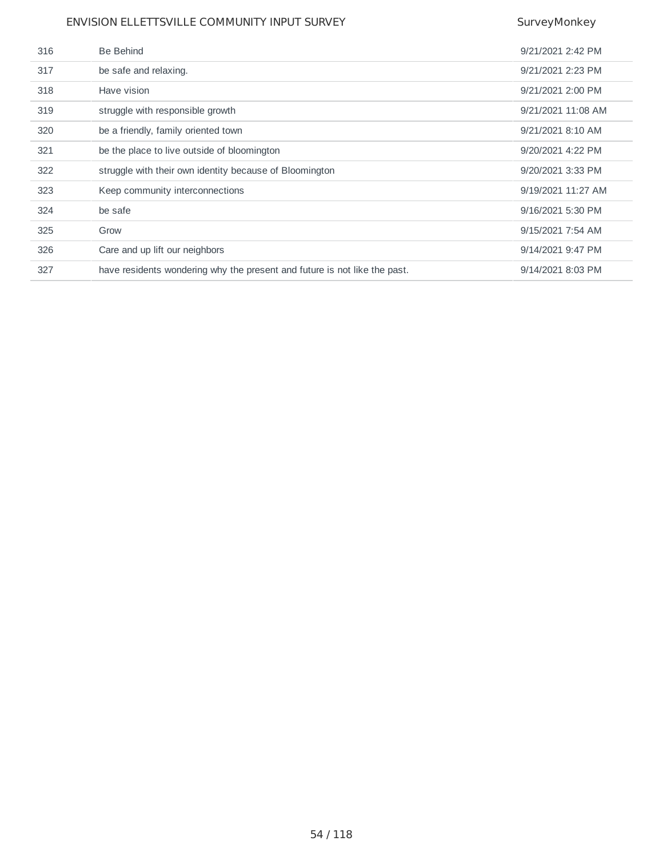| 316 | Be Behind                                                                 | 9/21/2021 2:42 PM  |
|-----|---------------------------------------------------------------------------|--------------------|
| 317 | be safe and relaxing.                                                     | 9/21/2021 2:23 PM  |
| 318 | Have vision                                                               | 9/21/2021 2:00 PM  |
| 319 | struggle with responsible growth                                          | 9/21/2021 11:08 AM |
| 320 | be a friendly, family oriented town                                       | 9/21/2021 8:10 AM  |
| 321 | be the place to live outside of bloomington                               | 9/20/2021 4:22 PM  |
| 322 | struggle with their own identity because of Bloomington                   | 9/20/2021 3:33 PM  |
| 323 | Keep community interconnections                                           | 9/19/2021 11:27 AM |
| 324 | be safe                                                                   | 9/16/2021 5:30 PM  |
| 325 | Grow                                                                      | 9/15/2021 7:54 AM  |
| 326 | Care and up lift our neighbors                                            | 9/14/2021 9:47 PM  |
| 327 | have residents wondering why the present and future is not like the past. | 9/14/2021 8:03 PM  |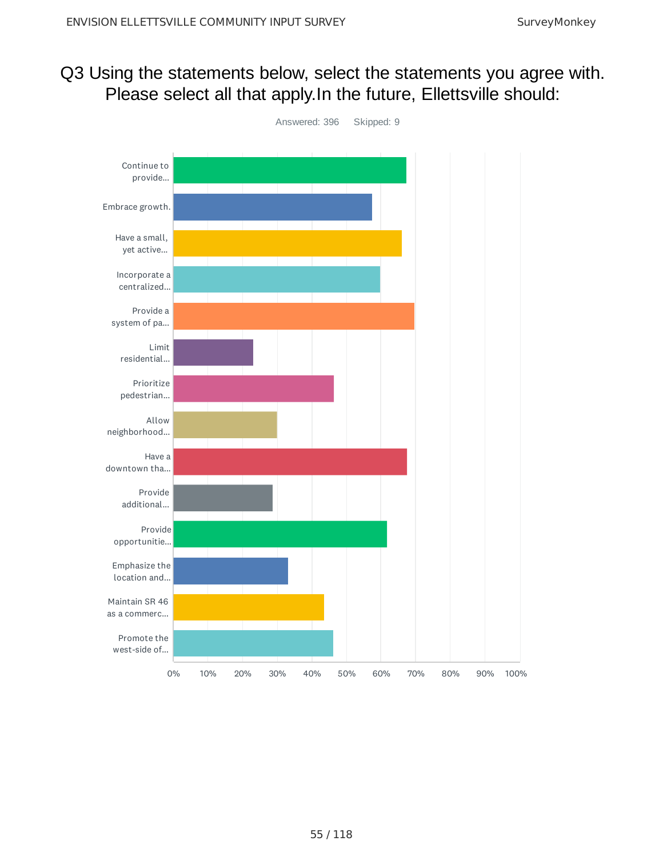## Q3 Using the statements below, select the statements you agree with. Please select all that apply. In the future, Ellettsville should:

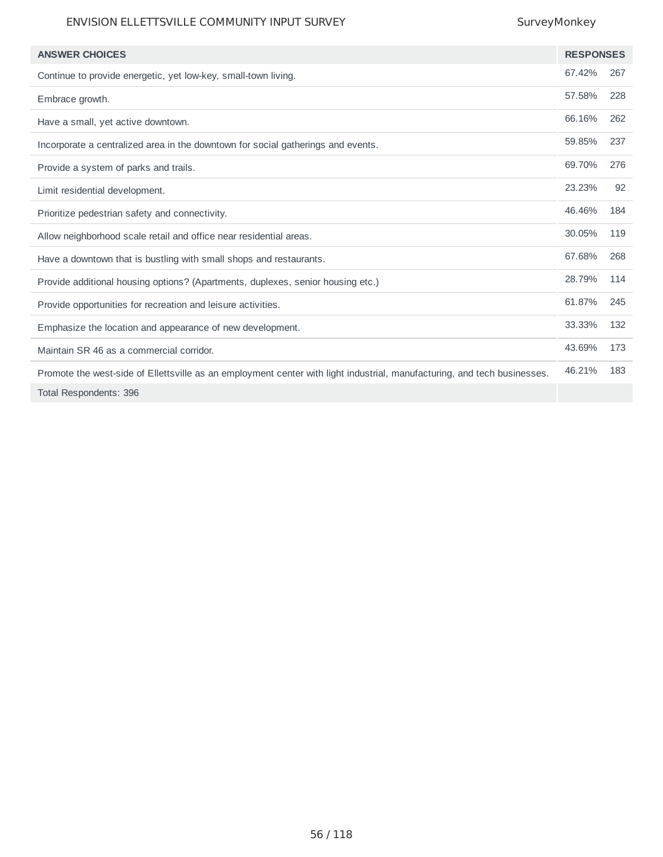| <b>ANSWER CHOICES</b>                                                                                                    | <b>RESPONSES</b> |     |
|--------------------------------------------------------------------------------------------------------------------------|------------------|-----|
| Continue to provide energetic, yet low-key, small-town living.                                                           | 67.42%           | 267 |
| Embrace growth.                                                                                                          | 57.58%           | 228 |
| Have a small, yet active downtown.                                                                                       | 66.16%           | 262 |
| Incorporate a centralized area in the downtown for social gatherings and events.                                         | 59.85%           | 237 |
| Provide a system of parks and trails.                                                                                    | 69.70%           | 276 |
| Limit residential development.                                                                                           | 23.23%           | 92  |
| Prioritize pedestrian safety and connectivity.                                                                           | 46.46%           | 184 |
| Allow neighborhood scale retail and office near residential areas.                                                       | 30.05%           | 119 |
| Have a downtown that is bustling with small shops and restaurants.                                                       | 67.68%           | 268 |
| Provide additional housing options? (Apartments, duplexes, senior housing etc.)                                          | 28.79%           | 114 |
| Provide opportunities for recreation and leisure activities.                                                             | 61.87%           | 245 |
| Emphasize the location and appearance of new development.                                                                | 33.33%           | 132 |
| Maintain SR 46 as a commercial corridor.                                                                                 | 43.69%           | 173 |
| Promote the west-side of Ellettsville as an employment center with light industrial, manufacturing, and tech businesses. | 46.21%           | 183 |
| Total Respondents: 396                                                                                                   |                  |     |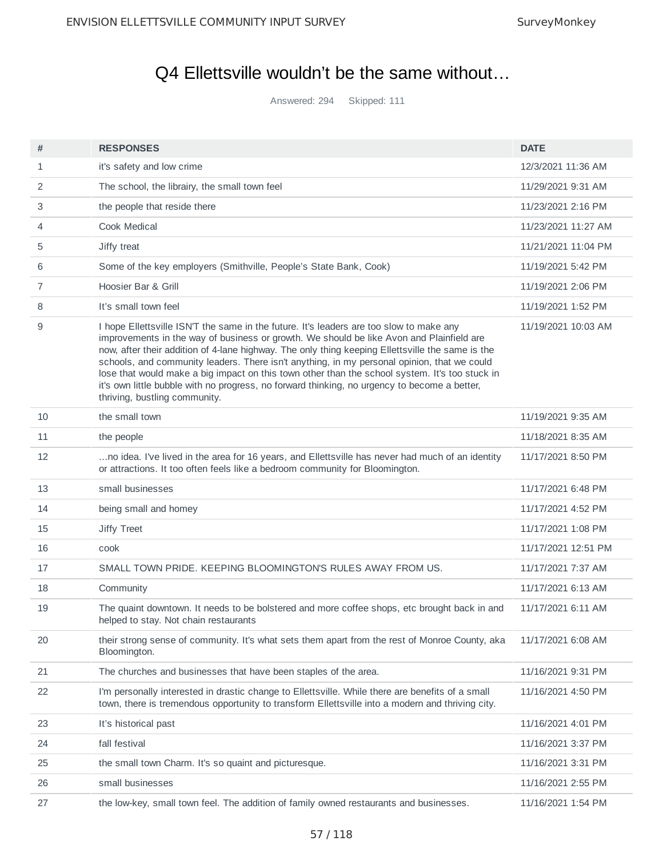## Q4 Ellettsville wouldn't be the same without…

Answered: 294 Skipped: 111

| #  | <b>RESPONSES</b>                                                                                                                                                                                                                                                                                                                                                                                                                                                                                                                                                                                                          | <b>DATE</b>         |
|----|---------------------------------------------------------------------------------------------------------------------------------------------------------------------------------------------------------------------------------------------------------------------------------------------------------------------------------------------------------------------------------------------------------------------------------------------------------------------------------------------------------------------------------------------------------------------------------------------------------------------------|---------------------|
| 1  | it's safety and low crime                                                                                                                                                                                                                                                                                                                                                                                                                                                                                                                                                                                                 | 12/3/2021 11:36 AM  |
| 2  | The school, the librairy, the small town feel                                                                                                                                                                                                                                                                                                                                                                                                                                                                                                                                                                             | 11/29/2021 9:31 AM  |
| 3  | the people that reside there                                                                                                                                                                                                                                                                                                                                                                                                                                                                                                                                                                                              | 11/23/2021 2:16 PM  |
| 4  | Cook Medical                                                                                                                                                                                                                                                                                                                                                                                                                                                                                                                                                                                                              | 11/23/2021 11:27 AM |
| 5  | Jiffy treat                                                                                                                                                                                                                                                                                                                                                                                                                                                                                                                                                                                                               | 11/21/2021 11:04 PM |
| 6  | Some of the key employers (Smithville, People's State Bank, Cook)                                                                                                                                                                                                                                                                                                                                                                                                                                                                                                                                                         | 11/19/2021 5:42 PM  |
| 7  | Hoosier Bar & Grill                                                                                                                                                                                                                                                                                                                                                                                                                                                                                                                                                                                                       | 11/19/2021 2:06 PM  |
| 8  | It's small town feel                                                                                                                                                                                                                                                                                                                                                                                                                                                                                                                                                                                                      | 11/19/2021 1:52 PM  |
| 9  | I hope Ellettsville ISN'T the same in the future. It's leaders are too slow to make any<br>improvements in the way of business or growth. We should be like Avon and Plainfield are<br>now, after their addition of 4-lane highway. The only thing keeping Ellettsville the same is the<br>schools, and community leaders. There isn't anything, in my personal opinion, that we could<br>lose that would make a big impact on this town other than the school system. It's too stuck in<br>it's own little bubble with no progress, no forward thinking, no urgency to become a better,<br>thriving, bustling community. | 11/19/2021 10:03 AM |
| 10 | the small town                                                                                                                                                                                                                                                                                                                                                                                                                                                                                                                                                                                                            | 11/19/2021 9:35 AM  |
| 11 | the people                                                                                                                                                                                                                                                                                                                                                                                                                                                                                                                                                                                                                | 11/18/2021 8:35 AM  |
| 12 | no idea. I've lived in the area for 16 years, and Ellettsville has never had much of an identity<br>or attractions. It too often feels like a bedroom community for Bloomington.                                                                                                                                                                                                                                                                                                                                                                                                                                          | 11/17/2021 8:50 PM  |
| 13 | small businesses                                                                                                                                                                                                                                                                                                                                                                                                                                                                                                                                                                                                          | 11/17/2021 6:48 PM  |
| 14 | being small and homey                                                                                                                                                                                                                                                                                                                                                                                                                                                                                                                                                                                                     | 11/17/2021 4:52 PM  |
| 15 | Jiffy Treet                                                                                                                                                                                                                                                                                                                                                                                                                                                                                                                                                                                                               | 11/17/2021 1:08 PM  |
| 16 | cook                                                                                                                                                                                                                                                                                                                                                                                                                                                                                                                                                                                                                      | 11/17/2021 12:51 PM |
| 17 | SMALL TOWN PRIDE. KEEPING BLOOMINGTON'S RULES AWAY FROM US.                                                                                                                                                                                                                                                                                                                                                                                                                                                                                                                                                               | 11/17/2021 7:37 AM  |
| 18 | Community                                                                                                                                                                                                                                                                                                                                                                                                                                                                                                                                                                                                                 | 11/17/2021 6:13 AM  |
| 19 | The quaint downtown. It needs to be bolstered and more coffee shops, etc brought back in and<br>helped to stay. Not chain restaurants                                                                                                                                                                                                                                                                                                                                                                                                                                                                                     | 11/17/2021 6:11 AM  |
| 20 | their strong sense of community. It's what sets them apart from the rest of Monroe County, aka<br>Bloomington.                                                                                                                                                                                                                                                                                                                                                                                                                                                                                                            | 11/17/2021 6:08 AM  |
| 21 | The churches and businesses that have been staples of the area.                                                                                                                                                                                                                                                                                                                                                                                                                                                                                                                                                           | 11/16/2021 9:31 PM  |
| 22 | I'm personally interested in drastic change to Ellettsville. While there are benefits of a small<br>town, there is tremendous opportunity to transform Ellettsville into a modern and thriving city.                                                                                                                                                                                                                                                                                                                                                                                                                      | 11/16/2021 4:50 PM  |
| 23 | It's historical past                                                                                                                                                                                                                                                                                                                                                                                                                                                                                                                                                                                                      | 11/16/2021 4:01 PM  |
| 24 | fall festival                                                                                                                                                                                                                                                                                                                                                                                                                                                                                                                                                                                                             | 11/16/2021 3:37 PM  |
| 25 | the small town Charm. It's so quaint and picturesque.                                                                                                                                                                                                                                                                                                                                                                                                                                                                                                                                                                     | 11/16/2021 3:31 PM  |
| 26 | small businesses                                                                                                                                                                                                                                                                                                                                                                                                                                                                                                                                                                                                          | 11/16/2021 2:55 PM  |
| 27 | the low-key, small town feel. The addition of family owned restaurants and businesses.                                                                                                                                                                                                                                                                                                                                                                                                                                                                                                                                    | 11/16/2021 1:54 PM  |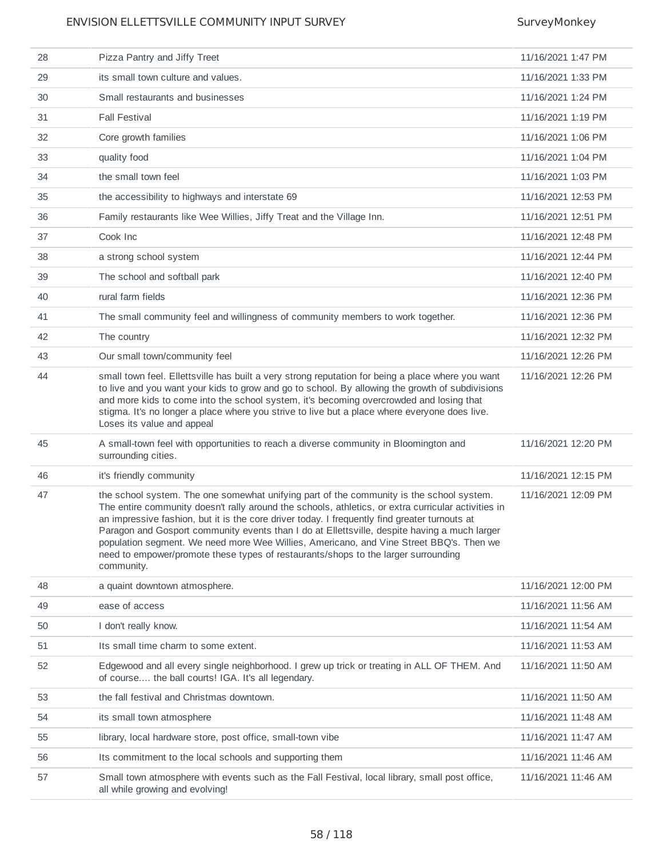| 28 | Pizza Pantry and Jiffy Treet                                                                                                                                                                                                                                                                                                                                                                                                                                                                                                                                                                    | 11/16/2021 1:47 PM  |
|----|-------------------------------------------------------------------------------------------------------------------------------------------------------------------------------------------------------------------------------------------------------------------------------------------------------------------------------------------------------------------------------------------------------------------------------------------------------------------------------------------------------------------------------------------------------------------------------------------------|---------------------|
| 29 | its small town culture and values.                                                                                                                                                                                                                                                                                                                                                                                                                                                                                                                                                              | 11/16/2021 1:33 PM  |
| 30 | Small restaurants and businesses                                                                                                                                                                                                                                                                                                                                                                                                                                                                                                                                                                | 11/16/2021 1:24 PM  |
| 31 | <b>Fall Festival</b>                                                                                                                                                                                                                                                                                                                                                                                                                                                                                                                                                                            | 11/16/2021 1:19 PM  |
| 32 | Core growth families                                                                                                                                                                                                                                                                                                                                                                                                                                                                                                                                                                            | 11/16/2021 1:06 PM  |
| 33 | quality food                                                                                                                                                                                                                                                                                                                                                                                                                                                                                                                                                                                    | 11/16/2021 1:04 PM  |
| 34 | the small town feel                                                                                                                                                                                                                                                                                                                                                                                                                                                                                                                                                                             | 11/16/2021 1:03 PM  |
| 35 | the accessibility to highways and interstate 69                                                                                                                                                                                                                                                                                                                                                                                                                                                                                                                                                 | 11/16/2021 12:53 PM |
| 36 | Family restaurants like Wee Willies, Jiffy Treat and the Village Inn.                                                                                                                                                                                                                                                                                                                                                                                                                                                                                                                           | 11/16/2021 12:51 PM |
| 37 | Cook Inc                                                                                                                                                                                                                                                                                                                                                                                                                                                                                                                                                                                        | 11/16/2021 12:48 PM |
| 38 | a strong school system                                                                                                                                                                                                                                                                                                                                                                                                                                                                                                                                                                          | 11/16/2021 12:44 PM |
| 39 | The school and softball park                                                                                                                                                                                                                                                                                                                                                                                                                                                                                                                                                                    | 11/16/2021 12:40 PM |
| 40 | rural farm fields                                                                                                                                                                                                                                                                                                                                                                                                                                                                                                                                                                               | 11/16/2021 12:36 PM |
| 41 | The small community feel and willingness of community members to work together.                                                                                                                                                                                                                                                                                                                                                                                                                                                                                                                 | 11/16/2021 12:36 PM |
| 42 | The country                                                                                                                                                                                                                                                                                                                                                                                                                                                                                                                                                                                     | 11/16/2021 12:32 PM |
| 43 | Our small town/community feel                                                                                                                                                                                                                                                                                                                                                                                                                                                                                                                                                                   | 11/16/2021 12:26 PM |
| 44 | small town feel. Ellettsville has built a very strong reputation for being a place where you want<br>to live and you want your kids to grow and go to school. By allowing the growth of subdivisions<br>and more kids to come into the school system, it's becoming overcrowded and losing that<br>stigma. It's no longer a place where you strive to live but a place where everyone does live.<br>Loses its value and appeal                                                                                                                                                                  | 11/16/2021 12:26 PM |
| 45 | A small-town feel with opportunities to reach a diverse community in Bloomington and<br>surrounding cities.                                                                                                                                                                                                                                                                                                                                                                                                                                                                                     | 11/16/2021 12:20 PM |
| 46 | it's friendly community                                                                                                                                                                                                                                                                                                                                                                                                                                                                                                                                                                         | 11/16/2021 12:15 PM |
| 47 | the school system. The one somewhat unifying part of the community is the school system.<br>The entire community doesn't rally around the schools, athletics, or extra curricular activities in<br>an impressive fashion, but it is the core driver today. I frequently find greater turnouts at<br>Paragon and Gosport community events than I do at Ellettsville, despite having a much larger<br>population segment. We need more Wee Willies, Americano, and Vine Street BBQ's. Then we<br>need to empower/promote these types of restaurants/shops to the larger surrounding<br>community. | 11/16/2021 12:09 PM |
| 48 | a quaint downtown atmosphere.                                                                                                                                                                                                                                                                                                                                                                                                                                                                                                                                                                   | 11/16/2021 12:00 PM |
| 49 | ease of access                                                                                                                                                                                                                                                                                                                                                                                                                                                                                                                                                                                  | 11/16/2021 11:56 AM |
| 50 | I don't really know.                                                                                                                                                                                                                                                                                                                                                                                                                                                                                                                                                                            | 11/16/2021 11:54 AM |
| 51 | Its small time charm to some extent.                                                                                                                                                                                                                                                                                                                                                                                                                                                                                                                                                            | 11/16/2021 11:53 AM |
| 52 | Edgewood and all every single neighborhood. I grew up trick or treating in ALL OF THEM. And<br>of course the ball courts! IGA. It's all legendary.                                                                                                                                                                                                                                                                                                                                                                                                                                              | 11/16/2021 11:50 AM |
| 53 | the fall festival and Christmas downtown.                                                                                                                                                                                                                                                                                                                                                                                                                                                                                                                                                       | 11/16/2021 11:50 AM |
| 54 | its small town atmosphere                                                                                                                                                                                                                                                                                                                                                                                                                                                                                                                                                                       | 11/16/2021 11:48 AM |
| 55 | library, local hardware store, post office, small-town vibe                                                                                                                                                                                                                                                                                                                                                                                                                                                                                                                                     | 11/16/2021 11:47 AM |
| 56 | Its commitment to the local schools and supporting them                                                                                                                                                                                                                                                                                                                                                                                                                                                                                                                                         | 11/16/2021 11:46 AM |
| 57 | Small town atmosphere with events such as the Fall Festival, local library, small post office,<br>all while growing and evolving!                                                                                                                                                                                                                                                                                                                                                                                                                                                               | 11/16/2021 11:46 AM |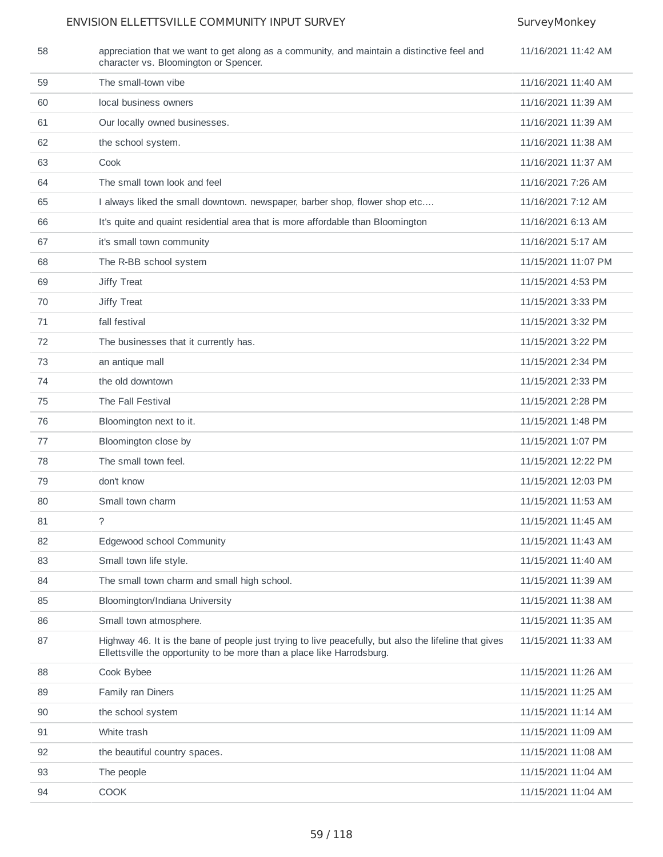| 58 | appreciation that we want to get along as a community, and maintain a distinctive feel and<br>character vs. Bloomington or Spencer.                                             | 11/16/2021 11:42 AM |
|----|---------------------------------------------------------------------------------------------------------------------------------------------------------------------------------|---------------------|
| 59 | The small-town vibe                                                                                                                                                             | 11/16/2021 11:40 AM |
| 60 | local business owners                                                                                                                                                           | 11/16/2021 11:39 AM |
| 61 | Our locally owned businesses.                                                                                                                                                   | 11/16/2021 11:39 AM |
| 62 | the school system.                                                                                                                                                              | 11/16/2021 11:38 AM |
| 63 | Cook                                                                                                                                                                            | 11/16/2021 11:37 AM |
| 64 | The small town look and feel                                                                                                                                                    | 11/16/2021 7:26 AM  |
| 65 | I always liked the small downtown. newspaper, barber shop, flower shop etc                                                                                                      | 11/16/2021 7:12 AM  |
| 66 | It's quite and quaint residential area that is more affordable than Bloomington                                                                                                 | 11/16/2021 6:13 AM  |
| 67 | it's small town community                                                                                                                                                       | 11/16/2021 5:17 AM  |
| 68 | The R-BB school system                                                                                                                                                          | 11/15/2021 11:07 PM |
| 69 | Jiffy Treat                                                                                                                                                                     | 11/15/2021 4:53 PM  |
| 70 | Jiffy Treat                                                                                                                                                                     | 11/15/2021 3:33 PM  |
| 71 | fall festival                                                                                                                                                                   | 11/15/2021 3:32 PM  |
| 72 | The businesses that it currently has.                                                                                                                                           | 11/15/2021 3:22 PM  |
| 73 | an antique mall                                                                                                                                                                 | 11/15/2021 2:34 PM  |
| 74 | the old downtown                                                                                                                                                                | 11/15/2021 2:33 PM  |
| 75 | The Fall Festival                                                                                                                                                               | 11/15/2021 2:28 PM  |
| 76 | Bloomington next to it.                                                                                                                                                         | 11/15/2021 1:48 PM  |
| 77 | Bloomington close by                                                                                                                                                            | 11/15/2021 1:07 PM  |
| 78 | The small town feel.                                                                                                                                                            | 11/15/2021 12:22 PM |
| 79 | don't know                                                                                                                                                                      | 11/15/2021 12:03 PM |
| 80 | Small town charm                                                                                                                                                                | 11/15/2021 11:53 AM |
| 81 | $\tilde{?}$                                                                                                                                                                     | 11/15/2021 11:45 AM |
| 82 | Edgewood school Community                                                                                                                                                       | 11/15/2021 11:43 AM |
| 83 | Small town life style.                                                                                                                                                          | 11/15/2021 11:40 AM |
| 84 | The small town charm and small high school.                                                                                                                                     | 11/15/2021 11:39 AM |
| 85 | Bloomington/Indiana University                                                                                                                                                  | 11/15/2021 11:38 AM |
| 86 | Small town atmosphere.                                                                                                                                                          | 11/15/2021 11:35 AM |
| 87 | Highway 46. It is the bane of people just trying to live peacefully, but also the lifeline that gives<br>Ellettsville the opportunity to be more than a place like Harrodsburg. | 11/15/2021 11:33 AM |
| 88 | Cook Bybee                                                                                                                                                                      | 11/15/2021 11:26 AM |
| 89 | Family ran Diners                                                                                                                                                               | 11/15/2021 11:25 AM |
| 90 | the school system                                                                                                                                                               | 11/15/2021 11:14 AM |
| 91 | White trash                                                                                                                                                                     | 11/15/2021 11:09 AM |
| 92 | the beautiful country spaces.                                                                                                                                                   | 11/15/2021 11:08 AM |
| 93 | The people                                                                                                                                                                      | 11/15/2021 11:04 AM |
| 94 | <b>COOK</b>                                                                                                                                                                     | 11/15/2021 11:04 AM |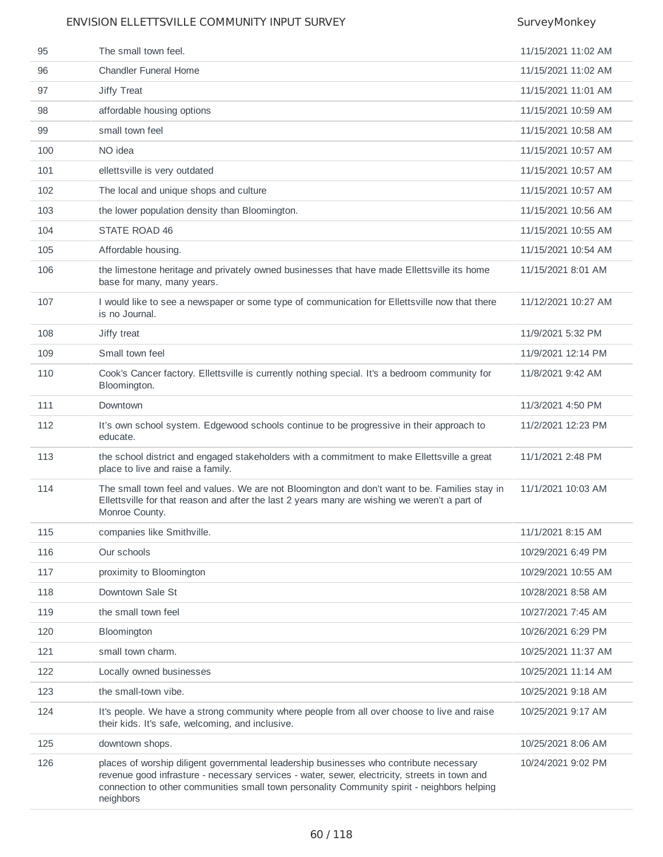| 95  | The small town feel.                                                                                                                                                                                                                                                                                | 11/15/2021 11:02 AM |
|-----|-----------------------------------------------------------------------------------------------------------------------------------------------------------------------------------------------------------------------------------------------------------------------------------------------------|---------------------|
| 96  | <b>Chandler Funeral Home</b>                                                                                                                                                                                                                                                                        | 11/15/2021 11:02 AM |
| 97  | Jiffy Treat                                                                                                                                                                                                                                                                                         | 11/15/2021 11:01 AM |
| 98  | affordable housing options                                                                                                                                                                                                                                                                          | 11/15/2021 10:59 AM |
| 99  | small town feel                                                                                                                                                                                                                                                                                     | 11/15/2021 10:58 AM |
| 100 | NO idea                                                                                                                                                                                                                                                                                             | 11/15/2021 10:57 AM |
| 101 | ellettsville is very outdated                                                                                                                                                                                                                                                                       | 11/15/2021 10:57 AM |
| 102 | The local and unique shops and culture                                                                                                                                                                                                                                                              | 11/15/2021 10:57 AM |
| 103 | the lower population density than Bloomington.                                                                                                                                                                                                                                                      | 11/15/2021 10:56 AM |
| 104 | STATE ROAD 46                                                                                                                                                                                                                                                                                       | 11/15/2021 10:55 AM |
| 105 | Affordable housing.                                                                                                                                                                                                                                                                                 | 11/15/2021 10:54 AM |
| 106 | the limestone heritage and privately owned businesses that have made Ellettsville its home<br>base for many, many years.                                                                                                                                                                            | 11/15/2021 8:01 AM  |
| 107 | I would like to see a newspaper or some type of communication for Ellettsville now that there<br>is no Journal.                                                                                                                                                                                     | 11/12/2021 10:27 AM |
| 108 | Jiffy treat                                                                                                                                                                                                                                                                                         | 11/9/2021 5:32 PM   |
| 109 | Small town feel                                                                                                                                                                                                                                                                                     | 11/9/2021 12:14 PM  |
| 110 | Cook's Cancer factory. Ellettsville is currently nothing special. It's a bedroom community for<br>Bloomington.                                                                                                                                                                                      | 11/8/2021 9:42 AM   |
| 111 | Downtown                                                                                                                                                                                                                                                                                            | 11/3/2021 4:50 PM   |
| 112 | It's own school system. Edgewood schools continue to be progressive in their approach to<br>educate.                                                                                                                                                                                                | 11/2/2021 12:23 PM  |
| 113 | the school district and engaged stakeholders with a commitment to make Ellettsville a great<br>place to live and raise a family.                                                                                                                                                                    | 11/1/2021 2:48 PM   |
| 114 | The small town feel and values. We are not Bloomington and don't want to be. Families stay in<br>Ellettsville for that reason and after the last 2 years many are wishing we weren't a part of<br>Monroe County.                                                                                    | 11/1/2021 10:03 AM  |
| 115 | companies like Smithville.                                                                                                                                                                                                                                                                          | 11/1/2021 8:15 AM   |
| 116 | Our schools                                                                                                                                                                                                                                                                                         | 10/29/2021 6:49 PM  |
| 117 | proximity to Bloomington                                                                                                                                                                                                                                                                            | 10/29/2021 10:55 AM |
| 118 | Downtown Sale St                                                                                                                                                                                                                                                                                    | 10/28/2021 8:58 AM  |
| 119 | the small town feel                                                                                                                                                                                                                                                                                 | 10/27/2021 7:45 AM  |
| 120 | Bloomington                                                                                                                                                                                                                                                                                         | 10/26/2021 6:29 PM  |
| 121 | small town charm.                                                                                                                                                                                                                                                                                   | 10/25/2021 11:37 AM |
| 122 | Locally owned businesses                                                                                                                                                                                                                                                                            | 10/25/2021 11:14 AM |
| 123 | the small-town vibe.                                                                                                                                                                                                                                                                                | 10/25/2021 9:18 AM  |
| 124 | It's people. We have a strong community where people from all over choose to live and raise<br>their kids. It's safe, welcoming, and inclusive.                                                                                                                                                     | 10/25/2021 9:17 AM  |
| 125 | downtown shops.                                                                                                                                                                                                                                                                                     | 10/25/2021 8:06 AM  |
| 126 | places of worship diligent governmental leadership businesses who contribute necessary<br>revenue good infrasture - necessary services - water, sewer, electricity, streets in town and<br>connection to other communities small town personality Community spirit - neighbors helping<br>neighbors | 10/24/2021 9:02 PM  |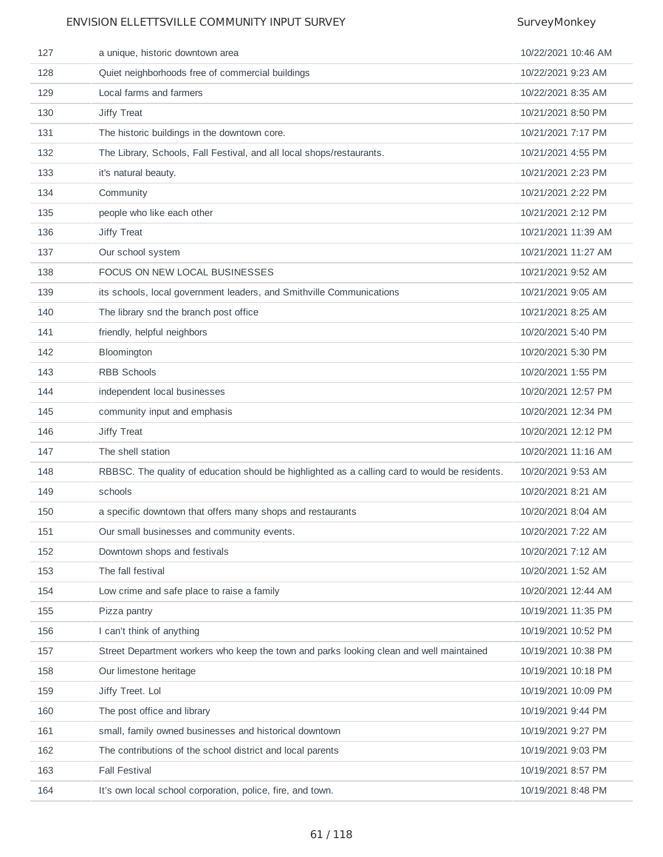| 127 | a unique, historic downtown area                                                               | 10/22/2021 10:46 AM |
|-----|------------------------------------------------------------------------------------------------|---------------------|
| 128 | Quiet neighborhoods free of commercial buildings                                               | 10/22/2021 9:23 AM  |
| 129 | Local farms and farmers                                                                        | 10/22/2021 8:35 AM  |
| 130 | Jiffy Treat                                                                                    | 10/21/2021 8:50 PM  |
| 131 | The historic buildings in the downtown core.                                                   | 10/21/2021 7:17 PM  |
| 132 | The Library, Schools, Fall Festival, and all local shops/restaurants.                          | 10/21/2021 4:55 PM  |
| 133 | it's natural beauty.                                                                           | 10/21/2021 2:23 PM  |
| 134 | Community                                                                                      | 10/21/2021 2:22 PM  |
| 135 | people who like each other                                                                     | 10/21/2021 2:12 PM  |
| 136 | Jiffy Treat                                                                                    | 10/21/2021 11:39 AM |
| 137 | Our school system                                                                              | 10/21/2021 11:27 AM |
| 138 | FOCUS ON NEW LOCAL BUSINESSES                                                                  | 10/21/2021 9:52 AM  |
| 139 | its schools, local government leaders, and Smithville Communications                           | 10/21/2021 9:05 AM  |
| 140 | The library snd the branch post office                                                         | 10/21/2021 8:25 AM  |
| 141 | friendly, helpful neighbors                                                                    | 10/20/2021 5:40 PM  |
| 142 | Bloomington                                                                                    | 10/20/2021 5:30 PM  |
| 143 | RBB Schools                                                                                    | 10/20/2021 1:55 PM  |
| 144 | independent local businesses                                                                   | 10/20/2021 12:57 PM |
| 145 | community input and emphasis                                                                   | 10/20/2021 12:34 PM |
| 146 | Jiffy Treat                                                                                    | 10/20/2021 12:12 PM |
| 147 | The shell station                                                                              | 10/20/2021 11:16 AM |
| 148 | RBBSC. The quality of education should be highlighted as a calling card to would be residents. | 10/20/2021 9:53 AM  |
| 149 | schools                                                                                        | 10/20/2021 8:21 AM  |
| 150 | a specific downtown that offers many shops and restaurants                                     | 10/20/2021 8:04 AM  |
| 151 | Our small businesses and community events.                                                     | 10/20/2021 7:22 AM  |
| 152 | Downtown shops and festivals                                                                   | 10/20/2021 7:12 AM  |
| 153 | The fall festival                                                                              | 10/20/2021 1:52 AM  |
| 154 |                                                                                                |                     |
|     | Low crime and safe place to raise a family                                                     | 10/20/2021 12:44 AM |
| 155 | Pizza pantry                                                                                   | 10/19/2021 11:35 PM |
| 156 | I can't think of anything                                                                      | 10/19/2021 10:52 PM |
| 157 | Street Department workers who keep the town and parks looking clean and well maintained        | 10/19/2021 10:38 PM |
| 158 | Our limestone heritage                                                                         | 10/19/2021 10:18 PM |
| 159 | Jiffy Treet. Lol                                                                               | 10/19/2021 10:09 PM |
| 160 | The post office and library                                                                    | 10/19/2021 9:44 PM  |
| 161 | small, family owned businesses and historical downtown                                         | 10/19/2021 9:27 PM  |
| 162 | The contributions of the school district and local parents                                     | 10/19/2021 9:03 PM  |
| 163 | <b>Fall Festival</b>                                                                           | 10/19/2021 8:57 PM  |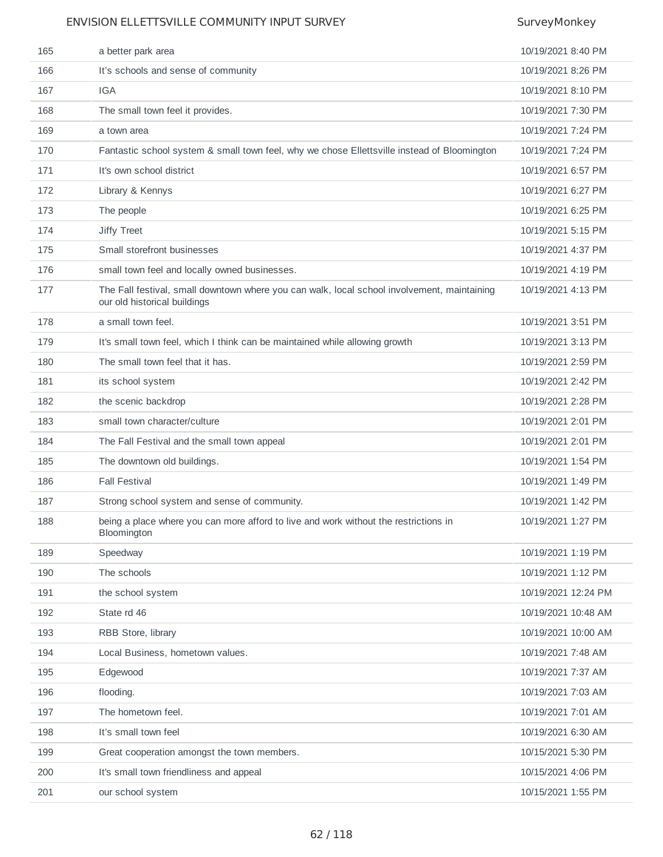| 165 | a better park area                                                                                                          | 10/19/2021 8:40 PM  |
|-----|-----------------------------------------------------------------------------------------------------------------------------|---------------------|
| 166 | It's schools and sense of community                                                                                         | 10/19/2021 8:26 PM  |
| 167 | <b>IGA</b>                                                                                                                  | 10/19/2021 8:10 PM  |
| 168 | The small town feel it provides.                                                                                            | 10/19/2021 7:30 PM  |
| 169 | a town area                                                                                                                 | 10/19/2021 7:24 PM  |
| 170 | Fantastic school system & small town feel, why we chose Ellettsville instead of Bloomington                                 | 10/19/2021 7:24 PM  |
| 171 | It's own school district                                                                                                    | 10/19/2021 6:57 PM  |
| 172 | Library & Kennys                                                                                                            | 10/19/2021 6:27 PM  |
| 173 | The people                                                                                                                  | 10/19/2021 6:25 PM  |
| 174 | Jiffy Treet                                                                                                                 | 10/19/2021 5:15 PM  |
| 175 | Small storefront businesses                                                                                                 | 10/19/2021 4:37 PM  |
| 176 | small town feel and locally owned businesses.                                                                               | 10/19/2021 4:19 PM  |
| 177 | The Fall festival, small downtown where you can walk, local school involvement, maintaining<br>our old historical buildings | 10/19/2021 4:13 PM  |
| 178 | a small town feel.                                                                                                          | 10/19/2021 3:51 PM  |
| 179 | It's small town feel, which I think can be maintained while allowing growth                                                 | 10/19/2021 3:13 PM  |
| 180 | The small town feel that it has.                                                                                            | 10/19/2021 2:59 PM  |
| 181 | its school system                                                                                                           | 10/19/2021 2:42 PM  |
| 182 | the scenic backdrop                                                                                                         | 10/19/2021 2:28 PM  |
| 183 | small town character/culture                                                                                                | 10/19/2021 2:01 PM  |
| 184 | The Fall Festival and the small town appeal                                                                                 | 10/19/2021 2:01 PM  |
| 185 | The downtown old buildings.                                                                                                 | 10/19/2021 1:54 PM  |
| 186 | <b>Fall Festival</b>                                                                                                        | 10/19/2021 1:49 PM  |
| 187 | Strong school system and sense of community.                                                                                | 10/19/2021 1:42 PM  |
| 188 | being a place where you can more afford to live and work without the restrictions in<br>Bloomington                         | 10/19/2021 1:27 PM  |
| 189 | Speedway                                                                                                                    | 10/19/2021 1:19 PM  |
| 190 | The schools                                                                                                                 | 10/19/2021 1:12 PM  |
| 191 | the school system                                                                                                           | 10/19/2021 12:24 PM |
| 192 | State rd 46                                                                                                                 | 10/19/2021 10:48 AM |
| 193 | RBB Store, library                                                                                                          | 10/19/2021 10:00 AM |
| 194 | Local Business, hometown values.                                                                                            | 10/19/2021 7:48 AM  |
| 195 | Edgewood                                                                                                                    | 10/19/2021 7:37 AM  |
| 196 | flooding.                                                                                                                   | 10/19/2021 7:03 AM  |
| 197 | The hometown feel.                                                                                                          | 10/19/2021 7:01 AM  |
| 198 | It's small town feel                                                                                                        | 10/19/2021 6:30 AM  |
| 199 | Great cooperation amongst the town members.                                                                                 | 10/15/2021 5:30 PM  |
| 200 | It's small town friendliness and appeal                                                                                     | 10/15/2021 4:06 PM  |
| 201 | our school system                                                                                                           | 10/15/2021 1:55 PM  |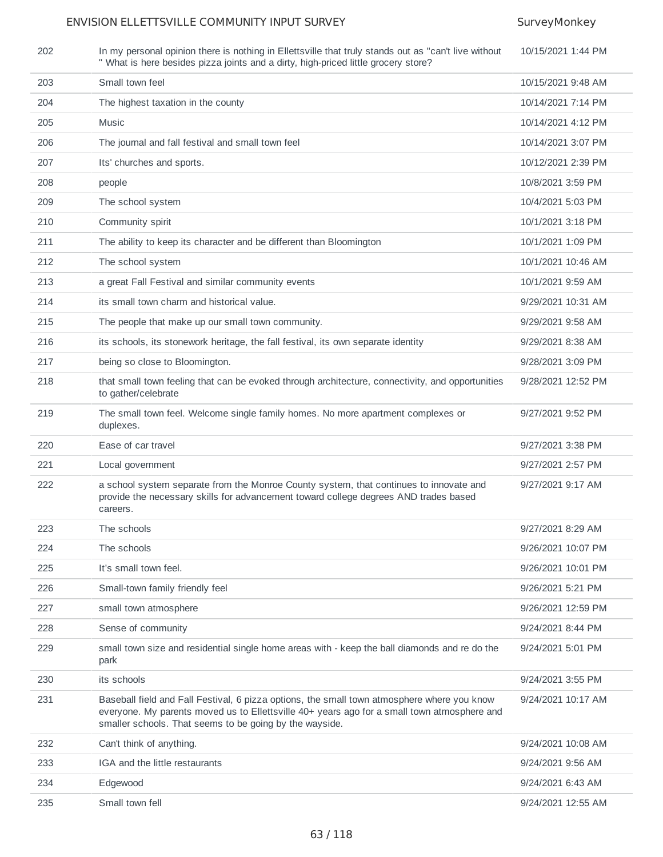| 202 | In my personal opinion there is nothing in Ellettsville that truly stands out as "can't live without<br>" What is here besides pizza joints and a dirty, high-priced little grocery store?                                                            | 10/15/2021 1:44 PM |
|-----|-------------------------------------------------------------------------------------------------------------------------------------------------------------------------------------------------------------------------------------------------------|--------------------|
| 203 | Small town feel                                                                                                                                                                                                                                       | 10/15/2021 9:48 AM |
| 204 | The highest taxation in the county                                                                                                                                                                                                                    | 10/14/2021 7:14 PM |
| 205 | Music                                                                                                                                                                                                                                                 | 10/14/2021 4:12 PM |
| 206 | The journal and fall festival and small town feel                                                                                                                                                                                                     | 10/14/2021 3:07 PM |
| 207 | Its' churches and sports.                                                                                                                                                                                                                             | 10/12/2021 2:39 PM |
| 208 | people                                                                                                                                                                                                                                                | 10/8/2021 3:59 PM  |
| 209 | The school system                                                                                                                                                                                                                                     | 10/4/2021 5:03 PM  |
| 210 | Community spirit                                                                                                                                                                                                                                      | 10/1/2021 3:18 PM  |
| 211 | The ability to keep its character and be different than Bloomington                                                                                                                                                                                   | 10/1/2021 1:09 PM  |
| 212 | The school system                                                                                                                                                                                                                                     | 10/1/2021 10:46 AM |
| 213 | a great Fall Festival and similar community events                                                                                                                                                                                                    | 10/1/2021 9:59 AM  |
| 214 | its small town charm and historical value.                                                                                                                                                                                                            | 9/29/2021 10:31 AM |
| 215 | The people that make up our small town community.                                                                                                                                                                                                     | 9/29/2021 9:58 AM  |
| 216 | its schools, its stonework heritage, the fall festival, its own separate identity                                                                                                                                                                     | 9/29/2021 8:38 AM  |
| 217 | being so close to Bloomington.                                                                                                                                                                                                                        | 9/28/2021 3:09 PM  |
| 218 | that small town feeling that can be evoked through architecture, connectivity, and opportunities<br>to gather/celebrate                                                                                                                               | 9/28/2021 12:52 PM |
| 219 | The small town feel. Welcome single family homes. No more apartment complexes or<br>duplexes.                                                                                                                                                         | 9/27/2021 9:52 PM  |
| 220 | Ease of car travel                                                                                                                                                                                                                                    | 9/27/2021 3:38 PM  |
| 221 | Local government                                                                                                                                                                                                                                      | 9/27/2021 2:57 PM  |
| 222 | a school system separate from the Monroe County system, that continues to innovate and<br>provide the necessary skills for advancement toward college degrees AND trades based<br>careers.                                                            | 9/27/2021 9:17 AM  |
| 223 | The schools                                                                                                                                                                                                                                           | 9/27/2021 8:29 AM  |
| 224 | The schools                                                                                                                                                                                                                                           | 9/26/2021 10:07 PM |
| 225 | It's small town feel.                                                                                                                                                                                                                                 | 9/26/2021 10:01 PM |
| 226 | Small-town family friendly feel                                                                                                                                                                                                                       | 9/26/2021 5:21 PM  |
| 227 | small town atmosphere                                                                                                                                                                                                                                 | 9/26/2021 12:59 PM |
| 228 | Sense of community                                                                                                                                                                                                                                    | 9/24/2021 8:44 PM  |
| 229 | small town size and residential single home areas with - keep the ball diamonds and re do the<br>park                                                                                                                                                 | 9/24/2021 5:01 PM  |
| 230 | its schools                                                                                                                                                                                                                                           | 9/24/2021 3:55 PM  |
| 231 | Baseball field and Fall Festival, 6 pizza options, the small town atmosphere where you know<br>everyone. My parents moved us to Ellettsville 40+ years ago for a small town atmosphere and<br>smaller schools. That seems to be going by the wayside. | 9/24/2021 10:17 AM |
| 232 | Can't think of anything.                                                                                                                                                                                                                              | 9/24/2021 10:08 AM |
| 233 | IGA and the little restaurants                                                                                                                                                                                                                        | 9/24/2021 9:56 AM  |
| 234 | Edgewood                                                                                                                                                                                                                                              | 9/24/2021 6:43 AM  |
| 235 | Small town fell                                                                                                                                                                                                                                       | 9/24/2021 12:55 AM |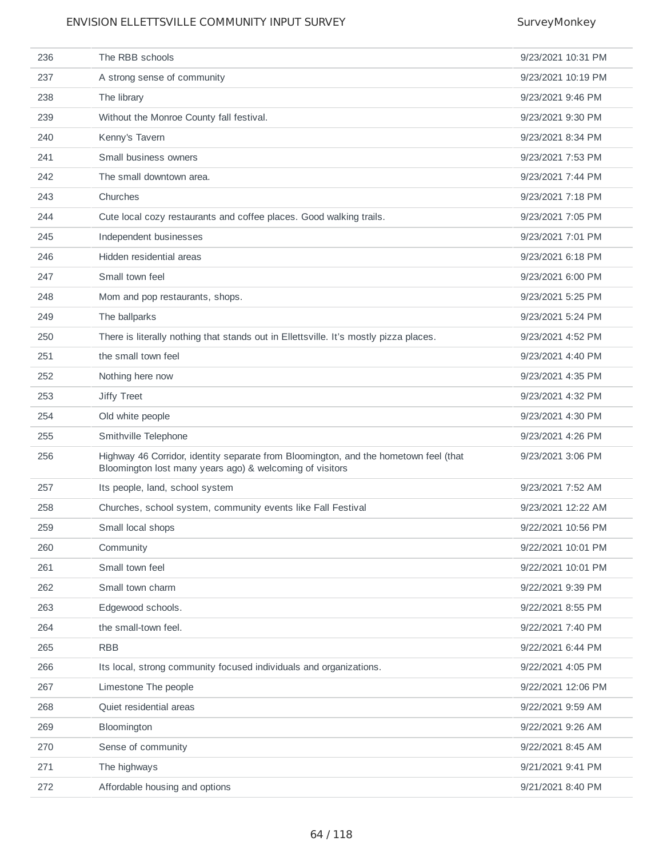| 236 | The RBB schools                                                                                                                                  | 9/23/2021 10:31 PM |
|-----|--------------------------------------------------------------------------------------------------------------------------------------------------|--------------------|
| 237 | A strong sense of community                                                                                                                      | 9/23/2021 10:19 PM |
| 238 | The library                                                                                                                                      | 9/23/2021 9:46 PM  |
| 239 | Without the Monroe County fall festival.                                                                                                         | 9/23/2021 9:30 PM  |
| 240 | Kenny's Tavern                                                                                                                                   | 9/23/2021 8:34 PM  |
| 241 | Small business owners                                                                                                                            | 9/23/2021 7:53 PM  |
| 242 | The small downtown area.                                                                                                                         | 9/23/2021 7:44 PM  |
| 243 | Churches                                                                                                                                         | 9/23/2021 7:18 PM  |
| 244 | Cute local cozy restaurants and coffee places. Good walking trails.                                                                              | 9/23/2021 7:05 PM  |
| 245 | Independent businesses                                                                                                                           | 9/23/2021 7:01 PM  |
| 246 | Hidden residential areas                                                                                                                         | 9/23/2021 6:18 PM  |
| 247 | Small town feel                                                                                                                                  | 9/23/2021 6:00 PM  |
| 248 | Mom and pop restaurants, shops.                                                                                                                  | 9/23/2021 5:25 PM  |
| 249 | The ballparks                                                                                                                                    | 9/23/2021 5:24 PM  |
| 250 | There is literally nothing that stands out in Ellettsville. It's mostly pizza places.                                                            | 9/23/2021 4:52 PM  |
| 251 | the small town feel                                                                                                                              | 9/23/2021 4:40 PM  |
| 252 | Nothing here now                                                                                                                                 | 9/23/2021 4:35 PM  |
| 253 | Jiffy Treet                                                                                                                                      | 9/23/2021 4:32 PM  |
| 254 | Old white people                                                                                                                                 | 9/23/2021 4:30 PM  |
| 255 | Smithville Telephone                                                                                                                             | 9/23/2021 4:26 PM  |
| 256 | Highway 46 Corridor, identity separate from Bloomington, and the hometown feel (that<br>Bloomington lost many years ago) & welcoming of visitors | 9/23/2021 3:06 PM  |
| 257 | Its people, land, school system                                                                                                                  | 9/23/2021 7:52 AM  |
| 258 | Churches, school system, community events like Fall Festival                                                                                     | 9/23/2021 12:22 AM |
| 259 | Small local shops                                                                                                                                | 9/22/2021 10:56 PM |
| 260 | Community                                                                                                                                        | 9/22/2021 10:01 PM |
| 261 | Small town feel                                                                                                                                  | 9/22/2021 10:01 PM |
| 262 | Small town charm                                                                                                                                 | 9/22/2021 9:39 PM  |
| 263 | Edgewood schools.                                                                                                                                | 9/22/2021 8:55 PM  |
| 264 | the small-town feel.                                                                                                                             | 9/22/2021 7:40 PM  |
| 265 | <b>RBB</b>                                                                                                                                       | 9/22/2021 6:44 PM  |
| 266 | Its local, strong community focused individuals and organizations.                                                                               | 9/22/2021 4:05 PM  |
| 267 | Limestone The people                                                                                                                             | 9/22/2021 12:06 PM |
| 268 | Quiet residential areas                                                                                                                          | 9/22/2021 9:59 AM  |
| 269 | Bloomington                                                                                                                                      | 9/22/2021 9:26 AM  |
| 270 | Sense of community                                                                                                                               | 9/22/2021 8:45 AM  |
| 271 | The highways                                                                                                                                     | 9/21/2021 9:41 PM  |
| 272 | Affordable housing and options                                                                                                                   | 9/21/2021 8:40 PM  |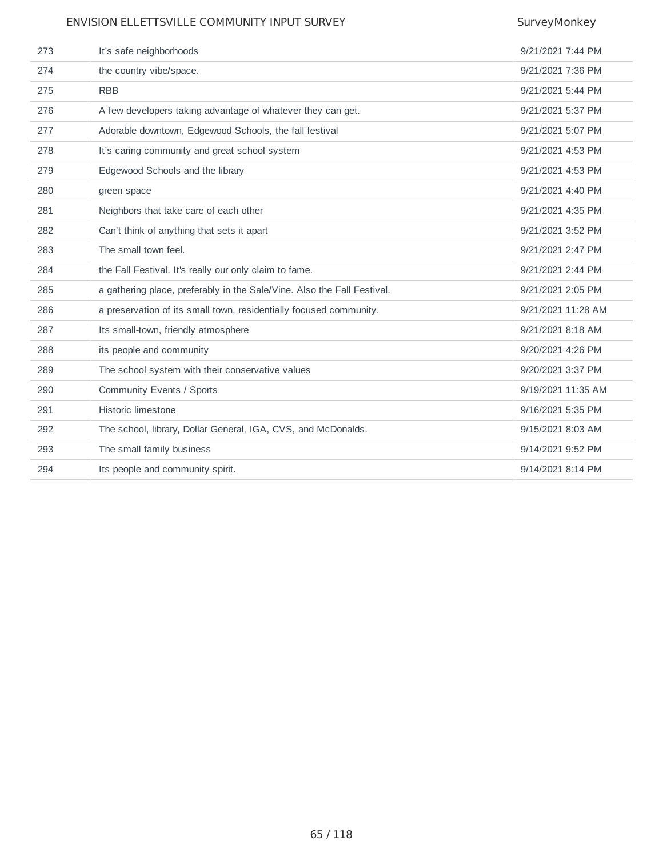| 273 | It's safe neighborhoods                                                 | 9/21/2021 7:44 PM  |
|-----|-------------------------------------------------------------------------|--------------------|
| 274 | the country vibe/space.                                                 | 9/21/2021 7:36 PM  |
| 275 | <b>RBB</b>                                                              | 9/21/2021 5:44 PM  |
| 276 | A few developers taking advantage of whatever they can get.             | 9/21/2021 5:37 PM  |
| 277 | Adorable downtown, Edgewood Schools, the fall festival                  | 9/21/2021 5:07 PM  |
| 278 | It's caring community and great school system                           | 9/21/2021 4:53 PM  |
| 279 | Edgewood Schools and the library                                        | 9/21/2021 4:53 PM  |
| 280 | green space                                                             | 9/21/2021 4:40 PM  |
| 281 | Neighbors that take care of each other                                  | 9/21/2021 4:35 PM  |
| 282 | Can't think of anything that sets it apart                              | 9/21/2021 3:52 PM  |
| 283 | The small town feel.                                                    | 9/21/2021 2:47 PM  |
| 284 | the Fall Festival. It's really our only claim to fame.                  | 9/21/2021 2:44 PM  |
| 285 | a gathering place, preferably in the Sale/Vine. Also the Fall Festival. | 9/21/2021 2:05 PM  |
| 286 | a preservation of its small town, residentially focused community.      | 9/21/2021 11:28 AM |
| 287 | Its small-town, friendly atmosphere                                     | 9/21/2021 8:18 AM  |
| 288 | its people and community                                                | 9/20/2021 4:26 PM  |
| 289 | The school system with their conservative values                        | 9/20/2021 3:37 PM  |
| 290 | Community Events / Sports                                               | 9/19/2021 11:35 AM |
| 291 | <b>Historic limestone</b>                                               | 9/16/2021 5:35 PM  |
| 292 | The school, library, Dollar General, IGA, CVS, and McDonalds.           | 9/15/2021 8:03 AM  |
| 293 | The small family business                                               | 9/14/2021 9:52 PM  |
| 294 | Its people and community spirit.                                        | 9/14/2021 8:14 PM  |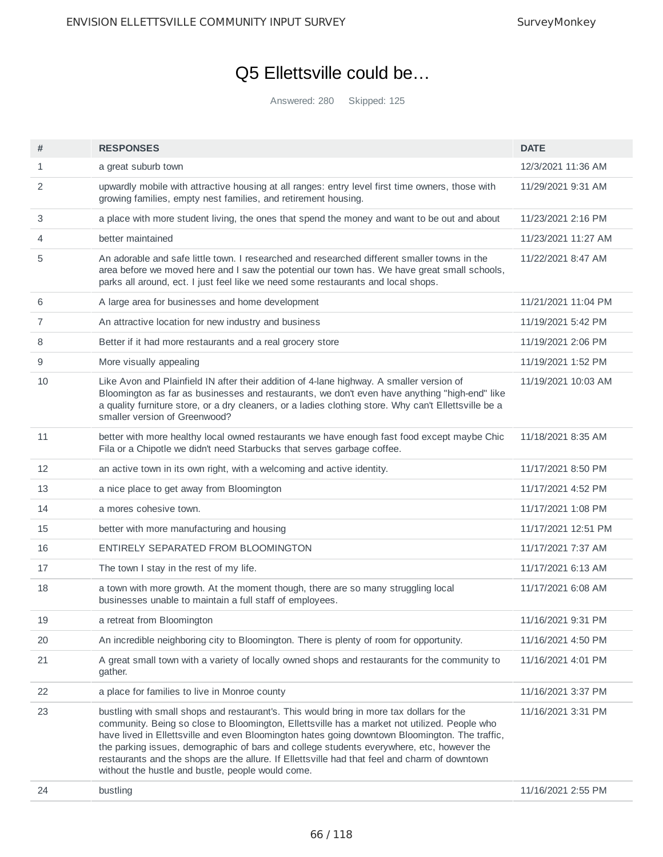# Q5 Ellettsville could be…

Answered: 280 Skipped: 125

| #  | <b>RESPONSES</b>                                                                                                                                                                                                                                                                                                                                                                                                                                                                                                                              | <b>DATE</b>         |
|----|-----------------------------------------------------------------------------------------------------------------------------------------------------------------------------------------------------------------------------------------------------------------------------------------------------------------------------------------------------------------------------------------------------------------------------------------------------------------------------------------------------------------------------------------------|---------------------|
| 1  | a great suburb town                                                                                                                                                                                                                                                                                                                                                                                                                                                                                                                           | 12/3/2021 11:36 AM  |
| 2  | upwardly mobile with attractive housing at all ranges: entry level first time owners, those with<br>growing families, empty nest families, and retirement housing.                                                                                                                                                                                                                                                                                                                                                                            | 11/29/2021 9:31 AM  |
| 3  | a place with more student living, the ones that spend the money and want to be out and about                                                                                                                                                                                                                                                                                                                                                                                                                                                  | 11/23/2021 2:16 PM  |
| 4  | better maintained                                                                                                                                                                                                                                                                                                                                                                                                                                                                                                                             | 11/23/2021 11:27 AM |
| 5  | An adorable and safe little town. I researched and researched different smaller towns in the<br>area before we moved here and I saw the potential our town has. We have great small schools,<br>parks all around, ect. I just feel like we need some restaurants and local shops.                                                                                                                                                                                                                                                             | 11/22/2021 8:47 AM  |
| 6  | A large area for businesses and home development                                                                                                                                                                                                                                                                                                                                                                                                                                                                                              | 11/21/2021 11:04 PM |
| 7  | An attractive location for new industry and business                                                                                                                                                                                                                                                                                                                                                                                                                                                                                          | 11/19/2021 5:42 PM  |
| 8  | Better if it had more restaurants and a real grocery store                                                                                                                                                                                                                                                                                                                                                                                                                                                                                    | 11/19/2021 2:06 PM  |
| 9  | More visually appealing                                                                                                                                                                                                                                                                                                                                                                                                                                                                                                                       | 11/19/2021 1:52 PM  |
| 10 | Like Avon and Plainfield IN after their addition of 4-lane highway. A smaller version of<br>Bloomington as far as businesses and restaurants, we don't even have anything "high-end" like<br>a quality furniture store, or a dry cleaners, or a ladies clothing store. Why can't Ellettsville be a<br>smaller version of Greenwood?                                                                                                                                                                                                           | 11/19/2021 10:03 AM |
| 11 | better with more healthy local owned restaurants we have enough fast food except maybe Chic<br>Fila or a Chipotle we didn't need Starbucks that serves garbage coffee.                                                                                                                                                                                                                                                                                                                                                                        | 11/18/2021 8:35 AM  |
| 12 | an active town in its own right, with a welcoming and active identity.                                                                                                                                                                                                                                                                                                                                                                                                                                                                        | 11/17/2021 8:50 PM  |
| 13 | a nice place to get away from Bloomington                                                                                                                                                                                                                                                                                                                                                                                                                                                                                                     | 11/17/2021 4:52 PM  |
| 14 | a mores cohesive town.                                                                                                                                                                                                                                                                                                                                                                                                                                                                                                                        | 11/17/2021 1:08 PM  |
| 15 | better with more manufacturing and housing                                                                                                                                                                                                                                                                                                                                                                                                                                                                                                    | 11/17/2021 12:51 PM |
| 16 | ENTIRELY SEPARATED FROM BLOOMINGTON                                                                                                                                                                                                                                                                                                                                                                                                                                                                                                           | 11/17/2021 7:37 AM  |
| 17 | The town I stay in the rest of my life.                                                                                                                                                                                                                                                                                                                                                                                                                                                                                                       | 11/17/2021 6:13 AM  |
| 18 | a town with more growth. At the moment though, there are so many struggling local<br>businesses unable to maintain a full staff of employees.                                                                                                                                                                                                                                                                                                                                                                                                 | 11/17/2021 6:08 AM  |
| 19 | a retreat from Bloomington                                                                                                                                                                                                                                                                                                                                                                                                                                                                                                                    | 11/16/2021 9:31 PM  |
| 20 | An incredible neighboring city to Bloomington. There is plenty of room for opportunity.                                                                                                                                                                                                                                                                                                                                                                                                                                                       | 11/16/2021 4:50 PM  |
| 21 | A great small town with a variety of locally owned shops and restaurants for the community to<br>gather.                                                                                                                                                                                                                                                                                                                                                                                                                                      | 11/16/2021 4:01 PM  |
| 22 | a place for families to live in Monroe county                                                                                                                                                                                                                                                                                                                                                                                                                                                                                                 | 11/16/2021 3:37 PM  |
| 23 | bustling with small shops and restaurant's. This would bring in more tax dollars for the<br>community. Being so close to Bloomington, Ellettsville has a market not utilized. People who<br>have lived in Ellettsville and even Bloomington hates going downtown Bloomington. The traffic,<br>the parking issues, demographic of bars and college students everywhere, etc, however the<br>restaurants and the shops are the allure. If Ellettsville had that feel and charm of downtown<br>without the hustle and bustle, people would come. | 11/16/2021 3:31 PM  |
| 24 | bustling                                                                                                                                                                                                                                                                                                                                                                                                                                                                                                                                      | 11/16/2021 2:55 PM  |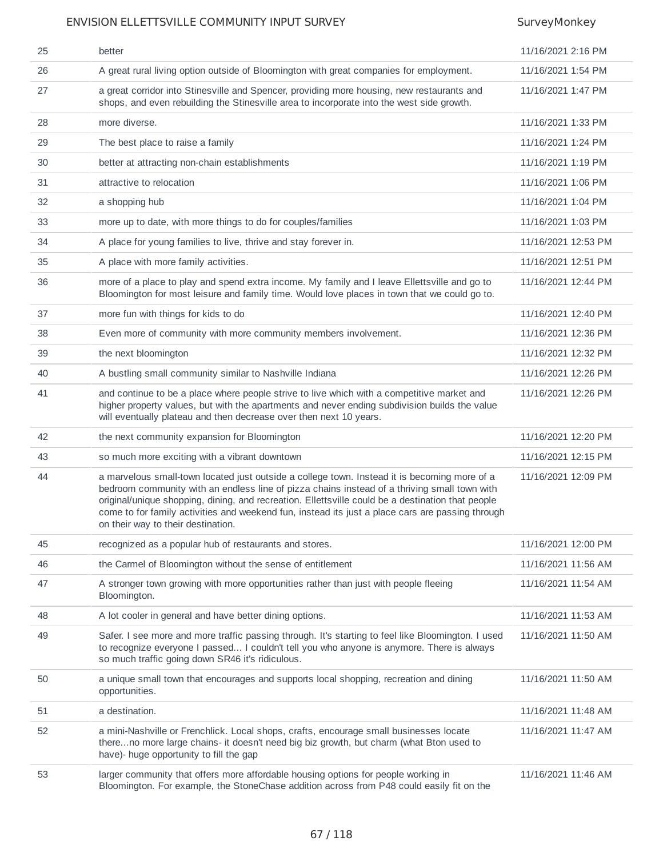| 25 | better                                                                                                                                                                                                                                                                                                                                                                                                                                      | 11/16/2021 2:16 PM  |
|----|---------------------------------------------------------------------------------------------------------------------------------------------------------------------------------------------------------------------------------------------------------------------------------------------------------------------------------------------------------------------------------------------------------------------------------------------|---------------------|
| 26 | A great rural living option outside of Bloomington with great companies for employment.                                                                                                                                                                                                                                                                                                                                                     | 11/16/2021 1:54 PM  |
| 27 | a great corridor into Stinesville and Spencer, providing more housing, new restaurants and<br>shops, and even rebuilding the Stinesville area to incorporate into the west side growth.                                                                                                                                                                                                                                                     | 11/16/2021 1:47 PM  |
| 28 | more diverse.                                                                                                                                                                                                                                                                                                                                                                                                                               | 11/16/2021 1:33 PM  |
| 29 | The best place to raise a family                                                                                                                                                                                                                                                                                                                                                                                                            | 11/16/2021 1:24 PM  |
| 30 | better at attracting non-chain establishments                                                                                                                                                                                                                                                                                                                                                                                               | 11/16/2021 1:19 PM  |
| 31 | attractive to relocation                                                                                                                                                                                                                                                                                                                                                                                                                    | 11/16/2021 1:06 PM  |
| 32 | a shopping hub                                                                                                                                                                                                                                                                                                                                                                                                                              | 11/16/2021 1:04 PM  |
| 33 | more up to date, with more things to do for couples/families                                                                                                                                                                                                                                                                                                                                                                                | 11/16/2021 1:03 PM  |
| 34 | A place for young families to live, thrive and stay forever in.                                                                                                                                                                                                                                                                                                                                                                             | 11/16/2021 12:53 PM |
| 35 | A place with more family activities.                                                                                                                                                                                                                                                                                                                                                                                                        | 11/16/2021 12:51 PM |
| 36 | more of a place to play and spend extra income. My family and I leave Ellettsville and go to<br>Bloomington for most leisure and family time. Would love places in town that we could go to.                                                                                                                                                                                                                                                | 11/16/2021 12:44 PM |
| 37 | more fun with things for kids to do                                                                                                                                                                                                                                                                                                                                                                                                         | 11/16/2021 12:40 PM |
| 38 | Even more of community with more community members involvement.                                                                                                                                                                                                                                                                                                                                                                             | 11/16/2021 12:36 PM |
| 39 | the next bloomington                                                                                                                                                                                                                                                                                                                                                                                                                        | 11/16/2021 12:32 PM |
| 40 | A bustling small community similar to Nashville Indiana                                                                                                                                                                                                                                                                                                                                                                                     | 11/16/2021 12:26 PM |
| 41 | and continue to be a place where people strive to live which with a competitive market and<br>higher property values, but with the apartments and never ending subdivision builds the value<br>will eventually plateau and then decrease over then next 10 years.                                                                                                                                                                           | 11/16/2021 12:26 PM |
| 42 | the next community expansion for Bloomington                                                                                                                                                                                                                                                                                                                                                                                                | 11/16/2021 12:20 PM |
| 43 | so much more exciting with a vibrant downtown                                                                                                                                                                                                                                                                                                                                                                                               | 11/16/2021 12:15 PM |
| 44 | a marvelous small-town located just outside a college town. Instead it is becoming more of a<br>bedroom community with an endless line of pizza chains instead of a thriving small town with<br>original/unique shopping, dining, and recreation. Ellettsville could be a destination that people<br>come to for family activities and weekend fun, instead its just a place cars are passing through<br>on their way to their destination. | 11/16/2021 12:09 PM |
| 45 | recognized as a popular hub of restaurants and stores.                                                                                                                                                                                                                                                                                                                                                                                      | 11/16/2021 12:00 PM |
| 46 | the Carmel of Bloomington without the sense of entitlement                                                                                                                                                                                                                                                                                                                                                                                  | 11/16/2021 11:56 AM |
| 47 | A stronger town growing with more opportunities rather than just with people fleeing<br>Bloomington.                                                                                                                                                                                                                                                                                                                                        | 11/16/2021 11:54 AM |
| 48 | A lot cooler in general and have better dining options.                                                                                                                                                                                                                                                                                                                                                                                     | 11/16/2021 11:53 AM |
| 49 | Safer. I see more and more traffic passing through. It's starting to feel like Bloomington. I used<br>to recognize everyone I passed I couldn't tell you who anyone is anymore. There is always<br>so much traffic going down SR46 it's ridiculous.                                                                                                                                                                                         | 11/16/2021 11:50 AM |
| 50 | a unique small town that encourages and supports local shopping, recreation and dining<br>opportunities.                                                                                                                                                                                                                                                                                                                                    | 11/16/2021 11:50 AM |
| 51 | a destination.                                                                                                                                                                                                                                                                                                                                                                                                                              | 11/16/2021 11:48 AM |
| 52 | a mini-Nashville or Frenchlick. Local shops, crafts, encourage small businesses locate<br>thereno more large chains- it doesn't need big biz growth, but charm (what Bton used to<br>have)- huge opportunity to fill the gap                                                                                                                                                                                                                | 11/16/2021 11:47 AM |
| 53 | larger community that offers more affordable housing options for people working in<br>Bloomington. For example, the StoneChase addition across from P48 could easily fit on the                                                                                                                                                                                                                                                             | 11/16/2021 11:46 AM |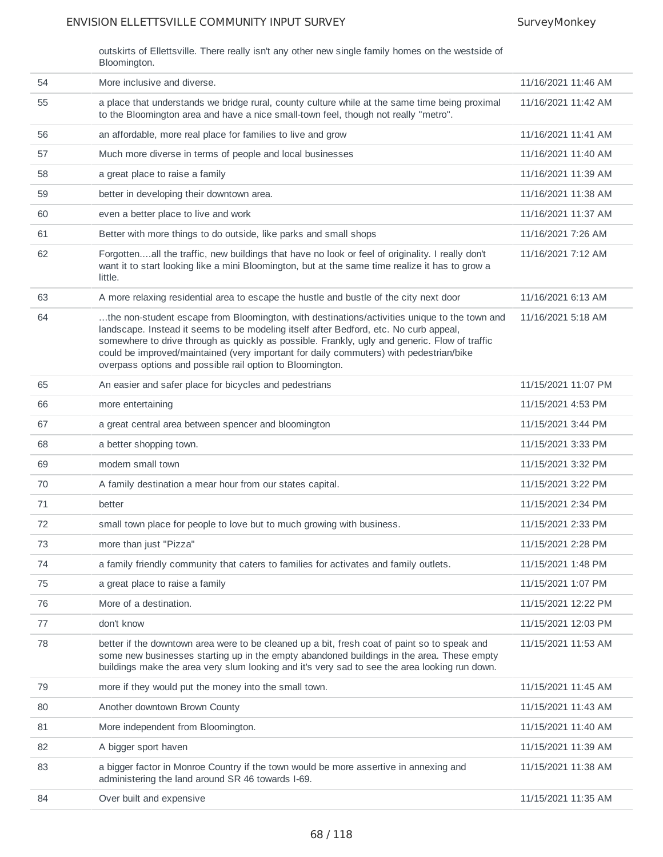outskirts of Ellettsville. There really isn't any other new single family homes on the westside of Bloomington.

| 54 | More inclusive and diverse.                                                                                                                                                                                                                                                                                                                                                                                                                   | 11/16/2021 11:46 AM |
|----|-----------------------------------------------------------------------------------------------------------------------------------------------------------------------------------------------------------------------------------------------------------------------------------------------------------------------------------------------------------------------------------------------------------------------------------------------|---------------------|
| 55 | a place that understands we bridge rural, county culture while at the same time being proximal<br>to the Bloomington area and have a nice small-town feel, though not really "metro".                                                                                                                                                                                                                                                         | 11/16/2021 11:42 AM |
| 56 | an affordable, more real place for families to live and grow                                                                                                                                                                                                                                                                                                                                                                                  | 11/16/2021 11:41 AM |
| 57 | Much more diverse in terms of people and local businesses                                                                                                                                                                                                                                                                                                                                                                                     | 11/16/2021 11:40 AM |
| 58 | a great place to raise a family                                                                                                                                                                                                                                                                                                                                                                                                               | 11/16/2021 11:39 AM |
| 59 | better in developing their downtown area.                                                                                                                                                                                                                                                                                                                                                                                                     | 11/16/2021 11:38 AM |
| 60 | even a better place to live and work                                                                                                                                                                                                                                                                                                                                                                                                          | 11/16/2021 11:37 AM |
| 61 | Better with more things to do outside, like parks and small shops                                                                                                                                                                                                                                                                                                                                                                             | 11/16/2021 7:26 AM  |
| 62 | Forgottenall the traffic, new buildings that have no look or feel of originality. I really don't<br>want it to start looking like a mini Bloomington, but at the same time realize it has to grow a<br>little.                                                                                                                                                                                                                                | 11/16/2021 7:12 AM  |
| 63 | A more relaxing residential area to escape the hustle and bustle of the city next door                                                                                                                                                                                                                                                                                                                                                        | 11/16/2021 6:13 AM  |
| 64 | the non-student escape from Bloomington, with destinations/activities unique to the town and<br>landscape. Instead it seems to be modeling itself after Bedford, etc. No curb appeal,<br>somewhere to drive through as quickly as possible. Frankly, ugly and generic. Flow of traffic<br>could be improved/maintained (very important for daily commuters) with pedestrian/bike<br>overpass options and possible rail option to Bloomington. | 11/16/2021 5:18 AM  |
| 65 | An easier and safer place for bicycles and pedestrians                                                                                                                                                                                                                                                                                                                                                                                        | 11/15/2021 11:07 PM |
| 66 | more entertaining                                                                                                                                                                                                                                                                                                                                                                                                                             | 11/15/2021 4:53 PM  |
| 67 | a great central area between spencer and bloomington                                                                                                                                                                                                                                                                                                                                                                                          | 11/15/2021 3:44 PM  |
| 68 | a better shopping town.                                                                                                                                                                                                                                                                                                                                                                                                                       | 11/15/2021 3:33 PM  |
| 69 | modern small town                                                                                                                                                                                                                                                                                                                                                                                                                             | 11/15/2021 3:32 PM  |
| 70 | A family destination a mear hour from our states capital.                                                                                                                                                                                                                                                                                                                                                                                     | 11/15/2021 3:22 PM  |
| 71 | better                                                                                                                                                                                                                                                                                                                                                                                                                                        | 11/15/2021 2:34 PM  |
| 72 | small town place for people to love but to much growing with business.                                                                                                                                                                                                                                                                                                                                                                        | 11/15/2021 2:33 PM  |
| 73 | more than just "Pizza"                                                                                                                                                                                                                                                                                                                                                                                                                        | 11/15/2021 2:28 PM  |
| 74 | a family friendly community that caters to families for activates and family outlets.                                                                                                                                                                                                                                                                                                                                                         | 11/15/2021 1:48 PM  |
| 75 | a great place to raise a family                                                                                                                                                                                                                                                                                                                                                                                                               | 11/15/2021 1:07 PM  |
| 76 | More of a destination.                                                                                                                                                                                                                                                                                                                                                                                                                        | 11/15/2021 12:22 PM |
| 77 | don't know                                                                                                                                                                                                                                                                                                                                                                                                                                    | 11/15/2021 12:03 PM |
| 78 | better if the downtown area were to be cleaned up a bit, fresh coat of paint so to speak and<br>some new businesses starting up in the empty abandoned buildings in the area. These empty<br>buildings make the area very slum looking and it's very sad to see the area looking run down.                                                                                                                                                    | 11/15/2021 11:53 AM |
| 79 | more if they would put the money into the small town.                                                                                                                                                                                                                                                                                                                                                                                         | 11/15/2021 11:45 AM |
| 80 | Another downtown Brown County                                                                                                                                                                                                                                                                                                                                                                                                                 | 11/15/2021 11:43 AM |
| 81 | More independent from Bloomington.                                                                                                                                                                                                                                                                                                                                                                                                            | 11/15/2021 11:40 AM |
| 82 | A bigger sport haven                                                                                                                                                                                                                                                                                                                                                                                                                          | 11/15/2021 11:39 AM |
| 83 | a bigger factor in Monroe Country if the town would be more assertive in annexing and<br>administering the land around SR 46 towards I-69.                                                                                                                                                                                                                                                                                                    | 11/15/2021 11:38 AM |
| 84 | Over built and expensive                                                                                                                                                                                                                                                                                                                                                                                                                      | 11/15/2021 11:35 AM |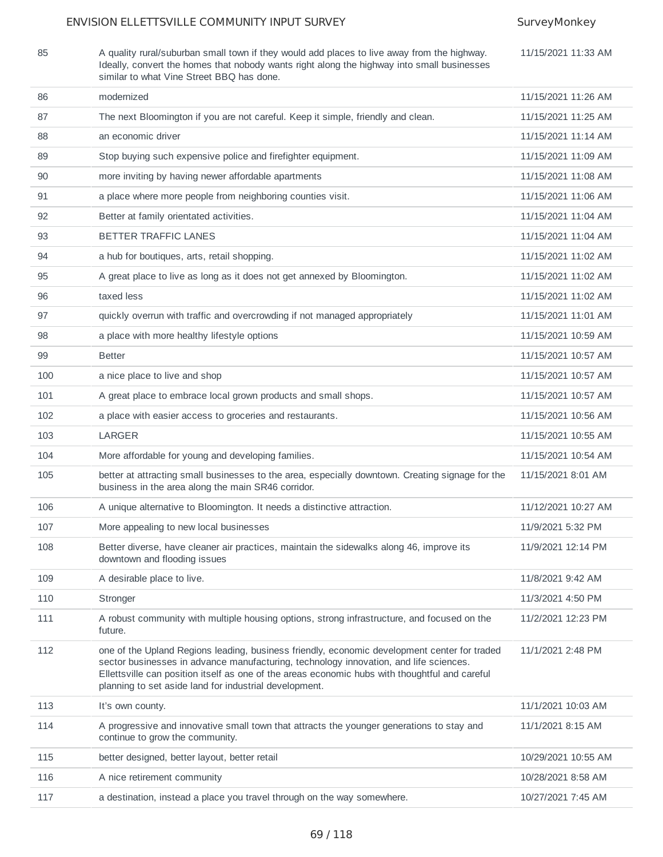85 A quality rural/suburban small town if they would add places to live away from the highway.

Ideally, convert the homes that nobody wants right along the highway into small businesses

11/15/2021 11:33 AM

|     | similar to what Vine Street BBQ has done.                                                                                                                                                                                                                                                                                                         |                     |
|-----|---------------------------------------------------------------------------------------------------------------------------------------------------------------------------------------------------------------------------------------------------------------------------------------------------------------------------------------------------|---------------------|
| 86  | modernized                                                                                                                                                                                                                                                                                                                                        | 11/15/2021 11:26 AM |
| 87  | The next Bloomington if you are not careful. Keep it simple, friendly and clean.                                                                                                                                                                                                                                                                  | 11/15/2021 11:25 AM |
| 88  | an economic driver                                                                                                                                                                                                                                                                                                                                | 11/15/2021 11:14 AM |
| 89  | Stop buying such expensive police and firefighter equipment.                                                                                                                                                                                                                                                                                      | 11/15/2021 11:09 AM |
| 90  | more inviting by having newer affordable apartments                                                                                                                                                                                                                                                                                               | 11/15/2021 11:08 AM |
| 91  | a place where more people from neighboring counties visit.                                                                                                                                                                                                                                                                                        | 11/15/2021 11:06 AM |
| 92  | Better at family orientated activities.                                                                                                                                                                                                                                                                                                           | 11/15/2021 11:04 AM |
| 93  | BETTER TRAFFIC LANES                                                                                                                                                                                                                                                                                                                              | 11/15/2021 11:04 AM |
| 94  | a hub for boutiques, arts, retail shopping.                                                                                                                                                                                                                                                                                                       | 11/15/2021 11:02 AM |
| 95  | A great place to live as long as it does not get annexed by Bloomington.                                                                                                                                                                                                                                                                          | 11/15/2021 11:02 AM |
| 96  | taxed less                                                                                                                                                                                                                                                                                                                                        | 11/15/2021 11:02 AM |
| 97  | quickly overrun with traffic and overcrowding if not managed appropriately                                                                                                                                                                                                                                                                        | 11/15/2021 11:01 AM |
| 98  | a place with more healthy lifestyle options                                                                                                                                                                                                                                                                                                       | 11/15/2021 10:59 AM |
| 99  | <b>Better</b>                                                                                                                                                                                                                                                                                                                                     | 11/15/2021 10:57 AM |
| 100 | a nice place to live and shop                                                                                                                                                                                                                                                                                                                     | 11/15/2021 10:57 AM |
| 101 | A great place to embrace local grown products and small shops.                                                                                                                                                                                                                                                                                    | 11/15/2021 10:57 AM |
| 102 | a place with easier access to groceries and restaurants.                                                                                                                                                                                                                                                                                          | 11/15/2021 10:56 AM |
| 103 | <b>LARGER</b>                                                                                                                                                                                                                                                                                                                                     | 11/15/2021 10:55 AM |
| 104 | More affordable for young and developing families.                                                                                                                                                                                                                                                                                                | 11/15/2021 10:54 AM |
| 105 | better at attracting small businesses to the area, especially downtown. Creating signage for the<br>business in the area along the main SR46 corridor.                                                                                                                                                                                            | 11/15/2021 8:01 AM  |
| 106 | A unique alternative to Bloomington. It needs a distinctive attraction.                                                                                                                                                                                                                                                                           | 11/12/2021 10:27 AM |
| 107 | More appealing to new local businesses                                                                                                                                                                                                                                                                                                            | 11/9/2021 5:32 PM   |
| 108 | Better diverse, have cleaner air practices, maintain the sidewalks along 46, improve its<br>downtown and flooding issues                                                                                                                                                                                                                          | 11/9/2021 12:14 PM  |
| 109 | A desirable place to live.                                                                                                                                                                                                                                                                                                                        | 11/8/2021 9:42 AM   |
| 110 | Stronger                                                                                                                                                                                                                                                                                                                                          | 11/3/2021 4:50 PM   |
| 111 | A robust community with multiple housing options, strong infrastructure, and focused on the<br>future.                                                                                                                                                                                                                                            | 11/2/2021 12:23 PM  |
| 112 | one of the Upland Regions leading, business friendly, economic development center for traded<br>sector businesses in advance manufacturing, technology innovation, and life sciences.<br>Ellettsville can position itself as one of the areas economic hubs with thoughtful and careful<br>planning to set aside land for industrial development. | 11/1/2021 2:48 PM   |
| 113 | It's own county.                                                                                                                                                                                                                                                                                                                                  | 11/1/2021 10:03 AM  |
| 114 | A progressive and innovative small town that attracts the younger generations to stay and<br>continue to grow the community.                                                                                                                                                                                                                      | 11/1/2021 8:15 AM   |
| 115 | better designed, better layout, better retail                                                                                                                                                                                                                                                                                                     | 10/29/2021 10:55 AM |
| 116 | A nice retirement community                                                                                                                                                                                                                                                                                                                       | 10/28/2021 8:58 AM  |
| 117 | a destination, instead a place you travel through on the way somewhere.                                                                                                                                                                                                                                                                           | 10/27/2021 7:45 AM  |
|     |                                                                                                                                                                                                                                                                                                                                                   |                     |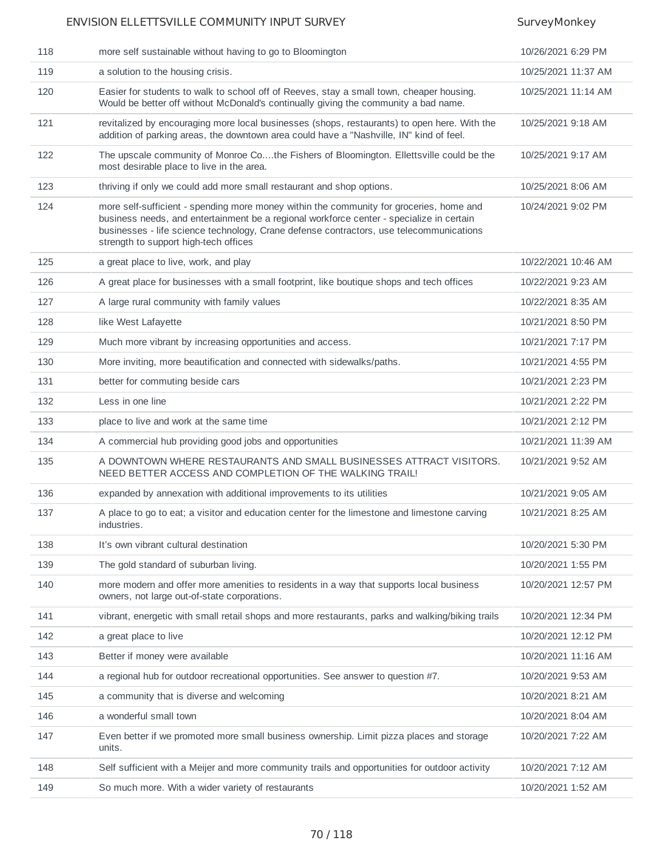| 118 | more self sustainable without having to go to Bloomington                                                                                                                                                                                                                                                               | 10/26/2021 6:29 PM  |
|-----|-------------------------------------------------------------------------------------------------------------------------------------------------------------------------------------------------------------------------------------------------------------------------------------------------------------------------|---------------------|
| 119 | a solution to the housing crisis.                                                                                                                                                                                                                                                                                       | 10/25/2021 11:37 AM |
| 120 | Easier for students to walk to school off of Reeves, stay a small town, cheaper housing.<br>Would be better off without McDonald's continually giving the community a bad name.                                                                                                                                         | 10/25/2021 11:14 AM |
| 121 | revitalized by encouraging more local businesses (shops, restaurants) to open here. With the<br>addition of parking areas, the downtown area could have a "Nashville, IN" kind of feel.                                                                                                                                 | 10/25/2021 9:18 AM  |
| 122 | The upscale community of Monroe Cothe Fishers of Bloomington. Ellettsville could be the<br>most desirable place to live in the area.                                                                                                                                                                                    | 10/25/2021 9:17 AM  |
| 123 | thriving if only we could add more small restaurant and shop options.                                                                                                                                                                                                                                                   | 10/25/2021 8:06 AM  |
| 124 | more self-sufficient - spending more money within the community for groceries, home and<br>business needs, and entertainment be a regional workforce center - specialize in certain<br>businesses - life science technology, Crane defense contractors, use telecommunications<br>strength to support high-tech offices | 10/24/2021 9:02 PM  |
| 125 | a great place to live, work, and play                                                                                                                                                                                                                                                                                   | 10/22/2021 10:46 AM |
| 126 | A great place for businesses with a small footprint, like boutique shops and tech offices                                                                                                                                                                                                                               | 10/22/2021 9:23 AM  |
| 127 | A large rural community with family values                                                                                                                                                                                                                                                                              | 10/22/2021 8:35 AM  |
| 128 | like West Lafayette                                                                                                                                                                                                                                                                                                     | 10/21/2021 8:50 PM  |
| 129 | Much more vibrant by increasing opportunities and access.                                                                                                                                                                                                                                                               | 10/21/2021 7:17 PM  |
| 130 | More inviting, more beautification and connected with sidewalks/paths.                                                                                                                                                                                                                                                  | 10/21/2021 4:55 PM  |
| 131 | better for commuting beside cars                                                                                                                                                                                                                                                                                        | 10/21/2021 2:23 PM  |
| 132 | Less in one line                                                                                                                                                                                                                                                                                                        | 10/21/2021 2:22 PM  |
| 133 | place to live and work at the same time                                                                                                                                                                                                                                                                                 | 10/21/2021 2:12 PM  |
| 134 | A commercial hub providing good jobs and opportunities                                                                                                                                                                                                                                                                  | 10/21/2021 11:39 AM |
| 135 | A DOWNTOWN WHERE RESTAURANTS AND SMALL BUSINESSES ATTRACT VISITORS.<br>NEED BETTER ACCESS AND COMPLETION OF THE WALKING TRAIL!                                                                                                                                                                                          | 10/21/2021 9:52 AM  |
| 136 | expanded by annexation with additional improvements to its utilities                                                                                                                                                                                                                                                    | 10/21/2021 9:05 AM  |
| 137 | A place to go to eat; a visitor and education center for the limestone and limestone carving<br>industries.                                                                                                                                                                                                             | 10/21/2021 8:25 AM  |
| 138 | It's own vibrant cultural destination                                                                                                                                                                                                                                                                                   | 10/20/2021 5:30 PM  |
| 139 | The gold standard of suburban living.                                                                                                                                                                                                                                                                                   | 10/20/2021 1:55 PM  |
| 140 | more modern and offer more amenities to residents in a way that supports local business<br>owners, not large out-of-state corporations.                                                                                                                                                                                 | 10/20/2021 12:57 PM |
| 141 | vibrant, energetic with small retail shops and more restaurants, parks and walking/biking trails                                                                                                                                                                                                                        | 10/20/2021 12:34 PM |
| 142 | a great place to live                                                                                                                                                                                                                                                                                                   | 10/20/2021 12:12 PM |
| 143 | Better if money were available                                                                                                                                                                                                                                                                                          | 10/20/2021 11:16 AM |
| 144 | a regional hub for outdoor recreational opportunities. See answer to question #7.                                                                                                                                                                                                                                       | 10/20/2021 9:53 AM  |
| 145 | a community that is diverse and welcoming                                                                                                                                                                                                                                                                               | 10/20/2021 8:21 AM  |
| 146 | a wonderful small town                                                                                                                                                                                                                                                                                                  | 10/20/2021 8:04 AM  |
| 147 | Even better if we promoted more small business ownership. Limit pizza places and storage<br>units.                                                                                                                                                                                                                      | 10/20/2021 7:22 AM  |
| 148 | Self sufficient with a Meijer and more community trails and opportunities for outdoor activity                                                                                                                                                                                                                          | 10/20/2021 7:12 AM  |
| 149 | So much more. With a wider variety of restaurants                                                                                                                                                                                                                                                                       | 10/20/2021 1:52 AM  |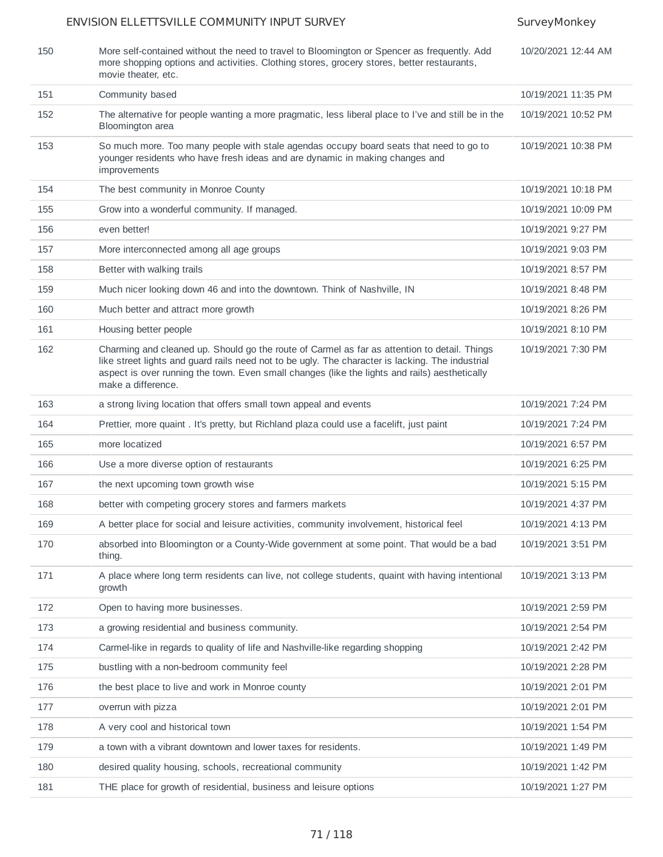## ENVISION ELLETTSVILLE COMMUNITY INPUT SURVEY SURVEY SurveyMonkey 150 More self-contained without the need to travel to Bloomington or Spencer as frequently. Add more shopping options and activities. Clothing stores, grocery stores, better restaurants, movie theater, etc. 10/20/2021 12:44 AM 151 Community based 10/19/2021 11:35 PM 152 The alternative for people wanting a more pragmatic, less liberal place to I've and still be in the Bloomington area 10/19/2021 10:52 PM 153 So much more. Too many people with stale agendas occupy board seats that need to go to younger residents who have fresh ideas and are dynamic in making changes and improvements 10/19/2021 10:38 PM 154 The best community in Monroe County 10/19/2021 10:18 PM 155 Grow into a wonderful community. If managed. 10/19/2021 10:09 PM 156 even better! 10/19/2021 9:27 PM 157 More interconnected among all age groups 10 and 100 mm and 100 mm and 100 mm and 100 mm and 100 mm and 100 mm and 100 mm and 100 mm and 100 mm and 100 mm and 100 mm and 100 mm and 100 mm and 100 mm and 100 mm and 100 m 158 Better with walking trails 10/19/2021 8:57 PM 159 Much nicer looking down 46 and into the downtown. Think of Nashville, IN 10/19/2021 8:48 PM 160 Much better and attract more growth 10/19/2021 8:26 PM 161 Housing better people 10/19/2021 8:10 PM 162 Charming and cleaned up. Should go the route of Carmel as far as attention to detail. Things like street lights and guard rails need not to be ugly. The character is lacking. The industrial aspect is over running the town. Even small changes (like the lights and rails) aesthetically make a difference. 10/19/2021 7:30 PM 163 a strong living location that offers small town appeal and events 10/19/2021 7:24 PM 164 Prettier, more quaint . It's pretty, but Richland plaza could use a facelift, just paint 10/19/2021 7:24 PM 165 more locatized 10/19/2021 6:57 PM 166 Use a more diverse option of restaurants 10/19/2021 6:25 PM 167 the next upcoming town growth wise 10/19/2021 5:15 PM 168 better with competing grocery stores and farmers markets 10/19/2021 4:37 PM 169 A better place for social and leisure activities, community involvement, historical feel 10/19/2021 4:13 PM 170 absorbed into Bloomington or a County-Wide government at some point. That would be a bad thing. 10/19/2021 3:51 PM 171 A place where long term residents can live, not college students, quaint with having intentional growth 10/19/2021 3:13 PM 172 Open to having more businesses. 10/19/2021 2:59 PM 173 a growing residential and business community. 10/19/2021 2:54 PM 174 Carmel-like in regards to quality of life and Nashville-like regarding shopping 10/19/2021 2:42 PM 175 bustling with a non-bedroom community feel 10/19/2021 2:28 PM 176 the best place to live and work in Monroe county 10/19/2021 2:01 PM 177 overrun with pizza 10/19/2021 2:01 PM 178 A very cool and historical town 10/19/2021 1:54 PM 179 a town with a vibrant downtown and lower taxes for residents. 10/19/2021 1:49 PM 180 desired quality housing, schools, recreational community 10/19/2021 1:42 PM 181 THE place for growth of residential, business and leisure options 10/19/2021 1:27 PM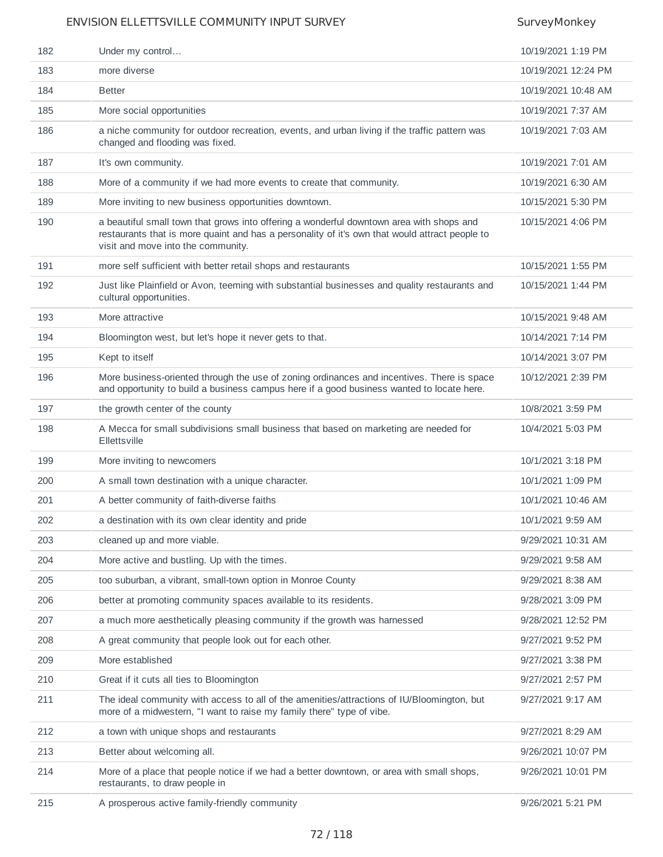| 182 | Under my control                                                                                                                                                                                                                 | 10/19/2021 1:19 PM  |
|-----|----------------------------------------------------------------------------------------------------------------------------------------------------------------------------------------------------------------------------------|---------------------|
| 183 | more diverse                                                                                                                                                                                                                     | 10/19/2021 12:24 PM |
| 184 | <b>Better</b>                                                                                                                                                                                                                    | 10/19/2021 10:48 AM |
| 185 | More social opportunities                                                                                                                                                                                                        | 10/19/2021 7:37 AM  |
| 186 | a niche community for outdoor recreation, events, and urban living if the traffic pattern was<br>changed and flooding was fixed.                                                                                                 | 10/19/2021 7:03 AM  |
| 187 | It's own community.                                                                                                                                                                                                              | 10/19/2021 7:01 AM  |
| 188 | More of a community if we had more events to create that community.                                                                                                                                                              | 10/19/2021 6:30 AM  |
| 189 | More inviting to new business opportunities downtown.                                                                                                                                                                            | 10/15/2021 5:30 PM  |
| 190 | a beautiful small town that grows into offering a wonderful downtown area with shops and<br>restaurants that is more quaint and has a personality of it's own that would attract people to<br>visit and move into the community. | 10/15/2021 4:06 PM  |
| 191 | more self sufficient with better retail shops and restaurants                                                                                                                                                                    | 10/15/2021 1:55 PM  |
| 192 | Just like Plainfield or Avon, teeming with substantial businesses and quality restaurants and<br>cultural opportunities.                                                                                                         | 10/15/2021 1:44 PM  |
| 193 | More attractive                                                                                                                                                                                                                  | 10/15/2021 9:48 AM  |
| 194 | Bloomington west, but let's hope it never gets to that.                                                                                                                                                                          | 10/14/2021 7:14 PM  |
| 195 | Kept to itself                                                                                                                                                                                                                   | 10/14/2021 3:07 PM  |
| 196 | More business-oriented through the use of zoning ordinances and incentives. There is space<br>and opportunity to build a business campus here if a good business wanted to locate here.                                          | 10/12/2021 2:39 PM  |
| 197 | the growth center of the county                                                                                                                                                                                                  | 10/8/2021 3:59 PM   |
| 198 | A Mecca for small subdivisions small business that based on marketing are needed for<br>Ellettsville                                                                                                                             | 10/4/2021 5:03 PM   |
| 199 | More inviting to newcomers                                                                                                                                                                                                       | 10/1/2021 3:18 PM   |
| 200 | A small town destination with a unique character.                                                                                                                                                                                | 10/1/2021 1:09 PM   |
| 201 | A better community of faith-diverse faiths                                                                                                                                                                                       | 10/1/2021 10:46 AM  |
| 202 | a destination with its own clear identity and pride                                                                                                                                                                              | 10/1/2021 9:59 AM   |
| 203 | cleaned up and more viable.                                                                                                                                                                                                      | 9/29/2021 10:31 AM  |
| 204 | More active and bustling. Up with the times.                                                                                                                                                                                     | 9/29/2021 9:58 AM   |
| 205 | too suburban, a vibrant, small-town option in Monroe County                                                                                                                                                                      | 9/29/2021 8:38 AM   |
| 206 | better at promoting community spaces available to its residents.                                                                                                                                                                 | 9/28/2021 3:09 PM   |
| 207 | a much more aesthetically pleasing community if the growth was harnessed                                                                                                                                                         | 9/28/2021 12:52 PM  |
| 208 | A great community that people look out for each other.                                                                                                                                                                           | 9/27/2021 9:52 PM   |
| 209 | More established                                                                                                                                                                                                                 | 9/27/2021 3:38 PM   |
| 210 | Great if it cuts all ties to Bloomington                                                                                                                                                                                         | 9/27/2021 2:57 PM   |
| 211 | The ideal community with access to all of the amenities/attractions of IU/Bloomington, but<br>more of a midwestern, "I want to raise my family there" type of vibe.                                                              | 9/27/2021 9:17 AM   |
| 212 | a town with unique shops and restaurants                                                                                                                                                                                         | 9/27/2021 8:29 AM   |
| 213 | Better about welcoming all.                                                                                                                                                                                                      | 9/26/2021 10:07 PM  |
| 214 | More of a place that people notice if we had a better downtown, or area with small shops,<br>restaurants, to draw people in                                                                                                      | 9/26/2021 10:01 PM  |
| 215 | A prosperous active family-friendly community                                                                                                                                                                                    | 9/26/2021 5:21 PM   |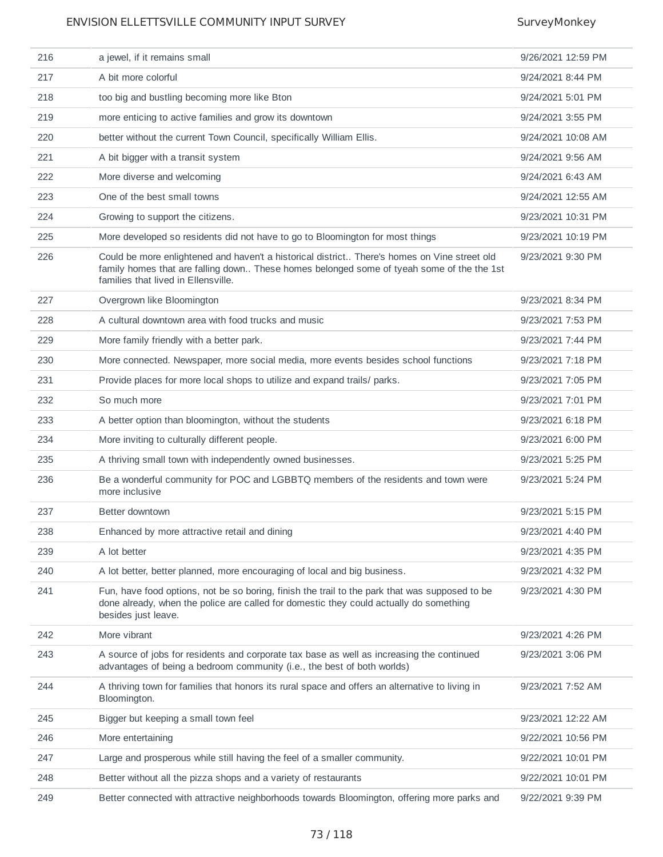| 216 | a jewel, if it remains small                                                                                                                                                                                                     | 9/26/2021 12:59 PM |
|-----|----------------------------------------------------------------------------------------------------------------------------------------------------------------------------------------------------------------------------------|--------------------|
| 217 | A bit more colorful                                                                                                                                                                                                              | 9/24/2021 8:44 PM  |
| 218 | too big and bustling becoming more like Bton                                                                                                                                                                                     | 9/24/2021 5:01 PM  |
| 219 | more enticing to active families and grow its downtown                                                                                                                                                                           | 9/24/2021 3:55 PM  |
| 220 | better without the current Town Council, specifically William Ellis.                                                                                                                                                             | 9/24/2021 10:08 AM |
| 221 | A bit bigger with a transit system                                                                                                                                                                                               | 9/24/2021 9:56 AM  |
| 222 | More diverse and welcoming                                                                                                                                                                                                       | 9/24/2021 6:43 AM  |
| 223 | One of the best small towns                                                                                                                                                                                                      | 9/24/2021 12:55 AM |
| 224 | Growing to support the citizens.                                                                                                                                                                                                 | 9/23/2021 10:31 PM |
| 225 | More developed so residents did not have to go to Bloomington for most things                                                                                                                                                    | 9/23/2021 10:19 PM |
| 226 | Could be more enlightened and haven't a historical district There's homes on Vine street old<br>family homes that are falling down These homes belonged some of tyeah some of the the 1st<br>families that lived in Ellensville. | 9/23/2021 9:30 PM  |
| 227 | Overgrown like Bloomington                                                                                                                                                                                                       | 9/23/2021 8:34 PM  |
| 228 | A cultural downtown area with food trucks and music                                                                                                                                                                              | 9/23/2021 7:53 PM  |
| 229 | More family friendly with a better park.                                                                                                                                                                                         | 9/23/2021 7:44 PM  |
| 230 | More connected. Newspaper, more social media, more events besides school functions                                                                                                                                               | 9/23/2021 7:18 PM  |
| 231 | Provide places for more local shops to utilize and expand trails/ parks.                                                                                                                                                         | 9/23/2021 7:05 PM  |
| 232 | So much more                                                                                                                                                                                                                     | 9/23/2021 7:01 PM  |
| 233 | A better option than bloomington, without the students                                                                                                                                                                           | 9/23/2021 6:18 PM  |
| 234 | More inviting to culturally different people.                                                                                                                                                                                    | 9/23/2021 6:00 PM  |
| 235 | A thriving small town with independently owned businesses.                                                                                                                                                                       | 9/23/2021 5:25 PM  |
| 236 | Be a wonderful community for POC and LGBBTQ members of the residents and town were<br>more inclusive                                                                                                                             | 9/23/2021 5:24 PM  |
| 237 | Better downtown                                                                                                                                                                                                                  | 9/23/2021 5:15 PM  |
| 238 | Enhanced by more attractive retail and dining                                                                                                                                                                                    | 9/23/2021 4:40 PM  |
| 239 | A lot better                                                                                                                                                                                                                     | 9/23/2021 4:35 PM  |
| 240 | A lot better, better planned, more encouraging of local and big business.                                                                                                                                                        | 9/23/2021 4:32 PM  |
| 241 | Fun, have food options, not be so boring, finish the trail to the park that was supposed to be<br>done already, when the police are called for domestic they could actually do something<br>besides just leave.                  | 9/23/2021 4:30 PM  |
| 242 | More vibrant                                                                                                                                                                                                                     | 9/23/2021 4:26 PM  |
| 243 | A source of jobs for residents and corporate tax base as well as increasing the continued<br>advantages of being a bedroom community (i.e., the best of both worlds)                                                             | 9/23/2021 3:06 PM  |
| 244 | A thriving town for families that honors its rural space and offers an alternative to living in<br>Bloomington.                                                                                                                  | 9/23/2021 7:52 AM  |
| 245 | Bigger but keeping a small town feel                                                                                                                                                                                             | 9/23/2021 12:22 AM |
| 246 | More entertaining                                                                                                                                                                                                                | 9/22/2021 10:56 PM |
| 247 | Large and prosperous while still having the feel of a smaller community.                                                                                                                                                         | 9/22/2021 10:01 PM |
| 248 | Better without all the pizza shops and a variety of restaurants                                                                                                                                                                  | 9/22/2021 10:01 PM |
| 249 | Better connected with attractive neighborhoods towards Bloomington, offering more parks and                                                                                                                                      | 9/22/2021 9:39 PM  |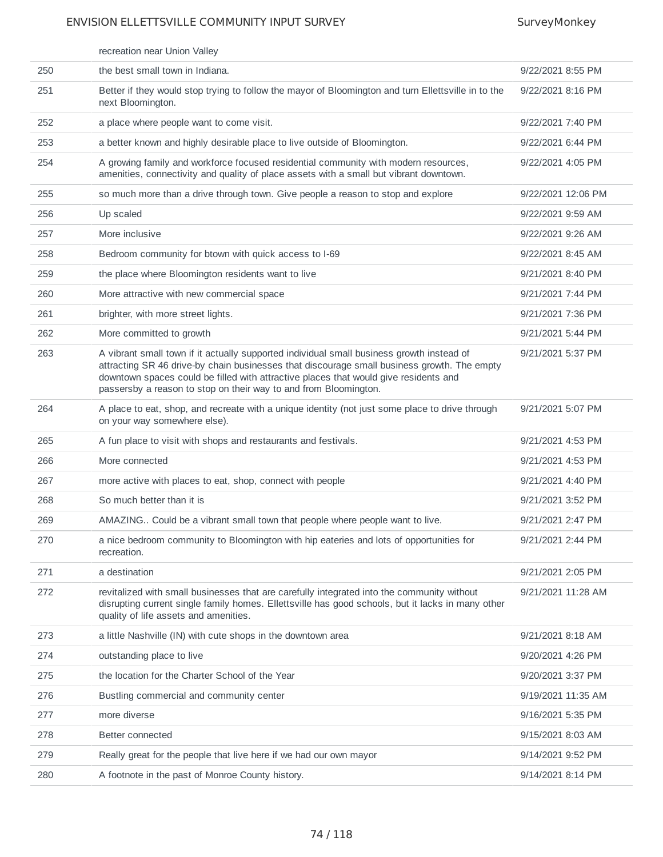|     | recreation near Union Valley                                                                                                                                                                                                                                                                                                                         |                    |
|-----|------------------------------------------------------------------------------------------------------------------------------------------------------------------------------------------------------------------------------------------------------------------------------------------------------------------------------------------------------|--------------------|
| 250 | the best small town in Indiana.                                                                                                                                                                                                                                                                                                                      | 9/22/2021 8:55 PM  |
| 251 | Better if they would stop trying to follow the mayor of Bloomington and turn Ellettsville in to the<br>next Bloomington.                                                                                                                                                                                                                             | 9/22/2021 8:16 PM  |
| 252 | a place where people want to come visit.                                                                                                                                                                                                                                                                                                             | 9/22/2021 7:40 PM  |
| 253 | a better known and highly desirable place to live outside of Bloomington.                                                                                                                                                                                                                                                                            | 9/22/2021 6:44 PM  |
| 254 | A growing family and workforce focused residential community with modern resources,<br>amenities, connectivity and quality of place assets with a small but vibrant downtown.                                                                                                                                                                        | 9/22/2021 4:05 PM  |
| 255 | so much more than a drive through town. Give people a reason to stop and explore                                                                                                                                                                                                                                                                     | 9/22/2021 12:06 PM |
| 256 | Up scaled                                                                                                                                                                                                                                                                                                                                            | 9/22/2021 9:59 AM  |
| 257 | More inclusive                                                                                                                                                                                                                                                                                                                                       | 9/22/2021 9:26 AM  |
| 258 | Bedroom community for btown with quick access to I-69                                                                                                                                                                                                                                                                                                | 9/22/2021 8:45 AM  |
| 259 | the place where Bloomington residents want to live                                                                                                                                                                                                                                                                                                   | 9/21/2021 8:40 PM  |
| 260 | More attractive with new commercial space                                                                                                                                                                                                                                                                                                            | 9/21/2021 7:44 PM  |
| 261 | brighter, with more street lights.                                                                                                                                                                                                                                                                                                                   | 9/21/2021 7:36 PM  |
| 262 | More committed to growth                                                                                                                                                                                                                                                                                                                             | 9/21/2021 5:44 PM  |
| 263 | A vibrant small town if it actually supported individual small business growth instead of<br>attracting SR 46 drive-by chain businesses that discourage small business growth. The empty<br>downtown spaces could be filled with attractive places that would give residents and<br>passersby a reason to stop on their way to and from Bloomington. | 9/21/2021 5:37 PM  |
| 264 | A place to eat, shop, and recreate with a unique identity (not just some place to drive through<br>on your way somewhere else).                                                                                                                                                                                                                      | 9/21/2021 5:07 PM  |
| 265 | A fun place to visit with shops and restaurants and festivals.                                                                                                                                                                                                                                                                                       | 9/21/2021 4:53 PM  |
| 266 | More connected                                                                                                                                                                                                                                                                                                                                       | 9/21/2021 4:53 PM  |
| 267 | more active with places to eat, shop, connect with people                                                                                                                                                                                                                                                                                            | 9/21/2021 4:40 PM  |
| 268 | So much better than it is                                                                                                                                                                                                                                                                                                                            | 9/21/2021 3:52 PM  |
| 269 | AMAZING Could be a vibrant small town that people where people want to live.                                                                                                                                                                                                                                                                         | 9/21/2021 2:47 PM  |
| 270 | a nice bedroom community to Bloomington with hip eateries and lots of opportunities for<br>recreation.                                                                                                                                                                                                                                               | 9/21/2021 2:44 PM  |
| 271 | a destination                                                                                                                                                                                                                                                                                                                                        | 9/21/2021 2:05 PM  |
| 272 | revitalized with small businesses that are carefully integrated into the community without<br>disrupting current single family homes. Ellettsville has good schools, but it lacks in many other<br>quality of life assets and amenities.                                                                                                             | 9/21/2021 11:28 AM |
| 273 | a little Nashville (IN) with cute shops in the downtown area                                                                                                                                                                                                                                                                                         | 9/21/2021 8:18 AM  |
| 274 | outstanding place to live                                                                                                                                                                                                                                                                                                                            | 9/20/2021 4:26 PM  |
| 275 | the location for the Charter School of the Year                                                                                                                                                                                                                                                                                                      | 9/20/2021 3:37 PM  |
| 276 | Bustling commercial and community center                                                                                                                                                                                                                                                                                                             | 9/19/2021 11:35 AM |
| 277 | more diverse                                                                                                                                                                                                                                                                                                                                         | 9/16/2021 5:35 PM  |
| 278 | Better connected                                                                                                                                                                                                                                                                                                                                     | 9/15/2021 8:03 AM  |
| 279 | Really great for the people that live here if we had our own mayor                                                                                                                                                                                                                                                                                   | 9/14/2021 9:52 PM  |
| 280 | A footnote in the past of Monroe County history.                                                                                                                                                                                                                                                                                                     | 9/14/2021 8:14 PM  |
|     |                                                                                                                                                                                                                                                                                                                                                      |                    |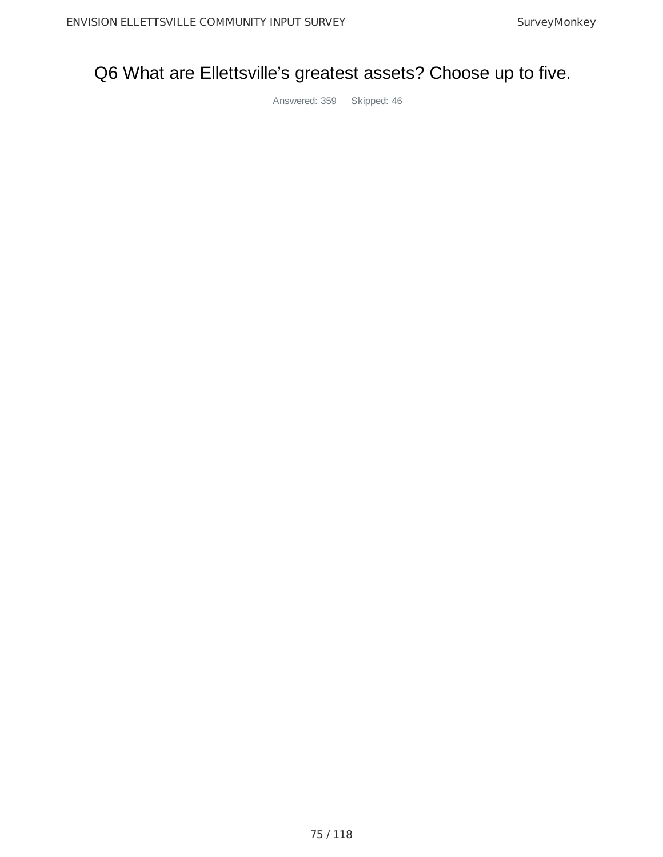## Q6 What are Ellettsville's greatest assets? Choose up to five.

Answered: 359 Skipped: 46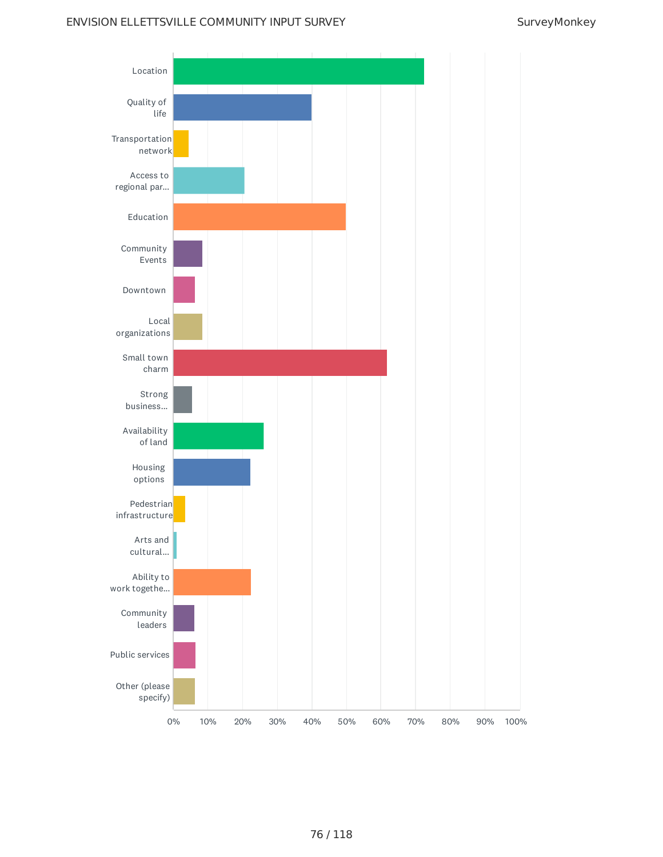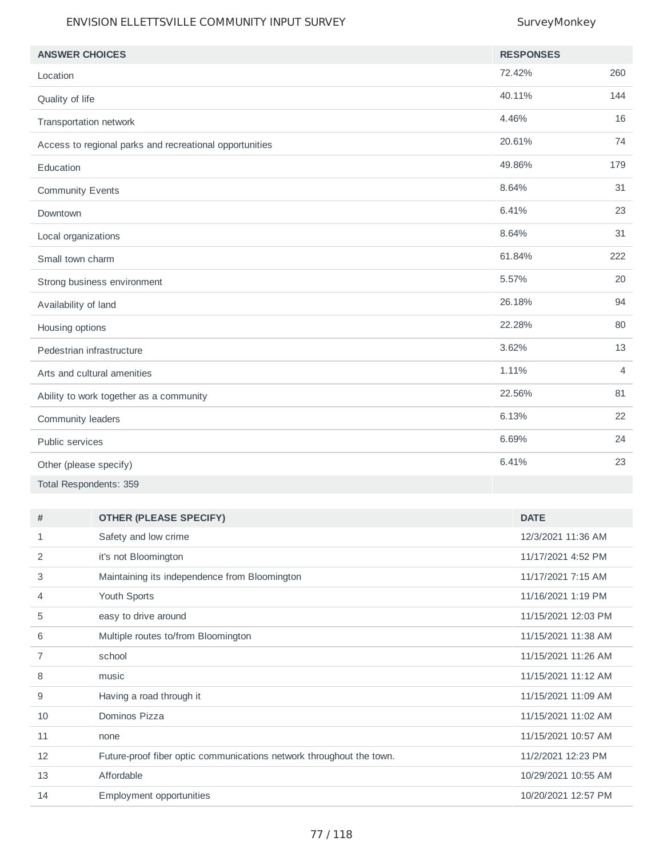| <b>ANSWER CHOICES</b>                                   | <b>RESPONSES</b> |                |
|---------------------------------------------------------|------------------|----------------|
| Location                                                | 72.42%           | 260            |
| Quality of life                                         | 40.11%           | 144            |
| Transportation network                                  | 4.46%            | 16             |
| Access to regional parks and recreational opportunities | 20.61%           | 74             |
| Education                                               | 49.86%           | 179            |
| <b>Community Events</b>                                 | 8.64%            | 31             |
| Downtown                                                | 6.41%            | 23             |
| Local organizations                                     | 8.64%            | 31             |
| Small town charm                                        | 61.84%           | 222            |
| Strong business environment                             | 5.57%            | 20             |
| Availability of land                                    | 26.18%           | 94             |
| Housing options                                         | 22.28%           | 80             |
| Pedestrian infrastructure                               | 3.62%            | 13             |
| Arts and cultural amenities                             | 1.11%            | $\overline{4}$ |
| Ability to work together as a community                 | 22.56%           | 81             |
| Community leaders                                       | 6.13%            | 22             |
| Public services                                         | 6.69%            | 24             |
| Other (please specify)                                  | 6.41%            | 23             |
| Total Respondents: 359                                  |                  |                |

| <b>OTHER (PLEASE SPECIFY)</b>                                        | <b>DATE</b>         |
|----------------------------------------------------------------------|---------------------|
| Safety and low crime                                                 | 12/3/2021 11:36 AM  |
| it's not Bloomington                                                 | 11/17/2021 4:52 PM  |
| Maintaining its independence from Bloomington                        | 11/17/2021 7:15 AM  |
| Youth Sports                                                         | 11/16/2021 1:19 PM  |
| easy to drive around                                                 | 11/15/2021 12:03 PM |
| Multiple routes to/from Bloomington                                  | 11/15/2021 11:38 AM |
| school                                                               | 11/15/2021 11:26 AM |
| music                                                                | 11/15/2021 11:12 AM |
| Having a road through it                                             | 11/15/2021 11:09 AM |
| Dominos Pizza                                                        | 11/15/2021 11:02 AM |
| none                                                                 | 11/15/2021 10:57 AM |
| Future-proof fiber optic communications network throughout the town. | 11/2/2021 12:23 PM  |
| Affordable                                                           | 10/29/2021 10:55 AM |
| <b>Employment opportunities</b>                                      | 10/20/2021 12:57 PM |
|                                                                      |                     |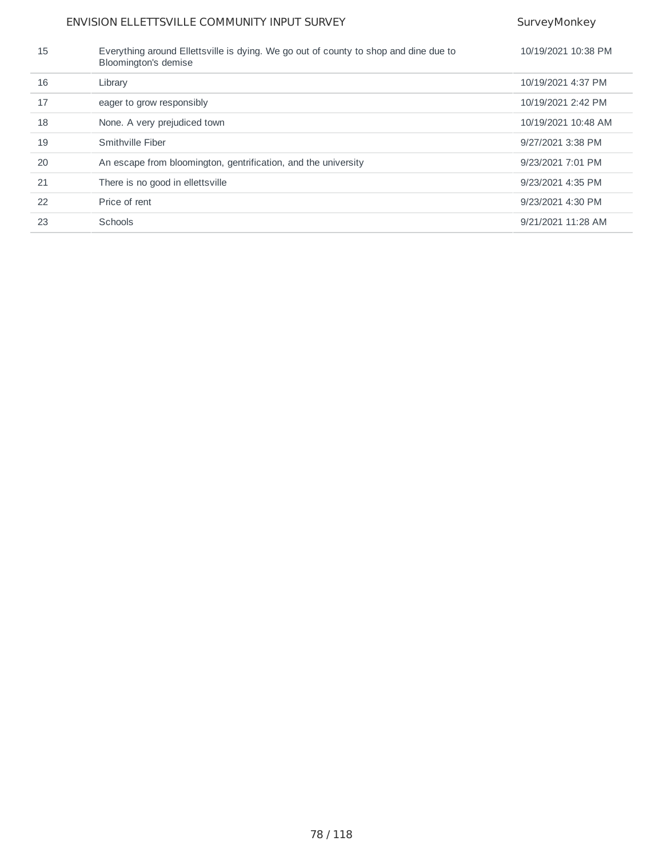| 15 | Everything around Ellettsville is dying. We go out of county to shop and dine due to<br>Bloomington's demise | 10/19/2021 10:38 PM |
|----|--------------------------------------------------------------------------------------------------------------|---------------------|
| 16 | Library                                                                                                      | 10/19/2021 4:37 PM  |
| 17 | eager to grow responsibly                                                                                    | 10/19/2021 2:42 PM  |
| 18 | None. A very prejudiced town                                                                                 | 10/19/2021 10:48 AM |
| 19 | Smithville Fiber                                                                                             | 9/27/2021 3:38 PM   |
| 20 | An escape from bloomington, gentrification, and the university                                               | 9/23/2021 7:01 PM   |
| 21 | There is no good in ellettsville                                                                             | 9/23/2021 4:35 PM   |
| 22 | Price of rent                                                                                                | 9/23/2021 4:30 PM   |
| 23 | Schools                                                                                                      | 9/21/2021 11:28 AM  |
|    |                                                                                                              |                     |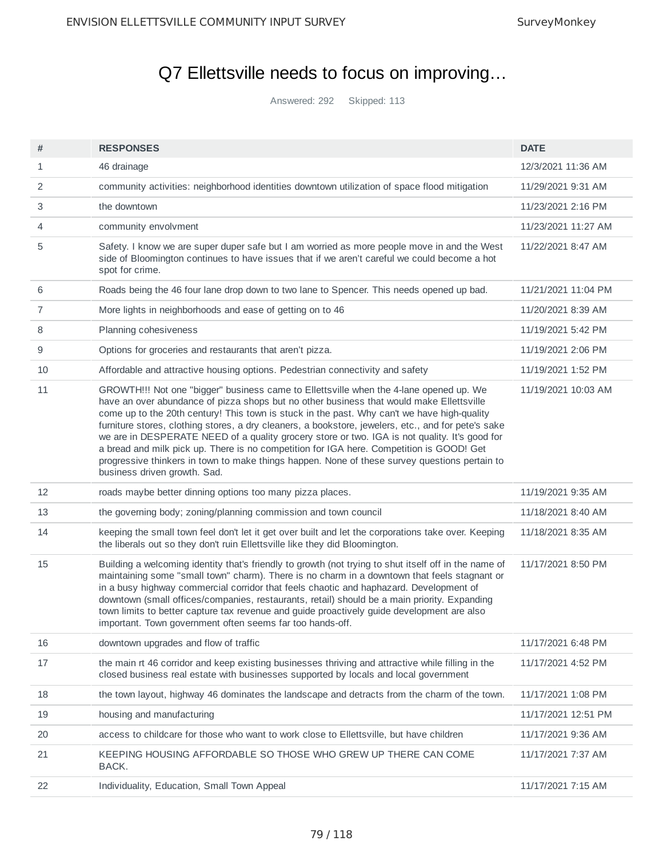## Q7 Ellettsville needs to focus on improving…

Answered: 292 Skipped: 113

| #  | <b>RESPONSES</b>                                                                                                                                                                                                                                                                                                                                                                                                                                                                                                                                                                                                                                                                                                       | <b>DATE</b>         |
|----|------------------------------------------------------------------------------------------------------------------------------------------------------------------------------------------------------------------------------------------------------------------------------------------------------------------------------------------------------------------------------------------------------------------------------------------------------------------------------------------------------------------------------------------------------------------------------------------------------------------------------------------------------------------------------------------------------------------------|---------------------|
| 1  | 46 drainage                                                                                                                                                                                                                                                                                                                                                                                                                                                                                                                                                                                                                                                                                                            | 12/3/2021 11:36 AM  |
| 2  | community activities: neighborhood identities downtown utilization of space flood mitigation                                                                                                                                                                                                                                                                                                                                                                                                                                                                                                                                                                                                                           | 11/29/2021 9:31 AM  |
| 3  | the downtown                                                                                                                                                                                                                                                                                                                                                                                                                                                                                                                                                                                                                                                                                                           | 11/23/2021 2:16 PM  |
| 4  | community envolvment                                                                                                                                                                                                                                                                                                                                                                                                                                                                                                                                                                                                                                                                                                   | 11/23/2021 11:27 AM |
| 5  | Safety. I know we are super duper safe but I am worried as more people move in and the West<br>side of Bloomington continues to have issues that if we aren't careful we could become a hot<br>spot for crime.                                                                                                                                                                                                                                                                                                                                                                                                                                                                                                         | 11/22/2021 8:47 AM  |
| 6  | Roads being the 46 four lane drop down to two lane to Spencer. This needs opened up bad.                                                                                                                                                                                                                                                                                                                                                                                                                                                                                                                                                                                                                               | 11/21/2021 11:04 PM |
| 7  | More lights in neighborhoods and ease of getting on to 46                                                                                                                                                                                                                                                                                                                                                                                                                                                                                                                                                                                                                                                              | 11/20/2021 8:39 AM  |
| 8  | Planning cohesiveness                                                                                                                                                                                                                                                                                                                                                                                                                                                                                                                                                                                                                                                                                                  | 11/19/2021 5:42 PM  |
| 9  | Options for groceries and restaurants that aren't pizza.                                                                                                                                                                                                                                                                                                                                                                                                                                                                                                                                                                                                                                                               | 11/19/2021 2:06 PM  |
| 10 | Affordable and attractive housing options. Pedestrian connectivity and safety                                                                                                                                                                                                                                                                                                                                                                                                                                                                                                                                                                                                                                          | 11/19/2021 1:52 PM  |
| 11 | GROWTH!!! Not one "bigger" business came to Ellettsville when the 4-lane opened up. We<br>have an over abundance of pizza shops but no other business that would make Ellettsville<br>come up to the 20th century! This town is stuck in the past. Why can't we have high-quality<br>furniture stores, clothing stores, a dry cleaners, a bookstore, jewelers, etc., and for pete's sake<br>we are in DESPERATE NEED of a quality grocery store or two. IGA is not quality. It's good for<br>a bread and milk pick up. There is no competition for IGA here. Competition is GOOD! Get<br>progressive thinkers in town to make things happen. None of these survey questions pertain to<br>business driven growth. Sad. | 11/19/2021 10:03 AM |
| 12 | roads maybe better dinning options too many pizza places.                                                                                                                                                                                                                                                                                                                                                                                                                                                                                                                                                                                                                                                              | 11/19/2021 9:35 AM  |
| 13 | the governing body; zoning/planning commission and town council                                                                                                                                                                                                                                                                                                                                                                                                                                                                                                                                                                                                                                                        | 11/18/2021 8:40 AM  |
| 14 | keeping the small town feel don't let it get over built and let the corporations take over. Keeping<br>the liberals out so they don't ruin Ellettsville like they did Bloomington.                                                                                                                                                                                                                                                                                                                                                                                                                                                                                                                                     | 11/18/2021 8:35 AM  |
| 15 | Building a welcoming identity that's friendly to growth (not trying to shut itself off in the name of<br>maintaining some "small town" charm). There is no charm in a downtown that feels stagnant or<br>in a busy highway commercial corridor that feels chaotic and haphazard. Development of<br>downtown (small offices/companies, restaurants, retail) should be a main priority. Expanding<br>town limits to better capture tax revenue and guide proactively guide development are also<br>important. Town government often seems far too hands-off.                                                                                                                                                             | 11/17/2021 8:50 PM  |
| 16 | downtown upgrades and flow of traffic                                                                                                                                                                                                                                                                                                                                                                                                                                                                                                                                                                                                                                                                                  | 11/17/2021 6:48 PM  |
| 17 | the main rt 46 corridor and keep existing businesses thriving and attractive while filling in the<br>closed business real estate with businesses supported by locals and local government                                                                                                                                                                                                                                                                                                                                                                                                                                                                                                                              | 11/17/2021 4:52 PM  |
| 18 | the town layout, highway 46 dominates the landscape and detracts from the charm of the town.                                                                                                                                                                                                                                                                                                                                                                                                                                                                                                                                                                                                                           | 11/17/2021 1:08 PM  |
| 19 | housing and manufacturing                                                                                                                                                                                                                                                                                                                                                                                                                                                                                                                                                                                                                                                                                              | 11/17/2021 12:51 PM |
| 20 | access to childcare for those who want to work close to Ellettsville, but have children                                                                                                                                                                                                                                                                                                                                                                                                                                                                                                                                                                                                                                | 11/17/2021 9:36 AM  |
| 21 | KEEPING HOUSING AFFORDABLE SO THOSE WHO GREW UP THERE CAN COME<br>BACK.                                                                                                                                                                                                                                                                                                                                                                                                                                                                                                                                                                                                                                                | 11/17/2021 7:37 AM  |
| 22 | Individuality, Education, Small Town Appeal                                                                                                                                                                                                                                                                                                                                                                                                                                                                                                                                                                                                                                                                            | 11/17/2021 7:15 AM  |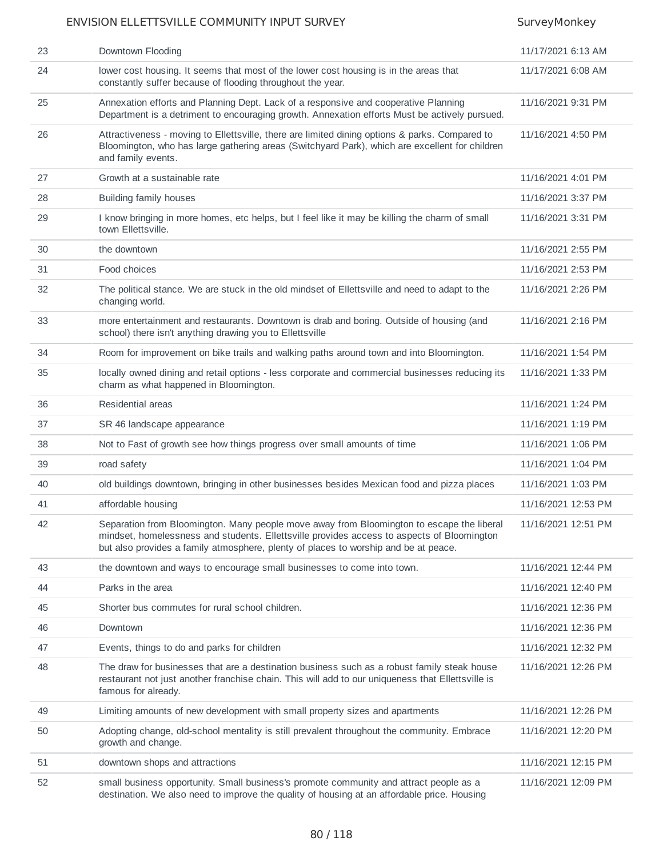| 23 | Downtown Flooding                                                                                                                                                                                                                                                              | 11/17/2021 6:13 AM  |
|----|--------------------------------------------------------------------------------------------------------------------------------------------------------------------------------------------------------------------------------------------------------------------------------|---------------------|
| 24 | lower cost housing. It seems that most of the lower cost housing is in the areas that<br>constantly suffer because of flooding throughout the year.                                                                                                                            | 11/17/2021 6:08 AM  |
| 25 | Annexation efforts and Planning Dept. Lack of a responsive and cooperative Planning<br>Department is a detriment to encouraging growth. Annexation efforts Must be actively pursued.                                                                                           | 11/16/2021 9:31 PM  |
| 26 | Attractiveness - moving to Ellettsville, there are limited dining options & parks. Compared to<br>Bloomington, who has large gathering areas (Switchyard Park), which are excellent for children<br>and family events.                                                         | 11/16/2021 4:50 PM  |
| 27 | Growth at a sustainable rate                                                                                                                                                                                                                                                   | 11/16/2021 4:01 PM  |
| 28 | Building family houses                                                                                                                                                                                                                                                         | 11/16/2021 3:37 PM  |
| 29 | I know bringing in more homes, etc helps, but I feel like it may be killing the charm of small<br>town Ellettsville.                                                                                                                                                           | 11/16/2021 3:31 PM  |
| 30 | the downtown                                                                                                                                                                                                                                                                   | 11/16/2021 2:55 PM  |
| 31 | Food choices                                                                                                                                                                                                                                                                   | 11/16/2021 2:53 PM  |
| 32 | The political stance. We are stuck in the old mindset of Ellettsville and need to adapt to the<br>changing world.                                                                                                                                                              | 11/16/2021 2:26 PM  |
| 33 | more entertainment and restaurants. Downtown is drab and boring. Outside of housing (and<br>school) there isn't anything drawing you to Ellettsville                                                                                                                           | 11/16/2021 2:16 PM  |
| 34 | Room for improvement on bike trails and walking paths around town and into Bloomington.                                                                                                                                                                                        | 11/16/2021 1:54 PM  |
| 35 | locally owned dining and retail options - less corporate and commercial businesses reducing its<br>charm as what happened in Bloomington.                                                                                                                                      | 11/16/2021 1:33 PM  |
| 36 | Residential areas                                                                                                                                                                                                                                                              | 11/16/2021 1:24 PM  |
| 37 | SR 46 landscape appearance                                                                                                                                                                                                                                                     | 11/16/2021 1:19 PM  |
| 38 | Not to Fast of growth see how things progress over small amounts of time                                                                                                                                                                                                       | 11/16/2021 1:06 PM  |
| 39 | road safety                                                                                                                                                                                                                                                                    | 11/16/2021 1:04 PM  |
| 40 | old buildings downtown, bringing in other businesses besides Mexican food and pizza places                                                                                                                                                                                     | 11/16/2021 1:03 PM  |
| 41 | affordable housing                                                                                                                                                                                                                                                             | 11/16/2021 12:53 PM |
| 42 | Separation from Bloomington. Many people move away from Bloomington to escape the liberal<br>mindset, homelessness and students. Ellettsville provides access to aspects of Bloomington<br>but also provides a family atmosphere, plenty of places to worship and be at peace. | 11/16/2021 12:51 PM |
| 43 | the downtown and ways to encourage small businesses to come into town.                                                                                                                                                                                                         | 11/16/2021 12:44 PM |
| 44 | Parks in the area                                                                                                                                                                                                                                                              | 11/16/2021 12:40 PM |
| 45 | Shorter bus commutes for rural school children.                                                                                                                                                                                                                                | 11/16/2021 12:36 PM |
| 46 | Downtown                                                                                                                                                                                                                                                                       | 11/16/2021 12:36 PM |
| 47 | Events, things to do and parks for children                                                                                                                                                                                                                                    | 11/16/2021 12:32 PM |
| 48 | The draw for businesses that are a destination business such as a robust family steak house<br>restaurant not just another franchise chain. This will add to our uniqueness that Ellettsville is<br>famous for already.                                                        | 11/16/2021 12:26 PM |
| 49 | Limiting amounts of new development with small property sizes and apartments                                                                                                                                                                                                   | 11/16/2021 12:26 PM |
| 50 | Adopting change, old-school mentality is still prevalent throughout the community. Embrace<br>growth and change.                                                                                                                                                               | 11/16/2021 12:20 PM |
| 51 | downtown shops and attractions                                                                                                                                                                                                                                                 | 11/16/2021 12:15 PM |
| 52 | small business opportunity. Small business's promote community and attract people as a<br>destination. We also need to improve the quality of housing at an affordable price. Housing                                                                                          | 11/16/2021 12:09 PM |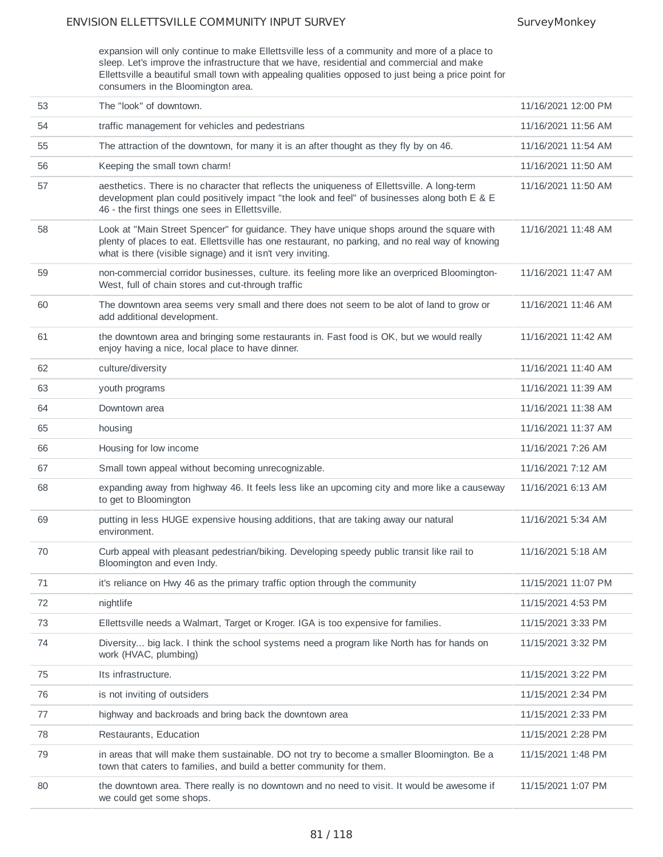expansion will only continue to make Ellettsville less of a community and more of a place to sleep. Let's improve the infrastructure that we have, residential and commercial and make Ellettsville a beautiful small town with appealing qualities opposed to just being a price point for consumers in the Bloomington area.

| 53 | The "look" of downtown.                                                                                                                                                                                                                                      | 11/16/2021 12:00 PM |
|----|--------------------------------------------------------------------------------------------------------------------------------------------------------------------------------------------------------------------------------------------------------------|---------------------|
| 54 | traffic management for vehicles and pedestrians                                                                                                                                                                                                              | 11/16/2021 11:56 AM |
| 55 | The attraction of the downtown, for many it is an after thought as they fly by on 46.                                                                                                                                                                        | 11/16/2021 11:54 AM |
| 56 | Keeping the small town charm!                                                                                                                                                                                                                                | 11/16/2021 11:50 AM |
| 57 | aesthetics. There is no character that reflects the uniqueness of Ellettsville. A long-term<br>development plan could positively impact "the look and feel" of businesses along both E & E<br>46 - the first things one sees in Ellettsville.                | 11/16/2021 11:50 AM |
| 58 | Look at "Main Street Spencer" for guidance. They have unique shops around the square with<br>plenty of places to eat. Ellettsville has one restaurant, no parking, and no real way of knowing<br>what is there (visible signage) and it isn't very inviting. | 11/16/2021 11:48 AM |
| 59 | non-commercial corridor businesses, culture. its feeling more like an overpriced Bloomington-<br>West, full of chain stores and cut-through traffic                                                                                                          | 11/16/2021 11:47 AM |
| 60 | The downtown area seems very small and there does not seem to be alot of land to grow or<br>add additional development.                                                                                                                                      | 11/16/2021 11:46 AM |
| 61 | the downtown area and bringing some restaurants in. Fast food is OK, but we would really<br>enjoy having a nice, local place to have dinner.                                                                                                                 | 11/16/2021 11:42 AM |
| 62 | culture/diversity                                                                                                                                                                                                                                            | 11/16/2021 11:40 AM |
| 63 | youth programs                                                                                                                                                                                                                                               | 11/16/2021 11:39 AM |
| 64 | Downtown area                                                                                                                                                                                                                                                | 11/16/2021 11:38 AM |
| 65 | housing                                                                                                                                                                                                                                                      | 11/16/2021 11:37 AM |
| 66 | Housing for low income                                                                                                                                                                                                                                       | 11/16/2021 7:26 AM  |
| 67 | Small town appeal without becoming unrecognizable.                                                                                                                                                                                                           | 11/16/2021 7:12 AM  |
| 68 | expanding away from highway 46. It feels less like an upcoming city and more like a causeway<br>to get to Bloomington                                                                                                                                        | 11/16/2021 6:13 AM  |
| 69 | putting in less HUGE expensive housing additions, that are taking away our natural<br>environment.                                                                                                                                                           | 11/16/2021 5:34 AM  |
| 70 | Curb appeal with pleasant pedestrian/biking. Developing speedy public transit like rail to<br>Bloomington and even Indy.                                                                                                                                     | 11/16/2021 5:18 AM  |
| 71 | it's reliance on Hwy 46 as the primary traffic option through the community                                                                                                                                                                                  | 11/15/2021 11:07 PM |
| 72 | nightlife                                                                                                                                                                                                                                                    | 11/15/2021 4:53 PM  |
| 73 | Ellettsville needs a Walmart, Target or Kroger. IGA is too expensive for families.                                                                                                                                                                           | 11/15/2021 3:33 PM  |
| 74 | Diversity big lack. I think the school systems need a program like North has for hands on<br>work (HVAC, plumbing)                                                                                                                                           | 11/15/2021 3:32 PM  |
| 75 | Its infrastructure.                                                                                                                                                                                                                                          | 11/15/2021 3:22 PM  |
| 76 | is not inviting of outsiders                                                                                                                                                                                                                                 | 11/15/2021 2:34 PM  |
| 77 | highway and backroads and bring back the downtown area                                                                                                                                                                                                       | 11/15/2021 2:33 PM  |
| 78 | Restaurants, Education                                                                                                                                                                                                                                       | 11/15/2021 2:28 PM  |
| 79 | in areas that will make them sustainable. DO not try to become a smaller Bloomington. Be a<br>town that caters to families, and build a better community for them.                                                                                           | 11/15/2021 1:48 PM  |
| 80 | the downtown area. There really is no downtown and no need to visit. It would be awesome if<br>we could get some shops.                                                                                                                                      | 11/15/2021 1:07 PM  |
|    |                                                                                                                                                                                                                                                              |                     |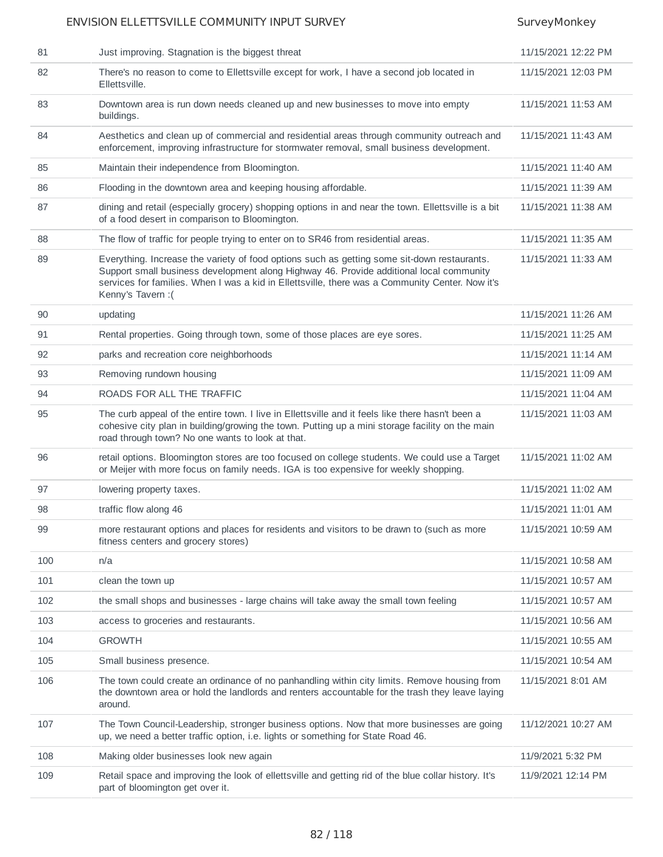| 81  | Just improving. Stagnation is the biggest threat                                                                                                                                                                                                                                                                | 11/15/2021 12:22 PM |
|-----|-----------------------------------------------------------------------------------------------------------------------------------------------------------------------------------------------------------------------------------------------------------------------------------------------------------------|---------------------|
| 82  | There's no reason to come to Ellettsville except for work, I have a second job located in<br>Ellettsville.                                                                                                                                                                                                      | 11/15/2021 12:03 PM |
| 83  | Downtown area is run down needs cleaned up and new businesses to move into empty<br>buildings.                                                                                                                                                                                                                  | 11/15/2021 11:53 AM |
| 84  | Aesthetics and clean up of commercial and residential areas through community outreach and<br>enforcement, improving infrastructure for stormwater removal, small business development.                                                                                                                         | 11/15/2021 11:43 AM |
| 85  | Maintain their independence from Bloomington.                                                                                                                                                                                                                                                                   | 11/15/2021 11:40 AM |
| 86  | Flooding in the downtown area and keeping housing affordable.                                                                                                                                                                                                                                                   | 11/15/2021 11:39 AM |
| 87  | dining and retail (especially grocery) shopping options in and near the town. Ellettsville is a bit<br>of a food desert in comparison to Bloomington.                                                                                                                                                           | 11/15/2021 11:38 AM |
| 88  | The flow of traffic for people trying to enter on to SR46 from residential areas.                                                                                                                                                                                                                               | 11/15/2021 11:35 AM |
| 89  | Everything. Increase the variety of food options such as getting some sit-down restaurants.<br>Support small business development along Highway 46. Provide additional local community<br>services for families. When I was a kid in Ellettsville, there was a Community Center. Now it's<br>Kenny's Tavern : ( | 11/15/2021 11:33 AM |
| 90  | updating                                                                                                                                                                                                                                                                                                        | 11/15/2021 11:26 AM |
| 91  | Rental properties. Going through town, some of those places are eye sores.                                                                                                                                                                                                                                      | 11/15/2021 11:25 AM |
| 92  | parks and recreation core neighborhoods                                                                                                                                                                                                                                                                         | 11/15/2021 11:14 AM |
| 93  | Removing rundown housing                                                                                                                                                                                                                                                                                        | 11/15/2021 11:09 AM |
| 94  | ROADS FOR ALL THE TRAFFIC                                                                                                                                                                                                                                                                                       | 11/15/2021 11:04 AM |
| 95  | The curb appeal of the entire town. I live in Ellettsville and it feels like there hasn't been a<br>cohesive city plan in building/growing the town. Putting up a mini storage facility on the main<br>road through town? No one wants to look at that.                                                         | 11/15/2021 11:03 AM |
| 96  | retail options. Bloomington stores are too focused on college students. We could use a Target<br>or Meijer with more focus on family needs. IGA is too expensive for weekly shopping.                                                                                                                           | 11/15/2021 11:02 AM |
| 97  | lowering property taxes.                                                                                                                                                                                                                                                                                        | 11/15/2021 11:02 AM |
| 98  | traffic flow along 46                                                                                                                                                                                                                                                                                           | 11/15/2021 11:01 AM |
| 99  | more restaurant options and places for residents and visitors to be drawn to (such as more<br>fitness centers and grocery stores)                                                                                                                                                                               | 11/15/2021 10:59 AM |
| 100 | n/a                                                                                                                                                                                                                                                                                                             | 11/15/2021 10:58 AM |
| 101 | clean the town up                                                                                                                                                                                                                                                                                               | 11/15/2021 10:57 AM |
| 102 | the small shops and businesses - large chains will take away the small town feeling                                                                                                                                                                                                                             | 11/15/2021 10:57 AM |
| 103 | access to groceries and restaurants.                                                                                                                                                                                                                                                                            | 11/15/2021 10:56 AM |
| 104 | <b>GROWTH</b>                                                                                                                                                                                                                                                                                                   | 11/15/2021 10:55 AM |
| 105 | Small business presence.                                                                                                                                                                                                                                                                                        | 11/15/2021 10:54 AM |
| 106 | The town could create an ordinance of no panhandling within city limits. Remove housing from<br>the downtown area or hold the landlords and renters accountable for the trash they leave laying<br>around.                                                                                                      | 11/15/2021 8:01 AM  |
| 107 | The Town Council-Leadership, stronger business options. Now that more businesses are going<br>up, we need a better traffic option, i.e. lights or something for State Road 46.                                                                                                                                  | 11/12/2021 10:27 AM |
| 108 | Making older businesses look new again                                                                                                                                                                                                                                                                          | 11/9/2021 5:32 PM   |
| 109 | Retail space and improving the look of ellettsville and getting rid of the blue collar history. It's<br>part of bloomington get over it.                                                                                                                                                                        | 11/9/2021 12:14 PM  |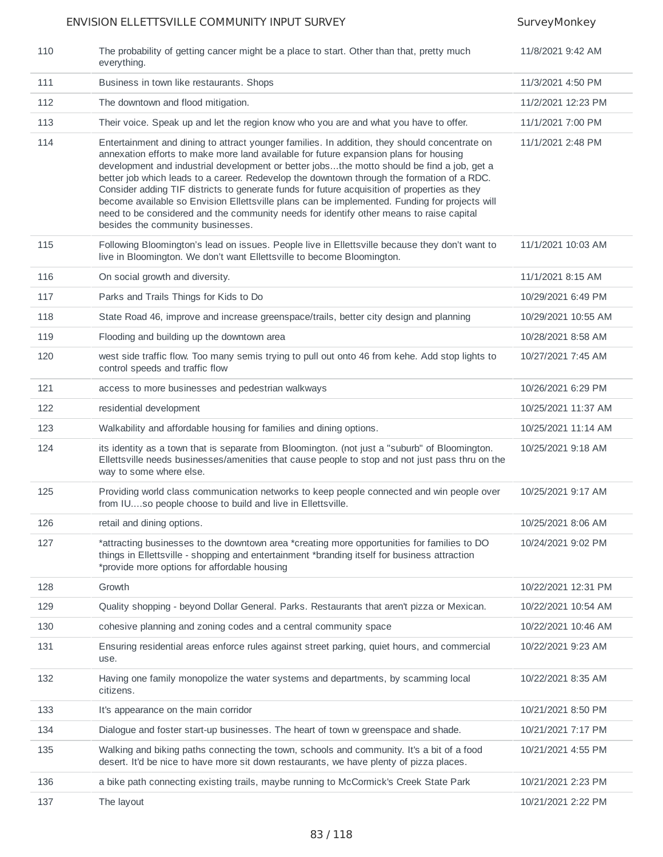| 110 | The probability of getting cancer might be a place to start. Other than that, pretty much<br>everything.                                                                                                                                                                                                                                                                                                                                                                                                                                                                                                                                                                                                            | 11/8/2021 9:42 AM   |
|-----|---------------------------------------------------------------------------------------------------------------------------------------------------------------------------------------------------------------------------------------------------------------------------------------------------------------------------------------------------------------------------------------------------------------------------------------------------------------------------------------------------------------------------------------------------------------------------------------------------------------------------------------------------------------------------------------------------------------------|---------------------|
| 111 | Business in town like restaurants. Shops                                                                                                                                                                                                                                                                                                                                                                                                                                                                                                                                                                                                                                                                            | 11/3/2021 4:50 PM   |
| 112 | The downtown and flood mitigation.                                                                                                                                                                                                                                                                                                                                                                                                                                                                                                                                                                                                                                                                                  | 11/2/2021 12:23 PM  |
| 113 | Their voice. Speak up and let the region know who you are and what you have to offer.                                                                                                                                                                                                                                                                                                                                                                                                                                                                                                                                                                                                                               | 11/1/2021 7:00 PM   |
| 114 | Entertainment and dining to attract younger families. In addition, they should concentrate on<br>annexation efforts to make more land available for future expansion plans for housing<br>development and industrial development or better jobsthe motto should be find a job, get a<br>better job which leads to a career. Redevelop the downtown through the formation of a RDC.<br>Consider adding TIF districts to generate funds for future acquisition of properties as they<br>become available so Envision Ellettsville plans can be implemented. Funding for projects will<br>need to be considered and the community needs for identify other means to raise capital<br>besides the community businesses. | 11/1/2021 2:48 PM   |
| 115 | Following Bloomington's lead on issues. People live in Ellettsville because they don't want to<br>live in Bloomington. We don't want Ellettsville to become Bloomington.                                                                                                                                                                                                                                                                                                                                                                                                                                                                                                                                            | 11/1/2021 10:03 AM  |
| 116 | On social growth and diversity.                                                                                                                                                                                                                                                                                                                                                                                                                                                                                                                                                                                                                                                                                     | 11/1/2021 8:15 AM   |
| 117 | Parks and Trails Things for Kids to Do                                                                                                                                                                                                                                                                                                                                                                                                                                                                                                                                                                                                                                                                              | 10/29/2021 6:49 PM  |
| 118 | State Road 46, improve and increase greenspace/trails, better city design and planning                                                                                                                                                                                                                                                                                                                                                                                                                                                                                                                                                                                                                              | 10/29/2021 10:55 AM |
| 119 | Flooding and building up the downtown area                                                                                                                                                                                                                                                                                                                                                                                                                                                                                                                                                                                                                                                                          | 10/28/2021 8:58 AM  |
| 120 | west side traffic flow. Too many semis trying to pull out onto 46 from kehe. Add stop lights to<br>control speeds and traffic flow                                                                                                                                                                                                                                                                                                                                                                                                                                                                                                                                                                                  | 10/27/2021 7:45 AM  |
| 121 | access to more businesses and pedestrian walkways                                                                                                                                                                                                                                                                                                                                                                                                                                                                                                                                                                                                                                                                   | 10/26/2021 6:29 PM  |
| 122 | residential development                                                                                                                                                                                                                                                                                                                                                                                                                                                                                                                                                                                                                                                                                             | 10/25/2021 11:37 AM |
| 123 | Walkability and affordable housing for families and dining options.                                                                                                                                                                                                                                                                                                                                                                                                                                                                                                                                                                                                                                                 | 10/25/2021 11:14 AM |
| 124 | its identity as a town that is separate from Bloomington. (not just a "suburb" of Bloomington.<br>Ellettsville needs businesses/amenities that cause people to stop and not just pass thru on the<br>way to some where else.                                                                                                                                                                                                                                                                                                                                                                                                                                                                                        | 10/25/2021 9:18 AM  |
| 125 | Providing world class communication networks to keep people connected and win people over<br>from IUso people choose to build and live in Ellettsville.                                                                                                                                                                                                                                                                                                                                                                                                                                                                                                                                                             | 10/25/2021 9:17 AM  |
| 126 | retail and dining options.                                                                                                                                                                                                                                                                                                                                                                                                                                                                                                                                                                                                                                                                                          | 10/25/2021 8:06 AM  |
| 127 | *attracting businesses to the downtown area *creating more opportunities for families to DO<br>things in Ellettsville - shopping and entertainment *branding itself for business attraction<br>*provide more options for affordable housing                                                                                                                                                                                                                                                                                                                                                                                                                                                                         | 10/24/2021 9:02 PM  |
| 128 | Growth                                                                                                                                                                                                                                                                                                                                                                                                                                                                                                                                                                                                                                                                                                              | 10/22/2021 12:31 PM |
| 129 | Quality shopping - beyond Dollar General. Parks. Restaurants that aren't pizza or Mexican.                                                                                                                                                                                                                                                                                                                                                                                                                                                                                                                                                                                                                          | 10/22/2021 10:54 AM |
| 130 | cohesive planning and zoning codes and a central community space                                                                                                                                                                                                                                                                                                                                                                                                                                                                                                                                                                                                                                                    | 10/22/2021 10:46 AM |
| 131 | Ensuring residential areas enforce rules against street parking, quiet hours, and commercial<br>use.                                                                                                                                                                                                                                                                                                                                                                                                                                                                                                                                                                                                                | 10/22/2021 9:23 AM  |
| 132 | Having one family monopolize the water systems and departments, by scamming local<br>citizens.                                                                                                                                                                                                                                                                                                                                                                                                                                                                                                                                                                                                                      | 10/22/2021 8:35 AM  |
| 133 | It's appearance on the main corridor                                                                                                                                                                                                                                                                                                                                                                                                                                                                                                                                                                                                                                                                                | 10/21/2021 8:50 PM  |
| 134 | Dialogue and foster start-up businesses. The heart of town w greenspace and shade.                                                                                                                                                                                                                                                                                                                                                                                                                                                                                                                                                                                                                                  | 10/21/2021 7:17 PM  |
| 135 | Walking and biking paths connecting the town, schools and community. It's a bit of a food<br>desert. It'd be nice to have more sit down restaurants, we have plenty of pizza places.                                                                                                                                                                                                                                                                                                                                                                                                                                                                                                                                | 10/21/2021 4:55 PM  |
| 136 | a bike path connecting existing trails, maybe running to McCormick's Creek State Park                                                                                                                                                                                                                                                                                                                                                                                                                                                                                                                                                                                                                               | 10/21/2021 2:23 PM  |
| 137 | The layout                                                                                                                                                                                                                                                                                                                                                                                                                                                                                                                                                                                                                                                                                                          | 10/21/2021 2:22 PM  |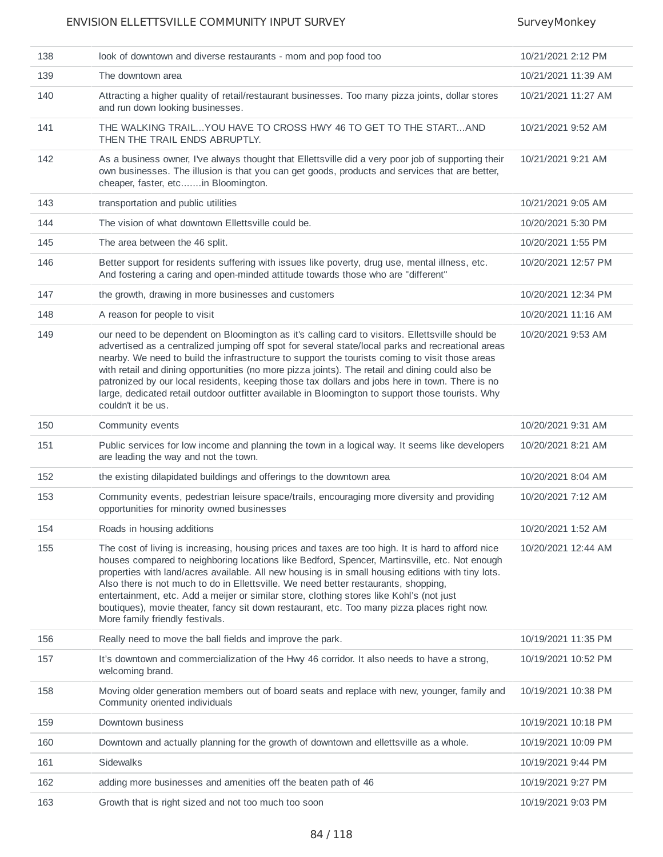| 138 | look of downtown and diverse restaurants - mom and pop food too                                                                                                                                                                                                                                                                                                                                                                                                                                                                                                                                                                            | 10/21/2021 2:12 PM  |
|-----|--------------------------------------------------------------------------------------------------------------------------------------------------------------------------------------------------------------------------------------------------------------------------------------------------------------------------------------------------------------------------------------------------------------------------------------------------------------------------------------------------------------------------------------------------------------------------------------------------------------------------------------------|---------------------|
| 139 | The downtown area                                                                                                                                                                                                                                                                                                                                                                                                                                                                                                                                                                                                                          | 10/21/2021 11:39 AM |
| 140 | Attracting a higher quality of retail/restaurant businesses. Too many pizza joints, dollar stores<br>and run down looking businesses.                                                                                                                                                                                                                                                                                                                                                                                                                                                                                                      | 10/21/2021 11:27 AM |
| 141 | THE WALKING TRAILYOU HAVE TO CROSS HWY 46 TO GET TO THE STARTAND<br>THEN THE TRAIL ENDS ABRUPTLY.                                                                                                                                                                                                                                                                                                                                                                                                                                                                                                                                          | 10/21/2021 9:52 AM  |
| 142 | As a business owner, I've always thought that Ellettsville did a very poor job of supporting their<br>own businesses. The illusion is that you can get goods, products and services that are better,<br>cheaper, faster, etcin Bloomington.                                                                                                                                                                                                                                                                                                                                                                                                | 10/21/2021 9:21 AM  |
| 143 | transportation and public utilities                                                                                                                                                                                                                                                                                                                                                                                                                                                                                                                                                                                                        | 10/21/2021 9:05 AM  |
| 144 | The vision of what downtown Ellettsville could be.                                                                                                                                                                                                                                                                                                                                                                                                                                                                                                                                                                                         | 10/20/2021 5:30 PM  |
| 145 | The area between the 46 split.                                                                                                                                                                                                                                                                                                                                                                                                                                                                                                                                                                                                             | 10/20/2021 1:55 PM  |
| 146 | Better support for residents suffering with issues like poverty, drug use, mental illness, etc.<br>And fostering a caring and open-minded attitude towards those who are "different"                                                                                                                                                                                                                                                                                                                                                                                                                                                       | 10/20/2021 12:57 PM |
| 147 | the growth, drawing in more businesses and customers                                                                                                                                                                                                                                                                                                                                                                                                                                                                                                                                                                                       | 10/20/2021 12:34 PM |
| 148 | A reason for people to visit                                                                                                                                                                                                                                                                                                                                                                                                                                                                                                                                                                                                               | 10/20/2021 11:16 AM |
| 149 | our need to be dependent on Bloomington as it's calling card to visitors. Ellettsville should be<br>advertised as a centralized jumping off spot for several state/local parks and recreational areas<br>nearby. We need to build the infrastructure to support the tourists coming to visit those areas<br>with retail and dining opportunities (no more pizza joints). The retail and dining could also be<br>patronized by our local residents, keeping those tax dollars and jobs here in town. There is no<br>large, dedicated retail outdoor outfitter available in Bloomington to support those tourists. Why<br>couldn't it be us. | 10/20/2021 9:53 AM  |
| 150 | Community events                                                                                                                                                                                                                                                                                                                                                                                                                                                                                                                                                                                                                           | 10/20/2021 9:31 AM  |
| 151 | Public services for low income and planning the town in a logical way. It seems like developers<br>are leading the way and not the town.                                                                                                                                                                                                                                                                                                                                                                                                                                                                                                   | 10/20/2021 8:21 AM  |
| 152 | the existing dilapidated buildings and offerings to the downtown area                                                                                                                                                                                                                                                                                                                                                                                                                                                                                                                                                                      | 10/20/2021 8:04 AM  |
| 153 | Community events, pedestrian leisure space/trails, encouraging more diversity and providing<br>opportunities for minority owned businesses                                                                                                                                                                                                                                                                                                                                                                                                                                                                                                 | 10/20/2021 7:12 AM  |
| 154 | Roads in housing additions                                                                                                                                                                                                                                                                                                                                                                                                                                                                                                                                                                                                                 | 10/20/2021 1:52 AM  |
| 155 | The cost of living is increasing, housing prices and taxes are too high. It is hard to afford nice<br>houses compared to neighboring locations like Bedford, Spencer, Martinsville, etc. Not enough<br>properties with land/acres available. All new housing is in small housing editions with tiny lots.<br>Also there is not much to do in Ellettsville. We need better restaurants, shopping,<br>entertainment, etc. Add a meijer or similar store, clothing stores like Kohl's (not just<br>boutiques), movie theater, fancy sit down restaurant, etc. Too many pizza places right now.<br>More family friendly festivals.             | 10/20/2021 12:44 AM |
| 156 | Really need to move the ball fields and improve the park.                                                                                                                                                                                                                                                                                                                                                                                                                                                                                                                                                                                  | 10/19/2021 11:35 PM |
| 157 | It's downtown and commercialization of the Hwy 46 corridor. It also needs to have a strong,<br>welcoming brand.                                                                                                                                                                                                                                                                                                                                                                                                                                                                                                                            | 10/19/2021 10:52 PM |
| 158 | Moving older generation members out of board seats and replace with new, younger, family and<br>Community oriented individuals                                                                                                                                                                                                                                                                                                                                                                                                                                                                                                             | 10/19/2021 10:38 PM |
| 159 | Downtown business                                                                                                                                                                                                                                                                                                                                                                                                                                                                                                                                                                                                                          | 10/19/2021 10:18 PM |
| 160 | Downtown and actually planning for the growth of downtown and ellettsville as a whole.                                                                                                                                                                                                                                                                                                                                                                                                                                                                                                                                                     | 10/19/2021 10:09 PM |
| 161 | Sidewalks                                                                                                                                                                                                                                                                                                                                                                                                                                                                                                                                                                                                                                  | 10/19/2021 9:44 PM  |
| 162 | adding more businesses and amenities off the beaten path of 46                                                                                                                                                                                                                                                                                                                                                                                                                                                                                                                                                                             | 10/19/2021 9:27 PM  |
| 163 | Growth that is right sized and not too much too soon                                                                                                                                                                                                                                                                                                                                                                                                                                                                                                                                                                                       | 10/19/2021 9:03 PM  |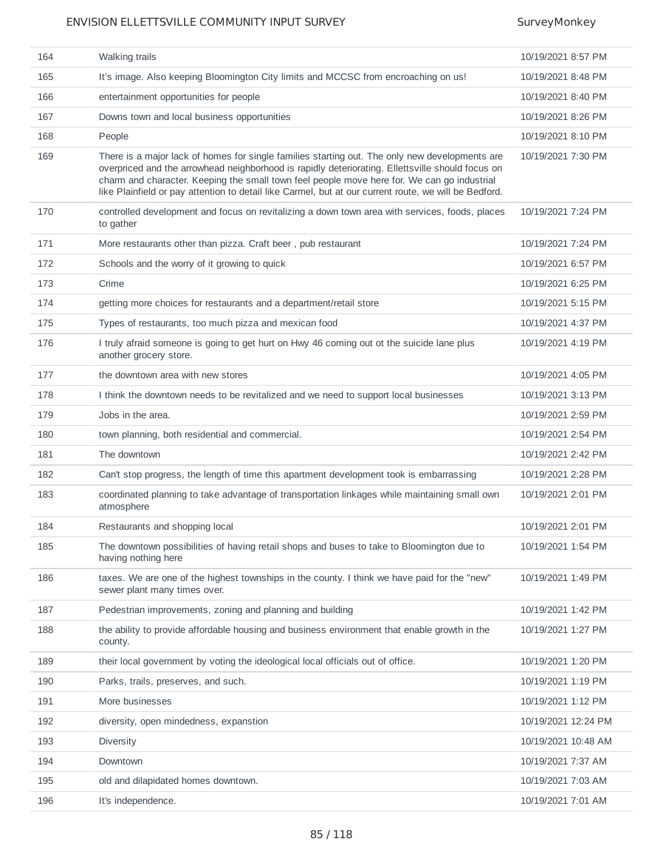| 164 | Walking trails                                                                                                                                                                                                                                                                                                                                                                                             | 10/19/2021 8:57 PM  |
|-----|------------------------------------------------------------------------------------------------------------------------------------------------------------------------------------------------------------------------------------------------------------------------------------------------------------------------------------------------------------------------------------------------------------|---------------------|
| 165 | It's image. Also keeping Bloomington City limits and MCCSC from encroaching on us!                                                                                                                                                                                                                                                                                                                         | 10/19/2021 8:48 PM  |
| 166 | entertainment opportunities for people                                                                                                                                                                                                                                                                                                                                                                     | 10/19/2021 8:40 PM  |
| 167 | Downs town and local business opportunities                                                                                                                                                                                                                                                                                                                                                                | 10/19/2021 8:26 PM  |
| 168 | People                                                                                                                                                                                                                                                                                                                                                                                                     | 10/19/2021 8:10 PM  |
| 169 | There is a major lack of homes for single families starting out. The only new developments are<br>overpriced and the arrowhead neighborhood is rapidly deteriorating. Ellettsville should focus on<br>charm and character. Keeping the small town feel people move here for. We can go industrial<br>like Plainfield or pay attention to detail like Carmel, but at our current route, we will be Bedford. | 10/19/2021 7:30 PM  |
| 170 | controlled development and focus on revitalizing a down town area with services, foods, places<br>to gather                                                                                                                                                                                                                                                                                                | 10/19/2021 7:24 PM  |
| 171 | More restaurants other than pizza. Craft beer, pub restaurant                                                                                                                                                                                                                                                                                                                                              | 10/19/2021 7:24 PM  |
| 172 | Schools and the worry of it growing to quick                                                                                                                                                                                                                                                                                                                                                               | 10/19/2021 6:57 PM  |
| 173 | Crime                                                                                                                                                                                                                                                                                                                                                                                                      | 10/19/2021 6:25 PM  |
| 174 | getting more choices for restaurants and a department/retail store                                                                                                                                                                                                                                                                                                                                         | 10/19/2021 5:15 PM  |
| 175 | Types of restaurants, too much pizza and mexican food                                                                                                                                                                                                                                                                                                                                                      | 10/19/2021 4:37 PM  |
| 176 | I truly afraid someone is going to get hurt on Hwy 46 coming out ot the suicide lane plus<br>another grocery store.                                                                                                                                                                                                                                                                                        | 10/19/2021 4:19 PM  |
| 177 | the downtown area with new stores                                                                                                                                                                                                                                                                                                                                                                          | 10/19/2021 4:05 PM  |
| 178 | I think the downtown needs to be revitalized and we need to support local businesses                                                                                                                                                                                                                                                                                                                       | 10/19/2021 3:13 PM  |
| 179 | Jobs in the area.                                                                                                                                                                                                                                                                                                                                                                                          | 10/19/2021 2:59 PM  |
| 180 | town planning, both residential and commercial.                                                                                                                                                                                                                                                                                                                                                            | 10/19/2021 2:54 PM  |
| 181 | The downtown                                                                                                                                                                                                                                                                                                                                                                                               | 10/19/2021 2:42 PM  |
| 182 | Can't stop progress, the length of time this apartment development took is embarrassing                                                                                                                                                                                                                                                                                                                    | 10/19/2021 2:28 PM  |
| 183 | coordinated planning to take advantage of transportation linkages while maintaining small own<br>atmosphere                                                                                                                                                                                                                                                                                                | 10/19/2021 2:01 PM  |
| 184 | Restaurants and shopping local                                                                                                                                                                                                                                                                                                                                                                             | 10/19/2021 2:01 PM  |
| 185 | The downtown possibilities of having retail shops and buses to take to Bloomington due to<br>having nothing here                                                                                                                                                                                                                                                                                           | 10/19/2021 1:54 PM  |
| 186 | taxes. We are one of the highest townships in the county. I think we have paid for the "new"<br>sewer plant many times over.                                                                                                                                                                                                                                                                               | 10/19/2021 1:49 PM  |
| 187 | Pedestrian improvements, zoning and planning and building                                                                                                                                                                                                                                                                                                                                                  | 10/19/2021 1:42 PM  |
| 188 | the ability to provide affordable housing and business environment that enable growth in the<br>county.                                                                                                                                                                                                                                                                                                    | 10/19/2021 1:27 PM  |
| 189 | their local government by voting the ideological local officials out of office.                                                                                                                                                                                                                                                                                                                            | 10/19/2021 1:20 PM  |
| 190 | Parks, trails, preserves, and such.                                                                                                                                                                                                                                                                                                                                                                        | 10/19/2021 1:19 PM  |
| 191 | More businesses                                                                                                                                                                                                                                                                                                                                                                                            | 10/19/2021 1:12 PM  |
| 192 | diversity, open mindedness, expanstion                                                                                                                                                                                                                                                                                                                                                                     | 10/19/2021 12:24 PM |
| 193 | <b>Diversity</b>                                                                                                                                                                                                                                                                                                                                                                                           | 10/19/2021 10:48 AM |
| 194 | Downtown                                                                                                                                                                                                                                                                                                                                                                                                   | 10/19/2021 7:37 AM  |
| 195 | old and dilapidated homes downtown.                                                                                                                                                                                                                                                                                                                                                                        | 10/19/2021 7:03 AM  |
| 196 | It's independence.                                                                                                                                                                                                                                                                                                                                                                                         | 10/19/2021 7:01 AM  |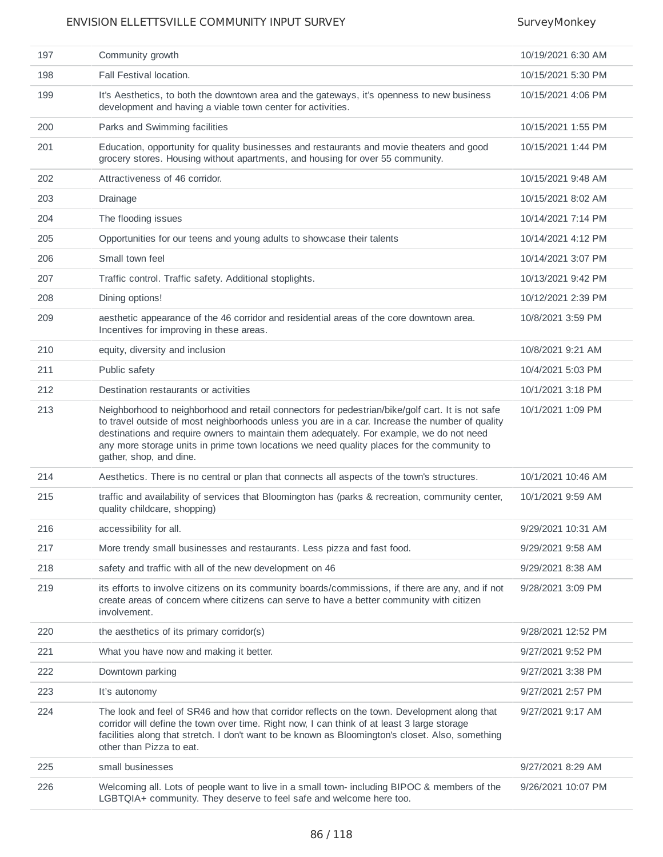| 197 | Community growth                                                                                                                                                                                                                                                                                                                                                                                                         | 10/19/2021 6:30 AM |
|-----|--------------------------------------------------------------------------------------------------------------------------------------------------------------------------------------------------------------------------------------------------------------------------------------------------------------------------------------------------------------------------------------------------------------------------|--------------------|
| 198 | Fall Festival location.                                                                                                                                                                                                                                                                                                                                                                                                  | 10/15/2021 5:30 PM |
| 199 | It's Aesthetics, to both the downtown area and the gateways, it's openness to new business<br>development and having a viable town center for activities.                                                                                                                                                                                                                                                                | 10/15/2021 4:06 PM |
| 200 | Parks and Swimming facilities                                                                                                                                                                                                                                                                                                                                                                                            | 10/15/2021 1:55 PM |
| 201 | Education, opportunity for quality businesses and restaurants and movie theaters and good<br>grocery stores. Housing without apartments, and housing for over 55 community.                                                                                                                                                                                                                                              | 10/15/2021 1:44 PM |
| 202 | Attractiveness of 46 corridor.                                                                                                                                                                                                                                                                                                                                                                                           | 10/15/2021 9:48 AM |
| 203 | Drainage                                                                                                                                                                                                                                                                                                                                                                                                                 | 10/15/2021 8:02 AM |
| 204 | The flooding issues                                                                                                                                                                                                                                                                                                                                                                                                      | 10/14/2021 7:14 PM |
| 205 | Opportunities for our teens and young adults to showcase their talents                                                                                                                                                                                                                                                                                                                                                   | 10/14/2021 4:12 PM |
| 206 | Small town feel                                                                                                                                                                                                                                                                                                                                                                                                          | 10/14/2021 3:07 PM |
| 207 | Traffic control. Traffic safety. Additional stoplights.                                                                                                                                                                                                                                                                                                                                                                  | 10/13/2021 9:42 PM |
| 208 | Dining options!                                                                                                                                                                                                                                                                                                                                                                                                          | 10/12/2021 2:39 PM |
| 209 | aesthetic appearance of the 46 corridor and residential areas of the core downtown area.<br>Incentives for improving in these areas.                                                                                                                                                                                                                                                                                     | 10/8/2021 3:59 PM  |
| 210 | equity, diversity and inclusion                                                                                                                                                                                                                                                                                                                                                                                          | 10/8/2021 9:21 AM  |
| 211 | Public safety                                                                                                                                                                                                                                                                                                                                                                                                            | 10/4/2021 5:03 PM  |
| 212 | Destination restaurants or activities                                                                                                                                                                                                                                                                                                                                                                                    | 10/1/2021 3:18 PM  |
| 213 | Neighborhood to neighborhood and retail connectors for pedestrian/bike/golf cart. It is not safe<br>to travel outside of most neighborhoods unless you are in a car. Increase the number of quality<br>destinations and require owners to maintain them adequately. For example, we do not need<br>any more storage units in prime town locations we need quality places for the community to<br>gather, shop, and dine. | 10/1/2021 1:09 PM  |
| 214 | Aesthetics. There is no central or plan that connects all aspects of the town's structures.                                                                                                                                                                                                                                                                                                                              | 10/1/2021 10:46 AM |
| 215 | traffic and availability of services that Bloomington has (parks & recreation, community center,<br>quality childcare, shopping)                                                                                                                                                                                                                                                                                         | 10/1/2021 9:59 AM  |
| 216 | accessibility for all.                                                                                                                                                                                                                                                                                                                                                                                                   | 9/29/2021 10:31 AM |
| 217 | More trendy small businesses and restaurants. Less pizza and fast food.                                                                                                                                                                                                                                                                                                                                                  | 9/29/2021 9:58 AM  |
| 218 | safety and traffic with all of the new development on 46                                                                                                                                                                                                                                                                                                                                                                 | 9/29/2021 8:38 AM  |
| 219 | its efforts to involve citizens on its community boards/commissions, if there are any, and if not<br>create areas of concern where citizens can serve to have a better community with citizen<br>involvement.                                                                                                                                                                                                            | 9/28/2021 3:09 PM  |
| 220 | the aesthetics of its primary corridor(s)                                                                                                                                                                                                                                                                                                                                                                                | 9/28/2021 12:52 PM |
| 221 | What you have now and making it better.                                                                                                                                                                                                                                                                                                                                                                                  | 9/27/2021 9:52 PM  |
| 222 | Downtown parking                                                                                                                                                                                                                                                                                                                                                                                                         | 9/27/2021 3:38 PM  |
| 223 | It's autonomy                                                                                                                                                                                                                                                                                                                                                                                                            | 9/27/2021 2:57 PM  |
| 224 | The look and feel of SR46 and how that corridor reflects on the town. Development along that<br>corridor will define the town over time. Right now, I can think of at least 3 large storage<br>facilities along that stretch. I don't want to be known as Bloomington's closet. Also, something<br>other than Pizza to eat.                                                                                              | 9/27/2021 9:17 AM  |
| 225 | small businesses                                                                                                                                                                                                                                                                                                                                                                                                         | 9/27/2021 8:29 AM  |
| 226 | Welcoming all. Lots of people want to live in a small town- including BIPOC & members of the<br>LGBTQIA+ community. They deserve to feel safe and welcome here too.                                                                                                                                                                                                                                                      | 9/26/2021 10:07 PM |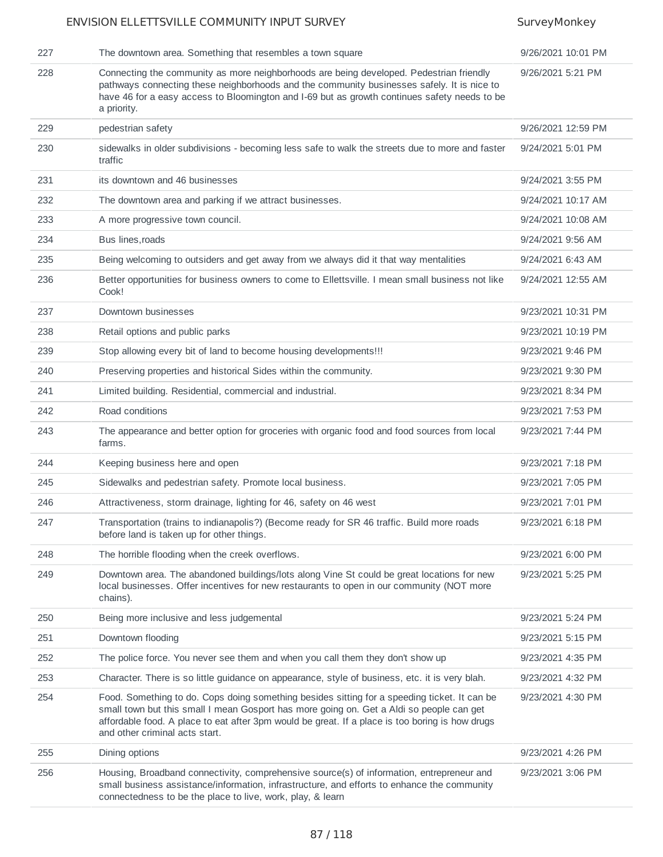| 227 | The downtown area. Something that resembles a town square                                                                                                                                                                                                                                                                     | 9/26/2021 10:01 PM |
|-----|-------------------------------------------------------------------------------------------------------------------------------------------------------------------------------------------------------------------------------------------------------------------------------------------------------------------------------|--------------------|
| 228 | Connecting the community as more neighborhoods are being developed. Pedestrian friendly<br>pathways connecting these neighborhoods and the community businesses safely. It is nice to<br>have 46 for a easy access to Bloomington and I-69 but as growth continues safety needs to be<br>a priority.                          | 9/26/2021 5:21 PM  |
| 229 | pedestrian safety                                                                                                                                                                                                                                                                                                             | 9/26/2021 12:59 PM |
| 230 | sidewalks in older subdivisions - becoming less safe to walk the streets due to more and faster<br>traffic                                                                                                                                                                                                                    | 9/24/2021 5:01 PM  |
| 231 | its downtown and 46 businesses                                                                                                                                                                                                                                                                                                | 9/24/2021 3:55 PM  |
| 232 | The downtown area and parking if we attract businesses.                                                                                                                                                                                                                                                                       | 9/24/2021 10:17 AM |
| 233 | A more progressive town council.                                                                                                                                                                                                                                                                                              | 9/24/2021 10:08 AM |
| 234 | Bus lines, roads                                                                                                                                                                                                                                                                                                              | 9/24/2021 9:56 AM  |
| 235 | Being welcoming to outsiders and get away from we always did it that way mentalities                                                                                                                                                                                                                                          | 9/24/2021 6:43 AM  |
| 236 | Better opportunities for business owners to come to Ellettsville. I mean small business not like<br>Cook!                                                                                                                                                                                                                     | 9/24/2021 12:55 AM |
| 237 | Downtown businesses                                                                                                                                                                                                                                                                                                           | 9/23/2021 10:31 PM |
| 238 | Retail options and public parks                                                                                                                                                                                                                                                                                               | 9/23/2021 10:19 PM |
| 239 | Stop allowing every bit of land to become housing developments!!!                                                                                                                                                                                                                                                             | 9/23/2021 9:46 PM  |
| 240 | Preserving properties and historical Sides within the community.                                                                                                                                                                                                                                                              | 9/23/2021 9:30 PM  |
| 241 | Limited building. Residential, commercial and industrial.                                                                                                                                                                                                                                                                     | 9/23/2021 8:34 PM  |
| 242 | Road conditions                                                                                                                                                                                                                                                                                                               | 9/23/2021 7:53 PM  |
| 243 | The appearance and better option for groceries with organic food and food sources from local<br>farms.                                                                                                                                                                                                                        | 9/23/2021 7:44 PM  |
| 244 | Keeping business here and open                                                                                                                                                                                                                                                                                                | 9/23/2021 7:18 PM  |
| 245 | Sidewalks and pedestrian safety. Promote local business.                                                                                                                                                                                                                                                                      | 9/23/2021 7:05 PM  |
| 246 | Attractiveness, storm drainage, lighting for 46, safety on 46 west                                                                                                                                                                                                                                                            | 9/23/2021 7:01 PM  |
| 247 | Transportation (trains to indianapolis?) (Become ready for SR 46 traffic. Build more roads<br>before land is taken up for other things.                                                                                                                                                                                       | 9/23/2021 6:18 PM  |
| 248 | The horrible flooding when the creek overflows.                                                                                                                                                                                                                                                                               | 9/23/2021 6:00 PM  |
| 249 | Downtown area. The abandoned buildings/lots along Vine St could be great locations for new<br>local businesses. Offer incentives for new restaurants to open in our community (NOT more<br>chains).                                                                                                                           | 9/23/2021 5:25 PM  |
| 250 | Being more inclusive and less judgemental                                                                                                                                                                                                                                                                                     | 9/23/2021 5:24 PM  |
| 251 | Downtown flooding                                                                                                                                                                                                                                                                                                             | 9/23/2021 5:15 PM  |
| 252 | The police force. You never see them and when you call them they don't show up                                                                                                                                                                                                                                                | 9/23/2021 4:35 PM  |
| 253 | Character. There is so little guidance on appearance, style of business, etc. it is very blah.                                                                                                                                                                                                                                | 9/23/2021 4:32 PM  |
| 254 | Food. Something to do. Cops doing something besides sitting for a speeding ticket. It can be<br>small town but this small I mean Gosport has more going on. Get a Aldi so people can get<br>affordable food. A place to eat after 3pm would be great. If a place is too boring is how drugs<br>and other criminal acts start. | 9/23/2021 4:30 PM  |
| 255 | Dining options                                                                                                                                                                                                                                                                                                                | 9/23/2021 4:26 PM  |
| 256 | Housing, Broadband connectivity, comprehensive source(s) of information, entrepreneur and<br>small business assistance/information, infrastructure, and efforts to enhance the community<br>connectedness to be the place to live, work, play, & learn                                                                        | 9/23/2021 3:06 PM  |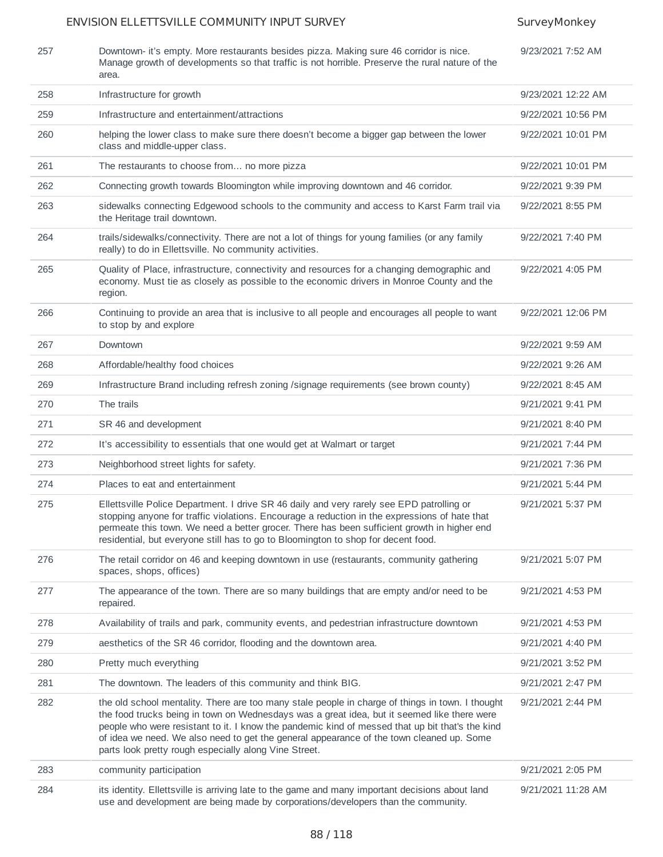| 257 | Downtown- it's empty. More restaurants besides pizza. Making sure 46 corridor is nice.          |
|-----|-------------------------------------------------------------------------------------------------|
|     | Manage growth of developments so that traffic is not horrible. Preserve the rural nature of the |
|     | area.                                                                                           |

| 9/23/2021 7:52 AM |  |
|-------------------|--|
|                   |  |

| 258 | Infrastructure for growth                                                                                                                                                                                                                                                                                                                                                                                                                               | 9/23/2021 12:22 AM |
|-----|---------------------------------------------------------------------------------------------------------------------------------------------------------------------------------------------------------------------------------------------------------------------------------------------------------------------------------------------------------------------------------------------------------------------------------------------------------|--------------------|
| 259 | Infrastructure and entertainment/attractions                                                                                                                                                                                                                                                                                                                                                                                                            | 9/22/2021 10:56 PM |
| 260 | helping the lower class to make sure there doesn't become a bigger gap between the lower<br>class and middle-upper class.                                                                                                                                                                                                                                                                                                                               | 9/22/2021 10:01 PM |
| 261 | The restaurants to choose from no more pizza                                                                                                                                                                                                                                                                                                                                                                                                            | 9/22/2021 10:01 PM |
| 262 | Connecting growth towards Bloomington while improving downtown and 46 corridor.                                                                                                                                                                                                                                                                                                                                                                         | 9/22/2021 9:39 PM  |
| 263 | sidewalks connecting Edgewood schools to the community and access to Karst Farm trail via<br>the Heritage trail downtown.                                                                                                                                                                                                                                                                                                                               | 9/22/2021 8:55 PM  |
| 264 | trails/sidewalks/connectivity. There are not a lot of things for young families (or any family<br>really) to do in Ellettsville. No community activities.                                                                                                                                                                                                                                                                                               | 9/22/2021 7:40 PM  |
| 265 | Quality of Place, infrastructure, connectivity and resources for a changing demographic and<br>economy. Must tie as closely as possible to the economic drivers in Monroe County and the<br>region.                                                                                                                                                                                                                                                     | 9/22/2021 4:05 PM  |
| 266 | Continuing to provide an area that is inclusive to all people and encourages all people to want<br>to stop by and explore                                                                                                                                                                                                                                                                                                                               | 9/22/2021 12:06 PM |
| 267 | Downtown                                                                                                                                                                                                                                                                                                                                                                                                                                                | 9/22/2021 9:59 AM  |
| 268 | Affordable/healthy food choices                                                                                                                                                                                                                                                                                                                                                                                                                         | 9/22/2021 9:26 AM  |
| 269 | Infrastructure Brand including refresh zoning /signage requirements (see brown county)                                                                                                                                                                                                                                                                                                                                                                  | 9/22/2021 8:45 AM  |
| 270 | The trails                                                                                                                                                                                                                                                                                                                                                                                                                                              | 9/21/2021 9:41 PM  |
| 271 | SR 46 and development                                                                                                                                                                                                                                                                                                                                                                                                                                   | 9/21/2021 8:40 PM  |
| 272 | It's accessibility to essentials that one would get at Walmart or target                                                                                                                                                                                                                                                                                                                                                                                | 9/21/2021 7:44 PM  |
| 273 | Neighborhood street lights for safety.                                                                                                                                                                                                                                                                                                                                                                                                                  | 9/21/2021 7:36 PM  |
| 274 | Places to eat and entertainment                                                                                                                                                                                                                                                                                                                                                                                                                         | 9/21/2021 5:44 PM  |
| 275 | Ellettsville Police Department. I drive SR 46 daily and very rarely see EPD patrolling or<br>stopping anyone for traffic violations. Encourage a reduction in the expressions of hate that<br>permeate this town. We need a better grocer. There has been sufficient growth in higher end<br>residential, but everyone still has to go to Bloomington to shop for decent food.                                                                          | 9/21/2021 5:37 PM  |
| 276 | The retail corridor on 46 and keeping downtown in use (restaurants, community gathering<br>spaces, shops, offices)                                                                                                                                                                                                                                                                                                                                      | 9/21/2021 5:07 PM  |
| 277 | The appearance of the town. There are so many buildings that are empty and/or need to be<br>repaired.                                                                                                                                                                                                                                                                                                                                                   | 9/21/2021 4:53 PM  |
| 278 | Availability of trails and park, community events, and pedestrian infrastructure downtown                                                                                                                                                                                                                                                                                                                                                               | 9/21/2021 4:53 PM  |
| 279 | aesthetics of the SR 46 corridor, flooding and the downtown area.                                                                                                                                                                                                                                                                                                                                                                                       | 9/21/2021 4:40 PM  |
| 280 | Pretty much everything                                                                                                                                                                                                                                                                                                                                                                                                                                  | 9/21/2021 3:52 PM  |
| 281 | The downtown. The leaders of this community and think BIG.                                                                                                                                                                                                                                                                                                                                                                                              | 9/21/2021 2:47 PM  |
| 282 | the old school mentality. There are too many stale people in charge of things in town. I thought<br>the food trucks being in town on Wednesdays was a great idea, but it seemed like there were<br>people who were resistant to it. I know the pandemic kind of messed that up bit that's the kind<br>of idea we need. We also need to get the general appearance of the town cleaned up. Some<br>parts look pretty rough especially along Vine Street. | 9/21/2021 2:44 PM  |
| 283 | community participation                                                                                                                                                                                                                                                                                                                                                                                                                                 | 9/21/2021 2:05 PM  |
| 284 | its identity. Ellettsville is arriving late to the game and many important decisions about land<br>use and development are being made by corporations/developers than the community.                                                                                                                                                                                                                                                                    | 9/21/2021 11:28 AM |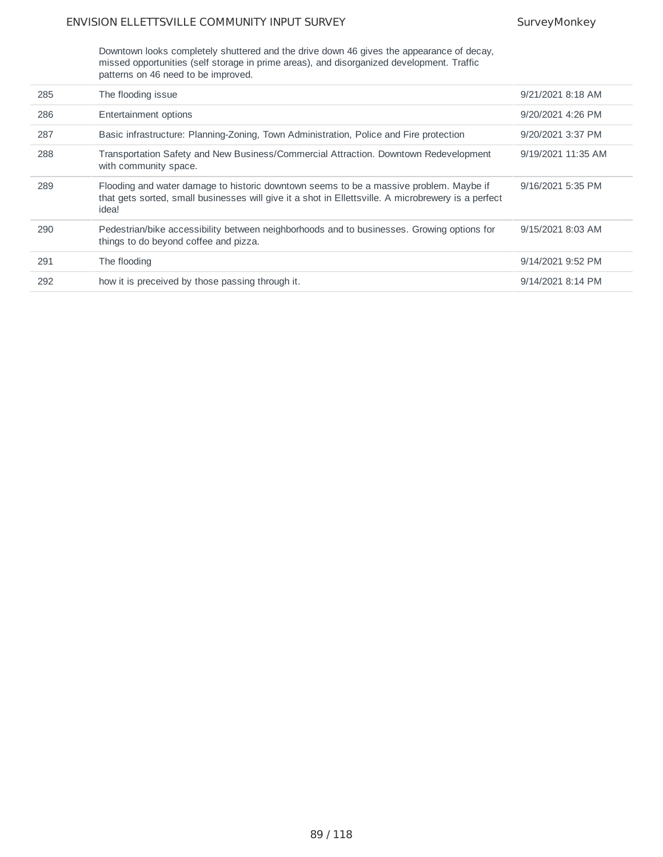Downtown looks completely shuttered and the drive down 46 gives the appearance of decay, missed opportunities (self storage in prime areas), and disorganized development. Traffic patterns on 46 need to be improved.

| 285 | The flooding issue                                                                                                                                                                                     | 9/21/2021 8:18 AM  |
|-----|--------------------------------------------------------------------------------------------------------------------------------------------------------------------------------------------------------|--------------------|
| 286 | Entertainment options                                                                                                                                                                                  | 9/20/2021 4:26 PM  |
| 287 | Basic infrastructure: Planning-Zoning, Town Administration, Police and Fire protection                                                                                                                 | 9/20/2021 3:37 PM  |
| 288 | Transportation Safety and New Business/Commercial Attraction. Downtown Redevelopment<br>with community space.                                                                                          | 9/19/2021 11:35 AM |
| 289 | Flooding and water damage to historic downtown seems to be a massive problem. Maybe if<br>that gets sorted, small businesses will give it a shot in Ellettsville. A microbrewery is a perfect<br>idea! | 9/16/2021 5:35 PM  |
| 290 | Pedestrian/bike accessibility between neighborhoods and to businesses. Growing options for<br>things to do beyond coffee and pizza.                                                                    | 9/15/2021 8:03 AM  |
| 291 | The flooding                                                                                                                                                                                           | 9/14/2021 9:52 PM  |
| 292 | how it is preceived by those passing through it.                                                                                                                                                       | 9/14/2021 8:14 PM  |
|     |                                                                                                                                                                                                        |                    |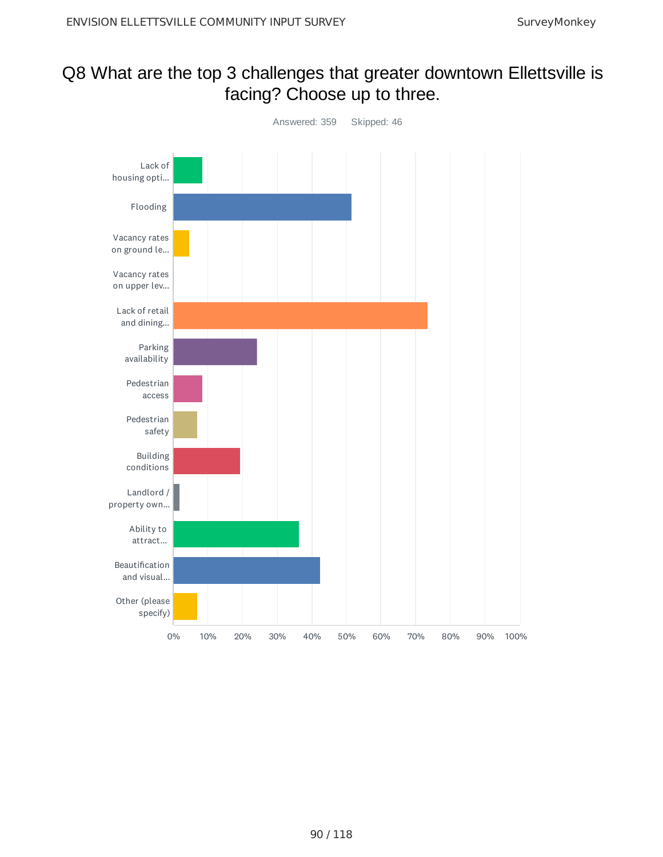## Q8 What are the top 3 challenges that greater downtown Ellettsville is facing? Choose up to three.

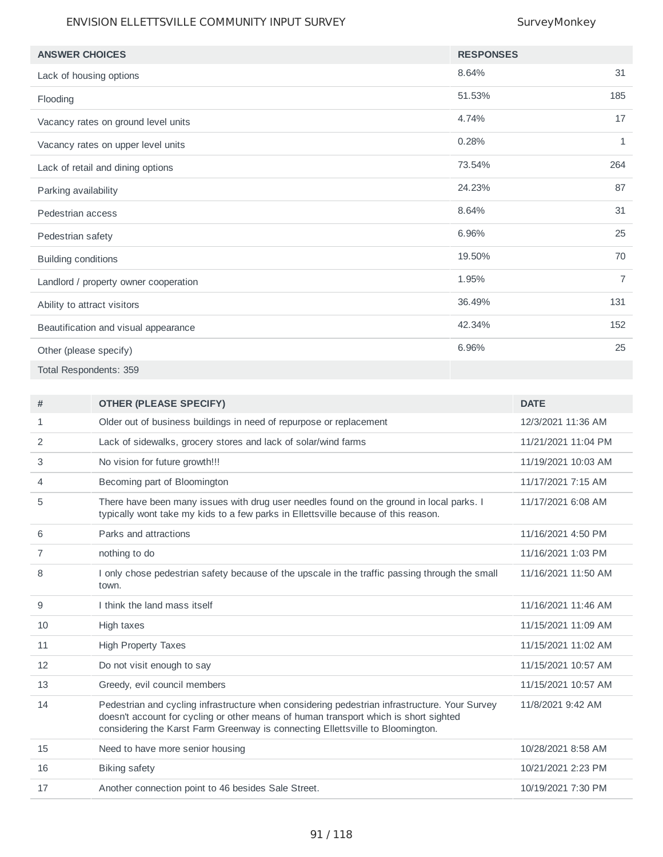| <b>ANSWER CHOICES</b>                 | <b>RESPONSES</b> |                |
|---------------------------------------|------------------|----------------|
| Lack of housing options               | 8.64%            | 31             |
| Flooding                              | 51.53%           | 185            |
| Vacancy rates on ground level units   | 4.74%            | 17             |
| Vacancy rates on upper level units    | 0.28%            | $\mathbf{1}$   |
| Lack of retail and dining options     | 73.54%           | 264            |
| Parking availability                  | 24.23%           | 87             |
| Pedestrian access                     | 8.64%            | 31             |
| Pedestrian safety                     | 6.96%            | 25             |
| <b>Building conditions</b>            | 19.50%           | 70             |
| Landlord / property owner cooperation | 1.95%            | $\overline{7}$ |
| Ability to attract visitors           | 36.49%           | 131            |
| Beautification and visual appearance  | 42.34%           | 152            |
| Other (please specify)                | 6.96%            | 25             |
| Total Respondents: 359                |                  |                |

| #  | <b>OTHER (PLEASE SPECIFY)</b>                                                                                                                                                                                                                                           | <b>DATE</b>         |
|----|-------------------------------------------------------------------------------------------------------------------------------------------------------------------------------------------------------------------------------------------------------------------------|---------------------|
| 1  | Older out of business buildings in need of repurpose or replacement                                                                                                                                                                                                     | 12/3/2021 11:36 AM  |
| 2  | Lack of sidewalks, grocery stores and lack of solar/wind farms                                                                                                                                                                                                          | 11/21/2021 11:04 PM |
| 3  | No vision for future growth!!!                                                                                                                                                                                                                                          | 11/19/2021 10:03 AM |
| 4  | Becoming part of Bloomington                                                                                                                                                                                                                                            | 11/17/2021 7:15 AM  |
| 5  | There have been many issues with drug user needles found on the ground in local parks. I<br>typically wont take my kids to a few parks in Ellettsville because of this reason.                                                                                          | 11/17/2021 6:08 AM  |
| 6  | Parks and attractions                                                                                                                                                                                                                                                   | 11/16/2021 4:50 PM  |
| 7  | nothing to do                                                                                                                                                                                                                                                           | 11/16/2021 1:03 PM  |
| 8  | I only chose pedestrian safety because of the upscale in the traffic passing through the small<br>town.                                                                                                                                                                 | 11/16/2021 11:50 AM |
| 9  | I think the land mass itself                                                                                                                                                                                                                                            | 11/16/2021 11:46 AM |
| 10 | High taxes                                                                                                                                                                                                                                                              | 11/15/2021 11:09 AM |
| 11 | <b>High Property Taxes</b>                                                                                                                                                                                                                                              | 11/15/2021 11:02 AM |
| 12 | Do not visit enough to say                                                                                                                                                                                                                                              | 11/15/2021 10:57 AM |
| 13 | Greedy, evil council members                                                                                                                                                                                                                                            | 11/15/2021 10:57 AM |
| 14 | Pedestrian and cycling infrastructure when considering pedestrian infrastructure. Your Survey<br>doesn't account for cycling or other means of human transport which is short sighted<br>considering the Karst Farm Greenway is connecting Ellettsville to Bloomington. | 11/8/2021 9:42 AM   |
| 15 | Need to have more senior housing                                                                                                                                                                                                                                        | 10/28/2021 8:58 AM  |
| 16 | <b>Biking safety</b>                                                                                                                                                                                                                                                    | 10/21/2021 2:23 PM  |
| 17 | Another connection point to 46 besides Sale Street.                                                                                                                                                                                                                     | 10/19/2021 7:30 PM  |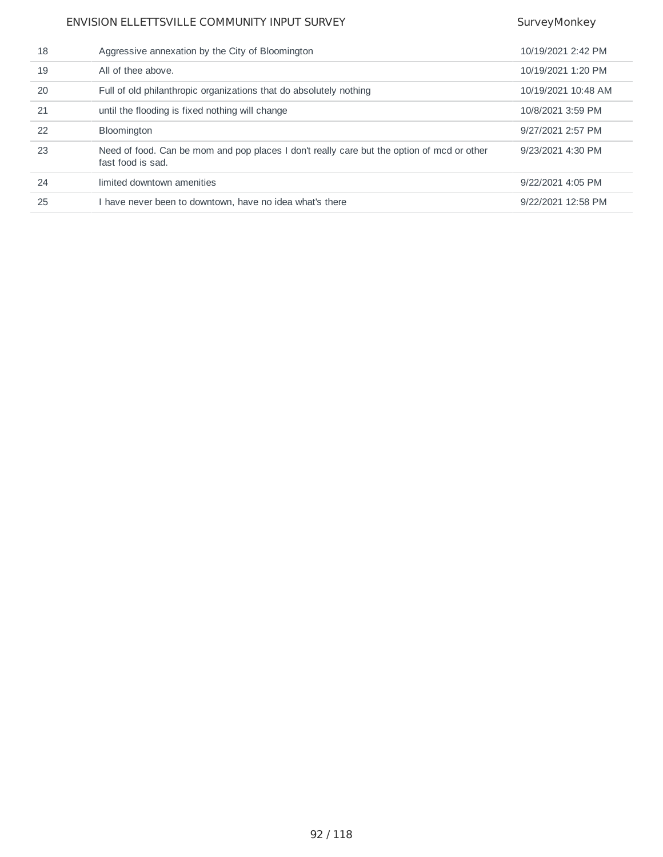| Aggressive annexation by the City of Bloomington                                                                | 10/19/2021 2:42 PM  |
|-----------------------------------------------------------------------------------------------------------------|---------------------|
| All of thee above.                                                                                              | 10/19/2021 1:20 PM  |
| Full of old philanthropic organizations that do absolutely nothing                                              | 10/19/2021 10:48 AM |
| until the flooding is fixed nothing will change                                                                 | 10/8/2021 3:59 PM   |
| <b>Bloomington</b>                                                                                              | 9/27/2021 2:57 PM   |
| Need of food. Can be mom and pop places I don't really care but the option of mcd or other<br>fast food is sad. | 9/23/2021 4:30 PM   |
| limited downtown amenities                                                                                      | 9/22/2021 4:05 PM   |
| I have never been to downtown, have no idea what's there                                                        | 9/22/2021 12:58 PM  |
|                                                                                                                 |                     |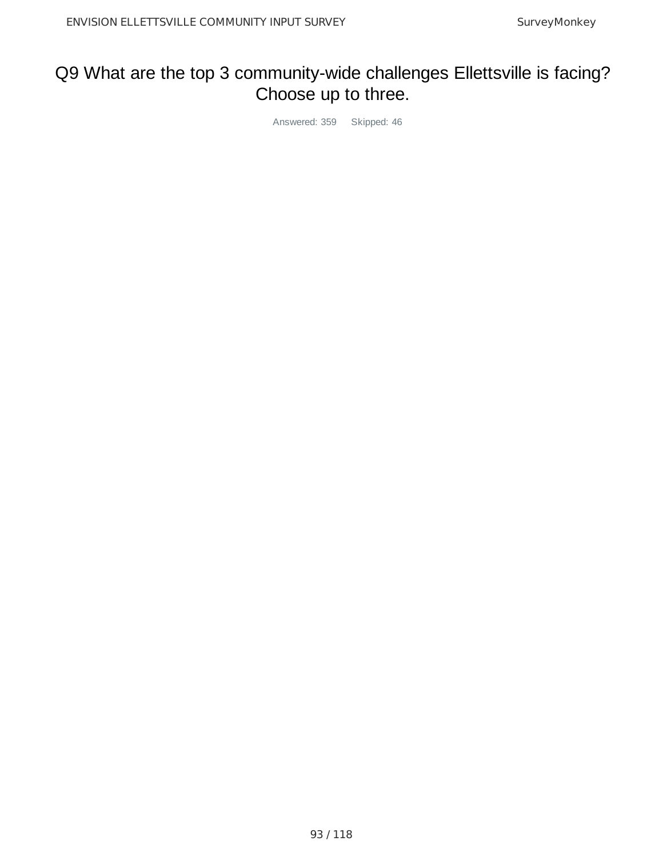## Q9 What are the top 3 community-wide challenges Ellettsville is facing? Choose up to three.

Answered: 359 Skipped: 46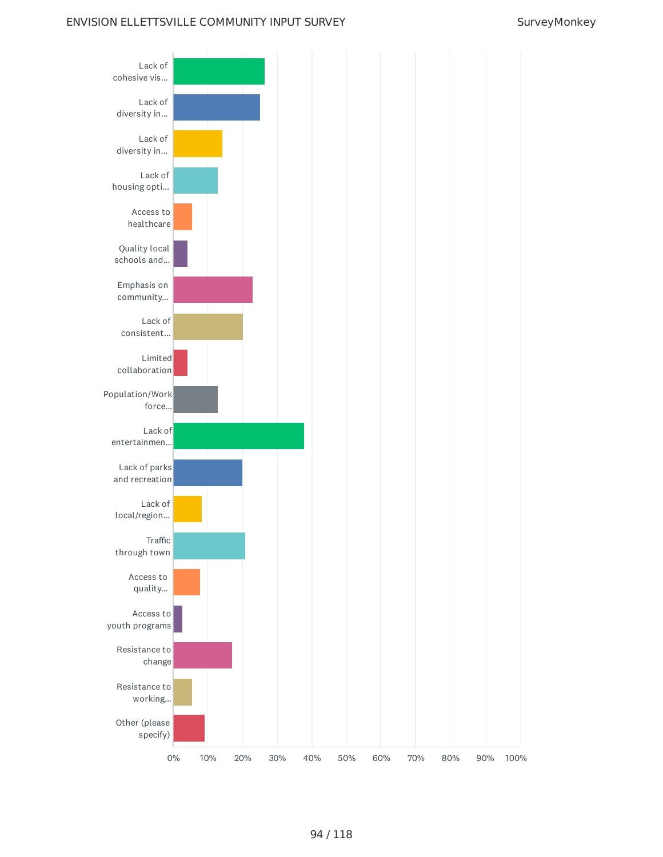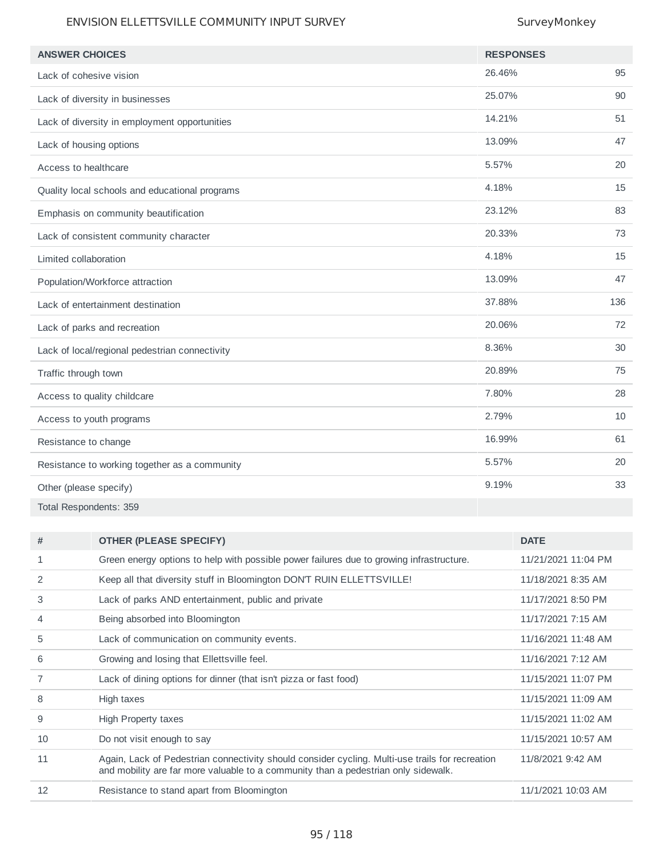| <b>ANSWER CHOICES</b>                          | <b>RESPONSES</b> |     |
|------------------------------------------------|------------------|-----|
|                                                | 26.46%           | 95  |
| Lack of cohesive vision                        |                  |     |
| Lack of diversity in businesses                | 25.07%           | 90  |
| Lack of diversity in employment opportunities  | 14.21%           | 51  |
| Lack of housing options                        | 13.09%           | 47  |
| Access to healthcare                           | 5.57%            | 20  |
| Quality local schools and educational programs | 4.18%            | 15  |
| Emphasis on community beautification           | 23.12%           | 83  |
| Lack of consistent community character         | 20.33%           | 73  |
| Limited collaboration                          | 4.18%            | 15  |
| Population/Workforce attraction                | 13.09%           | 47  |
| Lack of entertainment destination              | 37.88%           | 136 |
| Lack of parks and recreation                   | 20.06%           | 72  |
| Lack of local/regional pedestrian connectivity | 8.36%            | 30  |
| Traffic through town                           | 20.89%           | 75  |
| Access to quality childcare                    | 7.80%            | 28  |
| Access to youth programs                       | 2.79%            | 10  |
| Resistance to change                           | 16.99%           | 61  |
| Resistance to working together as a community  | 5.57%            | 20  |
| Other (please specify)                         | 9.19%            | 33  |
| Total Respondents: 359                         |                  |     |

| #  | <b>OTHER (PLEASE SPECIFY)</b>                                                                                                                                                         | <b>DATE</b>         |
|----|---------------------------------------------------------------------------------------------------------------------------------------------------------------------------------------|---------------------|
| 1  | Green energy options to help with possible power failures due to growing infrastructure.                                                                                              | 11/21/2021 11:04 PM |
| 2  | Keep all that diversity stuff in Bloomington DON'T RUIN ELLETTSVILLE!                                                                                                                 | 11/18/2021 8:35 AM  |
| 3  | Lack of parks AND entertainment, public and private                                                                                                                                   | 11/17/2021 8:50 PM  |
| 4  | Being absorbed into Bloomington                                                                                                                                                       | 11/17/2021 7:15 AM  |
| 5  | Lack of communication on community events.                                                                                                                                            | 11/16/2021 11:48 AM |
| 6  | Growing and losing that Ellettsville feel.                                                                                                                                            | 11/16/2021 7:12 AM  |
|    | Lack of dining options for dinner (that isn't pizza or fast food)                                                                                                                     | 11/15/2021 11:07 PM |
| 8  | High taxes                                                                                                                                                                            | 11/15/2021 11:09 AM |
| 9  | <b>High Property taxes</b>                                                                                                                                                            | 11/15/2021 11:02 AM |
| 10 | Do not visit enough to say                                                                                                                                                            | 11/15/2021 10:57 AM |
| 11 | Again, Lack of Pedestrian connectivity should consider cycling. Multi-use trails for recreation<br>and mobility are far more valuable to a community than a pedestrian only sidewalk. | 11/8/2021 9:42 AM   |
| 12 | Resistance to stand apart from Bloomington                                                                                                                                            | 11/1/2021 10:03 AM  |
|    |                                                                                                                                                                                       |                     |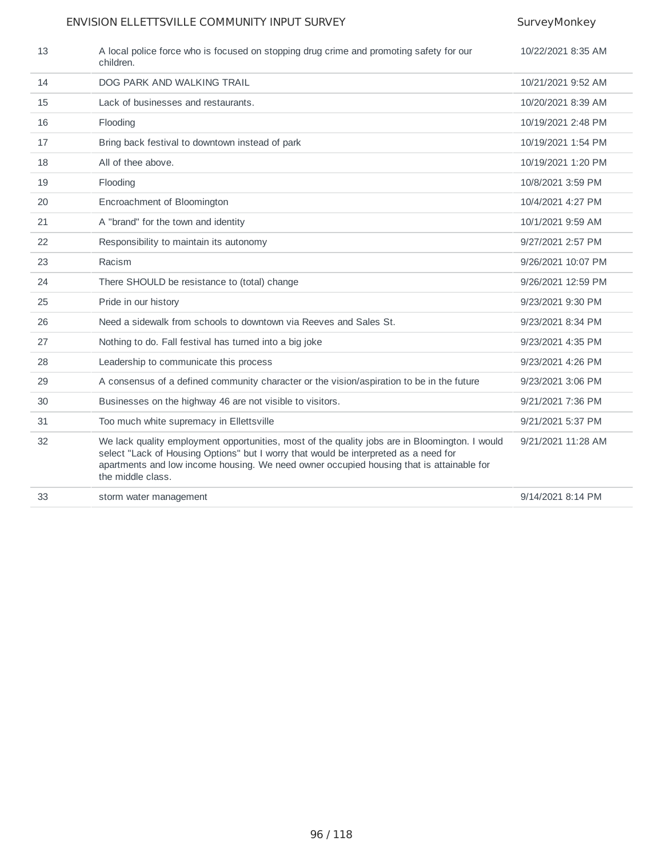| 13 | A local police force who is focused on stopping drug crime and promoting safety for our<br>children.                                                                                                                                                                                                    | 10/22/2021 8:35 AM |
|----|---------------------------------------------------------------------------------------------------------------------------------------------------------------------------------------------------------------------------------------------------------------------------------------------------------|--------------------|
| 14 | DOG PARK AND WALKING TRAIL                                                                                                                                                                                                                                                                              | 10/21/2021 9:52 AM |
| 15 | Lack of businesses and restaurants.                                                                                                                                                                                                                                                                     | 10/20/2021 8:39 AM |
| 16 | Flooding                                                                                                                                                                                                                                                                                                | 10/19/2021 2:48 PM |
| 17 | Bring back festival to downtown instead of park                                                                                                                                                                                                                                                         | 10/19/2021 1:54 PM |
| 18 | All of thee above.                                                                                                                                                                                                                                                                                      | 10/19/2021 1:20 PM |
| 19 | Flooding                                                                                                                                                                                                                                                                                                | 10/8/2021 3:59 PM  |
| 20 | Encroachment of Bloomington                                                                                                                                                                                                                                                                             | 10/4/2021 4:27 PM  |
| 21 | A "brand" for the town and identity                                                                                                                                                                                                                                                                     | 10/1/2021 9:59 AM  |
| 22 | Responsibility to maintain its autonomy                                                                                                                                                                                                                                                                 | 9/27/2021 2:57 PM  |
| 23 | Racism                                                                                                                                                                                                                                                                                                  | 9/26/2021 10:07 PM |
| 24 | There SHOULD be resistance to (total) change                                                                                                                                                                                                                                                            | 9/26/2021 12:59 PM |
| 25 | Pride in our history                                                                                                                                                                                                                                                                                    | 9/23/2021 9:30 PM  |
| 26 | Need a sidewalk from schools to downtown via Reeves and Sales St.                                                                                                                                                                                                                                       | 9/23/2021 8:34 PM  |
| 27 | Nothing to do. Fall festival has turned into a big joke                                                                                                                                                                                                                                                 | 9/23/2021 4:35 PM  |
| 28 | Leadership to communicate this process                                                                                                                                                                                                                                                                  | 9/23/2021 4:26 PM  |
| 29 | A consensus of a defined community character or the vision/aspiration to be in the future                                                                                                                                                                                                               | 9/23/2021 3:06 PM  |
| 30 | Businesses on the highway 46 are not visible to visitors.                                                                                                                                                                                                                                               | 9/21/2021 7:36 PM  |
| 31 | Too much white supremacy in Ellettsville                                                                                                                                                                                                                                                                | 9/21/2021 5:37 PM  |
| 32 | We lack quality employment opportunities, most of the quality jobs are in Bloomington. I would<br>select "Lack of Housing Options" but I worry that would be interpreted as a need for<br>apartments and low income housing. We need owner occupied housing that is attainable for<br>the middle class. | 9/21/2021 11:28 AM |
| 33 | storm water management                                                                                                                                                                                                                                                                                  | 9/14/2021 8:14 PM  |
|    |                                                                                                                                                                                                                                                                                                         |                    |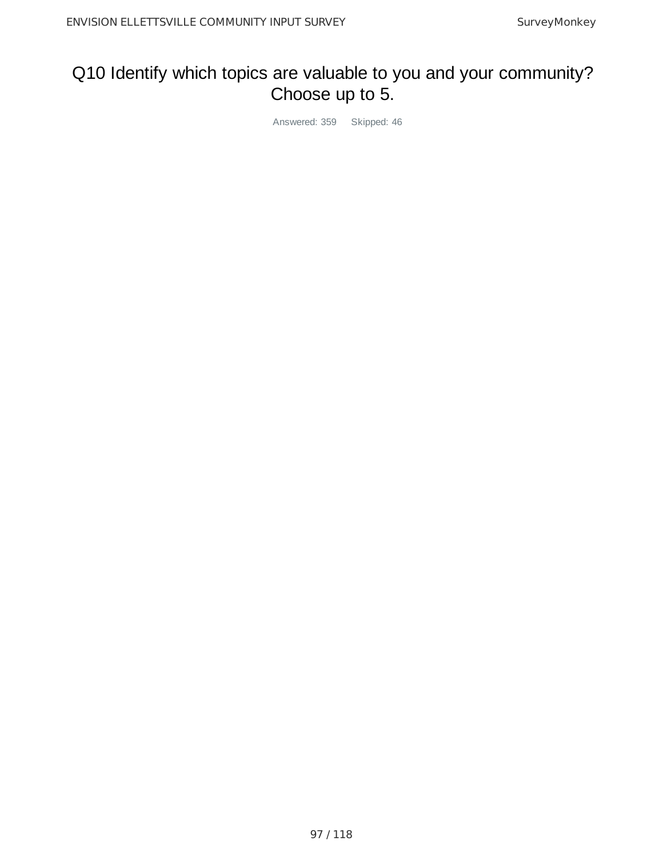## Q10 Identify which topics are valuable to you and your community? Choose up to 5.

Answered: 359 Skipped: 46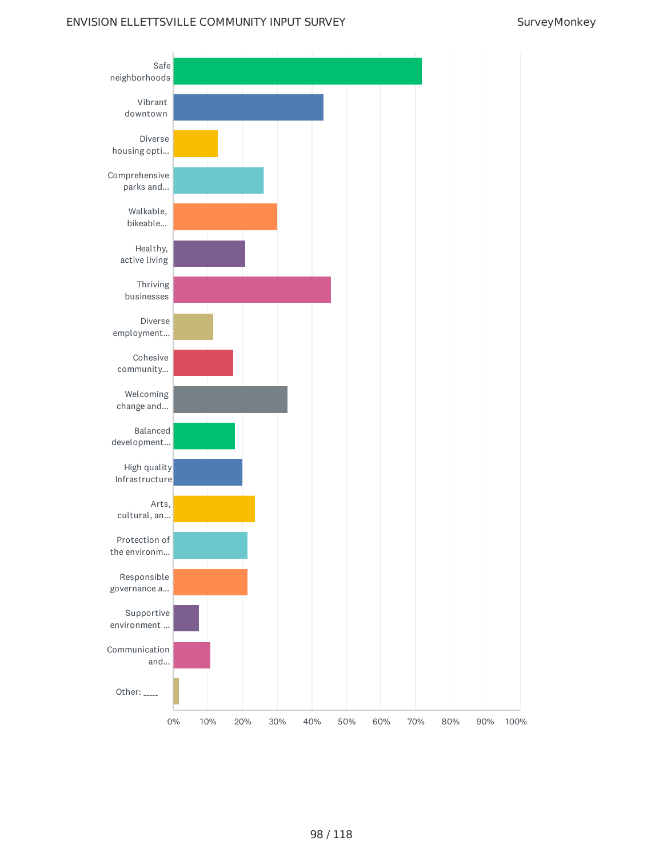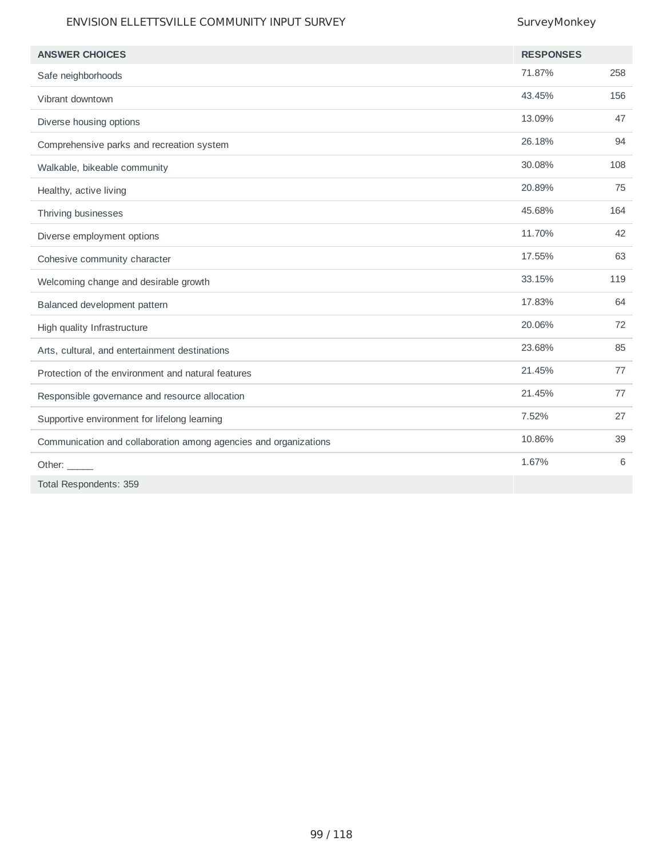| <b>ANSWER CHOICES</b>                                            | <b>RESPONSES</b> |     |
|------------------------------------------------------------------|------------------|-----|
|                                                                  | 71.87%           | 258 |
| Safe neighborhoods                                               |                  |     |
| Vibrant downtown                                                 | 43.45%           | 156 |
| Diverse housing options                                          | 13.09%           | 47  |
| Comprehensive parks and recreation system                        | 26.18%           | 94  |
| Walkable, bikeable community                                     | 30.08%           | 108 |
| Healthy, active living                                           | 20.89%           | 75  |
| Thriving businesses                                              | 45.68%           | 164 |
| Diverse employment options                                       | 11.70%           | 42  |
| Cohesive community character                                     | 17.55%           | 63  |
| Welcoming change and desirable growth                            | 33.15%           | 119 |
| Balanced development pattern                                     | 17.83%           | 64  |
| High quality Infrastructure                                      | 20.06%           | 72  |
| Arts, cultural, and entertainment destinations                   | 23.68%           | 85  |
| Protection of the environment and natural features               | 21.45%           | 77  |
| Responsible governance and resource allocation                   | 21.45%           | 77  |
| Supportive environment for lifelong learning                     | 7.52%            | 27  |
| Communication and collaboration among agencies and organizations | 10.86%           | 39  |
| Other: $\_\_$                                                    | 1.67%            | 6   |
| Total Respondents: 359                                           |                  |     |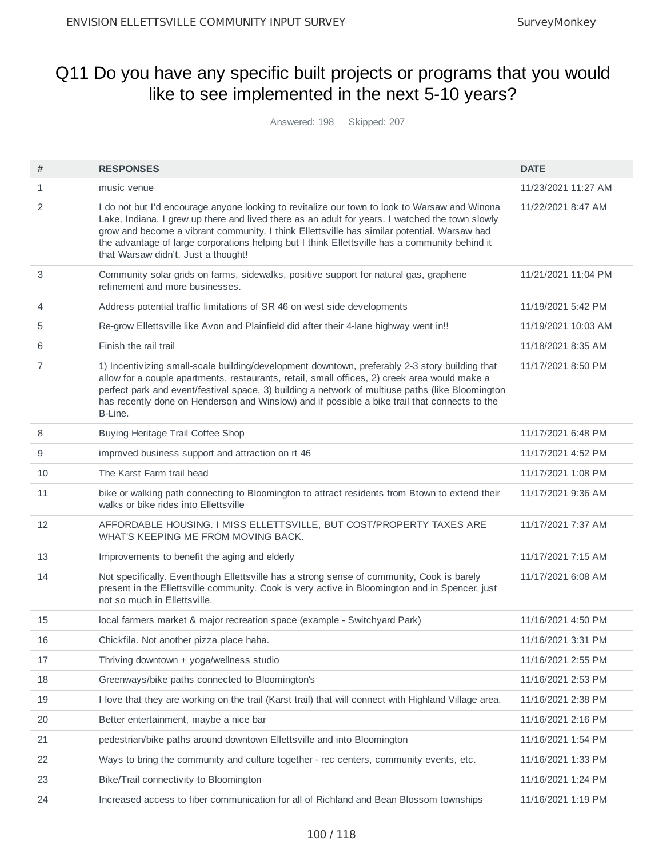## Q11 Do you have any specific built projects or programs that you would like to see implemented in the next 5-10 years?

Answered: 198 Skipped: 207

| #  | <b>RESPONSES</b>                                                                                                                                                                                                                                                                                                                                                                                                                         | <b>DATE</b>         |
|----|------------------------------------------------------------------------------------------------------------------------------------------------------------------------------------------------------------------------------------------------------------------------------------------------------------------------------------------------------------------------------------------------------------------------------------------|---------------------|
| 1  | music venue                                                                                                                                                                                                                                                                                                                                                                                                                              | 11/23/2021 11:27 AM |
| 2  | I do not but I'd encourage anyone looking to revitalize our town to look to Warsaw and Winona<br>Lake, Indiana. I grew up there and lived there as an adult for years. I watched the town slowly<br>grow and become a vibrant community. I think Ellettsville has similar potential. Warsaw had<br>the advantage of large corporations helping but I think Ellettsville has a community behind it<br>that Warsaw didn't. Just a thought! | 11/22/2021 8:47 AM  |
| 3  | Community solar grids on farms, sidewalks, positive support for natural gas, graphene<br>refinement and more businesses.                                                                                                                                                                                                                                                                                                                 | 11/21/2021 11:04 PM |
| 4  | Address potential traffic limitations of SR 46 on west side developments                                                                                                                                                                                                                                                                                                                                                                 | 11/19/2021 5:42 PM  |
| 5  | Re-grow Ellettsville like Avon and Plainfield did after their 4-lane highway went in!!                                                                                                                                                                                                                                                                                                                                                   | 11/19/2021 10:03 AM |
| 6  | Finish the rail trail                                                                                                                                                                                                                                                                                                                                                                                                                    | 11/18/2021 8:35 AM  |
| 7  | 1) Incentivizing small-scale building/development downtown, preferably 2-3 story building that<br>allow for a couple apartments, restaurants, retail, small offices, 2) creek area would make a<br>perfect park and event/festival space, 3) building a network of multiuse paths (like Bloomington<br>has recently done on Henderson and Winslow) and if possible a bike trail that connects to the<br>B-Line.                          | 11/17/2021 8:50 PM  |
| 8  | <b>Buying Heritage Trail Coffee Shop</b>                                                                                                                                                                                                                                                                                                                                                                                                 | 11/17/2021 6:48 PM  |
| 9  | improved business support and attraction on rt 46                                                                                                                                                                                                                                                                                                                                                                                        | 11/17/2021 4:52 PM  |
| 10 | The Karst Farm trail head                                                                                                                                                                                                                                                                                                                                                                                                                | 11/17/2021 1:08 PM  |
| 11 | bike or walking path connecting to Bloomington to attract residents from Btown to extend their<br>walks or bike rides into Ellettsville                                                                                                                                                                                                                                                                                                  | 11/17/2021 9:36 AM  |
| 12 | AFFORDABLE HOUSING. I MISS ELLETTSVILLE, BUT COST/PROPERTY TAXES ARE<br>WHAT'S KEEPING ME FROM MOVING BACK.                                                                                                                                                                                                                                                                                                                              | 11/17/2021 7:37 AM  |
| 13 | Improvements to benefit the aging and elderly                                                                                                                                                                                                                                                                                                                                                                                            | 11/17/2021 7:15 AM  |
| 14 | Not specifically. Eventhough Ellettsville has a strong sense of community, Cook is barely<br>present in the Ellettsville community. Cook is very active in Bloomington and in Spencer, just<br>not so much in Ellettsville.                                                                                                                                                                                                              | 11/17/2021 6:08 AM  |
| 15 | local farmers market & major recreation space (example - Switchyard Park)                                                                                                                                                                                                                                                                                                                                                                | 11/16/2021 4:50 PM  |
| 16 | Chickfila. Not another pizza place haha.                                                                                                                                                                                                                                                                                                                                                                                                 | 11/16/2021 3:31 PM  |
| 17 | Thriving downtown + yoga/wellness studio                                                                                                                                                                                                                                                                                                                                                                                                 | 11/16/2021 2:55 PM  |
| 18 | Greenways/bike paths connected to Bloomington's                                                                                                                                                                                                                                                                                                                                                                                          | 11/16/2021 2:53 PM  |
| 19 | I love that they are working on the trail (Karst trail) that will connect with Highland Village area.                                                                                                                                                                                                                                                                                                                                    | 11/16/2021 2:38 PM  |
| 20 | Better entertainment, maybe a nice bar                                                                                                                                                                                                                                                                                                                                                                                                   | 11/16/2021 2:16 PM  |
| 21 | pedestrian/bike paths around downtown Ellettsville and into Bloomington                                                                                                                                                                                                                                                                                                                                                                  | 11/16/2021 1:54 PM  |
| 22 | Ways to bring the community and culture together - rec centers, community events, etc.                                                                                                                                                                                                                                                                                                                                                   | 11/16/2021 1:33 PM  |
| 23 | Bike/Trail connectivity to Bloomington                                                                                                                                                                                                                                                                                                                                                                                                   | 11/16/2021 1:24 PM  |
| 24 | Increased access to fiber communication for all of Richland and Bean Blossom townships                                                                                                                                                                                                                                                                                                                                                   | 11/16/2021 1:19 PM  |
|    |                                                                                                                                                                                                                                                                                                                                                                                                                                          |                     |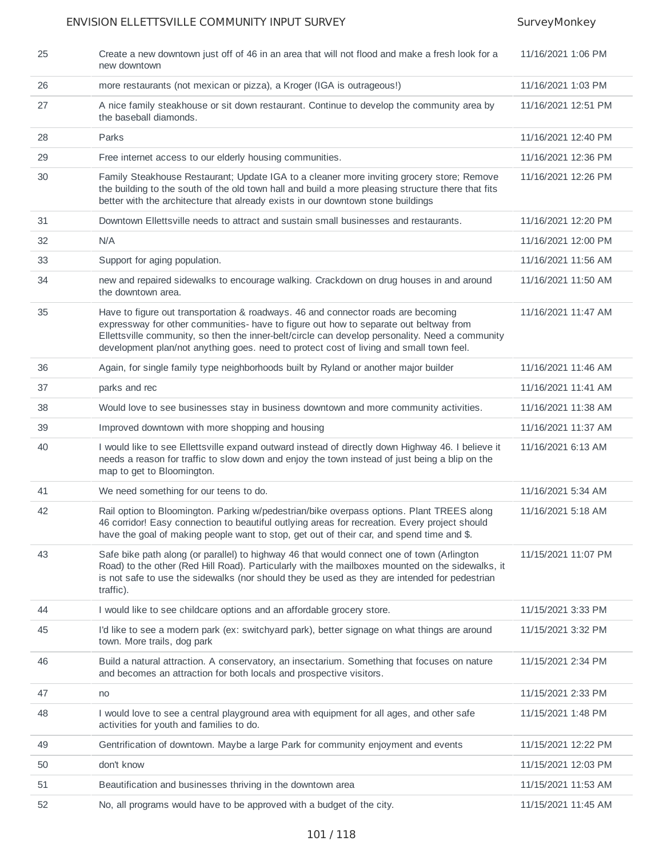| 25 | Create a new downtown just off of 46 in an area that will not flood and make a fresh look for a<br>new downtown                                                                                                                                                                                                                                                          | 11/16/2021 1:06 PM  |
|----|--------------------------------------------------------------------------------------------------------------------------------------------------------------------------------------------------------------------------------------------------------------------------------------------------------------------------------------------------------------------------|---------------------|
| 26 | more restaurants (not mexican or pizza), a Kroger (IGA is outrageous!)                                                                                                                                                                                                                                                                                                   | 11/16/2021 1:03 PM  |
| 27 | A nice family steakhouse or sit down restaurant. Continue to develop the community area by<br>the baseball diamonds.                                                                                                                                                                                                                                                     | 11/16/2021 12:51 PM |
| 28 | Parks                                                                                                                                                                                                                                                                                                                                                                    | 11/16/2021 12:40 PM |
| 29 | Free internet access to our elderly housing communities.                                                                                                                                                                                                                                                                                                                 | 11/16/2021 12:36 PM |
| 30 | Family Steakhouse Restaurant; Update IGA to a cleaner more inviting grocery store; Remove<br>the building to the south of the old town hall and build a more pleasing structure there that fits<br>better with the architecture that already exists in our downtown stone buildings                                                                                      | 11/16/2021 12:26 PM |
| 31 | Downtown Ellettsville needs to attract and sustain small businesses and restaurants.                                                                                                                                                                                                                                                                                     | 11/16/2021 12:20 PM |
| 32 | N/A                                                                                                                                                                                                                                                                                                                                                                      | 11/16/2021 12:00 PM |
| 33 | Support for aging population.                                                                                                                                                                                                                                                                                                                                            | 11/16/2021 11:56 AM |
| 34 | new and repaired sidewalks to encourage walking. Crackdown on drug houses in and around<br>the downtown area.                                                                                                                                                                                                                                                            | 11/16/2021 11:50 AM |
| 35 | Have to figure out transportation & roadways. 46 and connector roads are becoming<br>expressway for other communities- have to figure out how to separate out beltway from<br>Ellettsville community, so then the inner-belt/circle can develop personality. Need a community<br>development plan/not anything goes. need to protect cost of living and small town feel. | 11/16/2021 11:47 AM |
| 36 | Again, for single family type neighborhoods built by Ryland or another major builder                                                                                                                                                                                                                                                                                     | 11/16/2021 11:46 AM |
| 37 | parks and rec                                                                                                                                                                                                                                                                                                                                                            | 11/16/2021 11:41 AM |
| 38 | Would love to see businesses stay in business downtown and more community activities.                                                                                                                                                                                                                                                                                    | 11/16/2021 11:38 AM |
| 39 | Improved downtown with more shopping and housing                                                                                                                                                                                                                                                                                                                         | 11/16/2021 11:37 AM |
| 40 | I would like to see Ellettsville expand outward instead of directly down Highway 46. I believe it<br>needs a reason for traffic to slow down and enjoy the town instead of just being a blip on the<br>map to get to Bloomington.                                                                                                                                        | 11/16/2021 6:13 AM  |
| 41 | We need something for our teens to do.                                                                                                                                                                                                                                                                                                                                   | 11/16/2021 5:34 AM  |
| 42 | Rail option to Bloomington. Parking w/pedestrian/bike overpass options. Plant TREES along<br>46 corridor! Easy connection to beautiful outlying areas for recreation. Every project should<br>have the goal of making people want to stop, get out of their car, and spend time and \$.                                                                                  | 11/16/2021 5:18 AM  |
| 43 | Safe bike path along (or parallel) to highway 46 that would connect one of town (Arlington<br>Road) to the other (Red Hill Road). Particularly with the mailboxes mounted on the sidewalks, it<br>is not safe to use the sidewalks (nor should they be used as they are intended for pedestrian<br>traffic).                                                             | 11/15/2021 11:07 PM |
| 44 | I would like to see childcare options and an affordable grocery store.                                                                                                                                                                                                                                                                                                   | 11/15/2021 3:33 PM  |
| 45 | I'd like to see a modern park (ex: switchyard park), better signage on what things are around<br>town. More trails, dog park                                                                                                                                                                                                                                             | 11/15/2021 3:32 PM  |
| 46 | Build a natural attraction. A conservatory, an insectarium. Something that focuses on nature<br>and becomes an attraction for both locals and prospective visitors.                                                                                                                                                                                                      | 11/15/2021 2:34 PM  |
| 47 | no                                                                                                                                                                                                                                                                                                                                                                       | 11/15/2021 2:33 PM  |
| 48 | I would love to see a central playground area with equipment for all ages, and other safe<br>activities for youth and families to do.                                                                                                                                                                                                                                    | 11/15/2021 1:48 PM  |
| 49 | Gentrification of downtown. Maybe a large Park for community enjoyment and events                                                                                                                                                                                                                                                                                        | 11/15/2021 12:22 PM |
| 50 | don't know                                                                                                                                                                                                                                                                                                                                                               | 11/15/2021 12:03 PM |
| 51 | Beautification and businesses thriving in the downtown area                                                                                                                                                                                                                                                                                                              | 11/15/2021 11:53 AM |
| 52 | No, all programs would have to be approved with a budget of the city.                                                                                                                                                                                                                                                                                                    | 11/15/2021 11:45 AM |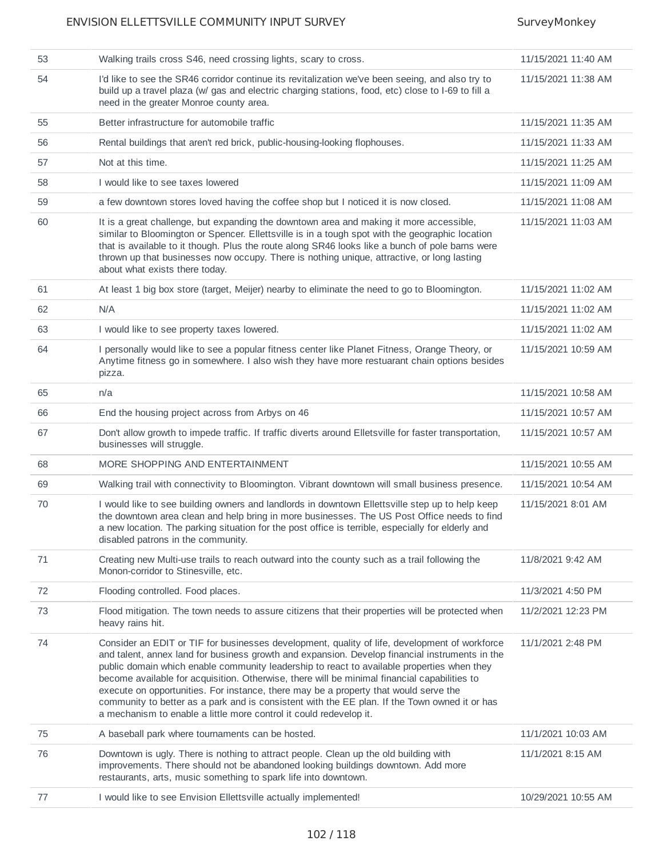| 53 |                                                                                                                                                                                                                                                                                                                                                                                                                                                                                                                                                                                                                                                              | 11/15/2021 11:40 AM |
|----|--------------------------------------------------------------------------------------------------------------------------------------------------------------------------------------------------------------------------------------------------------------------------------------------------------------------------------------------------------------------------------------------------------------------------------------------------------------------------------------------------------------------------------------------------------------------------------------------------------------------------------------------------------------|---------------------|
|    | Walking trails cross S46, need crossing lights, scary to cross.                                                                                                                                                                                                                                                                                                                                                                                                                                                                                                                                                                                              |                     |
| 54 | I'd like to see the SR46 corridor continue its revitalization we've been seeing, and also try to<br>build up a travel plaza (w/ gas and electric charging stations, food, etc) close to I-69 to fill a<br>need in the greater Monroe county area.                                                                                                                                                                                                                                                                                                                                                                                                            | 11/15/2021 11:38 AM |
| 55 | Better infrastructure for automobile traffic                                                                                                                                                                                                                                                                                                                                                                                                                                                                                                                                                                                                                 | 11/15/2021 11:35 AM |
| 56 | Rental buildings that aren't red brick, public-housing-looking flophouses.                                                                                                                                                                                                                                                                                                                                                                                                                                                                                                                                                                                   | 11/15/2021 11:33 AM |
| 57 | Not at this time.                                                                                                                                                                                                                                                                                                                                                                                                                                                                                                                                                                                                                                            | 11/15/2021 11:25 AM |
| 58 | I would like to see taxes lowered                                                                                                                                                                                                                                                                                                                                                                                                                                                                                                                                                                                                                            | 11/15/2021 11:09 AM |
| 59 | a few downtown stores loved having the coffee shop but I noticed it is now closed.                                                                                                                                                                                                                                                                                                                                                                                                                                                                                                                                                                           | 11/15/2021 11:08 AM |
| 60 | It is a great challenge, but expanding the downtown area and making it more accessible,<br>similar to Bloomington or Spencer. Ellettsville is in a tough spot with the geographic location<br>that is available to it though. Plus the route along SR46 looks like a bunch of pole barns were<br>thrown up that businesses now occupy. There is nothing unique, attractive, or long lasting<br>about what exists there today.                                                                                                                                                                                                                                | 11/15/2021 11:03 AM |
| 61 | At least 1 big box store (target, Meijer) nearby to eliminate the need to go to Bloomington.                                                                                                                                                                                                                                                                                                                                                                                                                                                                                                                                                                 | 11/15/2021 11:02 AM |
| 62 | N/A                                                                                                                                                                                                                                                                                                                                                                                                                                                                                                                                                                                                                                                          | 11/15/2021 11:02 AM |
| 63 | I would like to see property taxes lowered.                                                                                                                                                                                                                                                                                                                                                                                                                                                                                                                                                                                                                  | 11/15/2021 11:02 AM |
| 64 | I personally would like to see a popular fitness center like Planet Fitness, Orange Theory, or<br>Anytime fitness go in somewhere. I also wish they have more restuarant chain options besides<br>pizza.                                                                                                                                                                                                                                                                                                                                                                                                                                                     | 11/15/2021 10:59 AM |
| 65 | n/a                                                                                                                                                                                                                                                                                                                                                                                                                                                                                                                                                                                                                                                          | 11/15/2021 10:58 AM |
| 66 | End the housing project across from Arbys on 46                                                                                                                                                                                                                                                                                                                                                                                                                                                                                                                                                                                                              | 11/15/2021 10:57 AM |
| 67 | Don't allow growth to impede traffic. If traffic diverts around Elletsville for faster transportation,<br>businesses will struggle.                                                                                                                                                                                                                                                                                                                                                                                                                                                                                                                          | 11/15/2021 10:57 AM |
| 68 | MORE SHOPPING AND ENTERTAINMENT                                                                                                                                                                                                                                                                                                                                                                                                                                                                                                                                                                                                                              | 11/15/2021 10:55 AM |
| 69 | Walking trail with connectivity to Bloomington. Vibrant downtown will small business presence.                                                                                                                                                                                                                                                                                                                                                                                                                                                                                                                                                               | 11/15/2021 10:54 AM |
| 70 | I would like to see building owners and landlords in downtown Ellettsville step up to help keep<br>the downtown area clean and help bring in more businesses. The US Post Office needs to find<br>a new location. The parking situation for the post office is terrible, especially for elderly and<br>disabled patrons in the community.                                                                                                                                                                                                                                                                                                                    | 11/15/2021 8:01 AM  |
| 71 | Creating new Multi-use trails to reach outward into the county such as a trail following the<br>Monon-corridor to Stinesville, etc.                                                                                                                                                                                                                                                                                                                                                                                                                                                                                                                          | 11/8/2021 9:42 AM   |
| 72 | Flooding controlled. Food places.                                                                                                                                                                                                                                                                                                                                                                                                                                                                                                                                                                                                                            | 11/3/2021 4:50 PM   |
| 73 | Flood mitigation. The town needs to assure citizens that their properties will be protected when<br>heavy rains hit.                                                                                                                                                                                                                                                                                                                                                                                                                                                                                                                                         | 11/2/2021 12:23 PM  |
| 74 | Consider an EDIT or TIF for businesses development, quality of life, development of workforce<br>and talent, annex land for business growth and expansion. Develop financial instruments in the<br>public domain which enable community leadership to react to available properties when they<br>become available for acquisition. Otherwise, there will be minimal financial capabilities to<br>execute on opportunities. For instance, there may be a property that would serve the<br>community to better as a park and is consistent with the EE plan. If the Town owned it or has<br>a mechanism to enable a little more control it could redevelop it. | 11/1/2021 2:48 PM   |
| 75 | A baseball park where tournaments can be hosted.                                                                                                                                                                                                                                                                                                                                                                                                                                                                                                                                                                                                             | 11/1/2021 10:03 AM  |
| 76 | Downtown is ugly. There is nothing to attract people. Clean up the old building with<br>improvements. There should not be abandoned looking buildings downtown. Add more<br>restaurants, arts, music something to spark life into downtown.                                                                                                                                                                                                                                                                                                                                                                                                                  | 11/1/2021 8:15 AM   |
| 77 | I would like to see Envision Ellettsville actually implemented!                                                                                                                                                                                                                                                                                                                                                                                                                                                                                                                                                                                              | 10/29/2021 10:55 AM |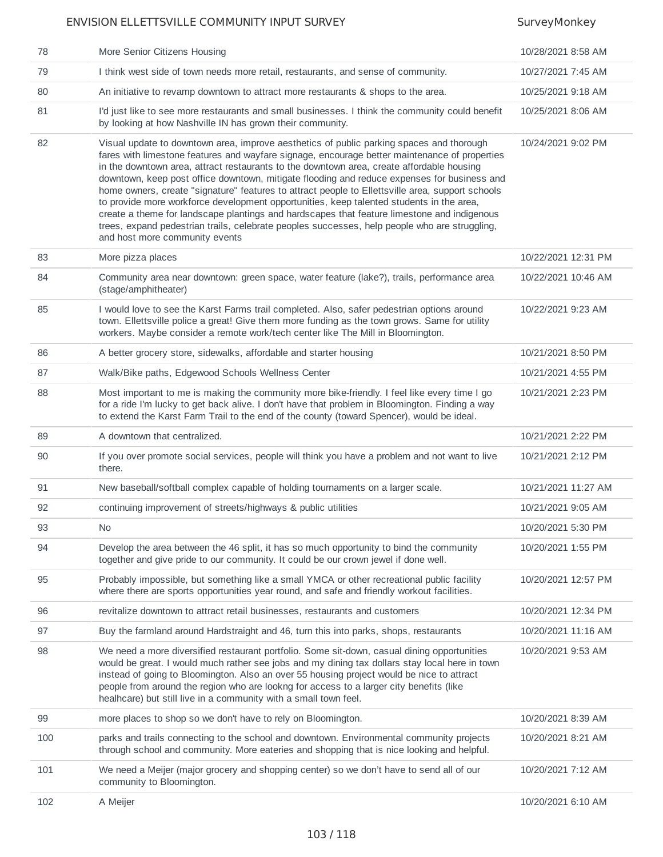| 78  | More Senior Citizens Housing                                                                                                                                                                                                                                                                                                                                                                                                                                                                                                                                                                                                                                                                                                                                                                                            | 10/28/2021 8:58 AM  |
|-----|-------------------------------------------------------------------------------------------------------------------------------------------------------------------------------------------------------------------------------------------------------------------------------------------------------------------------------------------------------------------------------------------------------------------------------------------------------------------------------------------------------------------------------------------------------------------------------------------------------------------------------------------------------------------------------------------------------------------------------------------------------------------------------------------------------------------------|---------------------|
| 79  | I think west side of town needs more retail, restaurants, and sense of community.                                                                                                                                                                                                                                                                                                                                                                                                                                                                                                                                                                                                                                                                                                                                       | 10/27/2021 7:45 AM  |
| 80  | An initiative to revamp downtown to attract more restaurants $\&$ shops to the area.                                                                                                                                                                                                                                                                                                                                                                                                                                                                                                                                                                                                                                                                                                                                    | 10/25/2021 9:18 AM  |
| 81  | I'd just like to see more restaurants and small businesses. I think the community could benefit<br>by looking at how Nashville IN has grown their community.                                                                                                                                                                                                                                                                                                                                                                                                                                                                                                                                                                                                                                                            | 10/25/2021 8:06 AM  |
| 82  | Visual update to downtown area, improve aesthetics of public parking spaces and thorough<br>fares with limestone features and wayfare signage, encourage better maintenance of properties<br>in the downtown area, attract restaurants to the downtown area, create affordable housing<br>downtown, keep post office downtown, mitigate flooding and reduce expenses for business and<br>home owners, create "signature" features to attract people to Ellettsville area, support schools<br>to provide more workforce development opportunities, keep talented students in the area,<br>create a theme for landscape plantings and hardscapes that feature limestone and indigenous<br>trees, expand pedestrian trails, celebrate peoples successes, help people who are struggling,<br>and host more community events | 10/24/2021 9:02 PM  |
| 83  | More pizza places                                                                                                                                                                                                                                                                                                                                                                                                                                                                                                                                                                                                                                                                                                                                                                                                       | 10/22/2021 12:31 PM |
| 84  | Community area near downtown: green space, water feature (lake?), trails, performance area<br>(stage/amphitheater)                                                                                                                                                                                                                                                                                                                                                                                                                                                                                                                                                                                                                                                                                                      | 10/22/2021 10:46 AM |
| 85  | I would love to see the Karst Farms trail completed. Also, safer pedestrian options around<br>town. Ellettsville police a great! Give them more funding as the town grows. Same for utility<br>workers. Maybe consider a remote work/tech center like The Mill in Bloomington.                                                                                                                                                                                                                                                                                                                                                                                                                                                                                                                                          | 10/22/2021 9:23 AM  |
| 86  | A better grocery store, sidewalks, affordable and starter housing                                                                                                                                                                                                                                                                                                                                                                                                                                                                                                                                                                                                                                                                                                                                                       | 10/21/2021 8:50 PM  |
| 87  | Walk/Bike paths, Edgewood Schools Wellness Center                                                                                                                                                                                                                                                                                                                                                                                                                                                                                                                                                                                                                                                                                                                                                                       | 10/21/2021 4:55 PM  |
| 88  | Most important to me is making the community more bike-friendly. I feel like every time I go<br>for a ride I'm lucky to get back alive. I don't have that problem in Bloomington. Finding a way<br>to extend the Karst Farm Trail to the end of the county (toward Spencer), would be ideal.                                                                                                                                                                                                                                                                                                                                                                                                                                                                                                                            | 10/21/2021 2:23 PM  |
|     |                                                                                                                                                                                                                                                                                                                                                                                                                                                                                                                                                                                                                                                                                                                                                                                                                         |                     |
| 89  | A downtown that centralized.                                                                                                                                                                                                                                                                                                                                                                                                                                                                                                                                                                                                                                                                                                                                                                                            | 10/21/2021 2:22 PM  |
| 90  | If you over promote social services, people will think you have a problem and not want to live<br>there.                                                                                                                                                                                                                                                                                                                                                                                                                                                                                                                                                                                                                                                                                                                | 10/21/2021 2:12 PM  |
| 91  | New baseball/softball complex capable of holding tournaments on a larger scale.                                                                                                                                                                                                                                                                                                                                                                                                                                                                                                                                                                                                                                                                                                                                         | 10/21/2021 11:27 AM |
| 92  | continuing improvement of streets/highways & public utilities                                                                                                                                                                                                                                                                                                                                                                                                                                                                                                                                                                                                                                                                                                                                                           | 10/21/2021 9:05 AM  |
| 93  | <b>No</b>                                                                                                                                                                                                                                                                                                                                                                                                                                                                                                                                                                                                                                                                                                                                                                                                               | 10/20/2021 5:30 PM  |
| 94  | Develop the area between the 46 split, it has so much opportunity to bind the community<br>together and give pride to our community. It could be our crown jewel if done well.                                                                                                                                                                                                                                                                                                                                                                                                                                                                                                                                                                                                                                          | 10/20/2021 1:55 PM  |
| 95  | Probably impossible, but something like a small YMCA or other recreational public facility<br>where there are sports opportunities year round, and safe and friendly workout facilities.                                                                                                                                                                                                                                                                                                                                                                                                                                                                                                                                                                                                                                | 10/20/2021 12:57 PM |
| 96  | revitalize downtown to attract retail businesses, restaurants and customers                                                                                                                                                                                                                                                                                                                                                                                                                                                                                                                                                                                                                                                                                                                                             | 10/20/2021 12:34 PM |
| 97  | Buy the farmland around Hardstraight and 46, turn this into parks, shops, restaurants                                                                                                                                                                                                                                                                                                                                                                                                                                                                                                                                                                                                                                                                                                                                   | 10/20/2021 11:16 AM |
| 98  | We need a more diversified restaurant portfolio. Some sit-down, casual dining opportunities<br>would be great. I would much rather see jobs and my dining tax dollars stay local here in town<br>instead of going to Bloomington. Also an over 55 housing project would be nice to attract<br>people from around the region who are lookng for access to a larger city benefits (like<br>healhcare) but still live in a community with a small town feel.                                                                                                                                                                                                                                                                                                                                                               | 10/20/2021 9:53 AM  |
| 99  | more places to shop so we don't have to rely on Bloomington.                                                                                                                                                                                                                                                                                                                                                                                                                                                                                                                                                                                                                                                                                                                                                            | 10/20/2021 8:39 AM  |
| 100 | parks and trails connecting to the school and downtown. Environmental community projects<br>through school and community. More eateries and shopping that is nice looking and helpful.                                                                                                                                                                                                                                                                                                                                                                                                                                                                                                                                                                                                                                  | 10/20/2021 8:21 AM  |
| 101 | We need a Meijer (major grocery and shopping center) so we don't have to send all of our<br>community to Bloomington.                                                                                                                                                                                                                                                                                                                                                                                                                                                                                                                                                                                                                                                                                                   | 10/20/2021 7:12 AM  |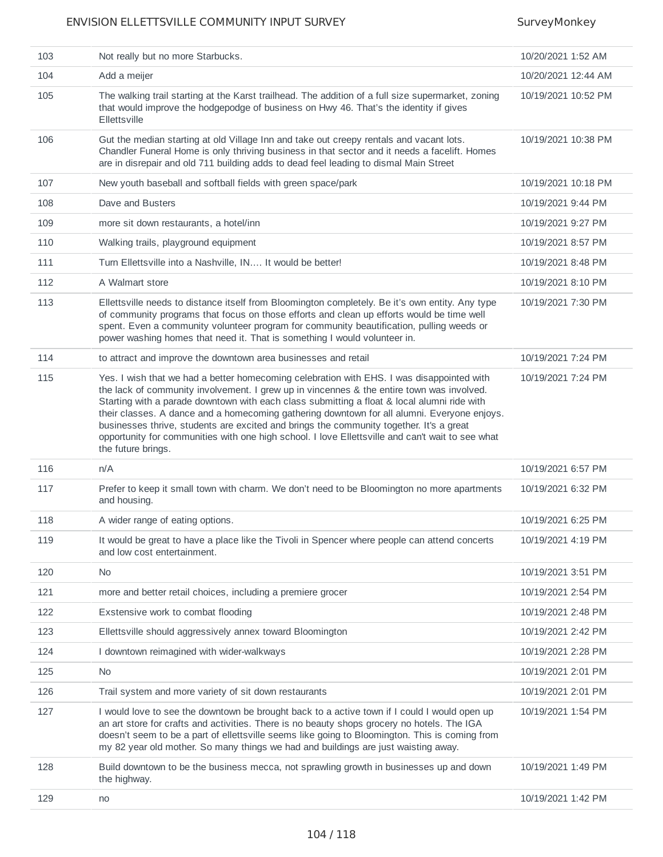| 103 | Not really but no more Starbucks.                                                                                                                                                                                                                                                                                                                                                                                                                                                                                                                                                                         | 10/20/2021 1:52 AM  |
|-----|-----------------------------------------------------------------------------------------------------------------------------------------------------------------------------------------------------------------------------------------------------------------------------------------------------------------------------------------------------------------------------------------------------------------------------------------------------------------------------------------------------------------------------------------------------------------------------------------------------------|---------------------|
| 104 | Add a meijer                                                                                                                                                                                                                                                                                                                                                                                                                                                                                                                                                                                              | 10/20/2021 12:44 AM |
| 105 | The walking trail starting at the Karst trailhead. The addition of a full size supermarket, zoning<br>that would improve the hodgepodge of business on Hwy 46. That's the identity if gives<br>Ellettsville                                                                                                                                                                                                                                                                                                                                                                                               | 10/19/2021 10:52 PM |
| 106 | Gut the median starting at old Village Inn and take out creepy rentals and vacant lots.<br>Chandler Funeral Home is only thriving business in that sector and it needs a facelift. Homes<br>are in disrepair and old 711 building adds to dead feel leading to dismal Main Street                                                                                                                                                                                                                                                                                                                         | 10/19/2021 10:38 PM |
| 107 | New youth baseball and softball fields with green space/park                                                                                                                                                                                                                                                                                                                                                                                                                                                                                                                                              | 10/19/2021 10:18 PM |
| 108 | Dave and Busters                                                                                                                                                                                                                                                                                                                                                                                                                                                                                                                                                                                          | 10/19/2021 9:44 PM  |
| 109 | more sit down restaurants, a hotel/inn                                                                                                                                                                                                                                                                                                                                                                                                                                                                                                                                                                    | 10/19/2021 9:27 PM  |
| 110 | Walking trails, playground equipment                                                                                                                                                                                                                                                                                                                                                                                                                                                                                                                                                                      | 10/19/2021 8:57 PM  |
| 111 | Turn Ellettsville into a Nashville, IN It would be better!                                                                                                                                                                                                                                                                                                                                                                                                                                                                                                                                                | 10/19/2021 8:48 PM  |
| 112 | A Walmart store                                                                                                                                                                                                                                                                                                                                                                                                                                                                                                                                                                                           | 10/19/2021 8:10 PM  |
| 113 | Ellettsville needs to distance itself from Bloomington completely. Be it's own entity. Any type<br>of community programs that focus on those efforts and clean up efforts would be time well<br>spent. Even a community volunteer program for community beautification, pulling weeds or<br>power washing homes that need it. That is something I would volunteer in.                                                                                                                                                                                                                                     | 10/19/2021 7:30 PM  |
| 114 | to attract and improve the downtown area businesses and retail                                                                                                                                                                                                                                                                                                                                                                                                                                                                                                                                            | 10/19/2021 7:24 PM  |
| 115 | Yes. I wish that we had a better homecoming celebration with EHS. I was disappointed with<br>the lack of community involvement. I grew up in vincennes & the entire town was involved.<br>Starting with a parade downtown with each class submitting a float & local alumni ride with<br>their classes. A dance and a homecoming gathering downtown for all alumni. Everyone enjoys.<br>businesses thrive, students are excited and brings the community together. It's a great<br>opportunity for communities with one high school. I love Ellettsville and can't wait to see what<br>the future brings. | 10/19/2021 7:24 PM  |
| 116 | n/A                                                                                                                                                                                                                                                                                                                                                                                                                                                                                                                                                                                                       | 10/19/2021 6:57 PM  |
| 117 | Prefer to keep it small town with charm. We don't need to be Bloomington no more apartments<br>and housing.                                                                                                                                                                                                                                                                                                                                                                                                                                                                                               | 10/19/2021 6:32 PM  |
| 118 | A wider range of eating options.                                                                                                                                                                                                                                                                                                                                                                                                                                                                                                                                                                          | 10/19/2021 6:25 PM  |
| 119 | It would be great to have a place like the Tivoli in Spencer where people can attend concerts<br>and low cost entertainment.                                                                                                                                                                                                                                                                                                                                                                                                                                                                              | 10/19/2021 4:19 PM  |
| 120 | <b>No</b>                                                                                                                                                                                                                                                                                                                                                                                                                                                                                                                                                                                                 | 10/19/2021 3:51 PM  |
| 121 | more and better retail choices, including a premiere grocer                                                                                                                                                                                                                                                                                                                                                                                                                                                                                                                                               | 10/19/2021 2:54 PM  |
| 122 | Exstensive work to combat flooding                                                                                                                                                                                                                                                                                                                                                                                                                                                                                                                                                                        | 10/19/2021 2:48 PM  |
| 123 | Ellettsville should aggressively annex toward Bloomington                                                                                                                                                                                                                                                                                                                                                                                                                                                                                                                                                 | 10/19/2021 2:42 PM  |
| 124 | I downtown reimagined with wider-walkways                                                                                                                                                                                                                                                                                                                                                                                                                                                                                                                                                                 | 10/19/2021 2:28 PM  |
| 125 | No.                                                                                                                                                                                                                                                                                                                                                                                                                                                                                                                                                                                                       | 10/19/2021 2:01 PM  |
| 126 | Trail system and more variety of sit down restaurants                                                                                                                                                                                                                                                                                                                                                                                                                                                                                                                                                     | 10/19/2021 2:01 PM  |
| 127 | I would love to see the downtown be brought back to a active town if I could I would open up<br>an art store for crafts and activities. There is no beauty shops grocery no hotels. The IGA<br>doesn't seem to be a part of ellettsville seems like going to Bloomington. This is coming from<br>my 82 year old mother. So many things we had and buildings are just waisting away.                                                                                                                                                                                                                       | 10/19/2021 1:54 PM  |
| 128 | Build downtown to be the business mecca, not sprawling growth in businesses up and down<br>the highway.                                                                                                                                                                                                                                                                                                                                                                                                                                                                                                   | 10/19/2021 1:49 PM  |
| 129 | no                                                                                                                                                                                                                                                                                                                                                                                                                                                                                                                                                                                                        | 10/19/2021 1:42 PM  |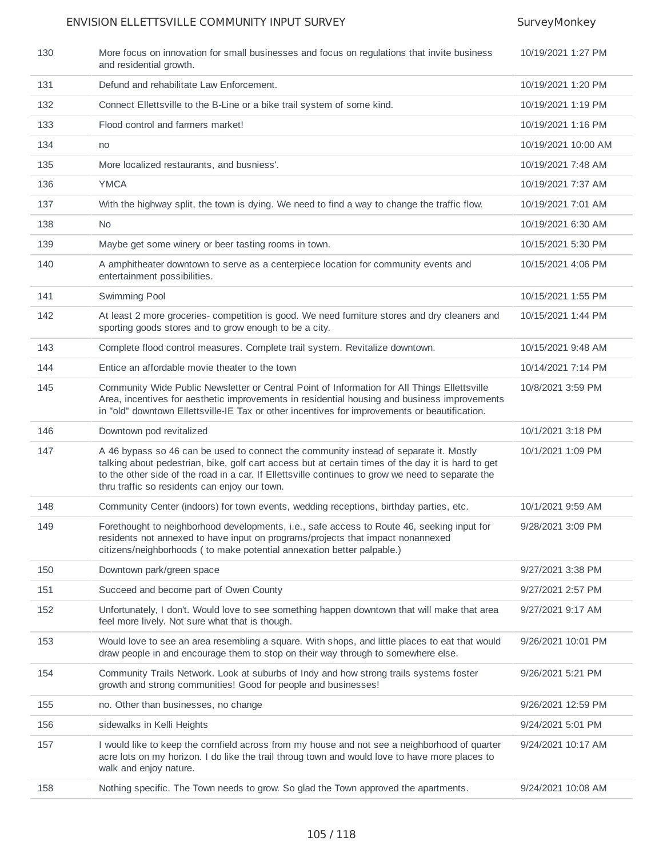| 130 | More focus on innovation for small businesses and focus on regulations that invite business<br>and residential growth.                                                                                                                                                                                                                            | 10/19/2021 1:27 PM  |
|-----|---------------------------------------------------------------------------------------------------------------------------------------------------------------------------------------------------------------------------------------------------------------------------------------------------------------------------------------------------|---------------------|
| 131 | Defund and rehabilitate Law Enforcement.                                                                                                                                                                                                                                                                                                          | 10/19/2021 1:20 PM  |
| 132 | Connect Ellettsville to the B-Line or a bike trail system of some kind.                                                                                                                                                                                                                                                                           | 10/19/2021 1:19 PM  |
| 133 | Flood control and farmers market!                                                                                                                                                                                                                                                                                                                 | 10/19/2021 1:16 PM  |
| 134 | no                                                                                                                                                                                                                                                                                                                                                | 10/19/2021 10:00 AM |
| 135 | More localized restaurants, and busniess'.                                                                                                                                                                                                                                                                                                        | 10/19/2021 7:48 AM  |
| 136 | <b>YMCA</b>                                                                                                                                                                                                                                                                                                                                       | 10/19/2021 7:37 AM  |
| 137 | With the highway split, the town is dying. We need to find a way to change the traffic flow.                                                                                                                                                                                                                                                      | 10/19/2021 7:01 AM  |
| 138 | No                                                                                                                                                                                                                                                                                                                                                | 10/19/2021 6:30 AM  |
| 139 | Maybe get some winery or beer tasting rooms in town.                                                                                                                                                                                                                                                                                              | 10/15/2021 5:30 PM  |
| 140 | A amphitheater downtown to serve as a centerpiece location for community events and<br>entertainment possibilities.                                                                                                                                                                                                                               | 10/15/2021 4:06 PM  |
| 141 | Swimming Pool                                                                                                                                                                                                                                                                                                                                     | 10/15/2021 1:55 PM  |
| 142 | At least 2 more groceries- competition is good. We need furniture stores and dry cleaners and<br>sporting goods stores and to grow enough to be a city.                                                                                                                                                                                           | 10/15/2021 1:44 PM  |
| 143 | Complete flood control measures. Complete trail system. Revitalize downtown.                                                                                                                                                                                                                                                                      | 10/15/2021 9:48 AM  |
| 144 | Entice an affordable movie theater to the town                                                                                                                                                                                                                                                                                                    | 10/14/2021 7:14 PM  |
| 145 | Community Wide Public Newsletter or Central Point of Information for All Things Ellettsville<br>Area, incentives for aesthetic improvements in residential housing and business improvements<br>in "old" downtown Ellettsville-IE Tax or other incentives for improvements or beautification.                                                     | 10/8/2021 3:59 PM   |
|     |                                                                                                                                                                                                                                                                                                                                                   |                     |
| 146 | Downtown pod revitalized                                                                                                                                                                                                                                                                                                                          | 10/1/2021 3:18 PM   |
| 147 | A 46 bypass so 46 can be used to connect the community instead of separate it. Mostly<br>talking about pedestrian, bike, golf cart access but at certain times of the day it is hard to get<br>to the other side of the road in a car. If Ellettsville continues to grow we need to separate the<br>thru traffic so residents can enjoy our town. | 10/1/2021 1:09 PM   |
| 148 | Community Center (indoors) for town events, wedding receptions, birthday parties, etc.                                                                                                                                                                                                                                                            | 10/1/2021 9:59 AM   |
| 149 | Forethought to neighborhood developments, i.e., safe access to Route 46, seeking input for<br>residents not annexed to have input on programs/projects that impact nonannexed<br>citizens/neighborhoods (to make potential annexation better palpable.)                                                                                           | 9/28/2021 3:09 PM   |
| 150 | Downtown park/green space                                                                                                                                                                                                                                                                                                                         | 9/27/2021 3:38 PM   |
| 151 | Succeed and become part of Owen County                                                                                                                                                                                                                                                                                                            | 9/27/2021 2:57 PM   |
| 152 | Unfortunately, I don't. Would love to see something happen downtown that will make that area<br>feel more lively. Not sure what that is though.                                                                                                                                                                                                   | 9/27/2021 9:17 AM   |
| 153 | Would love to see an area resembling a square. With shops, and little places to eat that would<br>draw people in and encourage them to stop on their way through to somewhere else.                                                                                                                                                               | 9/26/2021 10:01 PM  |
| 154 | Community Trails Network. Look at suburbs of Indy and how strong trails systems foster<br>growth and strong communities! Good for people and businesses!                                                                                                                                                                                          | 9/26/2021 5:21 PM   |
| 155 | no. Other than businesses, no change                                                                                                                                                                                                                                                                                                              | 9/26/2021 12:59 PM  |
| 156 | sidewalks in Kelli Heights                                                                                                                                                                                                                                                                                                                        | 9/24/2021 5:01 PM   |
| 157 | I would like to keep the cornfield across from my house and not see a neighborhood of quarter<br>acre lots on my horizon. I do like the trail throug town and would love to have more places to<br>walk and enjoy nature.                                                                                                                         | 9/24/2021 10:17 AM  |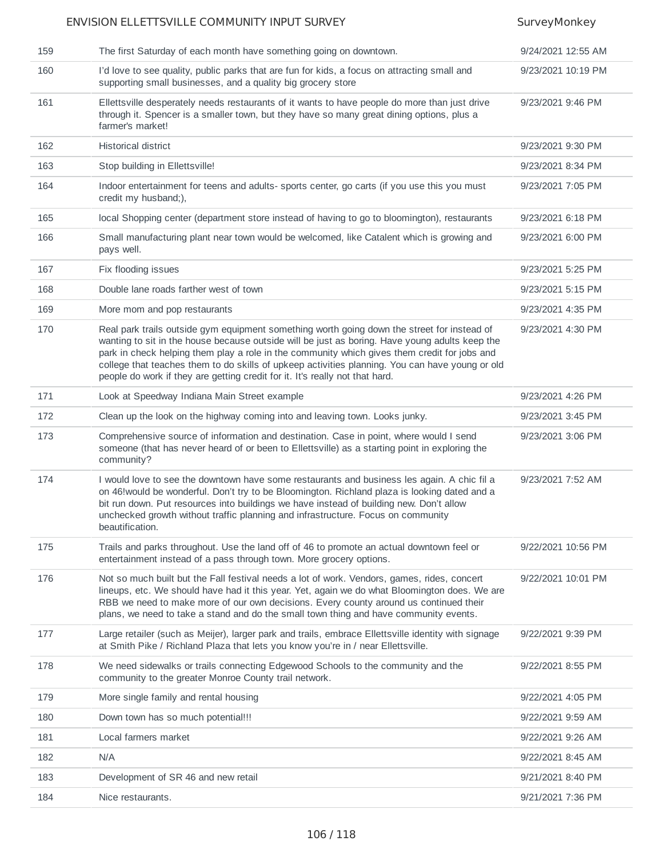|     | ENVISION ELLETTSVILLE COMMUNITY INPUT SURVEY                                                                                                                                                                                                                                                                                                                                                                                                                                     | SurveyMonkey       |
|-----|----------------------------------------------------------------------------------------------------------------------------------------------------------------------------------------------------------------------------------------------------------------------------------------------------------------------------------------------------------------------------------------------------------------------------------------------------------------------------------|--------------------|
| 159 | The first Saturday of each month have something going on downtown.                                                                                                                                                                                                                                                                                                                                                                                                               | 9/24/2021 12:55 AM |
| 160 | I'd love to see quality, public parks that are fun for kids, a focus on attracting small and<br>supporting small businesses, and a quality big grocery store                                                                                                                                                                                                                                                                                                                     | 9/23/2021 10:19 PM |
| 161 | Ellettsville desperately needs restaurants of it wants to have people do more than just drive<br>through it. Spencer is a smaller town, but they have so many great dining options, plus a<br>farmer's market!                                                                                                                                                                                                                                                                   | 9/23/2021 9:46 PM  |
| 162 | <b>Historical district</b>                                                                                                                                                                                                                                                                                                                                                                                                                                                       | 9/23/2021 9:30 PM  |
| 163 | Stop building in Ellettsville!                                                                                                                                                                                                                                                                                                                                                                                                                                                   | 9/23/2021 8:34 PM  |
| 164 | Indoor entertainment for teens and adults- sports center, go carts (if you use this you must<br>credit my husband;),                                                                                                                                                                                                                                                                                                                                                             | 9/23/2021 7:05 PM  |
| 165 | local Shopping center (department store instead of having to go to bloomington), restaurants                                                                                                                                                                                                                                                                                                                                                                                     | 9/23/2021 6:18 PM  |
| 166 | Small manufacturing plant near town would be welcomed, like Catalent which is growing and<br>pays well.                                                                                                                                                                                                                                                                                                                                                                          | 9/23/2021 6:00 PM  |
| 167 | Fix flooding issues                                                                                                                                                                                                                                                                                                                                                                                                                                                              | 9/23/2021 5:25 PM  |
| 168 | Double lane roads farther west of town                                                                                                                                                                                                                                                                                                                                                                                                                                           | 9/23/2021 5:15 PM  |
| 169 | More mom and pop restaurants                                                                                                                                                                                                                                                                                                                                                                                                                                                     | 9/23/2021 4:35 PM  |
| 170 | Real park trails outside gym equipment something worth going down the street for instead of<br>wanting to sit in the house because outside will be just as boring. Have young adults keep the<br>park in check helping them play a role in the community which gives them credit for jobs and<br>college that teaches them to do skills of upkeep activities planning. You can have young or old<br>people do work if they are getting credit for it. It's really not that hard. | 9/23/2021 4:30 PM  |
| 171 | Look at Speedway Indiana Main Street example                                                                                                                                                                                                                                                                                                                                                                                                                                     | 9/23/2021 4:26 PM  |
| 172 | Clean up the look on the highway coming into and leaving town. Looks junky.                                                                                                                                                                                                                                                                                                                                                                                                      | 9/23/2021 3:45 PM  |
| 173 | Comprehensive source of information and destination. Case in point, where would I send<br>someone (that has never heard of or been to Ellettsville) as a starting point in exploring the<br>community?                                                                                                                                                                                                                                                                           | 9/23/2021 3:06 PM  |
| 174 | I would love to see the downtown have some restaurants and business les again. A chic fil a<br>on 46! would be wonderful. Don't try to be Bloomington. Richland plaza is looking dated and a<br>bit run down. Put resources into buildings we have instead of building new. Don't allow<br>unchecked growth without traffic planning and infrastructure. Focus on community<br>beautification.                                                                                   | 9/23/2021 7:52 AM  |
| 175 | Trails and parks throughout. Use the land off of 46 to promote an actual downtown feel or<br>entertainment instead of a pass through town. More grocery options.                                                                                                                                                                                                                                                                                                                 | 9/22/2021 10:56 PM |
| 176 | Not so much built but the Fall festival needs a lot of work. Vendors, games, rides, concert<br>lineups, etc. We should have had it this year. Yet, again we do what Bloomington does. We are<br>RBB we need to make more of our own decisions. Every county around us continued their<br>plans, we need to take a stand and do the small town thing and have community events.                                                                                                   | 9/22/2021 10:01 PM |
| 177 | Large retailer (such as Meijer), larger park and trails, embrace Ellettsville identity with signage<br>at Smith Pike / Richland Plaza that lets you know you're in / near Ellettsville.                                                                                                                                                                                                                                                                                          | 9/22/2021 9:39 PM  |
| 178 | We need sidewalks or trails connecting Edgewood Schools to the community and the<br>community to the greater Monroe County trail network.                                                                                                                                                                                                                                                                                                                                        | 9/22/2021 8:55 PM  |
| 179 | More single family and rental housing                                                                                                                                                                                                                                                                                                                                                                                                                                            | 9/22/2021 4:05 PM  |
| 180 | Down town has so much potential!!!                                                                                                                                                                                                                                                                                                                                                                                                                                               | 9/22/2021 9:59 AM  |
| 181 | Local farmers market                                                                                                                                                                                                                                                                                                                                                                                                                                                             | 9/22/2021 9:26 AM  |
| 182 | N/A                                                                                                                                                                                                                                                                                                                                                                                                                                                                              | 9/22/2021 8:45 AM  |
| 183 | Development of SR 46 and new retail                                                                                                                                                                                                                                                                                                                                                                                                                                              | 9/21/2021 8:40 PM  |
| 184 | Nice restaurants.                                                                                                                                                                                                                                                                                                                                                                                                                                                                | 9/21/2021 7:36 PM  |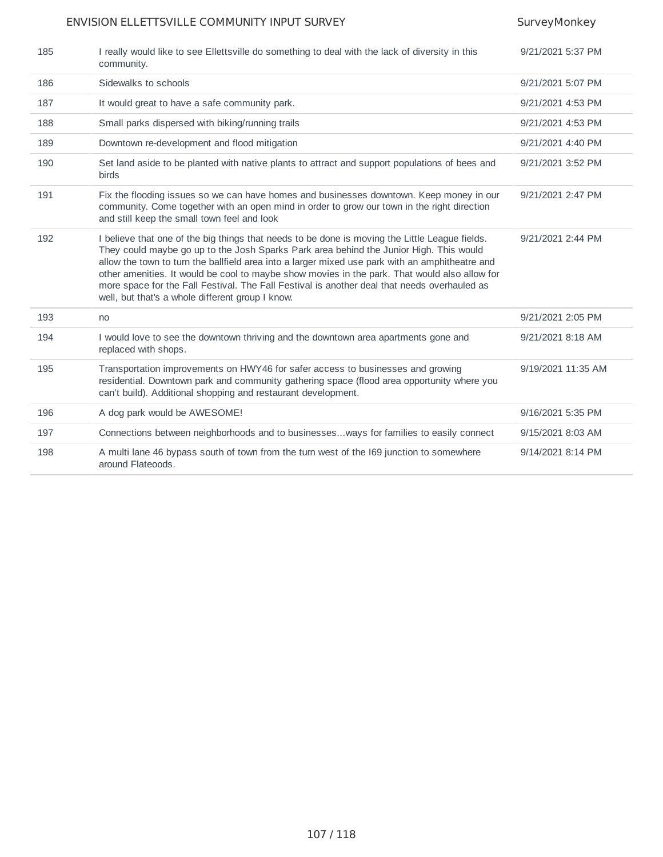| 185 | I really would like to see Ellettsville do something to deal with the lack of diversity in this<br>community.                                                                                                                                                                                                                                                                                                                                                                                                                                    | 9/21/2021 5:37 PM  |
|-----|--------------------------------------------------------------------------------------------------------------------------------------------------------------------------------------------------------------------------------------------------------------------------------------------------------------------------------------------------------------------------------------------------------------------------------------------------------------------------------------------------------------------------------------------------|--------------------|
| 186 | Sidewalks to schools                                                                                                                                                                                                                                                                                                                                                                                                                                                                                                                             | 9/21/2021 5:07 PM  |
| 187 | It would great to have a safe community park.                                                                                                                                                                                                                                                                                                                                                                                                                                                                                                    | 9/21/2021 4:53 PM  |
| 188 | Small parks dispersed with biking/running trails                                                                                                                                                                                                                                                                                                                                                                                                                                                                                                 | 9/21/2021 4:53 PM  |
| 189 | Downtown re-development and flood mitigation                                                                                                                                                                                                                                                                                                                                                                                                                                                                                                     | 9/21/2021 4:40 PM  |
| 190 | Set land aside to be planted with native plants to attract and support populations of bees and<br><b>birds</b>                                                                                                                                                                                                                                                                                                                                                                                                                                   | 9/21/2021 3:52 PM  |
| 191 | Fix the flooding issues so we can have homes and businesses downtown. Keep money in our<br>community. Come together with an open mind in order to grow our town in the right direction<br>and still keep the small town feel and look                                                                                                                                                                                                                                                                                                            | 9/21/2021 2:47 PM  |
| 192 | I believe that one of the big things that needs to be done is moving the Little League fields.<br>They could maybe go up to the Josh Sparks Park area behind the Junior High. This would<br>allow the town to turn the ballfield area into a larger mixed use park with an amphitheatre and<br>other amenities. It would be cool to maybe show movies in the park. That would also allow for<br>more space for the Fall Festival. The Fall Festival is another deal that needs overhauled as<br>well, but that's a whole different group I know. | 9/21/2021 2:44 PM  |
| 193 | no                                                                                                                                                                                                                                                                                                                                                                                                                                                                                                                                               | 9/21/2021 2:05 PM  |
| 194 | I would love to see the downtown thriving and the downtown area apartments gone and<br>replaced with shops.                                                                                                                                                                                                                                                                                                                                                                                                                                      | 9/21/2021 8:18 AM  |
| 195 | Transportation improvements on HWY46 for safer access to businesses and growing<br>residential. Downtown park and community gathering space (flood area opportunity where you<br>can't build). Additional shopping and restaurant development.                                                                                                                                                                                                                                                                                                   | 9/19/2021 11:35 AM |
| 196 | A dog park would be AWESOME!                                                                                                                                                                                                                                                                                                                                                                                                                                                                                                                     | 9/16/2021 5:35 PM  |
| 197 | Connections between neighborhoods and to businessesways for families to easily connect                                                                                                                                                                                                                                                                                                                                                                                                                                                           | 9/15/2021 8:03 AM  |
| 198 | A multi lane 46 bypass south of town from the turn west of the I69 junction to somewhere<br>around Flateoods.                                                                                                                                                                                                                                                                                                                                                                                                                                    | 9/14/2021 8:14 PM  |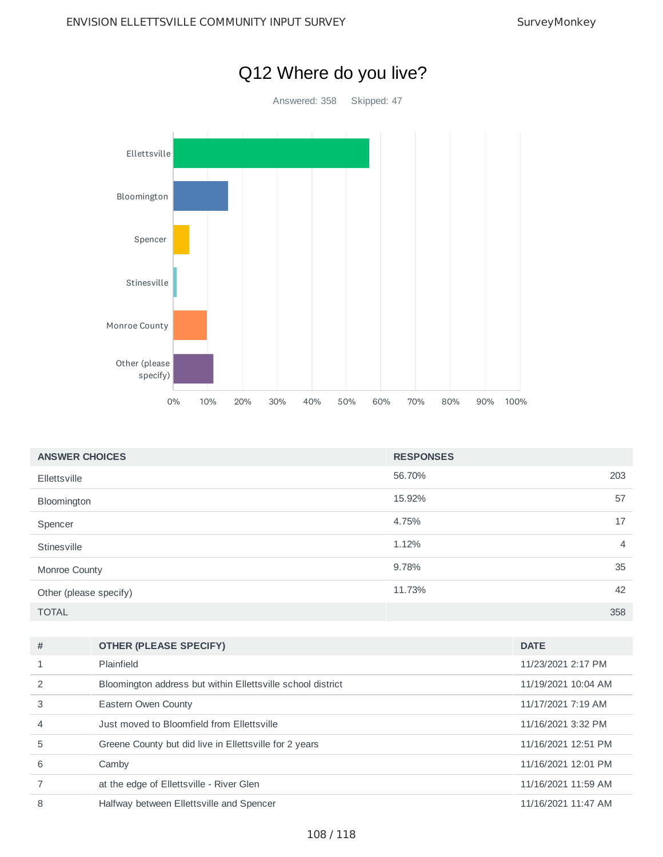

| <b>ANSWER CHOICES</b>  | <b>RESPONSES</b> |                |
|------------------------|------------------|----------------|
| Ellettsville           | 56.70%           | 203            |
| Bloomington            | 15.92%           | 57             |
| Spencer                | 4.75%            | 17             |
| Stinesville            | 1.12%            | $\overline{4}$ |
| Monroe County          | 9.78%            | 35             |
| Other (please specify) | 11.73%           | 42             |
| <b>TOTAL</b>           |                  | 358            |

| #              | <b>OTHER (PLEASE SPECIFY)</b>                               | <b>DATE</b>         |
|----------------|-------------------------------------------------------------|---------------------|
|                | Plainfield                                                  | 11/23/2021 2:17 PM  |
|                | Bloomington address but within Ellettsville school district | 11/19/2021 10:04 AM |
| 3              | Eastern Owen County                                         | 11/17/2021 7:19 AM  |
| $\overline{4}$ | Just moved to Bloomfield from Ellettsville                  | 11/16/2021 3:32 PM  |
| 5              | Greene County but did live in Ellettsville for 2 years      | 11/16/2021 12:51 PM |
| 6              | Camby                                                       | 11/16/2021 12:01 PM |
|                | at the edge of Ellettsville - River Glen                    | 11/16/2021 11:59 AM |
| 8              | Halfway between Ellettsville and Spencer                    | 11/16/2021 11:47 AM |

# Q12 Where do you live?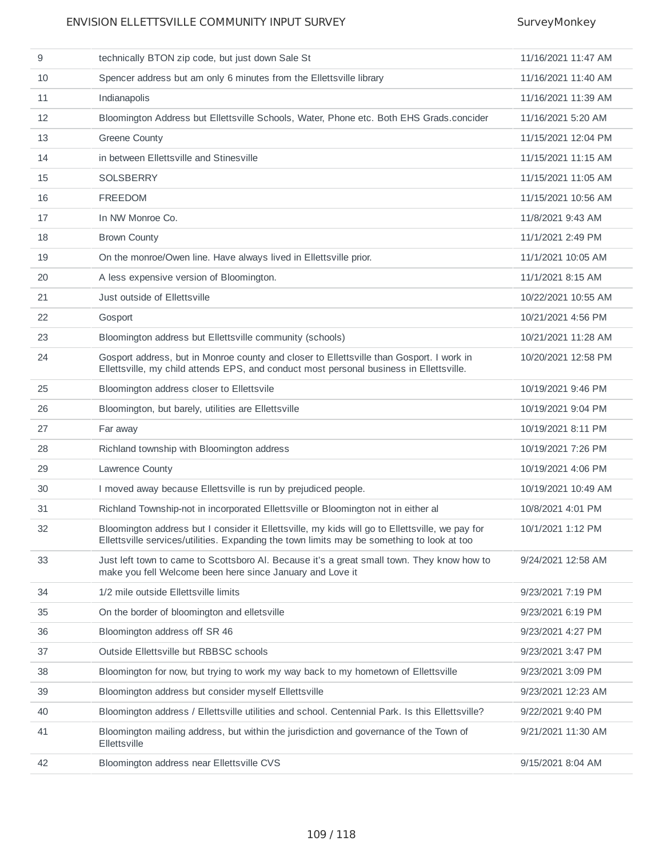### ENVISION ELLETTSVILLE COMMUNITY INPUT SURVEY SURVEY SurveyMonkey

| 9  | technically BTON zip code, but just down Sale St                                                                                                                                              | 11/16/2021 11:47 AM |
|----|-----------------------------------------------------------------------------------------------------------------------------------------------------------------------------------------------|---------------------|
| 10 | Spencer address but am only 6 minutes from the Ellettsville library                                                                                                                           | 11/16/2021 11:40 AM |
| 11 | Indianapolis                                                                                                                                                                                  | 11/16/2021 11:39 AM |
| 12 | Bloomington Address but Ellettsville Schools, Water, Phone etc. Both EHS Grads.concider                                                                                                       | 11/16/2021 5:20 AM  |
| 13 | <b>Greene County</b>                                                                                                                                                                          | 11/15/2021 12:04 PM |
| 14 | in between Ellettsville and Stinesville                                                                                                                                                       | 11/15/2021 11:15 AM |
| 15 | <b>SOLSBERRY</b>                                                                                                                                                                              | 11/15/2021 11:05 AM |
| 16 | <b>FREEDOM</b>                                                                                                                                                                                | 11/15/2021 10:56 AM |
| 17 | In NW Monroe Co.                                                                                                                                                                              | 11/8/2021 9:43 AM   |
| 18 | <b>Brown County</b>                                                                                                                                                                           | 11/1/2021 2:49 PM   |
| 19 | On the monroe/Owen line. Have always lived in Ellettsville prior.                                                                                                                             | 11/1/2021 10:05 AM  |
| 20 | A less expensive version of Bloomington.                                                                                                                                                      | 11/1/2021 8:15 AM   |
| 21 | Just outside of Ellettsville                                                                                                                                                                  | 10/22/2021 10:55 AM |
| 22 | Gosport                                                                                                                                                                                       | 10/21/2021 4:56 PM  |
| 23 | Bloomington address but Ellettsville community (schools)                                                                                                                                      | 10/21/2021 11:28 AM |
| 24 | Gosport address, but in Monroe county and closer to Ellettsville than Gosport. I work in<br>Ellettsville, my child attends EPS, and conduct most personal business in Ellettsville.           | 10/20/2021 12:58 PM |
| 25 | Bloomington address closer to Ellettsvile                                                                                                                                                     | 10/19/2021 9:46 PM  |
| 26 | Bloomington, but barely, utilities are Ellettsville                                                                                                                                           | 10/19/2021 9:04 PM  |
| 27 | Far away                                                                                                                                                                                      | 10/19/2021 8:11 PM  |
| 28 | Richland township with Bloomington address                                                                                                                                                    | 10/19/2021 7:26 PM  |
| 29 | Lawrence County                                                                                                                                                                               | 10/19/2021 4:06 PM  |
| 30 | I moved away because Ellettsville is run by prejudiced people.                                                                                                                                | 10/19/2021 10:49 AM |
| 31 | Richland Township-not in incorporated Ellettsville or Bloomington not in either all                                                                                                           | 10/8/2021 4:01 PM   |
| 32 | Bloomington address but I consider it Ellettsville, my kids will go to Ellettsville, we pay for<br>Ellettsville services/utilities. Expanding the town limits may be something to look at too | 10/1/2021 1:12 PM   |
| 33 | Just left town to came to Scottsboro Al. Because it's a great small town. They know how to<br>make you fell Welcome been here since January and Love it                                       | 9/24/2021 12:58 AM  |
| 34 | 1/2 mile outside Ellettsville limits                                                                                                                                                          | 9/23/2021 7:19 PM   |
| 35 | On the border of bloomington and elletsville                                                                                                                                                  | 9/23/2021 6:19 PM   |
| 36 | Bloomington address off SR 46                                                                                                                                                                 | 9/23/2021 4:27 PM   |
| 37 | Outside Ellettsville but RBBSC schools                                                                                                                                                        | 9/23/2021 3:47 PM   |
| 38 | Bloomington for now, but trying to work my way back to my hometown of Ellettsville                                                                                                            | 9/23/2021 3:09 PM   |
| 39 | Bloomington address but consider myself Ellettsville                                                                                                                                          | 9/23/2021 12:23 AM  |
| 40 | Bloomington address / Ellettsville utilities and school. Centennial Park. Is this Ellettsville?                                                                                               | 9/22/2021 9:40 PM   |
| 41 | Bloomington mailing address, but within the jurisdiction and governance of the Town of<br>Ellettsville                                                                                        | 9/21/2021 11:30 AM  |
| 42 | Bloomington address near Ellettsville CVS                                                                                                                                                     | 9/15/2021 8:04 AM   |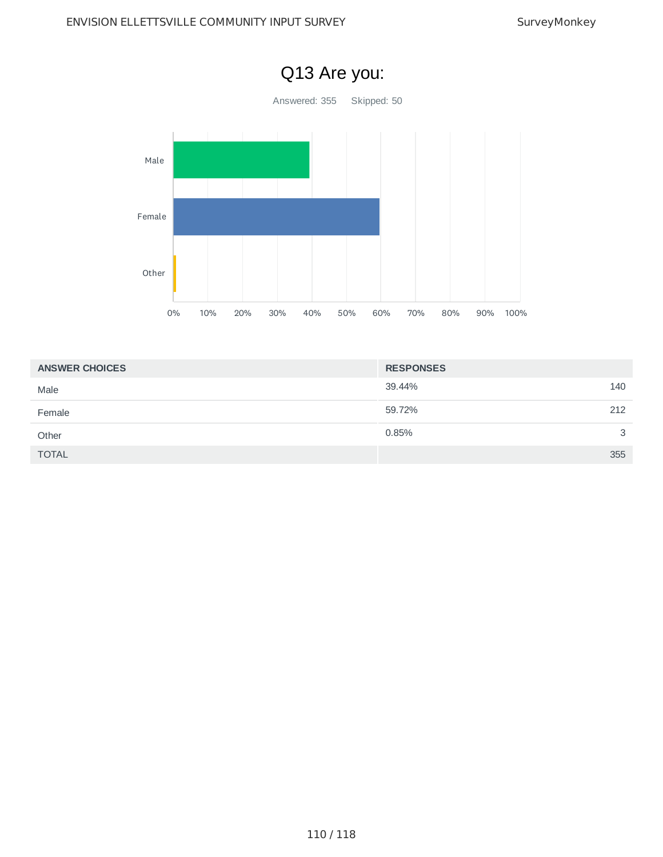

| <b>ANSWER CHOICES</b> | <b>RESPONSES</b> |
|-----------------------|------------------|
| Male                  | 140<br>39.44%    |
| Female                | 212<br>59.72%    |
| Other                 | 3<br>0.85%       |
| <b>TOTAL</b>          | 355              |

## Q13 Are you: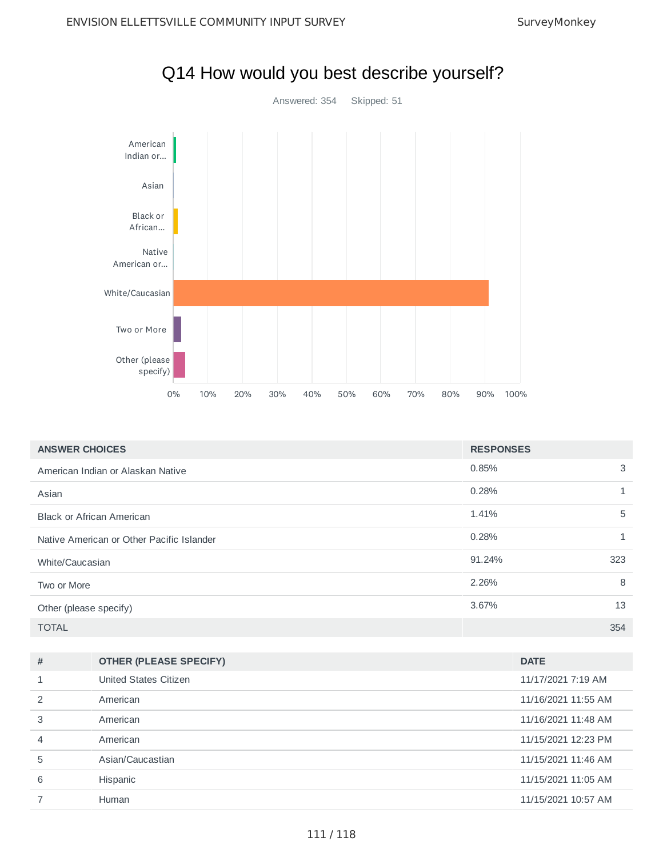

| <b>ANSWER CHOICES</b>                     | <b>RESPONSES</b> |     |
|-------------------------------------------|------------------|-----|
| American Indian or Alaskan Native         | 0.85%            | 3   |
| Asian                                     | 0.28%            |     |
| <b>Black or African American</b>          | 1.41%            | 5   |
| Native American or Other Pacific Islander | 0.28%            |     |
| White/Caucasian                           | 91.24%           | 323 |
| Two or More                               | 2.26%            | 8   |
| Other (please specify)                    | 3.67%            | 13  |
| <b>TOTAL</b>                              |                  | 354 |

| # | <b>OTHER (PLEASE SPECIFY)</b> | <b>DATE</b>         |
|---|-------------------------------|---------------------|
|   | United States Citizen         | 11/17/2021 7:19 AM  |
|   | American                      | 11/16/2021 11:55 AM |
| 3 | American                      | 11/16/2021 11:48 AM |
| 4 | American                      | 11/15/2021 12:23 PM |
| 5 | Asian/Caucastian              | 11/15/2021 11:46 AM |
| 6 | Hispanic                      | 11/15/2021 11:05 AM |
|   | Human                         | 11/15/2021 10:57 AM |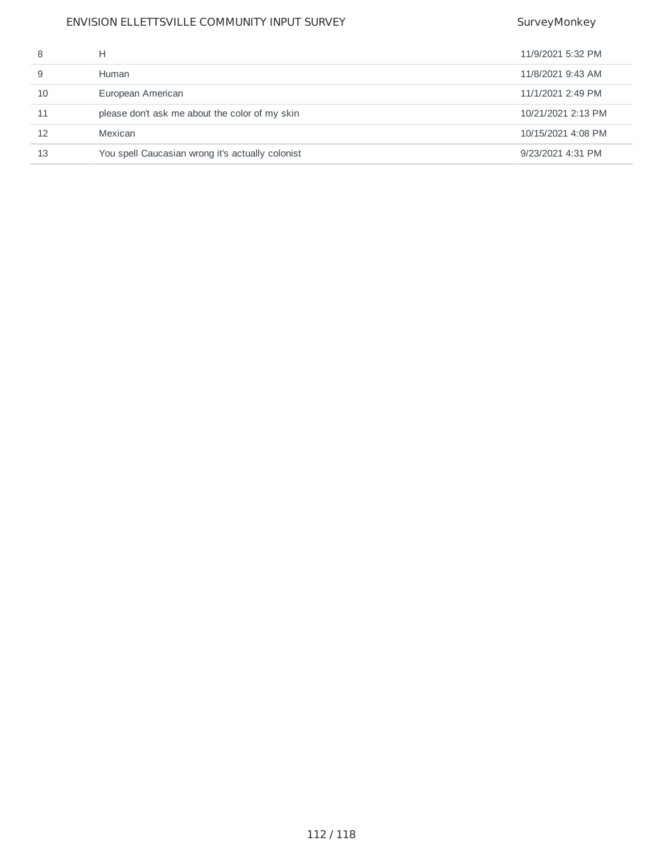### ENVISION ELLETTSVILLE COMMUNITY INPUT SURVEY SURVEY SurveyMonkey

|    | н                                                | 11/9/2021 5:32 PM  |
|----|--------------------------------------------------|--------------------|
|    | Human                                            | 11/8/2021 9:43 AM  |
| 10 | European American                                | 11/1/2021 2:49 PM  |
| 11 | please don't ask me about the color of my skin   | 10/21/2021 2:13 PM |
| 12 | Mexican                                          | 10/15/2021 4:08 PM |
| 13 | You spell Caucasian wrong it's actually colonist | 9/23/2021 4:31 PM  |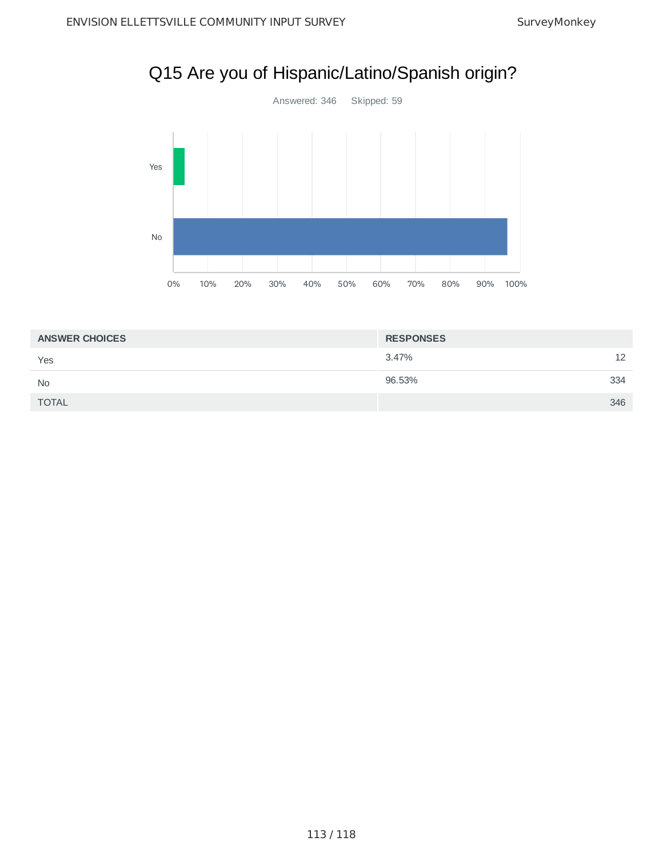# Q15 Are you of Hispanic/Latino/Spanish origin?



| <b>ANSWER CHOICES</b> | <b>RESPONSES</b> |     |
|-----------------------|------------------|-----|
| Yes                   | 3.47%            | 12  |
| <b>No</b>             | 96.53%           | 334 |
| <b>TOTAL</b>          |                  | 346 |
|                       |                  |     |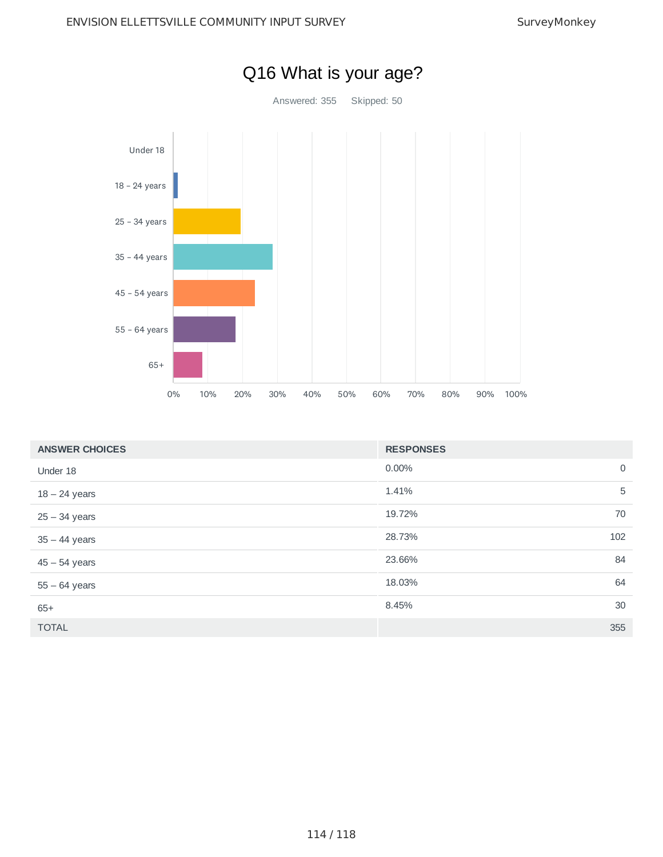

| <b>ANSWER CHOICES</b> | <b>RESPONSES</b> |             |
|-----------------------|------------------|-------------|
| Under 18              | 0.00%            | $\mathbf 0$ |
| $18 - 24$ years       | 1.41%            | 5           |
| $25 - 34$ years       | 19.72%           | 70          |
| $35 - 44$ years       | 28.73%           | 102         |
| $45 - 54$ years       | 23.66%           | 84          |
| $55 - 64$ years       | 18.03%           | 64          |
| $65+$                 | 8.45%            | 30          |
| <b>TOTAL</b>          |                  | 355         |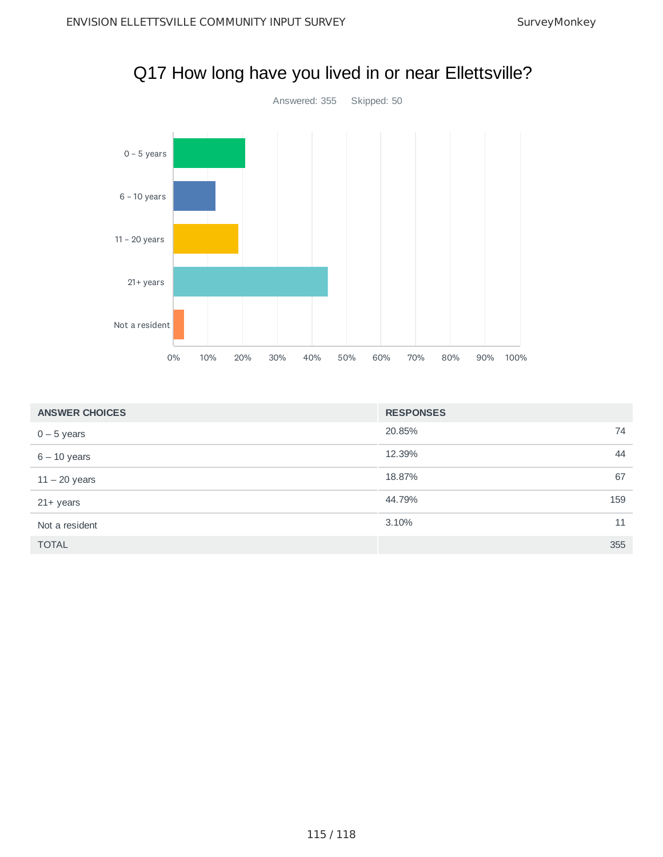

|  | Q17 How long have you lived in or near Ellettsville? |
|--|------------------------------------------------------|
|  |                                                      |

| <b>ANSWER CHOICES</b> | <b>RESPONSES</b> |
|-----------------------|------------------|
| $0 - 5$ years         | 20.85%<br>74     |
| $6 - 10$ years        | 12.39%<br>44     |
| $11 - 20$ years       | 18.87%<br>67     |
| $21+$ years           | 44.79%<br>159    |
| Not a resident        | 3.10%<br>11      |
| <b>TOTAL</b>          | 355              |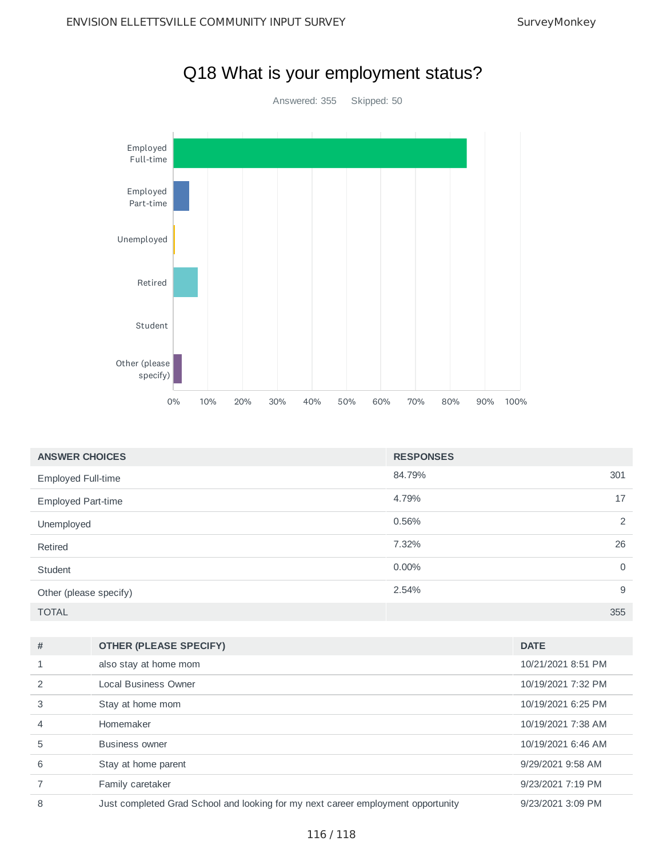

| <b>ANSWER CHOICES</b>     | <b>RESPONSES</b> |             |
|---------------------------|------------------|-------------|
| <b>Employed Full-time</b> | 84.79%<br>301    |             |
| Employed Part-time        | 17<br>4.79%      |             |
| Unemployed                | 0.56%            | 2           |
| Retired                   | 26<br>7.32%      |             |
| Student                   | $0.00\%$         | $\mathbf 0$ |
| Other (please specify)    | 2.54%            | 9           |
| <b>TOTAL</b>              | 355              |             |

| # | <b>OTHER (PLEASE SPECIFY)</b>                                                    | <b>DATE</b>        |
|---|----------------------------------------------------------------------------------|--------------------|
|   | also stay at home mom                                                            | 10/21/2021 8:51 PM |
|   | Local Business Owner                                                             | 10/19/2021 7:32 PM |
| 3 | Stay at home mom                                                                 | 10/19/2021 6:25 PM |
| 4 | Homemaker                                                                        | 10/19/2021 7:38 AM |
| 5 | Business owner                                                                   | 10/19/2021 6:46 AM |
| 6 | Stay at home parent                                                              | 9/29/2021 9:58 AM  |
|   | Family caretaker                                                                 | 9/23/2021 7:19 PM  |
| 8 | Just completed Grad School and looking for my next career employment opportunity | 9/23/2021 3:09 PM  |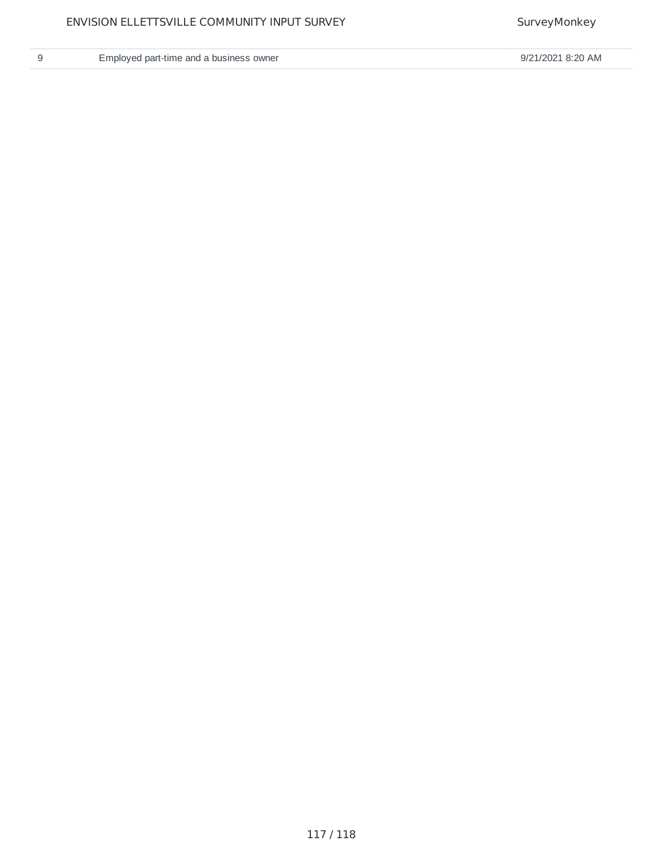|    | ٠ |   |
|----|---|---|
|    |   |   |
|    | ĉ |   |
| M. |   | ۹ |
|    |   |   |

9 Employed part-time and a business owner example and a strategies of the SN and SN and SN and SN 9/21/2021 8:20 AM